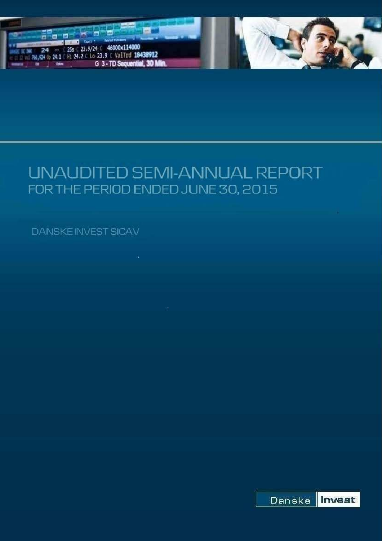

# UNAUDITED SEMI-ANNUAL REPORT FOR THE PERIOD ENDED JUNE 30, 2015

**DANSKEINVEST SICAV** 

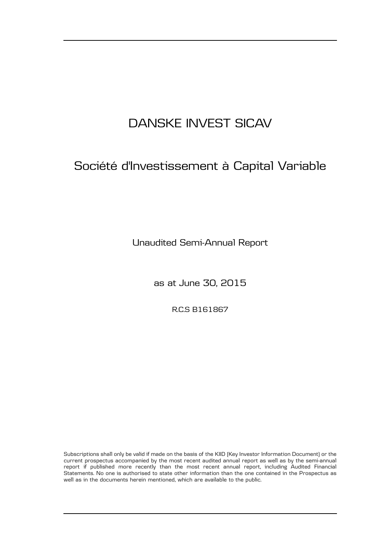# Société d'Investissement à Capital Variable

Unaudited Semi-Annual Report

as at June 30, 2015

R.C.S B161867

Subscriptions shall only be valid if made on the basis of the KIID (Key Investor Information Document) or the current prospectus accompanied by the most recent audited annual report as well as by the semi-annual report if published more recently than the most recent annual report, including Audited Financial Statements. No one is authorised to state other information than the one contained in the Prospectus as well as in the documents herein mentioned, which are available to the public.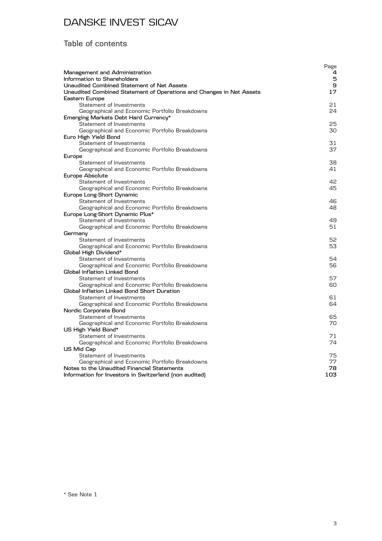#### Table of contents

| Management and Administration<br>Information to Shareholders         | Page<br>4<br>5 |
|----------------------------------------------------------------------|----------------|
| Unaudited Combined Statement of Net Assets                           | 9              |
| Unaudited Combined Statement of Operations and Changes in Net Assets | 17             |
| Eastern Europe                                                       |                |
| Statement of Investments                                             | 21             |
| Geographical and Economic Portfolio Breakdowns                       | 24             |
| Emerging Markets Debt Hard Currency*                                 |                |
| Statement of Investments                                             | 25             |
| Geographical and Economic Portfolio Breakdowns                       | 30             |
| Euro High Yield Bond                                                 |                |
| Statement of Investments                                             | 31             |
| Geographical and Economic Portfolio Breakdowns                       | 37             |
| Europe                                                               |                |
| Statement of Investments                                             | 38             |
| Geographical and Economic Portfolio Breakdowns                       | 41             |
| Europe Absolute                                                      |                |
| Statement of Investments                                             | 42             |
| Geographical and Economic Portfolio Breakdowns                       | 45             |
| Europe Long-Short Dynamic                                            |                |
| Statement of Investments                                             | 46             |
| Geographical and Economic Portfolio Breakdowns                       | 48             |
| Europe Long-Short Dynamic Plus*<br>Statement of Investments          | 49             |
| Geographical and Economic Portfolio Breakdowns                       | 51             |
| Germany                                                              |                |
| Statement of Investments                                             | 52             |
| Geographical and Economic Portfolio Breakdowns                       | 53             |
| Global High Dividend*                                                |                |
| Statement of Investments                                             | 54             |
| Geographical and Economic Portfolio Breakdowns                       | 56             |
| Global Inflation Linked Bond                                         |                |
| Statement of Investments                                             | 57             |
| Geographical and Economic Portfolio Breakdowns                       | 60             |
| Global Inflation Linked Bond Short Duration                          |                |
| Statement of Investments                                             | 61             |
| Geographical and Economic Portfolio Breakdowns                       | 64             |
| Nordic Corporate Bond                                                |                |
| Statement of Investments                                             | 65             |
| Geographical and Economic Portfolio Breakdowns                       | 70             |
| US High Yield Bond*                                                  |                |
| Statement of Investments                                             | 71             |
| Geographical and Economic Portfolio Breakdowns                       | 74             |
| US Mid Cap                                                           |                |
| Statement of Investments                                             | 75             |
| Geographical and Economic Portfolio Breakdowns                       | 77             |
| Notes to the Unaudited Financial Statements                          | 78             |
| Information for Investors in Switzerland (non audited)               | 103            |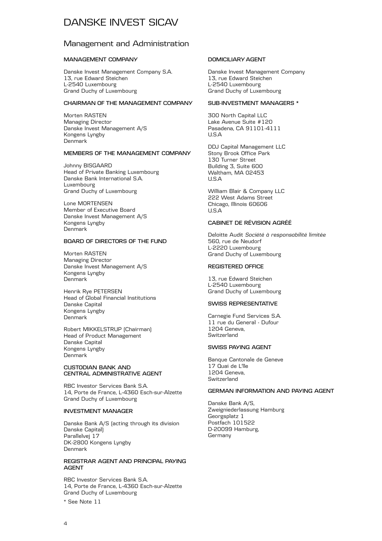#### Management and Administration

#### **MANAGEMENT COMPANY**

Danske Invest Management Company S.A. 13, rue Edward Steichen L-2540 Luxembourg Grand Duchy of Luxembourg

#### **CHAIRMAN OF THE MANAGEMENT COMPANY**

Morten RASTEN Managing Director Danske Invest Management A/S Kongens Lyngby Denmark

#### **MEMBERS OF THE MANAGEMENT COMPANY**

Johnny BISGAARD Head of Private Banking Luxembourg Danske Bank International S.A. Luxembourg Grand Duchy of Luxembourg

Lone MORTENSEN Member of Executive Board Danske Invest Management A/S Kongens Lyngby Denmark

#### **BOARD OF DIRECTORS OF THE FUND**

Morten RASTEN Managing Director Danske Invest Management A/S Kongens Lyngby Denmark

Henrik Rye PETERSEN Head of Global Financial Institutions Danske Capital Kongens Lyngby Denmark

Robert MIKKELSTRUP (Chairman) Head of Product Management Danske Capital Kongens Lyngby Denmark

#### **CUSTODIAN BANK AND CENTRAL ADMINISTRATIVE AGENT**

RBC Investor Services Bank S.A. 14, Porte de France, L-4360 Esch-sur-Alzette Grand Duchy of Luxembourg

#### **INVESTMENT MANAGER**

Danske Bank A/S (acting through its division Danske Capital) Parallelvej 17 DK-2800 Kongens Lyngby Denmark

#### **REGISTRAR AGENT AND PRINCIPAL PAYING AGENT**

RBC Investor Services Bank S.A. 14, Porte de France, L-4360 Esch-sur-Alzette Grand Duchy of Luxembourg

\* See Note 11

#### **DOMICILIARY AGENT**

Danske Invest Management Company 13, rue Edward Steichen L-2540 Luxembourg Grand Duchy of Luxembourg

#### **SUB-INVESTMENT MANAGERS \***

300 North Capital LLC Lake Avenue Suite #120 Pasadena, CA 91101-4111 U.S.A

DDJ Capital Management LLC Stony Brook Office Park 130 Turner Street Building 3, Suite 600 Waltham, MA 02453 U.S.A

William Blair & Company LLC 222 West Adams Street Chicago, Illinois 60606  $IISA$ 

#### **CABINET DE RÉVISION AGRÉÉ**

Deloitte Audit *Société à responsabilité limitée* 560, rue de Neudorf L-2220 Luxembourg Grand Duchy of Luxembourg

#### **REGISTERED OFFICE**

13, rue Edward Steichen L-2540 Luxembourg Grand Duchy of Luxembourg

#### **SWISS REPRESENTATIVE**

Carnegie Fund Services S.A. 11 rue du General - Dufour 1204 Geneva, **Switzerland** 

#### **SWISS PAYING AGENT**

Banque Cantonale de Geneve 17 Quai de L'lle 1204 Geneva, **Switzerland** 

#### **GERMAN INFORMATION AND PAYING AGENT**

Danske Bank A/S, Zweigniederlassung Hamburg Georgsplatz 1 Postfach 101522 D-20099 Hamburg, Germany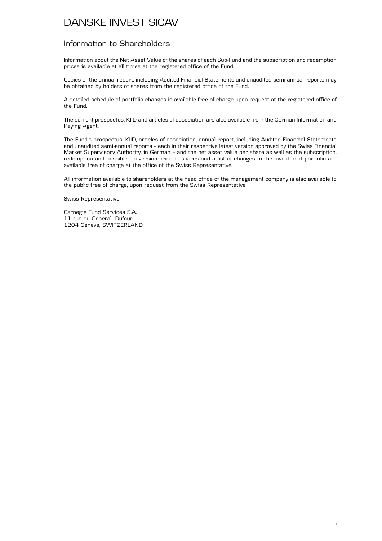#### Information to Shareholders

Information about the Net Asset Value of the shares of each Sub-Fund and the subscription and redemption prices is available at all times at the registered office of the Fund.

Copies of the annual report, including Audited Financial Statements and unaudited semi-annual reports may be obtained by holders of shares from the registered office of the Fund.

A detailed schedule of portfolio changes is available free of charge upon request at the registered office of the Fund.

The current prospectus, KIID and articles of association are also available from the German Information and Paying Agent.

The Fund's prospectus, KIID, articles of association, annual report, including Audited Financial Statements and unaudited semi-annual reports – each in their respective latest version approved by the Swiss Financial Market Supervisory Authority, in German – and the net asset value per share as well as the subscription, redemption and possible conversion price of shares and a list of changes to the investment portfolio are available free of charge at the office of the Swiss Representative.

All information available to shareholders at the head office of the management company is also available to the public free of charge, upon request from the Swiss Representative.

Swiss Representative:

Carnegie Fund Services S.A. 11 rue du General -Dufour 1204 Geneva, SWITZERLAND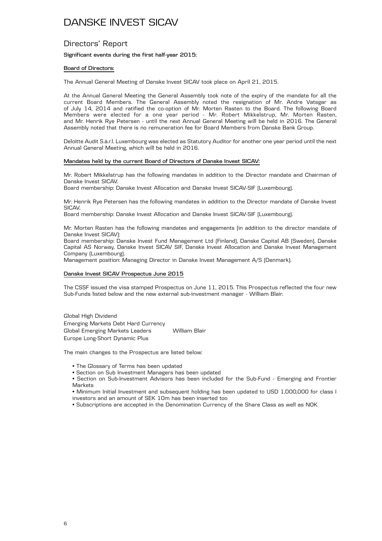#### Directors' Report

#### **Significant events during the first half-year 2015:**

#### **Board of Directors:**

The Annual General Meeting of Danske Invest SICAV took place on April 21, 2015.

At the Annual General Meeting the General Assembly took note of the expiry of the mandate for all the current Board Members. The General Assembly noted the resignation of Mr. Andre Vatsgar as of July 14, 2014 and ratified the co-option of Mr. Morten Rasten to the Board. The following Board Members were elected for a one year period - Mr. Robert Mikkelstrup, Mr. Morten Rasten, and Mr. Henrik Rye Petersen - until the next Annual General Meeting will be held in 2016. The General Assembly noted that there is no remuneration fee for Board Members from Danske Bank Group.

Deloitte Audit S.à.r.l. Luxembourg was elected as Statutory Auditor for another one year period until the next Annual General Meeting, which will be held in 2016.

#### **Mandates held by the current Board of Directors of Danske Invest SICAV:**

Mr. Robert Mikkelstrup has the following mandates in addition to the Director mandate and Chairman of Danske Invest SICAV.

Board membership: Danske Invest Allocation and Danske Invest SICAV-SIF (Luxembourg).

Mr. Henrik Rye Petersen has the following mandates in addition to the Director mandate of Danske Invest SICAV**.**

Board membership: Danske Invest Allocation and Danske Invest SICAV-SIF (Luxembourg).

Mr. Morten Rasten has the following mandates and engagements (in addition to the director mandate of Danske Invest SICAV):

Board membership: Danske Invest Fund Management Ltd (Finland), Danske Capital AB (Sweden), Danske Capital AS Norway, Danske Invest SICAV SIF, Danske Invest Allocation and Danske Invest Management Company (Luxembourg).

Management position: Managing Director in Danske Invest Management A/S (Denmark).

#### **Danske Invest SICAV Prospectus June 2015**

The CSSF issued the visa stamped Prospectus on June 11, 2015. This Prospectus reflected the four new Sub-Funds listed below and the new external sub-investment manager - William Blair.

Global High Dividend Emerging Markets Debt Hard Currency Global Emerging Markets Leaders William Blair Europe Long-Short Dynamic Plus

The main changes to the Prospectus are listed below:

- The Glossary of Terms has been updated
- Section on Sub Investment Managers has been updated
- Section on Sub-Investment Advisors has been included for the Sub-Fund Emerging and Frontier **Markets**

• Minimum Initial Investment and subsequent holding has been updated to USD 1,000,000 for class I investors and an amount of SEK 10m has been inserted too

• Subscriptions are accepted in the Denomination Currency of the Share Class as well as NOK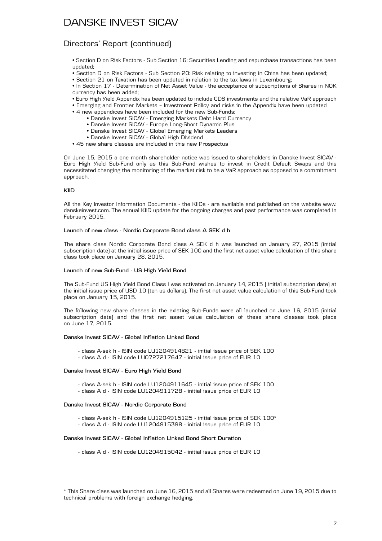#### Directors' Report (continued)

• Section D on Risk Factors - Sub Section 16: Securities Lending and repurchase transactions has been updated;

- Section D on Risk Factors Sub Section 20: Risk relating to investing in China has been updated;
- Section 21 on Taxation has been updated in relation to the tax laws in Luxembourg;

• In Section 17 - Determination of Net Asset Value - the acceptance of subscriptions of Shares in NOK currency has been added;

- Euro High Yield Appendix has been updated to include CDS investments and the relative VaR approach
- Emerging and Frontier Markets Investment Policy and risks in the Appendix have been updated
- 4 new appendices have been included for the new Sub-Funds:
	- Danske Invest SICAV Emerging Markets Debt Hard Currency
	- Danske Invest SICAV Europe Long-Short Dynamic Plus
	- Danske Invest SICAV Global Emerging Markets Leaders
	- Danske Invest SICAV Global High Dividend
- 45 new share classes are included in this new Prospectus

On June 15, 2015 a one month shareholder notice was issued to shareholders in Danske Invest SICAV - Euro High Yield Sub-Fund only as this Sub-Fund wishes to invest in Credit Default Swaps and this necessitated changing the monitoring of the market risk to be a VaR approach as opposed to a commitment approach.

#### **KIID**

All the Key Investor Information Documents - the KIIDs - are available and published on the website www. danskeinvest.com. The annual KIID update for the ongoing charges and past performance was completed in February 2015.

#### **Launch of new class - Nordic Corporate Bond class A SEK d h**

The share class Nordic Corporate Bond class A SEK d h was launched on January 27, 2015 (initial subscription date) at the initial issue price of SEK 100 and the first net asset value calculation of this share class took place on January 28, 2015.

#### **Launch of new Sub-Fund - US High Yield Bond**

The Sub-Fund US High Yield Bond Class I was activated on January 14, 2015 ( initial subscription date) at the initial issue price of USD 10 (ten us dollars). The first net asset value calculation of this Sub-Fund took place on January 15, 2015.

The following new share classes in the existing Sub-Funds were all launched on June 16, 2015 (initial subscription date) and the first net asset value calculation of these share classes took place on June 17, 2015.

#### **Danske Invest SICAV - Global Inflation Linked Bond**

- class A-sek h ISIN code LU1204914821 initial issue price of SEK 100
- class A d ISIN code LU0727217647 initial issue price of EUR 10

#### **Danske Invest SICAV - Euro High Yield Bond**

- class A-sek h ISIN code LU1204911645 initial issue price of SEK 100
- class A d ISIN code LU1204911728 initial issue price of EUR 10

#### **Danske Invest SICAV - Nordic Corporate Bond**

- class A-sek h ISIN code LU1204915125 initial issue price of SEK 100\*
- class A d ISIN code LU1204915398 initial issue price of EUR 10

#### **Danske Invest SICAV - Global Inflation Linked Bond Short Duration**

- class A d - ISIN code LU1204915042 - initial issue price of EUR 10

<sup>\*</sup> This Share class was launched on June 16, 2015 and all Shares were redeemed on June 19, 2015 due to technical problems with foreign exchange hedging.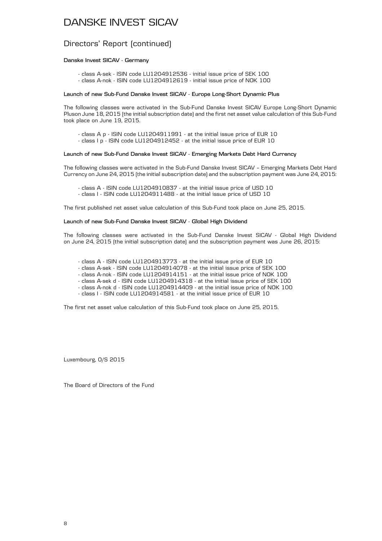#### Directors' Report (continued)

#### **Danske Invest SICAV - Germany**

- class A-sek - ISIN code LU1204912536 - initial issue price of SEK 100 - class A-nok - ISIN code LU1204912619 - initial issue price of NOK 100

#### **Launch of new Sub-Fund Danske Invest SICAV - Europe Long-Short Dynamic Plus**

The following classes were activated in the Sub-Fund Danske Invest SICAV Europe Long-Short Dynamic Pluson June 18, 2015 (the initial subscription date) and the first net asset value calculation of this Sub-Fund took place on June 19, 2015.

- class A p - ISIN code LU1204911991 - at the initial issue price of EUR 10

- class I p - ISIN code LU1204912452 - at the initial issue price of EUR 10

#### **Launch of new Sub-Fund Danske Invest SICAV - Emerging Markets Debt Hard Currency**

The following classes were activated in the Sub-Fund Danske Invest SICAV – Emerging Markets Debt Hard Currency on June 24, 2015 (the initial subscription date) and the subscription payment was June 24, 2015:

- class A - ISIN code LU1204910837 - at the initial issue price of USD 10

- class I - ISIN code LU1204911488 - at the initial issue price of USD 10

The first published net asset value calculation of this Sub-Fund took place on June 25, 2015.

#### **Launch of new Sub-Fund Danske Invest SICAV - Global High Dividend**

The following classes were activated in the Sub-Fund Danske Invest SICAV - Global High Dividend on June 24, 2015 (the initial subscription date) and the subscription payment was June 26, 2015:

- class A - ISIN code LU1204913773 - at the initial issue price of EUR 10

- class A-sek - ISIN code LU1204914078 - at the initial issue price of SEK 100

- class A-nok - ISIN code LU1204914151 - at the initial issue price of NOK 100

- class A-sek d - ISIN code LU1204914318 - at the initial issue price of SEK 100

- class A-nok d - ISIN code LU1204914409 - at the initial issue price of NOK 100

- class I - ISIN code LU1204914581 - at the initial issue price of EUR 10

The first net asset value calculation of this Sub-Fund took place on June 25, 2015.

Luxembourg, O/S 2015

The Board of Directors of the Fund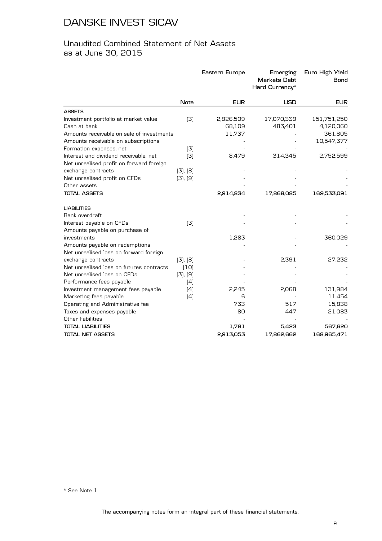#### Unaudited Combined Statement of Net Assets as at June 30, 2015

|                                           |             | Eastern Europe | Emerging<br><b>Markets Debt</b><br>Hard Currency* | Euro High Yield<br>Bond |
|-------------------------------------------|-------------|----------------|---------------------------------------------------|-------------------------|
|                                           | <b>Note</b> | <b>EUR</b>     | <b>USD</b>                                        | <b>EUR</b>              |
| <b>ASSETS</b>                             |             |                |                                                   |                         |
| Investment portfolio at market value      | (3)         | 2,826,509      | 17,070,339                                        | 151,751,250             |
| Cash at bank                              |             | 68,109         | 483,401                                           | 4,120,060               |
| Amounts receivable on sale of investments |             | 11,737         |                                                   | 361,805                 |
| Amounts receivable on subscriptions       |             |                |                                                   | 10,547,377              |
| Formation expenses, net                   | (3)         |                |                                                   |                         |
| Interest and dividend receivable, net     | (3)         | 8,479          | 314,345                                           | 2,752,599               |
| Net unrealised profit on forward foreign  |             |                |                                                   |                         |
| exchange contracts                        | (3), (8)    |                |                                                   |                         |
| Net unrealised profit on CFDs             | (3), (9)    |                |                                                   |                         |
| Other assets                              |             |                |                                                   |                         |
| <b>TOTAL ASSETS</b>                       |             | 2,914,834      | 17,868,085                                        | 169,533,091             |
| <b>LIABILITIES</b>                        |             |                |                                                   |                         |
| Bank overdraft                            |             |                |                                                   |                         |
| Interest payable on CFDs                  | (3)         |                |                                                   |                         |
| Amounts payable on purchase of            |             |                |                                                   |                         |
| investments                               |             | 1,283          |                                                   | 360,029                 |
| Amounts payable on redemptions            |             |                |                                                   |                         |
| Net unrealised loss on forward foreign    |             |                |                                                   |                         |
| exchange contracts                        | (3), (8)    |                | 2,391                                             | 27,232                  |
| Net unrealised loss on futures contracts  | (10)        |                |                                                   |                         |
| Net unrealised loss on CFDs               | [3], [9]    |                |                                                   |                         |
| Performance fees payable                  | (4)         |                |                                                   |                         |
| Investment management fees payable        | (4)         | 2,245          | 2,068                                             | 131,984                 |
| Marketing fees payable                    | (4)         | 6              |                                                   | 11,454                  |
| Operating and Administrative fee          |             | 733            | 517                                               | 15,838                  |
| Taxes and expenses payable                |             | 80             | 447                                               | 21,083                  |
| Other liabilities                         |             |                |                                                   |                         |
| <b>TOTAL LIABILITIES</b>                  |             | 1,781          | 5,423                                             | 567,620                 |
| TOTAL NET ASSETS                          |             | 2,913,053      | 17,862,662                                        | 168,965,471             |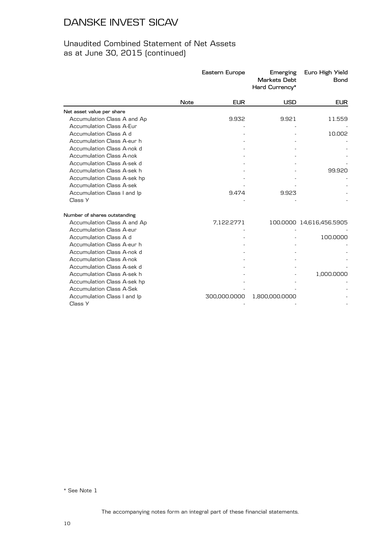#### Unaudited Combined Statement of Net Assets as at June 30, 2015 (continued)

|                                 |             | Eastern Europe | Emerging<br><b>Markets Debt</b><br>Hard Currency* | Euro High Yield<br><b>Bond</b> |
|---------------------------------|-------------|----------------|---------------------------------------------------|--------------------------------|
|                                 | <b>Note</b> | <b>EUR</b>     | <b>USD</b>                                        | <b>EUR</b>                     |
| Net asset value per share       |             |                |                                                   |                                |
| Accumulation Class A and Ap     |             | 9.932          | 9.921                                             | 11.559                         |
| <b>Accumulation Class A-Eur</b> |             |                |                                                   |                                |
| Accumulation Class A d          |             |                |                                                   | 10.002                         |
| Accumulation Class A-eur h      |             |                |                                                   |                                |
| Accumulation Class A-nok d      |             |                |                                                   |                                |
| Accumulation Class A-nok        |             |                |                                                   |                                |
| Accumulation Class A-sek d      |             |                |                                                   |                                |
| Accumulation Class A-sek h      |             |                |                                                   | 99.920                         |
| Accumulation Class A-sek hp     |             |                |                                                   |                                |
| <b>Accumulation Class A-sek</b> |             |                |                                                   |                                |
| Accumulation Class I and Ip     |             | 9.474          | 9.923                                             |                                |
| Class Y                         |             |                |                                                   |                                |
| Number of shares outstanding    |             |                |                                                   |                                |
| Accumulation Class A and Ap     |             | 7,122.2771     |                                                   | 100.0000 14,616,456.5905       |
| Accumulation Class A-eur        |             |                |                                                   |                                |
| Accumulation Class A d          |             |                |                                                   | 100.0000                       |
| Accumulation Class A-eur h      |             |                |                                                   |                                |
| Accumulation Class A-nok d      |             |                |                                                   |                                |
| Accumulation Class A-nok        |             |                |                                                   |                                |
| Accumulation Class A-sek d      |             |                |                                                   |                                |
| Accumulation Class A-sek h      |             |                |                                                   | 1,000.0000                     |
| Accumulation Class A-sek hp     |             |                |                                                   |                                |
| <b>Accumulation Class A-Sek</b> |             |                |                                                   |                                |
| Accumulation Class I and Ip     |             | 300,000.0000   | 1,800,000.0000                                    |                                |
| Class Y                         |             |                |                                                   |                                |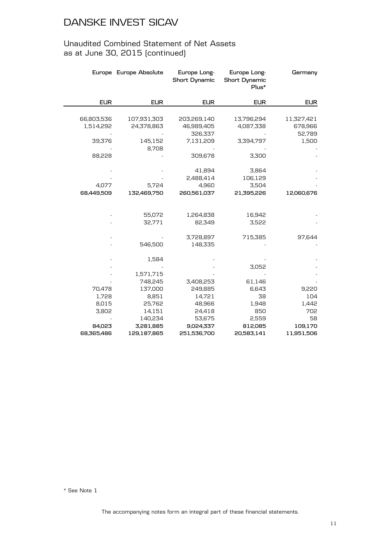#### Unaudited Combined Statement of Net Assets as at June 30, 2015 (continued)

|            | Europe Europe Absolute | Europe Long-<br><b>Short Dynamic</b> | Europe Long-<br><b>Short Dynamic</b><br>Plus* | Germany    |
|------------|------------------------|--------------------------------------|-----------------------------------------------|------------|
| <b>EUR</b> | <b>EUR</b>             | <b>EUR</b>                           | <b>EUR</b>                                    | <b>EUR</b> |
|            |                        |                                      |                                               |            |
| 66,803,536 | 107,931,303            | 203,269,140                          | 13,796,294                                    | 11,327,421 |
| 1,514,292  | 24,378,863             | 46,989,405                           | 4,087,338                                     | 678,966    |
|            |                        | 326,337                              |                                               | 52,789     |
| 39,376     | 145,152                | 7,131,209                            | 3,394,797                                     | 1,500      |
|            | 8,708                  |                                      |                                               |            |
| 88,228     |                        | 309,678                              | 3,300                                         |            |
|            |                        |                                      |                                               |            |
|            |                        | 41,894                               | 3,864                                         |            |
|            |                        | 2,488,414                            | 106,129                                       |            |
| 4,077      | 5,724                  | 4,960                                | 3,504                                         |            |
| 68,449,509 | 132,469,750            | 260,561,037                          | 21,395,226                                    | 12,060,676 |
|            |                        |                                      |                                               |            |
|            |                        |                                      |                                               |            |
|            | 55,072                 | 1,264,838<br>82,349                  | 16,942<br>3,522                               |            |
|            | 32,771                 |                                      |                                               |            |
|            |                        | 3,728,897                            | 715,385                                       | 97,644     |
|            | 546,500                | 148,335                              |                                               |            |
|            |                        |                                      |                                               |            |
|            | 1,584                  |                                      |                                               |            |
|            |                        |                                      | 3,052                                         |            |
|            | 1,571,715              |                                      |                                               |            |
|            | 748,245                | 3,408,253                            | 61,146                                        |            |
| 70,478     | 137,000                | 249,885                              | 6,643                                         | 9,220      |
| 1,728      | 8,851                  | 14,721                               | 38                                            | 104        |
| 8,015      | 25,762                 | 48,966                               | 1,948                                         | 1,442      |
| 3,802      | 14,151                 | 24,418                               | 850                                           | 702        |
|            | 140,234                | 53,675                               | 2,559                                         | 58         |
| 84,023     | 3,281,885              | 9,024,337                            | 812,085                                       | 109,170    |
| 68,365,486 | 129,187,865            | 251,536,700                          | 20,583,141                                    | 11,951,506 |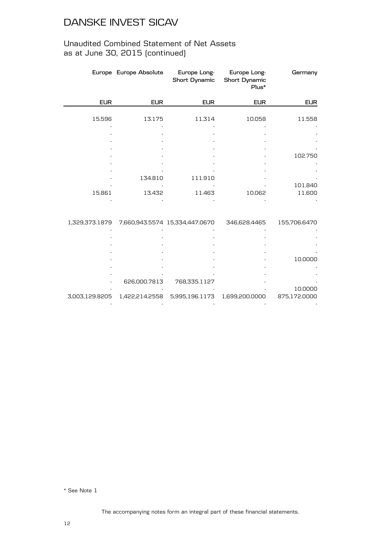#### Unaudited Combined Statement of Net Assets as at June 30, 2015 (continued)

|                | Europe Europe Absolute | Europe Long-<br>Short Dynamic  | Europe Long-<br><b>Short Dynamic</b><br>Plus* | Germany      |
|----------------|------------------------|--------------------------------|-----------------------------------------------|--------------|
| <b>EUR</b>     | <b>EUR</b>             | <b>EUR</b>                     | <b>EUR</b>                                    | <b>EUR</b>   |
|                |                        |                                |                                               |              |
| 15.596         | 13.175                 | 11.314                         | 10.058                                        | 11.558       |
|                |                        |                                |                                               |              |
|                |                        |                                |                                               |              |
|                |                        |                                |                                               |              |
|                |                        |                                |                                               | 102.750      |
|                |                        |                                |                                               |              |
|                |                        |                                |                                               |              |
|                | 134.810                | 111.910                        |                                               |              |
|                |                        |                                |                                               | 101.840      |
| 15.861         | 13.432                 | 11.463                         | 10.062                                        | 11.600       |
|                |                        |                                |                                               |              |
|                |                        |                                |                                               |              |
| 1,329,373.1879 |                        | 7,660,943.5574 15,334,447.0670 | 346,628.4465                                  | 155,706.6470 |
|                |                        |                                |                                               |              |
|                |                        |                                |                                               |              |
|                |                        |                                |                                               |              |
|                |                        |                                |                                               | 10.0000      |
|                |                        |                                |                                               |              |
|                |                        |                                |                                               |              |
|                | 626,000.7813           | 768,335.1127                   |                                               |              |
|                |                        |                                |                                               | 10.0000      |
| 3,003,129.8205 | 1,422,214.2558         | 5,995,196.1173                 | 1,699,200.0000                                | 875,172.0000 |
|                |                        |                                |                                               |              |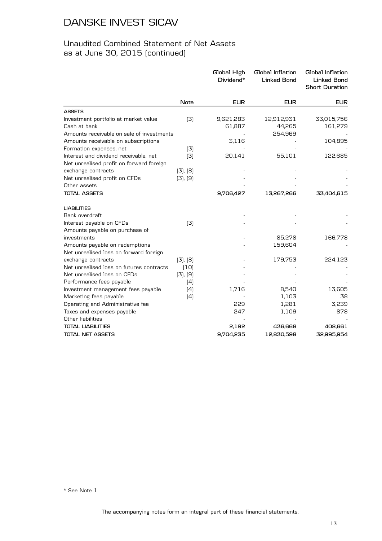#### Unaudited Combined Statement of Net Assets as at June 30, 2015 (continued)

|                                                                                                              | <b>EUR</b>            |
|--------------------------------------------------------------------------------------------------------------|-----------------------|
| <b>EUR</b><br><b>EUR</b><br><b>Note</b>                                                                      |                       |
| <b>ASSETS</b>                                                                                                |                       |
| 9,621,283<br>Investment portfolio at market value<br>(3)<br>12,912,931<br>Cash at bank<br>61,887<br>44,265   | 33,015,756<br>161,279 |
| Amounts receivable on sale of investments<br>254,969                                                         |                       |
| Amounts receivable on subscriptions<br>3,116                                                                 | 104,895               |
| Formation expenses, net<br>(3)                                                                               |                       |
| Interest and dividend receivable, net<br>(3)<br>20,141<br>55,101<br>Net unrealised profit on forward foreign | 122,685               |
| exchange contracts<br>[3], [8]                                                                               |                       |
| Net unrealised profit on CFDs<br>[3], [9]                                                                    |                       |
| Other assets                                                                                                 |                       |
| <b>TOTAL ASSETS</b><br>9,706,427<br>13,267,266                                                               | 33,404,615            |
| <b>LIABILITIES</b>                                                                                           |                       |
| Bank overdraft                                                                                               |                       |
| Interest payable on CFDs<br>(3)                                                                              |                       |
| Amounts payable on purchase of                                                                               |                       |
| investments<br>85,278                                                                                        | 166,778               |
| Amounts payable on redemptions<br>159,604                                                                    |                       |
| Net unrealised loss on forward foreign                                                                       |                       |
| exchange contracts<br>179,753<br>(3), (8)<br>Net unrealised loss on futures contracts                        | 224,123               |
| (10)<br>Net unrealised loss on CFDs<br>(3), (9)                                                              |                       |
| Performance fees payable<br>(4)                                                                              |                       |
| Investment management fees payable<br>(4)<br>1,716<br>8,540                                                  | 13,605                |
| Marketing fees payable<br>1,103<br>(4)                                                                       | 38                    |
| Operating and Administrative fee<br>229<br>1,281                                                             | 3,239                 |
| Taxes and expenses payable<br>247<br>1,109                                                                   | 878                   |
| Other liabilities                                                                                            |                       |
| <b>TOTAL LIABILITIES</b><br>2,192<br>436,668                                                                 | 408,661               |
| TOTAL NET ASSETS<br>9,704,235<br>12,830,598                                                                  | 32,995,954            |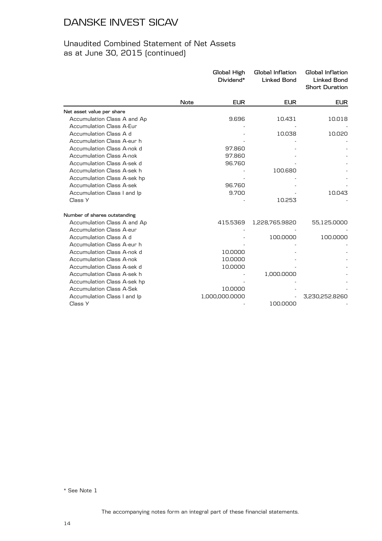#### Unaudited Combined Statement of Net Assets as at June 30, 2015 (continued)

|                                 |             | Global High<br>Dividend* | Global Inflation<br><b>Linked Bond</b> | Global Inflation<br><b>Linked Bond</b><br><b>Short Duration</b> |
|---------------------------------|-------------|--------------------------|----------------------------------------|-----------------------------------------------------------------|
|                                 | <b>Note</b> | <b>EUR</b>               | <b>EUR</b>                             | <b>EUR</b>                                                      |
| Net asset value per share       |             |                          |                                        |                                                                 |
| Accumulation Class A and Ap     |             | 9.696                    | 10.431                                 | 10.018                                                          |
| <b>Accumulation Class A-Eur</b> |             |                          |                                        |                                                                 |
| Accumulation Class A d          |             |                          | 10.038                                 | 10.020                                                          |
| Accumulation Class A-eur h      |             |                          |                                        |                                                                 |
| Accumulation Class A-nok d      |             | 97.860                   |                                        |                                                                 |
| <b>Accumulation Class A-nok</b> |             | 97.860                   |                                        |                                                                 |
| Accumulation Class A-sek d      |             | 96.760                   |                                        |                                                                 |
| Accumulation Class A-sek h      |             |                          | 100.680                                |                                                                 |
| Accumulation Class A-sek hp     |             |                          |                                        |                                                                 |
| <b>Accumulation Class A-sek</b> |             | 96.760                   |                                        |                                                                 |
| Accumulation Class I and Ip     |             | 9.700                    |                                        | 10.043                                                          |
| Class Y                         |             |                          | 10.253                                 |                                                                 |
| Number of shares outstanding    |             |                          |                                        |                                                                 |
| Accumulation Class A and Ap     |             | 415.5369                 | 1,228,765.9820                         | 55,125.0000                                                     |
| <b>Accumulation Class A-eur</b> |             |                          |                                        |                                                                 |
| Accumulation Class A d          |             |                          | 100.0000                               | 100.0000                                                        |
| Accumulation Class A-eur h      |             |                          |                                        |                                                                 |
| Accumulation Class A-nok d      |             | 10.0000                  |                                        |                                                                 |
| Accumulation Class A-nok        |             | 10.0000                  |                                        |                                                                 |
| Accumulation Class A-sek d      |             | 10.0000                  |                                        |                                                                 |
| Accumulation Class A-sek h      |             |                          | 1,000.0000                             |                                                                 |
| Accumulation Class A-sek hp     |             |                          |                                        |                                                                 |
| <b>Accumulation Class A-Sek</b> |             | 10.0000                  |                                        |                                                                 |
| Accumulation Class I and Ip     |             | 1,000,000.0000           |                                        | 3,230,252.8260                                                  |
| Class Y                         |             |                          | 100.0000                               |                                                                 |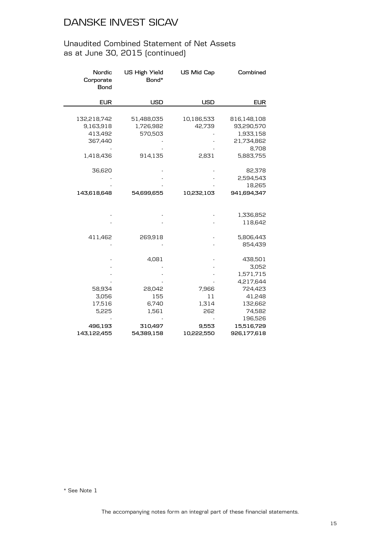#### Unaudited Combined Statement of Net Assets as at June 30, 2015 (continued)

| Nordic<br>Corporate<br>Bond                                 | <b>US High Yield</b><br>Bond*                 | <b>US Mid Cap</b>             | Combined                                                                             |
|-------------------------------------------------------------|-----------------------------------------------|-------------------------------|--------------------------------------------------------------------------------------|
| <b>EUR</b>                                                  | <b>USD</b>                                    | <b>USD</b>                    | <b>EUR</b>                                                                           |
| 132,218,742<br>9,163,918<br>413,492<br>367,440<br>1,418,436 | 51,488,035<br>1,726,982<br>570,503<br>914,135 | 10,186,533<br>42,739<br>2,831 | 816,148,108<br>93,290,570<br>1,933,158<br>21,734,862<br>8,708<br>5,883,755           |
| 36,620<br>143,618,648                                       | 54,699,655                                    | 10,232,103                    | 82,378<br>2,594,543<br>18,265<br>941,694,347                                         |
|                                                             |                                               |                               | 1,336,852<br>118,642                                                                 |
| 411,462                                                     | 269,918                                       |                               | 5,806,443<br>854,439                                                                 |
| 58,934<br>3,056<br>17,516<br>5,225                          | 4,081<br>28,042<br>155<br>6,740<br>1,561      | 7,966<br>11<br>1,314<br>262   | 438,501<br>3,052<br>1,571,715<br>4,217,644<br>724,423<br>41,248<br>132,662<br>74,582 |
| 496,193<br>143,122,455                                      | 310,497<br>54,389,158                         | 9,553<br>10,222,550           | 196,526<br>15,516,729<br>926,177,618                                                 |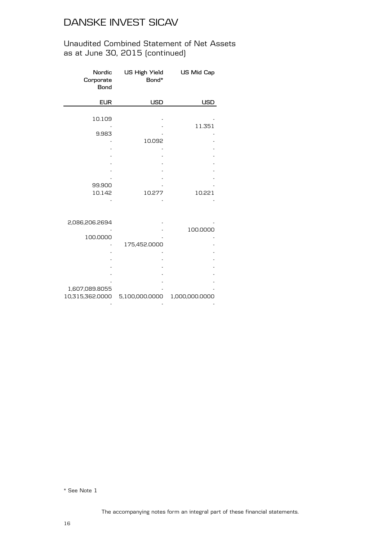#### Unaudited Combined Statement of Net Assets as at June 30, 2015 (continued)

| Corporate<br><b>Bond</b> | Nordic US High Yield US Mid Cap<br>Bond* |            |
|--------------------------|------------------------------------------|------------|
| <b>EUR</b>               | USD                                      | <b>USD</b> |
|                          |                                          |            |
| 10.109                   |                                          |            |
|                          |                                          | 11.351     |
| 9.983                    |                                          |            |
|                          | 10.092                                   |            |
|                          |                                          |            |
|                          |                                          |            |
|                          |                                          |            |
|                          |                                          |            |
|                          |                                          |            |
| 99.900                   |                                          |            |
| 10.142                   | 10.277                                   | 10.221     |
|                          |                                          |            |

| 2,086,206.2694  |                |                |
|-----------------|----------------|----------------|
|                 |                | 100.0000       |
| 100.0000        |                |                |
|                 | 175,452.0000   |                |
|                 |                |                |
|                 |                |                |
|                 |                |                |
|                 |                |                |
|                 |                |                |
| 1,607,089.8055  |                |                |
| 10,315,362.0000 | 5,100,000.0000 | 1,000,000.0000 |
|                 |                |                |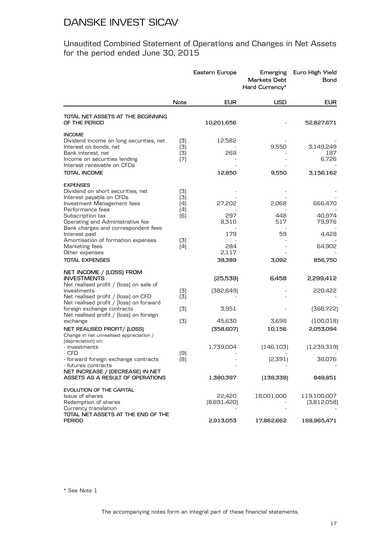Unaudited Combined Statement of Operations and Changes in Net Assets for the period ended June 30, 2015

|                                                                                                                                                                                                |                                 | Eastern Europe          | Emerging<br><b>Markets Debt</b><br>Hard Currency* | Euro High Yield<br>Bond                |
|------------------------------------------------------------------------------------------------------------------------------------------------------------------------------------------------|---------------------------------|-------------------------|---------------------------------------------------|----------------------------------------|
|                                                                                                                                                                                                | Note                            | <b>EUR</b>              | USD                                               | <b>EUR</b>                             |
| TOTAL NET ASSETS AT THE BEGINNING<br>OF THE PERIOD                                                                                                                                             |                                 | 10,201,656              |                                                   | 52,827,671                             |
| <b>INCOME</b><br>Dividend income on long securities, net<br>Interest on bonds, net<br>Bank interest, net<br>Income on securities lending<br>Interest receivable on CFDs<br><b>TOTAL INCOME</b> | (3)<br>(3)<br>(3)<br>(7)        | 12,582<br>268<br>12,850 | 9,550<br>9,550                                    | 3,149,249<br>187<br>6,726<br>3,156,162 |
|                                                                                                                                                                                                |                                 |                         |                                                   |                                        |
| <b>EXPENSES</b><br>Dividend on short securities, net<br>Interest payable on CFDs<br>Investment Management fees<br>Performance fees<br>Subscription tax                                         | (3)<br>(3)<br>(4)<br>(4)<br>[6] | 27,202<br>297           | 2,068<br>448                                      | 666,470<br>40,974                      |
| Operating and Administrative fee<br>Bank charges and correspondent fees<br>Interest paid                                                                                                       |                                 | 8,310<br>179            | 517<br>59                                         | 79,976<br>4,428                        |
| Amortisation of formation expenses<br>Marketing fees<br>Other expenses                                                                                                                         | (3)<br>(4)                      | 284<br>2,117            |                                                   | 64,902                                 |
| <b>TOTAL EXPENSES</b>                                                                                                                                                                          |                                 | 38,389                  | 3,092                                             | 856,750                                |
| NET INCOME / (LOSS) FROM                                                                                                                                                                       |                                 |                         |                                                   |                                        |
| <b>INVESTMENTS</b>                                                                                                                                                                             |                                 | (25,539)                | 6,458                                             | 2,299,412                              |
| Net realised profit / [loss] on sale of<br>investments<br>Net realised profit / [loss] on CFD<br>Net realised profit / [loss] on forward                                                       | (3)<br>(3)                      | [382,649]               |                                                   | 220,422                                |
| foreign exchange contracts<br>Net realised profit / (loss) on foreign                                                                                                                          | (3)                             | 3,951                   |                                                   | (366,722)                              |
| exchange<br>NET REALISED PROFIT/ (LOSS)<br>Change in net unrealised appreciation /                                                                                                             | (3)                             | 45,630<br>[358,607]     | 3,698<br>10,156                                   | (100, 018)<br>2,053,094                |
| (depreciation) on:<br>- investments                                                                                                                                                            |                                 | 1,739,004               | (146, 103)                                        | (1,239,319)                            |
| - CFD<br>- forward foreign exchange contracts<br>- futures contracts                                                                                                                           | (9)<br>(8)                      |                         | [2,391]                                           | 36,076                                 |
| NET INCREASE / (DECREASE) IN NET<br>ASSETS AS A RESULT OF OPERATIONS                                                                                                                           |                                 | 1,380,397               | (138,338)                                         | 849,851                                |
| EVOLUTION OF THE CAPITAL<br>Issue of shares<br>Redemption of shares<br>Currency translation<br>TOTAL NET ASSETS AT THE END OF THE                                                              |                                 | 22,420<br>[8,691,420]   | 18,001,000                                        | 119,100,007<br>(3,812,058)             |
| <b>PERIOD</b>                                                                                                                                                                                  |                                 | 2,913,053               | 17,862,662                                        | 168,965,471                            |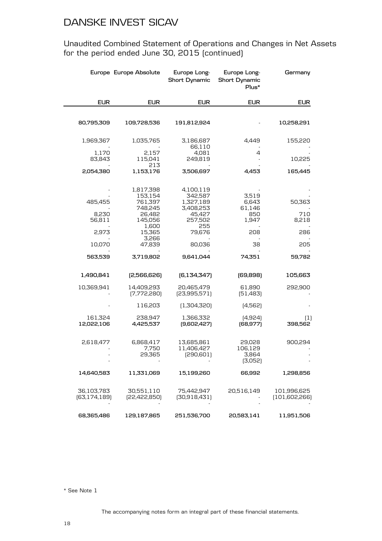Unaudited Combined Statement of Operations and Changes in Net Assets for the period ended June 30, 2015 (continued)

|                              | Europe Europe Absolute       | Europe Long-<br><b>Short Dynamic</b>   | Europe Long-<br><b>Short Dynamic</b><br>Plus* | Germany                      |
|------------------------------|------------------------------|----------------------------------------|-----------------------------------------------|------------------------------|
| <b>EUR</b>                   | <b>EUR</b>                   | <b>EUR</b>                             | <b>EUR</b>                                    | <b>EUR</b>                   |
|                              |                              |                                        |                                               |                              |
| 80,795,309                   | 109,728,536                  | 191,812,924                            |                                               | 10,258,291                   |
| 1,969,367                    | 1,035,765                    | 3,186,687<br>66,110                    | 4.449                                         | 155,220                      |
| 1,170                        | 2,157                        | 4,081                                  | 4                                             |                              |
| 83,843                       | 115,041<br>213               | 249,819                                |                                               | 10,225                       |
| 2,054,380                    | 1,153,176                    | 3,506,697                              | 4,453                                         | 165,445                      |
|                              | 1,817,398                    | 4,100,119                              |                                               |                              |
| 485,455                      | 153,154<br>761,397           | 342,587<br>1,327,189                   | 3,519<br>6,643                                | 50,363                       |
|                              | 748,245                      | 3,408,253                              | 61,146                                        |                              |
| 8,230<br>56,811              | 26,482<br>145,056            | 45,427<br>257,502                      | 850<br>1,947                                  | 710<br>8,218                 |
|                              | 1,600                        | 255                                    |                                               |                              |
| 2,973                        | 15,365<br>3,266              | 79,676                                 | 208                                           | 286                          |
| 10,070                       | 47,839                       | 80,036                                 | 38                                            | 205                          |
| 563,539                      | 3,719,802                    | 9,641,044                              | 74,351                                        | 59,782                       |
| 1,490,841                    | [2,566,626]                  | [6,134,347]                            | [69, 898]                                     | 105,663                      |
| 10,369,941                   | 14,409,293<br>[7,772,280]    | 20,465,479<br>[23,995,571]             | 61,890<br>[51,483]                            | 292,900                      |
|                              | 116,203                      | (1,304,320)                            | (4,562)                                       |                              |
| 161,324<br>12,022,106        | 238,947<br>4,425,537         | 1,366,332<br>[9,602,427]               | [4,924]<br>(68, 977)                          | (1)<br>398,562               |
| 2,618,477                    | 6,868,417<br>7,750<br>29,365 | 13,685,861<br>11,406,427<br>[290, 601] | 29,028<br>106,129<br>3,864<br>(3,052)         | 900,294                      |
| 14,640,583                   | 11,331,069                   | 15,199,260                             | 66,992                                        | 1,298,856                    |
| 36,103,783<br>[63, 174, 189] | 30,551,110<br>[22,422,850]   | 75,442,947<br>[30,918,431]             | 20,516,149                                    | 101,996,625<br>(101,602,266) |
| 68,365,486                   | 129,187,865                  | 251,536,700                            | 20,583,141                                    | 11,951,506                   |

\* See Note 1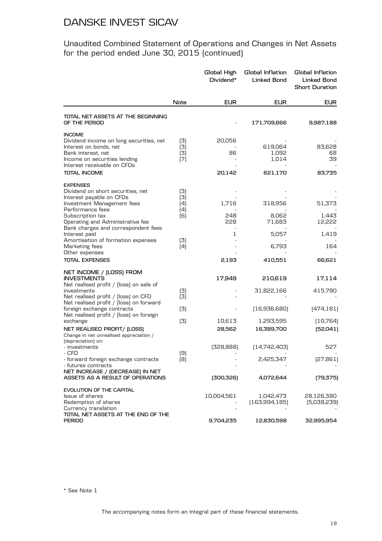Unaudited Combined Statement of Operations and Changes in Net Assets for the period ended June 30, 2015 (continued)

|                                                                                                                                                                                                |                                 | Global High<br>Dividend* | Global Inflation<br><b>Linked Bond</b> | Global Inflation<br>Linked Bond<br><b>Short Duration</b> |
|------------------------------------------------------------------------------------------------------------------------------------------------------------------------------------------------|---------------------------------|--------------------------|----------------------------------------|----------------------------------------------------------|
|                                                                                                                                                                                                | Note                            | <b>EUR</b>               | <b>EUR</b>                             | <b>EUR</b>                                               |
| TOTAL NET ASSETS AT THE BEGINNING<br>OF THE PERIOD                                                                                                                                             |                                 |                          | 171,709,666                            | 9,987,188                                                |
| <b>INCOME</b><br>Dividend income on long securities, net<br>Interest on bonds, net<br>Bank interest, net<br>Income on securities lending<br>Interest receivable on CFDs<br><b>TOTAL INCOME</b> | (3)<br>(3)<br>(3)<br>(7)        | 20,056<br>86<br>20,142   | 619,064<br>1,092<br>1,014<br>621,170   | 83,628<br>68<br>39<br>83,735                             |
| <b>EXPENSES</b><br>Dividend on short securities, net<br>Interest payable on CFDs<br>Investment Management fees<br>Performance fees<br>Subscription tax<br>Operating and Administrative fee     | (3)<br>(3)<br>(4)<br>(4)<br>[6] | 1,716<br>248<br>228      | 318,956<br>8,062<br>71,683             | 51,373<br>1,443<br>12,222                                |
| Bank charges and correspondent fees<br>Interest paid<br>Amortisation of formation expenses<br>Marketing fees<br>Other expenses<br><b>TOTAL EXPENSES</b>                                        | (3)<br>(4)                      | 1<br>2,193               | 5,057<br>6,793<br>410,551              | 1,419<br>164<br>66,621                                   |
| NET INCOME / (LOSS) FROM<br><b>INVESTMENTS</b>                                                                                                                                                 |                                 | 17,949                   | 210,619                                | 17,114                                                   |
| Net realised profit / [loss] on sale of<br>investments<br>Net realised profit / [loss] on CFD                                                                                                  | (3)<br>(3)                      |                          | 31,822,166                             | 415,790                                                  |
| Net realised profit / [loss] on forward<br>foreign exchange contracts<br>Net realised profit / [loss] on foreign                                                                               | (3)                             |                          | (16,936,680)                           | (474, 181)                                               |
| exchange<br>NET REALISED PROFIT/ (LOSS)<br>Change in net unrealised appreciation /                                                                                                             | (3)                             | 10,613<br>28,562         | 1,293,595<br>16,389,700                | (10, 764)<br>[52,041]                                    |
| (depreciation) on:<br>- investments<br>- CFD<br>- forward foreign exchange contracts<br>- futures contracts<br>NET INCREASE / (DECREASE) IN NET                                                | (9)<br>[8]                      | [328,888]                | (14,742,403)<br>2,425,347              | 527<br>[27, 861]                                         |
| ASSETS AS A RESULT OF OPERATIONS                                                                                                                                                               |                                 | [300, 326]               | 4,072,644                              | (79,375)                                                 |
| EVOLUTION OF THE CAPITAL<br>Issue of shares<br>Redemption of shares<br>Currency translation                                                                                                    |                                 | 10,004,561               | 1,042,473<br>(163, 994, 185)           | 28,126,380<br>[5,038,239]                                |
| TOTAL NET ASSETS AT THE END OF THE<br><b>PERIOD</b>                                                                                                                                            |                                 | 9,704,235                | 12,830,598                             | 32,995,954                                               |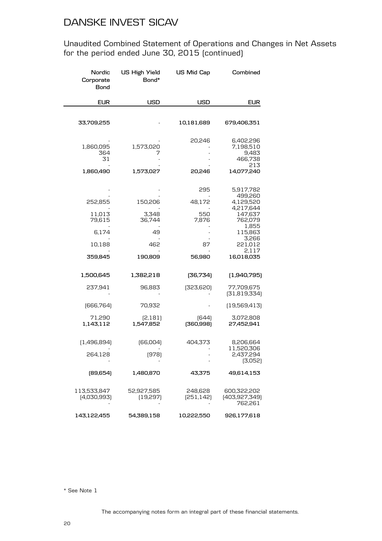Unaudited Combined Statement of Operations and Changes in Net Assets for the period ended June 30, 2015 (continued)

| Nordic<br>Corporate<br>Bond                               | <b>US High Yield</b><br>Bond*                      | US Mid Cap                                    | Combined                                                                                                                            |
|-----------------------------------------------------------|----------------------------------------------------|-----------------------------------------------|-------------------------------------------------------------------------------------------------------------------------------------|
| <b>EUR</b>                                                | <b>USD</b>                                         | <b>USD</b>                                    | <b>EUR</b>                                                                                                                          |
| 33,709,255                                                |                                                    | 10,181,689                                    | 679,406,351                                                                                                                         |
| 1,860,095<br>364<br>31<br>1,860,490                       | 1,573,020<br>7<br>1,573,027                        | 20,246<br>20,246                              | 6,402,296<br>7,198,510<br>9,483<br>466,738<br>213<br>14,077,240                                                                     |
| 252,855<br>11,013<br>79,615<br>6,174<br>10,188<br>359,845 | 150,206<br>3,348<br>36,744<br>49<br>462<br>190,809 | 295<br>48,172<br>550<br>7,876<br>87<br>56,980 | 5,917,782<br>499,260<br>4,129,520<br>4,217,644<br>147,637<br>762,079<br>1,855<br>115,863<br>3,266<br>221,012<br>2,117<br>16,018,035 |
| 1,500,645                                                 | 1,382,218                                          | [36,734]                                      | (1,940,795)                                                                                                                         |
| 237,941                                                   | 96,883                                             | [323,620]                                     | 77,709,675<br>[31,819,334]                                                                                                          |
| [666, 764]                                                | 70,932                                             |                                               | [19,569,413]                                                                                                                        |
| 71,290<br>1,143,112                                       | [2,181]<br>1,547,852                               | [644]<br>[360, 998]                           | 3,072,808<br>27,452,941                                                                                                             |
| [1,496,894]<br>264,128                                    | [66,004]<br>(978)                                  | 404,373                                       | 8,206,664<br>11,520,306<br>2,437,294<br>(3,052)                                                                                     |
| (89,654)                                                  | 1,480,870                                          | 43,375                                        | 49,614,153                                                                                                                          |
| 113,533,847<br>(4,030,993)                                | 52,927,585<br>(19, 297)                            | 248,628<br>[251, 142]                         | 600,322,202<br>(403,927,349)<br>762,261                                                                                             |
| 143,122,455                                               | 54,389,158                                         | 10,222,550                                    | 926,177,618                                                                                                                         |

\* See Note 1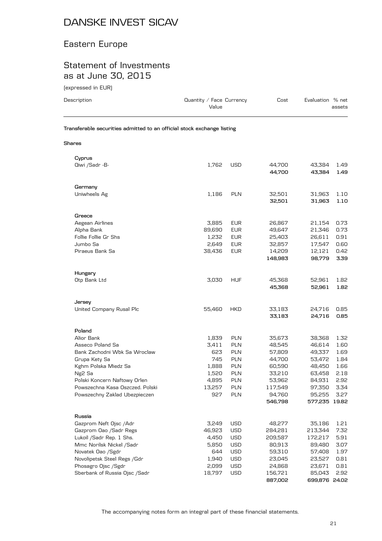### Eastern Europe

#### Statement of Investments as at June 30, 2015

(expressed in EUR)

| Description                                                            | Quantity / Face Currency<br>Value |                          | Cost               | Evaluation % net   | assets       |
|------------------------------------------------------------------------|-----------------------------------|--------------------------|--------------------|--------------------|--------------|
| Transferable securities admitted to an official stock exchange listing |                                   |                          |                    |                    |              |
| <b>Shares</b>                                                          |                                   |                          |                    |                    |              |
| Cyprus                                                                 |                                   |                          |                    |                    |              |
| Qiwi /Sadr - B-                                                        | 1,762                             | <b>USD</b>               | 44,700<br>44.700   | 43,384<br>43,384   | 1.49<br>1.49 |
| Germany                                                                |                                   |                          |                    |                    |              |
| Uniwheels Ag                                                           | 1,186                             | <b>PLN</b>               | 32,501<br>32,501   | 31,963<br>31,963   | 1.10<br>1.10 |
| Greece                                                                 |                                   |                          |                    |                    |              |
| Aegean Airlines                                                        | 3,885                             | EUR                      | 26,867             | 21,154             | 0.73         |
| Alpha Bank                                                             | 89,690                            | <b>EUR</b>               | 49,647             | 21,346             | 0.73         |
| Follie Follie Gr Shs                                                   | 1,232                             | <b>EUR</b>               | 25,403             | 26,611             | 0.91         |
| Jumbo Sa                                                               | 2,649                             | <b>EUR</b>               | 32,857             | 17,547             | 0.60         |
| Piraeus Bank Sa                                                        | 38,436                            | <b>EUR</b>               | 14,209<br>148,983  | 12,121<br>98,779   | 0.42<br>3.39 |
| Hungary                                                                |                                   |                          |                    |                    |              |
| Otp Bank Ltd                                                           | 3,030                             | <b>HUF</b>               | 45,368<br>45,368   | 52,961<br>52,961   | 1.82<br>1.82 |
| Jersey                                                                 |                                   |                          |                    |                    |              |
| United Company Rusal Plc                                               | 55,460                            | HKD                      | 33,183<br>33,183   | 24,716<br>24,716   | 0.85<br>0.85 |
| Poland                                                                 |                                   |                          |                    |                    |              |
| Alior Bank                                                             | 1,839                             | <b>PLN</b>               | 35,673             | 38,368             | 1.32         |
| Asseco Poland Sa                                                       | 3,411                             | <b>PLN</b>               | 48,545             | 46,614             | 1.60         |
| Bank Zachodni Wbk Sa Wroclaw                                           | 623                               | <b>PLN</b>               | 57,809             | 49,337<br>53,472   | 1.69         |
| Grupa Kety Sa<br>Kghm Polska Miedz Sa                                  | 745<br>1,888                      | <b>PLN</b><br><b>PLN</b> | 44,700<br>60,590   | 48,450             | 1.84<br>1.66 |
| Ng2 Sa                                                                 | 1,520                             | <b>PLN</b>               | 33,210             | 63,458             | 2.18         |
| Polski Koncern Naftowy Orlen                                           | 4,895                             | <b>PLN</b>               | 53,962             | 84,931             | 2.92         |
| Powszechna Kasa Oszczed. Polski                                        | 13,257                            | PLN                      | 117,549            | 97,350             | 3.34         |
| Powszechny Zaklad Ubezpieczen                                          | 927                               | PLN                      | 94,760             | 95,255             | 3.27         |
|                                                                        |                                   |                          | 546,798            | 577,235 19.82      |              |
| Russia                                                                 |                                   |                          |                    |                    |              |
| Gazprom Neft Ojsc / Adr                                                | 3,249                             | <b>USD</b>               | 48,277             | 35,186             | 1.21         |
| Gazprom Oao /Sadr Regs<br>Lukoil / Sadr Rep. 1 Shs.                    | 46,923<br>4,450                   | USD<br><b>USD</b>        | 284,281<br>209,587 | 213,344<br>172,217 | 7.32<br>5.91 |
| Mmc Norilsk Nickel /Sadr                                               | 5,850                             | <b>USD</b>               | 80,913             | 89,480             | 3.07         |
| Novatek Oao /Sgdr                                                      | 644                               | <b>USD</b>               | 59,310             | 57,408             | 1.97         |
| Novolipetsk Steel Regs / Gdr                                           | 1,940                             | <b>USD</b>               | 23,045             | 23,527             | 0.81         |
| Phosagro Ojsc /Sgdr                                                    | 2,099                             | <b>USD</b>               | 24,868             | 23,671             | 0.81         |
| Sberbank of Russia Ojsc /Sadr                                          | 18,797                            | <b>USD</b>               | 156,721            | 85,043             | 2.92         |

The accompanying notes form an integral part of these financial statements.

**887,002 699,876 24.02**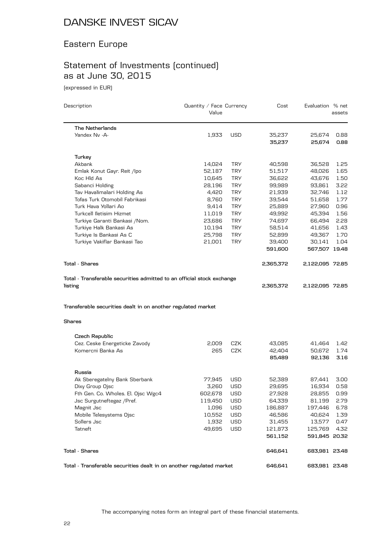#### Eastern Europe

# Statement of Investments (continued) as at June 30, 2015

(expressed in EUR)

| Description                                                                   | Quantity / Face Currency<br>Value |            | Cost             | Evaluation % net | assets       |
|-------------------------------------------------------------------------------|-----------------------------------|------------|------------------|------------------|--------------|
| <b>The Netherlands</b>                                                        |                                   |            |                  |                  |              |
| Yandex Nv -A-                                                                 | 1,933                             | <b>USD</b> | 35,237<br>35,237 | 25,674<br>25,674 | 0.88<br>0.88 |
| Turkey                                                                        |                                   |            |                  |                  |              |
| Akbank                                                                        | 14,024                            | <b>TRY</b> | 40,598           | 36,528           | 1.25         |
| Emlak Konut Gayr. Reit /Ipo                                                   | 52,187                            | <b>TRY</b> | 51,517           | 48,026           | 1.65         |
| Koc Hid As                                                                    | 10,645                            | <b>TRY</b> | 36,622           | 43,676           | 1.50         |
| Sabanci Holding                                                               | 28,196                            | <b>TRY</b> | 99,989           | 93,861           | 3.22         |
| Tav Havalimalari Holding As                                                   | 4,420                             | <b>TRY</b> | 21,939           | 32,746           | 1.12         |
| Tofas Turk Otomobil Fabrikasi                                                 | 8,760                             | <b>TRY</b> | 39,544           | 51,658           | 1.77         |
| Turk Hava Yollari Ao                                                          | 9,414                             | <b>TRY</b> | 25,889           | 27,960           | 0.96         |
| Turkcell Iletisim Hizmet                                                      | 11,019                            | <b>TRY</b> | 49,992           | 45,394           | 1.56         |
| Turkiye Garanti Bankasi / Nom.                                                | 23,686                            | <b>TRY</b> | 74,697           | 66,494           | 2.28         |
| Turkiye Halk Bankasi As                                                       | 10,194                            | <b>TRY</b> | 58,514           | 41,656           | 1.43         |
| Turkiye Is Bankasi As C                                                       | 25,798                            | <b>TRY</b> | 52,899           | 49,367           | 1.70         |
| Turkiye Vakiflar Bankasi Tao                                                  | 21,001                            | <b>TRY</b> | 39,400           | 30,141           | 1.04         |
|                                                                               |                                   |            | 591,600          | 567,507 19.48    |              |
| <b>Total - Shares</b>                                                         |                                   |            | 2,365,372        | 2,122,095 72.85  |              |
| Transferable securities dealt in on another regulated market<br><b>Shares</b> |                                   |            |                  |                  |              |
| Czech Republic                                                                |                                   |            |                  |                  |              |
| Cez. Ceske Energeticke Zavody                                                 | 2,009                             | CZK        | 43,085           | 41,464           | 1.42         |
| Komercni Banka As                                                             | 265                               | <b>CZK</b> | 42,404           | 50,672           | 1.74         |
|                                                                               |                                   |            | 85,489           | 92,136           | 3.16         |
| Russia                                                                        |                                   |            |                  |                  |              |
| Ak Sberegatelny Bank Sberbank                                                 | 77,945                            | USD        | 52,389           | 87,441           | 3.00         |
| Dixy Group Ojsc                                                               | 3,260                             | <b>USD</b> | 29,695           | 16,934           | 0.58         |
| Fth Gen. Co. Wholes. El. Ojsc Wgc4                                            | 602,678                           | <b>USD</b> | 27,928           | 28,855           | 0.99         |
| Jsc Surgutneftegaz / Pref.                                                    | 119,450                           | <b>USD</b> | 64,339           | 81,199           | 2.79         |
| Magnit Jsc                                                                    | 1,096                             | <b>USD</b> | 186,887          | 197,446          | 6.78         |
| Mobile Telesystems Ojsc                                                       | 10,552                            | USD        | 46,586           | 40,624           | 1.39         |
| Sollers Jsc                                                                   | 1,932                             | USD        | 31,455           | 13,577           | 0.47         |
| Tatneft                                                                       | 49,695                            | <b>USD</b> | 121,873          | 125,769          | 4.32         |
|                                                                               |                                   |            | 561,152          | 591,845 20.32    |              |
| <b>Total - Shares</b>                                                         |                                   |            | 646,641          | 683,981 23.48    |              |
| Total - Transferable securities dealt in on another regulated market          |                                   |            | 646,641          | 683,981 23.48    |              |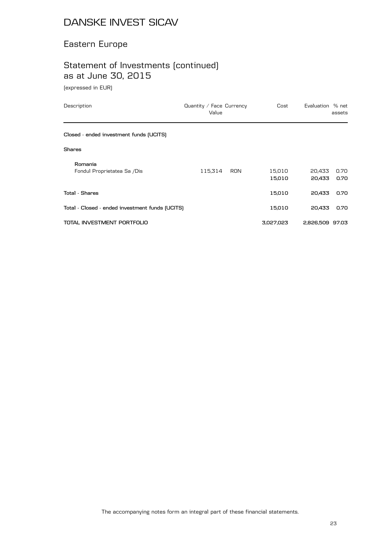#### Eastern Europe

# Statement of Investments (continued) as at June 30, 2015

(expressed in EUR)

| Description                                     | Quantity / Face Currency<br>Value |            | Cost             | Evaluation % net | assets       |
|-------------------------------------------------|-----------------------------------|------------|------------------|------------------|--------------|
| Closed - ended investment funds (UCITS)         |                                   |            |                  |                  |              |
| <b>Shares</b>                                   |                                   |            |                  |                  |              |
| Romania<br>Fondul Proprietatea Sa /Dis          | 115,314                           | <b>RON</b> | 15,010<br>15,010 | 20,433<br>20,433 | 0.70<br>0.70 |
| <b>Total - Shares</b>                           |                                   |            | 15,010           | 20,433           | 0.70         |
| Total - Closed - ended investment funds (UCITS) |                                   |            | 15,010           | 20,433           | 0.70         |
| TOTAL INVESTMENT PORTFOLIO                      |                                   |            | 3,027,023        | 2,826,509 97.03  |              |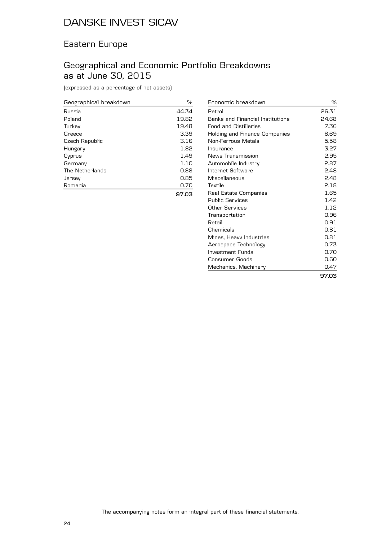#### Eastern Europe

#### Geographical and Economic Portfolio Breakdowns as at June 30, 2015

(expressed as a percentage of net assets)

| Geographical breakdown | %     |
|------------------------|-------|
| Russia                 | 44.34 |
| Poland                 | 19.82 |
| Turkey                 | 19.48 |
| Greece                 | 3.39  |
| Czech Republic         | 3.16  |
| Hungary                | 1.82  |
| Cyprus                 | 1.49  |
| Germany                | 1.10  |
| The Netherlands        | 0.88  |
| Jersey                 | 0.85  |
| Romania                | 0.70  |
|                        | 97.03 |

| Economic breakdown               | $\%$  |
|----------------------------------|-------|
| Petrol                           | 26.31 |
| Banks and Financial Institutions | 24.68 |
| <b>Food and Distilleries</b>     | 7.36  |
| Holding and Finance Companies    | 6.69  |
| Non-Ferrous Metals               | 5.58  |
| Insurance                        | 3.27  |
| News Transmission                | 2.95  |
| Automobile Industry              | 2.87  |
| Internet Software                | 2.48  |
| Miscellaneous                    | 2.48  |
| Textile                          | 2.18  |
| Real Estate Companies            | 1.65  |
| <b>Public Services</b>           | 1.42  |
| Other Services                   | 1.12  |
| Transportation                   | 0.96  |
| Retail                           | 0.91  |
| Chemicals                        | 0.81  |
| Mines, Heavy Industries          | 0.81  |
| Aerospace Technology             | 0.73  |
| Investment Funds                 | 0.70  |
| Consumer Goods                   | 0.60  |
| Mechanics, Machinery             | 0.47  |
|                                  | 97.03 |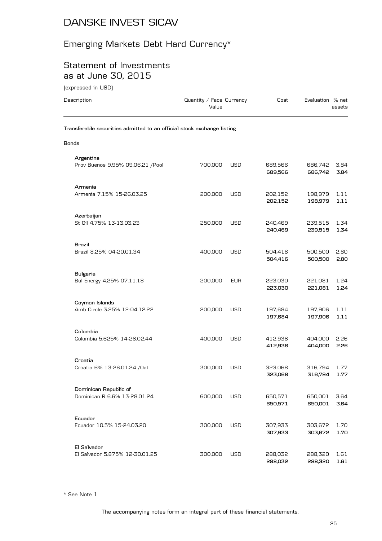# Emerging Markets Debt Hard Currency\*

#### Statement of Investments as at June 30, 2015

(expressed in USD)

| Description                                                            | Quantity / Face Currency<br>Value |            | Cost               | Evaluation % net   | assets       |
|------------------------------------------------------------------------|-----------------------------------|------------|--------------------|--------------------|--------------|
| Transferable securities admitted to an official stock exchange listing |                                   |            |                    |                    |              |
| Bonds                                                                  |                                   |            |                    |                    |              |
| Argentina<br>Prov Buenos 9.95% 09.06.21 /Pool                          | 700,000                           | <b>USD</b> | 689,566<br>689,566 | 686,742<br>686,742 | 3.84<br>3.84 |
| Armenia<br>Armenia 7.15% 15-26.03.25                                   | 200,000                           | USD        | 202,152<br>202,152 | 198,979<br>198,979 | 1.11<br>1.11 |
| Azerbaijan<br>St Oil 4.75% 13-13.03.23                                 | 250,000                           | <b>USD</b> | 240,469<br>240,469 | 239,515<br>239,515 | 1.34<br>1.34 |
| Brazil<br>Brazil 8.25% 04-20.01.34                                     | 400,000                           | USD        | 504,416<br>504,416 | 500,500<br>500,500 | 2.80<br>2.80 |
| <b>Bulgaria</b><br>Bul Energy 4.25% 07.11.18                           | 200,000                           | <b>EUR</b> | 223,030<br>223,030 | 221,081<br>221,081 | 1.24<br>1.24 |
| Cayman Islands<br>Amb Circle 3.25% 12-04.12.22                         | 200,000                           | USD        | 197,684<br>197,684 | 197,906<br>197,906 | 1.11<br>1.11 |
| Colombia<br>Colombia 5.625% 14-26.02.44                                | 400,000                           | <b>USD</b> | 412,936<br>412,936 | 404,000<br>404,000 | 2.26<br>2.26 |
| Croatia<br>Croatia 6% 13-26.01.24 / Oat                                | 300,000                           | USD        | 323,068<br>323,068 | 316,794<br>316,794 | 1.77<br>1.77 |
| Dominican Republic of<br>Dominican R 6.6% 13-28.01.24                  | 600,000                           | <b>USD</b> | 650,571<br>650,571 | 650,001<br>650,001 | 3.64<br>3.64 |
| Ecuador<br>Ecuador 10.5% 15-24.03.20                                   | 300,000                           | <b>USD</b> | 307,933<br>307,933 | 303,672<br>303,672 | 1.70<br>1.70 |
| El Salvador<br>El Salvador 5.875% 12-30.01.25                          | 300,000                           | <b>USD</b> | 288,032<br>288,032 | 288,320<br>288,320 | 1.61<br>1.61 |

\* See Note 1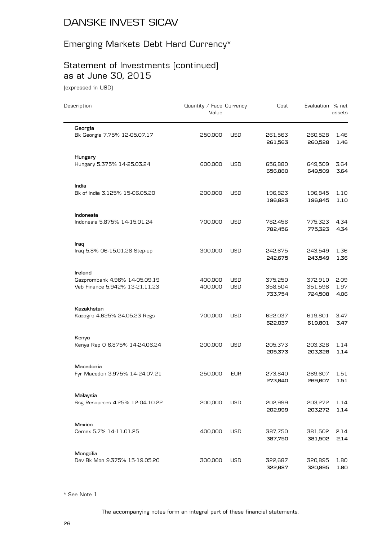# Emerging Markets Debt Hard Currency\*

# Statement of Investments (continued) as at June 30, 2015

(expressed in USD)

| Description                                                                | Quantity / Face Currency<br>Value |                   | Cost                          | Evaluation % net              | assets               |
|----------------------------------------------------------------------------|-----------------------------------|-------------------|-------------------------------|-------------------------------|----------------------|
| Georgia<br>Bk Georgia 7.75% 12-05.07.17                                    | 250,000                           | <b>USD</b>        | 261,563<br>261,563            | 260,528<br>260,528            | 1.46<br>1.46         |
| Hungary<br>Hungary 5.375% 14-25.03.24                                      | 600,000                           | <b>USD</b>        | 656,880<br>656,880            | 649,509<br>649,509            | 3.64<br>3.64         |
| India<br>Bk of India 3.125% 15-06.05.20                                    | 200,000                           | <b>USD</b>        | 196,823<br>196,823            | 196,845<br>196,845            | 1.10<br>1.10         |
| Indonesia<br>Indonesia 5.875% 14-15.01.24                                  | 700,000                           | <b>USD</b>        | 782,456<br>782,456            | 775,323<br>775,323            | 4.34<br>4.34         |
| Iraq<br>Iraq 5.8% 06-15.01.28 Step-up                                      | 300,000                           | <b>USD</b>        | 242,675<br>242,675            | 243,549<br>243,549            | 1.36<br>1.36         |
| Ireland<br>Gazprombank 4.96% 14-05.09.19<br>Veb Finance 5.942% 13-21.11.23 | 400,000<br>400,000                | USD<br><b>USD</b> | 375,250<br>358,504<br>733,754 | 372,910<br>351,598<br>724,508 | 2.09<br>1.97<br>4.06 |
| Kazakhstan<br>Kazagro 4.625% 24.05.23 Regs                                 | 700,000                           | <b>USD</b>        | 622,037<br>622,037            | 619,801<br>619,801            | 3.47<br>3.47         |
| Kenya<br>Kenya Rep 0 6.875% 14-24.06.24                                    | 200,000                           | <b>USD</b>        | 205,373<br>205,373            | 203,328<br>203,328            | 1.14<br>1.14         |
| Macedonia<br>Fyr Macedon 3.975% 14-24.07.21                                | 250,000                           | <b>EUR</b>        | 273,840<br>273,840            | 269,607<br>269,607            | 1.51<br>1.51         |
| Malaysia<br>Ssg Resources 4.25% 12-04.10.22                                | 200,000                           | <b>USD</b>        | 202,999<br>202,999            | 203,272<br>203,272            | 1.14<br>1.14         |
| Mexico<br>Cemex 5.7% 14-11.01.25                                           | 400,000                           | <b>USD</b>        | 387,750<br>387,750            | 381,502<br>381,502            | 2.14<br>2.14         |
| Mongolia<br>Dev Bk Mon 9.375% 15-19.05.20                                  | 300,000                           | <b>USD</b>        | 322,687<br>322,687            | 320,895<br>320,895            | 1.80<br>1.80         |

\* See Note 1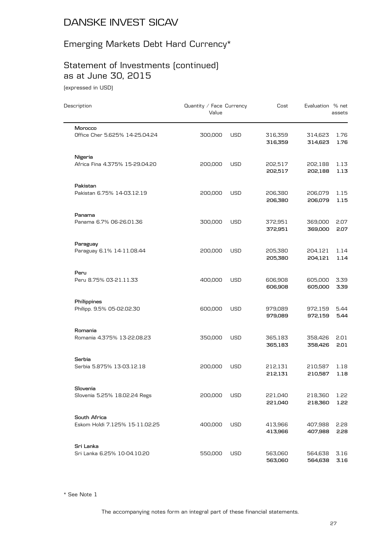# Emerging Markets Debt Hard Currency\*

# Statement of Investments (continued) as at June 30, 2015

(expressed in USD)

| Description                                    | Quantity / Face Currency<br>Value |            | Cost               | Evaluation % net   | assets       |
|------------------------------------------------|-----------------------------------|------------|--------------------|--------------------|--------------|
| Morocco<br>Office Cher 5.625% 14-25.04.24      | 300,000                           | <b>USD</b> | 316,359<br>316,359 | 314,623<br>314,623 | 1.76<br>1.76 |
| Nigeria<br>Africa Fina 4.375% 15-29.04.20      | 200,000                           | USD        | 202,517<br>202,517 | 202,188<br>202,188 | 1.13<br>1.13 |
| Pakistan<br>Pakistan 6.75% 14-03.12.19         | 200,000                           | USD        | 206,380<br>206,380 | 206,079<br>206,079 | 1.15<br>1.15 |
| Panama<br>Panama 6.7% 06-26.01.36              | 300,000                           | USD        | 372,951<br>372,951 | 369,000<br>369,000 | 2.07<br>2.07 |
| Paraguay<br>Paraguay 6.1% 14-11.08.44          | 200,000                           | USD        | 205,380<br>205,380 | 204,121<br>204,121 | 1.14<br>1.14 |
| Peru<br>Peru 8.75% 03-21.11.33                 | 400,000                           | USD        | 606,908<br>606,908 | 605,000<br>605,000 | 3.39<br>3.39 |
| Philippines<br>Philipp. 9.5% 05-02.02.30       | 600,000                           | USD        | 979,089<br>979,089 | 972,159<br>972,159 | 5.44<br>5.44 |
| Romania<br>Romania 4.375% 13-22.08.23          | 350,000                           | USD        | 365,183<br>365,183 | 358,426<br>358,426 | 2.01<br>2.01 |
| Serbia<br>Serbia 5.875% 13-03.12.18            | 200,000                           | <b>USD</b> | 212,131<br>212,131 | 210,587<br>210,587 | 1.18<br>1.18 |
| Slovenia<br>Slovenia 5.25% 18.02.24 Regs       | 200,000                           | <b>USD</b> | 221,040<br>221,040 | 218,360<br>218,360 | 1.22<br>1.22 |
| South Africa<br>Eskom Holdi 7.125% 15-11.02.25 | 400,000                           | <b>USD</b> | 413,966<br>413,966 | 407,988<br>407,988 | 2.28<br>2.28 |
| Sri Lanka<br>Sri Lanka 6.25% 10-04.10.20       | 550,000                           | <b>USD</b> | 563,060<br>563,060 | 564,638<br>564,638 | 3.16<br>3.16 |

\* See Note 1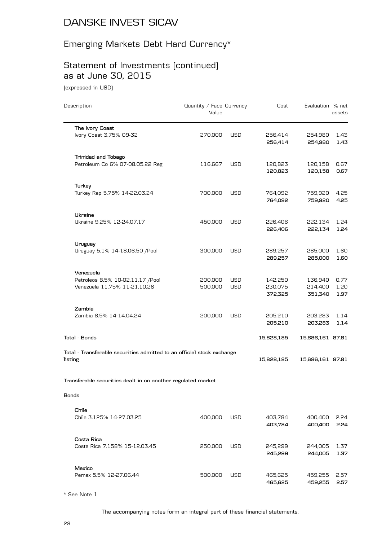# Emerging Markets Debt Hard Currency\*

# Statement of Investments (continued) as at June 30, 2015

(expressed in USD)

| Description                                                            | Quantity / Face Currency<br>Value |            | Cost               | Evaluation % net   | assets       |
|------------------------------------------------------------------------|-----------------------------------|------------|--------------------|--------------------|--------------|
| The Ivory Coast<br>Ivory Coast 3.75% 09-32                             | 270,000                           | <b>USD</b> | 256,414            | 254,980            | 1.43         |
|                                                                        |                                   |            | 256,414            | 254,980            | 1.43         |
| <b>Trinidad and Tobago</b>                                             |                                   |            |                    |                    |              |
| Petroleum Co 6% 07-08.05.22 Reg                                        | 116,667                           | <b>USD</b> | 120,823<br>120,823 | 120,158<br>120,158 | 0.67<br>0.67 |
| Turkey                                                                 |                                   |            |                    |                    |              |
| Turkey Rep 5.75% 14-22.03.24                                           | 700,000                           | <b>USD</b> | 764,092<br>764,092 | 759,920<br>759,920 | 4.25<br>4.25 |
| Ukraine                                                                |                                   |            |                    |                    |              |
| Ukraine 9.25% 12-24.07.17                                              | 450,000                           | <b>USD</b> | 226,406<br>226,406 | 222,134<br>222,134 | 1.24<br>1.24 |
| Uruguay                                                                |                                   |            |                    |                    |              |
| Uruguay 5.1% 14-18.06.50 / Pool                                        | 300,000                           | <b>USD</b> | 289,257<br>289,257 | 285,000<br>285,000 | 1.60<br>1.60 |
| Venezuela                                                              |                                   |            |                    |                    |              |
| Petroleos 8.5% 10-02.11.17 / Pool                                      | 200,000                           | <b>USD</b> | 142,250            | 136,940            | 0.77         |
| Venezuela 11.75% 11-21.10.26                                           | 500,000                           | USD        | 230,075<br>372,325 | 214,400<br>351,340 | 1.20<br>1.97 |
| Zambia                                                                 |                                   |            |                    |                    |              |
| Zambia 8.5% 14-14.04.24                                                | 200,000                           | <b>USD</b> | 205,210<br>205,210 | 203,283<br>203,283 | 1.14<br>1.14 |
| Total - Bonds                                                          |                                   |            | 15,828,185         | 15,686,161 87.81   |              |
| Total - Transferable securities admitted to an official stock exchange |                                   |            |                    |                    |              |
| listing                                                                |                                   |            | 15,828,185         | 15,686,161 87.81   |              |
| Transferable securities dealt in on another regulated market           |                                   |            |                    |                    |              |
| Bonds                                                                  |                                   |            |                    |                    |              |
|                                                                        |                                   |            |                    |                    |              |
| Chile<br>Chile 3.125% 14-27.03.25                                      | 400,000                           | <b>USD</b> | 403,784            | 400,400            | 2.24         |
|                                                                        |                                   |            | 403,784            | 400,400            | 2.24         |
| Costa Rica                                                             |                                   |            |                    |                    |              |
| Costa Rica 7.158% 15-12.03.45                                          | 250,000                           | USD        | 245,299<br>245,299 | 244,005<br>244,005 | 1.37<br>1.37 |
| Mexico                                                                 |                                   |            |                    |                    |              |
| Pemex 5.5% 12-27.06.44                                                 | 500,000                           | <b>USD</b> | 465,625<br>465,625 | 459,255<br>459,255 | 2.57<br>2.57 |

\* See Note 1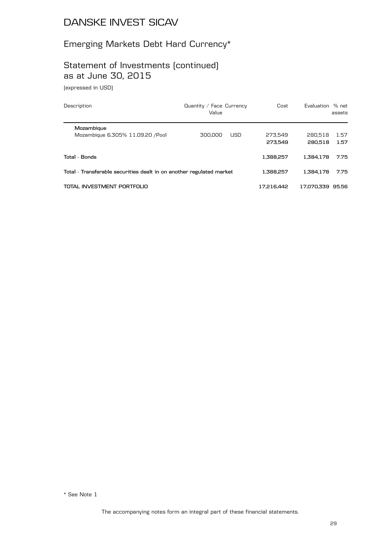# Emerging Markets Debt Hard Currency\*

# Statement of Investments (continued) as at June 30, 2015

(expressed in USD)

| Description                                                          | Quantity / Face Currency<br>Value | Cost       | Evaluation % net | assets |
|----------------------------------------------------------------------|-----------------------------------|------------|------------------|--------|
| Mozambique                                                           |                                   |            |                  |        |
| Mozambique 6.305% 11.09.20 / Pool                                    | 300,000<br><b>USD</b>             | 273.549    | 280.518          | 1.57   |
|                                                                      |                                   | 273.549    | 280.518          | 1.57   |
| Total - Bonds                                                        |                                   | 1.388.257  | 1.384.178        | 7.75   |
| Total - Transferable securities dealt in on another regulated market |                                   | 1.388.257  | 1.384.178        | 7.75   |
| TOTAL INVESTMENT PORTFOLIO                                           |                                   | 17.216.442 | 17.070.339 95.56 |        |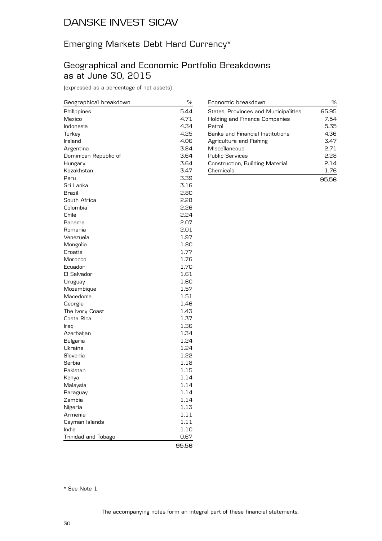#### Emerging Markets Debt Hard Currency\*

#### Geographical and Economic Portfolio Breakdowns as at June 30, 2015

(expressed as a percentage of net assets)

| Geographical breakdown | ℅     |
|------------------------|-------|
| Philippines            | 5.44  |
| Mexico                 | 4.71  |
| Indonesia              | 4.34  |
| Turkey                 | 4.25  |
| Ireland                | 4.06  |
| Argentina              | 3.84  |
| Dominican Republic of  | 3.64  |
| Hungary                | 3.64  |
| Kazakhstan             | 3.47  |
| Peru                   | 3.39  |
| Sri Lanka              | 3.16  |
| Brazil                 | 2.80  |
| South Africa           | 2.28  |
| Colombia               | 2.26  |
| Chile                  | 2.24  |
| Panama                 | 2.07  |
| Romania                | 2.01  |
| Venezuela              | 1.97  |
| Mongolia               | 1.80  |
| Croatia                | 1.77  |
| Morocco                | 1.76  |
| Ecuador                | 1.70  |
| El Salvador            | 1.61  |
| Uruguay                | 1.60  |
| Mozambique             | 1.57  |
| Macedonia              | 1.51  |
| Georgia                | 1.46  |
| The Ivory Coast        | 1.43  |
| Costa Rica             | 1.37  |
| Iraq                   | 1.36  |
| Azerbaijan             | 1.34  |
| <b>Bulgaria</b>        | 1.24  |
| Ukraine                | 1.24  |
| Slovenia               | 1.22  |
| Serbia                 | 1.18  |
| Pakistan               | 1.15  |
| Kenya                  | 1.14  |
| Malaysia               | 1.14  |
| Paraguay               | 1.14  |
| Zambia                 | 1.14  |
| Nigeria                | 1.13  |
| Armenia                | 1.11  |
| Cayman Islands         | 1.11  |
| India                  | 1.10  |
| Trinidad and Tobago    | 0.67  |
|                        | 95.56 |

| Economic breakdown                      | %     |
|-----------------------------------------|-------|
| States, Provinces and Municipalities    | 65.95 |
| Holding and Finance Companies           | 7.54  |
| Petrol                                  | 5.35  |
| <b>Banks and Financial Institutions</b> | 4.36  |
| Agriculture and Fishing                 | 3.47  |
| Miscellaneous                           | 2.71  |
| <b>Public Services</b>                  | 228   |
| Construction, Building Material         | 2.14  |
| Chemicals                               | 1.76  |
|                                         | 95.56 |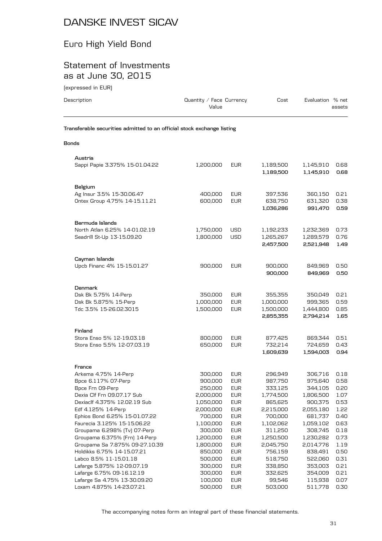### Euro High Yield Bond

#### Statement of Investments as at June 30, 2015

| (expressed in EUR)                                                      |                                   |                                        |                                                |                                              |                              |
|-------------------------------------------------------------------------|-----------------------------------|----------------------------------------|------------------------------------------------|----------------------------------------------|------------------------------|
| Description                                                             | Quantity / Face Currency<br>Value |                                        | Cost                                           | Evaluation % net                             | assets                       |
| Transferable securities admitted to an official stock exchange listing  |                                   |                                        |                                                |                                              |                              |
| <b>Bonds</b>                                                            |                                   |                                        |                                                |                                              |                              |
| Austria                                                                 |                                   |                                        |                                                |                                              |                              |
| Sappi Papie 3.375% 15-01.04.22                                          | 1,200,000                         | <b>EUR</b>                             | 1,189,500<br>1,189,500                         | 1,145,910<br>1,145,910                       | 0.68<br>0.68                 |
| Belgium                                                                 |                                   |                                        |                                                |                                              |                              |
| Ag Insur 3.5% 15-30.06.47<br>Ontex Group 4.75% 14-15.11.21              | 400,000<br>600,000                | <b>EUR</b><br><b>EUR</b>               | 397,536<br>638,750<br>1,036,286                | 360,150<br>631,320<br>991,470                | 0.21<br>0.38<br>0.59         |
| Bermuda Islands                                                         |                                   |                                        |                                                |                                              |                              |
| North Atlan 6.25% 14-01.02.19<br>Seadrill St-Up 13-15.09.20             | 1,750,000<br>1,800,000            | <b>USD</b><br><b>USD</b>               | 1,192,233<br>1,265,267<br>2,457,500            | 1,232,369<br>1,289,579<br>2,521,948          | 0.73<br>0.76<br>1.49         |
| Cayman Islands                                                          |                                   |                                        |                                                |                                              |                              |
| Upcb Financ 4% 15-15.01.27                                              | 900,000                           | <b>EUR</b>                             | 900,000<br>900,000                             | 849,969<br>849,969                           | 0.50<br>0.50                 |
| Denmark                                                                 |                                   |                                        |                                                |                                              |                              |
| Dsk Bk 5.75% 14-Perp<br>Dsk Bk 5.875% 15-Perp<br>Tdc 3.5% 15-26.02.3015 | 350,000<br>1,000,000<br>1,500,000 | <b>EUR</b><br><b>EUR</b><br><b>EUR</b> | 355,355<br>1,000,000<br>1,500,000<br>2,855,355 | 350,049<br>999,365<br>1,444,800<br>2,794,214 | 0.21<br>0.59<br>0.85<br>1.65 |
| Finland                                                                 |                                   |                                        |                                                |                                              |                              |
| Stora Enso 5% 12-19.03.18<br>Stora Enso 5.5% 12-07.03.19                | 800,000<br>650,000                | <b>EUR</b><br><b>EUR</b>               | 877,425<br>732,214<br>1,609,639                | 869,344<br>724,659<br>1,594,003              | 0.51<br>0.43<br>0.94         |
| France                                                                  |                                   |                                        |                                                |                                              |                              |
| $A$ nkomo $A$ 750/14 Donn                                               | zoo ooo                           | EL ID.                                 | QCDCDAD                                        | 70C 71C                                      | 0.10                         |

| Arkema 4.75% 14-Perp           | 300,000   | <b>EUR</b> | 296,949   | 306,716   | 0.18 |
|--------------------------------|-----------|------------|-----------|-----------|------|
| Bpce 6.117% 07-Perp            | 900,000   | <b>EUR</b> | 987,750   | 975,640   | 0.58 |
| Bpce Frn 09-Perp               | 250,000   | <b>EUR</b> | 333,125   | 344,105   | 0.20 |
| Dexia Clf Frn 09.07.17 Sub     | 2,000,000 | <b>EUR</b> | 1,774,500 | 1,806,500 | 1.07 |
| Dexiaclf 4.375% 12.02.19 Sub   | 1,050,000 | <b>EUR</b> | 865,625   | 900,375   | 0.53 |
| Edf 4.125% 14-Perp             | 2,000,000 | <b>EUR</b> | 2,215,000 | 2,055,180 | 1.22 |
| Ephios Bond 6.25% 15-01.07.22  | 700,000   | <b>EUR</b> | 700.000   | 681,737   | 0.40 |
| Faurecia 3.125% 15-15.06.22    | 1,100,000 | <b>EUR</b> | 1,102,062 | 1,059,102 | 0.63 |
| Groupama 6.298% (Tv) 07-Perp   | 300,000   | <b>EUR</b> | 311,250   | 308,745   | 0.18 |
| Groupama 6.375% [Frn] 14-Perp  | 1,200,000 | <b>EUR</b> | 1,250,500 | 1,230,282 | 0.73 |
| Groupama Sa 7.875% 09-27.10.39 | 1,800,000 | <b>EUR</b> | 2,045,750 | 2,014,776 | 1.19 |
| Holdikks 6.75% 14-15.07.21     | 850,000   | <b>EUR</b> | 756,159   | 838,491   | 0.50 |
| Labco 8.5% 11-15.01.18         | 500,000   | <b>EUR</b> | 518,750   | 522,060   | 0.31 |
| Lafarge 5.875% 12-09.07.19     | 300,000   | <b>EUR</b> | 338,850   | 353,003   | 0.21 |
| Lafarge 6.75% 09-16.12.19      | 300,000   | <b>EUR</b> | 332,625   | 354.009   | 0.21 |
| Lafarge Sa 4.75% 13-30.09.20   | 100,000   | <b>EUR</b> | 99,546    | 115,938   | 0.07 |
| Loxam 4.875% 14-23.07.21       | 500,000   | <b>EUR</b> | 503,000   | 511,778   | 0.30 |
|                                |           |            |           |           |      |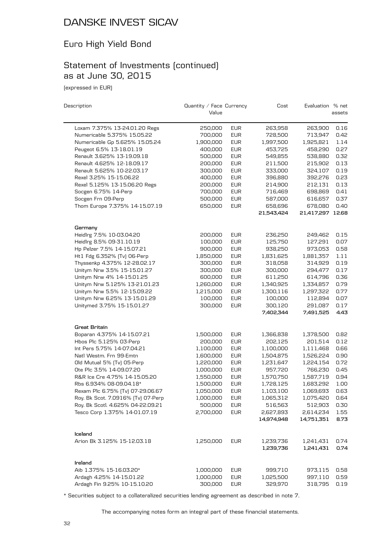### Euro High Yield Bond

#### Statement of Investments (continued) as at June 30, 2015

(expressed in EUR)

| Description                        | Quantity / Face Currency |            | Cost                    | Evaluation % net        |              |
|------------------------------------|--------------------------|------------|-------------------------|-------------------------|--------------|
|                                    | Value                    |            |                         |                         | assets       |
| Loxam 7.375% 13-24.01.20 Regs      | 250,000                  | <b>EUR</b> | 263,958                 | 263,900                 | 0.16         |
| Numericable 5.375% 15.05.22        | 700,000                  | <b>EUR</b> | 728,500                 | 713,947                 | 0.42         |
| Numericable Gp 5.625% 15.05.24     | 1,900,000                | <b>EUR</b> | 1,997,500               | 1,925,821               | 1.14         |
| Peugeot 6.5% 13-18.01.19           | 400,000                  | <b>EUR</b> | 453,725                 | 458,290                 | 0.27         |
| Renault 3.625% 13-19.09.18         | 500,000                  | <b>EUR</b> | 549,855                 | 538,880                 | 0.32         |
| Renault 4.625% 12-18.09.17         | 200,000                  | <b>EUR</b> | 211,500                 | 215,902                 | 0.13         |
| Renault 5.625% 10-22.03.17         | 300,000                  | <b>EUR</b> | 333,000                 | 324,107                 | 0.19         |
| Rexel 3.25% 15-15.06.22            | 400,000                  | <b>EUR</b> | 396,880                 | 392,276                 | 0.23         |
| Rexel 5.125% 13-15.06.20 Regs      | 200,000                  | <b>EUR</b> | 214,900                 | 212,131                 | 0.13         |
| Socgen 6.75% 14-Perp               | 700,000                  | <b>EUR</b> | 716,469                 | 698,869                 | 0.41         |
| Socgen Frn 09-Perp                 | 500,000                  | <b>EUR</b> | 587,000                 | 616,657                 | 0.37         |
| Thom Europe 7.375% 14-15.07.19     | 650,000                  | <b>EUR</b> | 658,696                 | 678,080                 | 0.40         |
|                                    |                          |            | 21,543,424              | 21,417,297 12.68        |              |
| Germany                            |                          |            |                         |                         |              |
| Heidlrg 7.5% 10-03.04.20           | 200,000                  | <b>EUR</b> | 236,250                 | 249,462                 | 0.15         |
| Heidlrg 8.5% 09-31.10.19           | 100,000                  | <b>EUR</b> | 125,750                 | 127,291                 | 0.07         |
| Hp Pelzer 7.5% 14-15.07.21         | 900,000                  | <b>EUR</b> | 938,250                 | 973,053                 | 0.58         |
| Ht1 Fdg 6.352% (Tv) 06-Perp        | 1,850,000                | <b>EUR</b> | 1,831,625               | 1,881,357               | 1.11         |
| Thyssenkp 4.375% 12-28.02.17       | 300,000                  | <b>EUR</b> | 318,058                 | 314,929                 | 0.19         |
| Unitym Nrw 3.5% 15-15.01.27        | 300,000                  | <b>EUR</b> | 300,000                 | 294,477                 | 0.17         |
| Unitym Nrw 4% 14-15.01.25          | 600,000                  | <b>EUR</b> | 611,250                 | 614,796                 | 0.36         |
| Unitym Nrw 5.125% 13-21.01.23      | 1,260,000                | <b>EUR</b> | 1,340,925               | 1,334,857               | 0.79         |
| Unitym Nrw 5.5% 12-15.09.22        | 1,215,000                | <b>EUR</b> | 1,300,116               | 1,297,322               | 0.77         |
| Unitym Nrw 6.25% 13-15.01.29       | 100,000                  | <b>EUR</b> | 100,000                 | 112,894                 | 0.07         |
| Unitymed 3.75% 15-15.01.27         | 300,000                  | <b>EUR</b> | 300,120                 | 291,087                 | 0.17         |
|                                    |                          |            | 7,402,344               | 7,491,525               | 4.43         |
| Great Britain                      |                          |            |                         |                         |              |
| Boparan 4.375% 14-15.07.21         | 1,500,000                | <b>EUR</b> | 1,366,838               | 1,378,500               | 0.82         |
| Hbos Plc 5.125% 03-Perp            | 200,000                  | <b>EUR</b> | 202,125                 | 201,514                 | 0.12         |
| Int Pers 5.75% 14-07.04.21         | 1,100,000                | <b>EUR</b> | 1,100,000               | 1,111,468               | 0.66         |
| Natl Westm. Frn 99-Emtn            | 1,600,000                | <b>EUR</b> | 1,504,875               | 1,526,224               | 0.90         |
| Old Mutual 5% (Tv) 05-Perp         | 1,220,000                | <b>EUR</b> | 1,231,647               | 1,224,154               | 0.72         |
| Ote Plc 3.5% 14-09.07.20           | 1,000,000                | <b>EUR</b> | 957,720                 | 766,230                 | 0.45         |
| R&R Ice Cre 4.75% 14-15.05.20      | 1,550,000                | <b>EUR</b> | 1,570,750               | 1,587,719               | 0.94         |
| Rbs 6.934% 08-09.04.18*            | 1,500,000                | <b>EUR</b> | 1,728,125               | 1,683,292               | 1.00         |
| Rexam Plc 6.75% [Tv] 07-29.06.67   | 1,050,000                | <b>EUR</b> | 1,103,100               | 1,069,693               | 0.63         |
| Roy. Bk Scot. 7.0916% (Tv) 07-Perp | 1,000,000                | <b>EUR</b> | 1,065,312               | 1,075,420               | 0.64         |
| Roy. Bk Scotl. 4.625% 04-22.09.21  | 500,000                  | <b>EUR</b> | 516,563                 | 512,903                 | 0.30         |
| Tesco Corp 1.375% 14-01.07.19      | 2,700,000                | <b>EUR</b> | 2,627,893<br>14,974,948 | 2,614,234<br>14,751,351 | 1.55<br>8.73 |
|                                    |                          |            |                         |                         |              |
| Iceland                            |                          |            |                         |                         |              |
| Arion Bk 3.125% 15-12.03.18        | 1,250,000                | <b>EUR</b> | 1,239,736               | 1,241,431               | 0.74         |
|                                    |                          |            | 1,239,736               | 1,241,431               | 0.74         |
| Ireland                            |                          |            |                         |                         |              |
| Aib 1.375% 15-16.03.20*            | 1,000,000                | <b>EUR</b> | 999,710                 | 973,115                 | 0.58         |
| Ardagh 4.25% 14-15.01.22           | 1,000,000                | <b>EUR</b> | 1,025,500               | 997,110                 | 0.59         |
| Ardagh Fin 9.25% 10-15.10.20       | 300,000                  | <b>EUR</b> | 329,970                 | 318,795                 | 0.19         |

\* Securities subject to a collateralized securities lending agreement as described in note 7.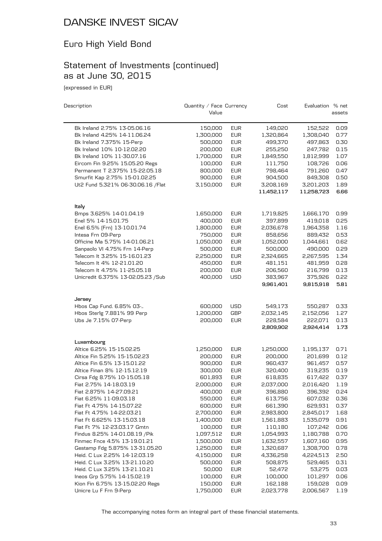### Euro High Yield Bond

#### Statement of Investments (continued) as at June 30, 2015

(expressed in EUR)

| Description                        | Quantity / Face Currency |            | Cost       | Evaluation % net |        |
|------------------------------------|--------------------------|------------|------------|------------------|--------|
|                                    | Value                    |            |            |                  | assets |
| Bk Ireland 2.75% 13-05.06.16       | 150,000                  | <b>EUR</b> | 149,020    | 152,522          | 0.09   |
| Bk Ireland 4.25% 14-11.06.24       | 1,300,000                | <b>EUR</b> | 1,320,864  | 1,308,040        | 0.77   |
| Bk Ireland 7.375% 15-Perp          | 500,000                  | <b>EUR</b> | 499,370    | 497.863          | 0.30   |
| Bk Ireland 10% 10-12.02.20         | 200,000                  | <b>EUR</b> | 255,250    | 247,782          | 0.15   |
| Bk Ireland 10% 11-30.07.16         | 1,700,000                | <b>EUR</b> | 1,849,550  | 1,812,999        | 1.07   |
| Eircom Fin 9.25% 15.05.20 Regs     | 100,000                  | <b>EUR</b> | 111,750    | 108,726          | 0.06   |
| Permanent T 2.375% 15-22.05.18     | 800,000                  | <b>EUR</b> | 798,464    | 791,260          | 0.47   |
| Smurfit Kap 2.75% 15-01.02.25      | 900,000                  | <b>EUR</b> | 904,500    | 849,308          | 0.50   |
| Ut2 Fund 5.321% 06-30.06.16 / Flat | 3,150,000                | <b>EUR</b> | 3,208,169  | 3,201,203        | 1.89   |
|                                    |                          |            | 11,452,117 | 11,258,723       | 6.66   |
| Italy                              |                          |            |            |                  |        |
| Bmps 3.625% 14-01.04.19            | 1,650,000                | <b>EUR</b> | 1,719,825  | 1,666,170        | 0.99   |
| Enel 5% 14-15.01.75                | 400,000                  | <b>EUR</b> | 397,899    | 419,018          | 0.25   |
| Enel 6.5% [Frn] 13-10.01.74        | 1,800,000                | <b>EUR</b> | 2,036,678  | 1,964,358        | 1.16   |
| Intesa Frn 09-Perp                 | 750,000                  | <b>EUR</b> | 858,656    | 889,432          | 0.53   |
| Officine Ma 5.75% 14-01.06.21      | 1,050,000                | <b>EUR</b> | 1,052,000  | 1,044,661        | 0.62   |
| Sanpaolo VI 4.75% Frn 14-Perp      | 500,000                  | <b>EUR</b> | 500,000    | 490,000          | 0.29   |
| Telecom It 3.25% 15-16.01.23       | 2,250,000                | <b>EUR</b> | 2,324,665  | 2,267,595        | 1.34   |
| Telecom It 4% 12-21.01.20          | 450,000                  | <b>EUR</b> | 481,151    | 481,959          | 0.28   |
| Telecom It 4.75% 11-25.05.18       | 200,000                  | <b>EUR</b> | 206,560    | 216,799          | 0.13   |
| Unicredit 6.375% 13-02.05.23 / Sub | 400,000                  | <b>USD</b> | 383,967    | 375,926          | 0.22   |
|                                    |                          |            | 9,961,401  | 9,815,918        | 5.81   |
| Jersey                             |                          |            |            |                  |        |
| Hbos Cap Fund. 6.85% 03-           | 600,000                  | <b>USD</b> | 549,173    | 550,287          | 0.33   |
| Hbos Sterlg 7.881% 99 Perp         | 1,200,000                | <b>GBP</b> | 2,032,145  | 2,152,056        | 1.27   |
| Ubs Je 7.15% 07-Perp               | 200,000                  | <b>EUR</b> | 228,584    | 222,071          | 0.13   |
|                                    |                          |            | 2,809,902  | 2,924,414        | 1.73   |
| Luxembourg                         |                          |            |            |                  |        |
| Altice 6.25% 15-15.02.25           | 1,250,000                | <b>EUR</b> | 1,250,000  | 1,195,137        | 0.71   |
| Altice Fin 5.25% 15-15.02.23       | 200,000                  | <b>EUR</b> | 200,000    | 201,699          | 0.12   |
| Altice Fin 6.5% 13-15.01.22        | 900,000                  | <b>EUR</b> | 960,437    | 961,457          | 0.57   |
| Altice Finan 8% 12-15.12.19        | 300,000                  | <b>EUR</b> | 320,400    | 319,235          | 0.19   |
| Cirsa Fdg 8.75% 10-15.05.18        | 601,893                  | <b>EUR</b> | 618,835    | 617,422          | 0.37   |
| Fiat 2.75% 14-18.03.19             | 2,000,000                | <b>EUR</b> | 2,037,000  | 2,016,420        | 1.19   |
| Fiat 2.875% 14-27.09.21            | 400,000                  | EUR        | 396,880    | 396,392          | 0.24   |
| Fiat 6.25% 11-09.03.18             | 550,000                  | <b>EUR</b> | 613,756    | 607,032          | 0.36   |
| Fiat Ft 4.75% 14-15.07.22          | 600,000                  | <b>EUR</b> | 661,390    | 629,931          | 0.37   |
| Fiat Ft 4.75% 14-22.03.21          | 2,700,000                | <b>EUR</b> | 2,983,800  | 2,845,017        | 1.68   |
| Fiat Ft 6.625% 13-15.03.18         | 1,400,000                | <b>EUR</b> | 1,561,883  | 1,535,079        | 0.91   |
| Fiat Ft 7% 12-23.03.17 Gmtn        | 100,000                  | <b>EUR</b> | 110,180    | 107,242          | 0.06   |
| Findus 8.25% 14-01.08.19 / Pik     | 1,097,512                | <b>EUR</b> | 1,054,993  | 1,180,788        | 0.70   |
| Finmec Fnce 4.5% 13-19.01.21       | 1,500,000                | <b>EUR</b> | 1,632,557  | 1,607,160        | 0.95   |
| Gestamp Fdg 5.875% 13-31.05.20     | 1,250,000                | <b>EUR</b> | 1,320,687  | 1,308,700        | 0.78   |
| Heid. C Lux 2.25% 14-12.03.19      | 4,150,000                | <b>EUR</b> | 4,336,258  | 4,224,513        | 2.50   |
| Heid. C Lux 3.25% 13-21.10.20      | 500,000                  | <b>EUR</b> | 508,875    | 529,465          | 0.31   |
| Heid. C Lux 3.25% 13-21.10.21      | 50,000                   | <b>EUR</b> | 52,472     | 53,275           | 0.03   |
| Ineos Grp 5.75% 14-15.02.19        | 100,000                  | <b>EUR</b> | 100,000    | 101,297          | 0.06   |
| Kion Fin 6.75% 13-15.02.20 Regs    | 150,000                  | <b>EUR</b> | 162,188    | 159,028          | 0.09   |
| Unicre Lu F Frn 9-Perp             | 1,750,000                | <b>EUR</b> | 2,023,778  | 2,006,567        | 1.19   |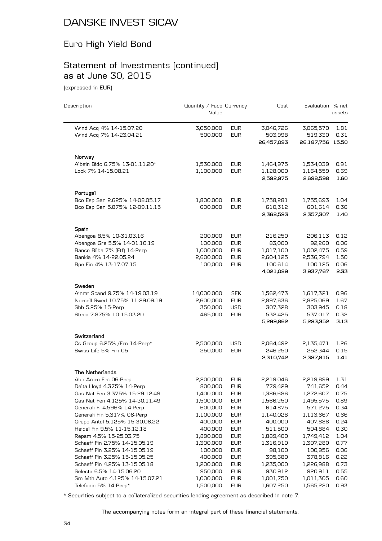### Euro High Yield Bond

#### Statement of Investments (continued) as at June 30, 2015

(expressed in EUR)

| Description                                        | Quantity / Face Currency<br>Value |                          | Cost                               | Evaluation % net                         | assets       |
|----------------------------------------------------|-----------------------------------|--------------------------|------------------------------------|------------------------------------------|--------------|
| Wind Acq 4% 14-15.07.20<br>Wind Acq 7% 14-23.04.21 | 3,050,000<br>500,000              | <b>EUR</b><br><b>EUR</b> | 3,046,726<br>503,998<br>26,457,093 | 3,065,570<br>519,330<br>26,187,756 15.50 | 1.81<br>0.31 |
|                                                    |                                   |                          |                                    |                                          |              |
| Norway                                             |                                   |                          |                                    |                                          |              |
| Albain Bidc 6.75% 13-01.11.20*                     | 1,530,000                         | EUR                      | 1,464,975                          | 1,534,039                                | 0.91         |
| Lock 7% 14-15.08.21                                | 1,100,000                         | <b>EUR</b>               | 1,128,000<br>2,592,975             | 1,164,559<br>2,698,598                   | 0.69<br>1.60 |
| Portugal                                           |                                   |                          |                                    |                                          |              |
| Bco Esp San 2.625% 14-08.05.17                     | 1,800,000                         | <b>EUR</b>               | 1,758,281                          | 1,755,693                                | 1.04         |
| Bco Esp San 5.875% 12-09.11.15                     | 600,000                           | <b>EUR</b>               | 610,312<br>2,368,593               | 601,614<br>2,357,307                     | 0.36<br>1.40 |
| Spain                                              |                                   |                          |                                    |                                          |              |
| Abengoa 8.5% 10-31.03.16                           | 200,000                           | <b>EUR</b>               | 216,250                            | 206,113                                  | 0.12         |
| Abengoa Gre 5.5% 14-01.10.19                       | 100,000                           | <b>EUR</b>               | 83,000                             | 92,260                                   | 0.06         |
| Banco Bilba 7% [Ftf] 14-Perp                       | 1,000,000                         | <b>EUR</b>               | 1,017,100                          | 1,002,475                                | 0.59         |
| Bankia 4% 14-22.05.24                              | 2,600,000                         | <b>EUR</b>               | 2,604,125                          | 2,536,794                                | 1.50         |
| Bpe Fin 4% 13-17.07.15                             | 100,000                           | <b>EUR</b>               | 100,614                            | 100,125                                  | 0.06         |
|                                                    |                                   |                          | 4,021,089                          | 3,937,767                                | 2.33         |
| Sweden                                             |                                   |                          |                                    |                                          |              |
| Ainmt Scand 9.75% 14-19.03.19                      | 14,000,000                        | <b>SEK</b>               | 1,562,473                          | 1,617,321                                | 0.96         |
| Norcell Swed 10.75% 11-29.09.19                    | 2,600,000                         | <b>EUR</b>               | 2,897,636                          | 2,825,069                                | 1.67         |
| Shb 5.25% 15-Perp                                  | 350,000                           | <b>USD</b>               | 307,328                            | 303,945                                  | 0.18         |
| Stena 7.875% 10-15.03.20                           | 465,000                           | <b>EUR</b>               | 532,425                            | 537,017                                  | 0.32         |
|                                                    |                                   |                          | 5,299,862                          | 5,283,352                                | 3.13         |
| Switzerland                                        |                                   |                          |                                    |                                          |              |
| Cs Group 6.25% / Frn 14-Perp*                      | 2,500,000                         | USD                      | 2,064,492                          | 2,135,471                                | 1.26         |
| Swiss Life 5% Frn 05                               | 250,000                           | <b>EUR</b>               | 246,250                            | 252,344                                  | 0.15         |
|                                                    |                                   |                          | 2,310,742                          | 2,387,815                                | 1.41         |
| The Netherlands                                    |                                   |                          |                                    |                                          |              |
| Abn Amro Frn 06-Perp.                              | 2,200,000                         | <b>EUR</b>               | 2,219,046                          | 2,219,899                                | 1.31         |
| Delta Lloyd 4.375% 14-Perp                         | 800,000                           | <b>EUR</b>               | 779,429                            | 741,652                                  | 0.44         |
| Gas Nat Fen 3.375% 15-29.12.49                     | 1,400,000                         | <b>EUR</b>               | 1,386,686                          | 1,272,607                                | 0.75         |
| Gas Nat Fen 4.125% 14-30.11.49                     | 1,500,000                         | <b>EUR</b>               | 1,566,250                          | 1,495,575                                | 0.89         |
| Generali Fi 4.596% 14-Perp                         | 600,000                           | <b>EUR</b>               | 614,875                            | 571,275                                  | 0.34         |
| Generali Fin 5.317% 06-Perp                        | 1,100,000                         | <b>EUR</b>               | 1,140,028                          | 1,113,667                                | 0.66         |
| Grupo Antol 5.125% 15-30.06.22                     | 400,000                           | <b>EUR</b>               | 400,000                            | 407,888                                  | 0.24         |
| Heidel Fin 9.5% 11-15.12.18                        | 400,000                           | <b>EUR</b>               | 511,500                            | 504,884                                  | 0.30         |
| Repsm 4.5% 15-25.03.75                             | 1,890,000                         | <b>EUR</b>               | 1,889,400                          | 1,749,412                                | 1.04         |
| Schaeff Fin 2.75% 14-15.05.19                      | 1,300,000                         | <b>EUR</b>               | 1,316,910                          | 1,307,280                                | 0.77         |
| Schaeff Fin 3.25% 14-15.05.19                      | 100,000                           | <b>EUR</b>               | 98,100                             | 100,956                                  | 0.06         |
| Schaeff Fin 3.25% 15-15.05.25                      | 400,000                           | <b>EUR</b>               | 395,680                            | 378,816                                  | 0.22         |
| Schaeff Fin 4.25% 13-15.05.18                      | 1,200,000                         | <b>EUR</b>               | 1,235,000                          | 1,226,988                                | 0.73         |
| Selecta 6.5% 14-15.06.20                           | 950,000                           | <b>EUR</b>               | 930,912                            | 920,911                                  | 0.55         |
| Sm Mth Auto 4.125% 14-15.07.21                     | 1,000,000                         | <b>EUR</b>               | 1,001,750                          | 1,011,305                                | 0.60         |
| Telefonic 5% 14-Perp*                              | 1,500,000                         | <b>EUR</b>               | 1,607,250                          | 1,565,220                                | 0.93         |

\* Securities subject to a collateralized securities lending agreement as described in note 7.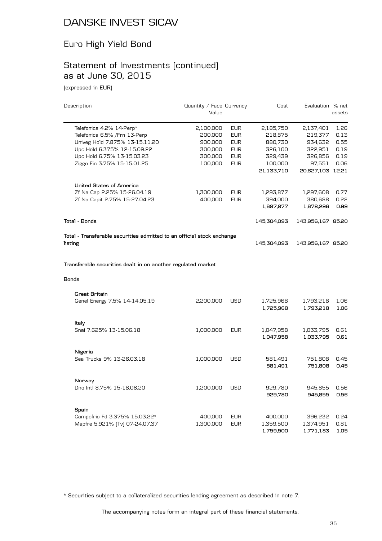#### Euro High Yield Bond

#### Statement of Investments (continued) as at June 30, 2015

(expressed in EUR)

| Description                                                                  | Quantity / Face Currency<br>Value |            | Cost                   | Evaluation % net       | assets       |
|------------------------------------------------------------------------------|-----------------------------------|------------|------------------------|------------------------|--------------|
| Telefonica 4.2% 14-Perp*                                                     | 2,100,000                         | <b>EUR</b> | 2,185,750              | 2,137,401              | 1.26         |
| Telefonica 6.5% / Frn 13-Perp                                                | 200,000                           | <b>EUR</b> | 218,875                | 219,377                | 0.13         |
| Univeg Hold 7.875% 13-15.11.20                                               | 900,000                           | <b>EUR</b> | 880,730                | 934,632                | 0.55         |
| Upc Hold 6.375% 12-15.09.22                                                  | 300,000                           | <b>EUR</b> | 326,100                | 322,951                | 0.19         |
| Upc Hold 6.75% 13-15.03.23                                                   | 300,000                           | <b>EUR</b> | 329,439                | 326,856                | 0.19         |
| Ziggo Fin 3.75% 15-15.01.25                                                  | 100,000                           | <b>EUR</b> | 100,000                | 97,551                 | 0.06         |
|                                                                              |                                   |            | 21,133,710             | 20,627,103 12.21       |              |
| <b>United States of America</b>                                              |                                   |            |                        |                        |              |
| Zf Na Cap 2.25% 15-26.04.19                                                  | 1,300,000                         | <b>EUR</b> | 1,293,877              | 1,297,608              | 0.77         |
| Zf Na Capit 2.75% 15-27.04.23                                                | 400,000                           | <b>EUR</b> | 394,000                | 380,688                | 0.22         |
|                                                                              |                                   |            | 1,687,877              | 1,678,296              | 0.99         |
| <b>Total - Bonds</b>                                                         |                                   |            | 145,304,093            | 143,956,167 85.20      |              |
| Total - Transferable securities admitted to an official stock exchange       |                                   |            |                        |                        |              |
| listing                                                                      |                                   |            | 145,304,093            | 143,956,167 85.20      |              |
| Transferable securities dealt in on another regulated market<br><b>Bonds</b> |                                   |            |                        |                        |              |
|                                                                              |                                   |            |                        |                        |              |
| <b>Great Britain</b>                                                         |                                   |            |                        |                        |              |
| Genel Energy 7.5% 14-14.05.19                                                | 2,200,000                         | USD        | 1,725,968<br>1,725,968 | 1,793,218<br>1,793,218 | 1.06<br>1.06 |
| Italy                                                                        |                                   |            |                        |                        |              |
| Snai 7.625% 13-15.06.18                                                      | 1,000,000                         | <b>EUR</b> | 1,047,958<br>1,047,958 | 1,033,795<br>1,033,795 | 0.61<br>0.61 |
|                                                                              |                                   |            |                        |                        |              |
| Nigeria<br>Sea Trucks 9% 13-26.03.18                                         | 1,000,000                         | <b>USD</b> | 581,491                | 751,808                | 0.45         |
|                                                                              |                                   |            | 581,491                | 751,808                | 0.45         |
| Norway                                                                       |                                   |            |                        |                        |              |
| Dno Intl 8.75% 15-18.06.20                                                   | 1,200,000                         | <b>USD</b> | 929,780<br>929,780     | 945,855<br>945,855     | 0.56<br>0.56 |
|                                                                              |                                   |            |                        |                        |              |
| Spain<br>Campofrio Fd 3.375% 15.03.22*                                       | 400,000                           | <b>EUR</b> | 400,000                | 396,232                | 0.24         |
| Mapfre 5.921% (Tv) 07-24.07.37                                               | 1,300,000                         | <b>EUR</b> | 1,359,500              | 1,374,951              | 0.81         |
|                                                                              |                                   |            | 1,759,500              | 1,771,183              | 1.05         |

\* Securities subject to a collateralized securities lending agreement as described in note 7.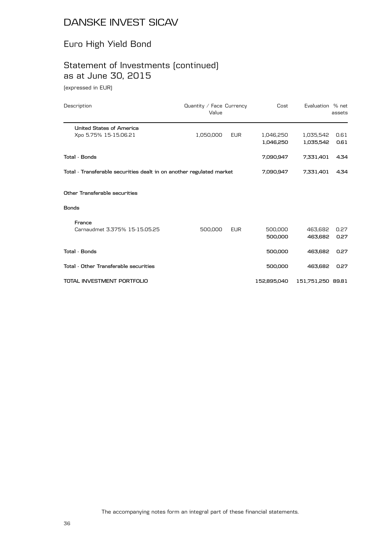#### Euro High Yield Bond

# Statement of Investments (continued) as at June 30, 2015

(expressed in EUR)

| Description                                                          | Quantity / Face Currency<br>Value |            | Cost                   | Evaluation % net       | assets       |
|----------------------------------------------------------------------|-----------------------------------|------------|------------------------|------------------------|--------------|
| United States of America                                             |                                   |            |                        |                        |              |
| Xpo 5.75% 15-15.06.21                                                | 1,050,000                         | <b>EUR</b> | 1,046,250<br>1,046,250 | 1,035,542<br>1,035,542 | 0.61<br>0.61 |
| Total - Bonds                                                        |                                   |            | 7,090,947              | 7,331,401              | 4.34         |
| Total - Transferable securities dealt in on another regulated market |                                   |            | 7,090,947              | 7,331,401              | 4.34         |
| Other Transferable securities                                        |                                   |            |                        |                        |              |
| <b>Bonds</b>                                                         |                                   |            |                        |                        |              |
| France                                                               |                                   |            |                        |                        |              |
| Carnaudmet 3.375% 15-15.05.25                                        | 500,000                           | <b>EUR</b> | 500,000<br>500,000     | 463,682<br>463.682     | 0.27<br>0.27 |
| Total - Bonds                                                        |                                   |            | 500,000                | 463.682                | 0.27         |
| Total - Other Transferable securities                                |                                   |            | 500,000                | 463.682                | 0.27         |
| TOTAL INVESTMENT PORTFOLIO                                           |                                   |            | 152,895,040            | 151,751,250 89.81      |              |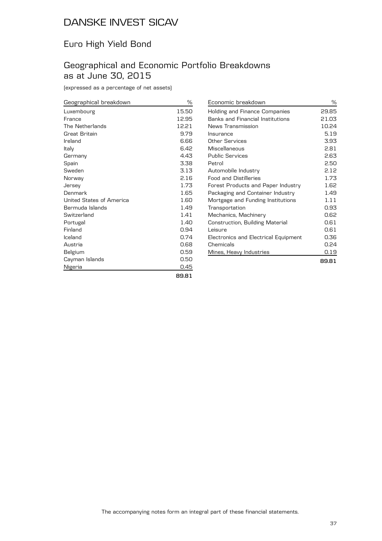## Euro High Yield Bond

## Geographical and Economic Portfolio Breakdowns as at June 30, 2015

(expressed as a percentage of net assets)

| Geographical breakdown   | ℅     |
|--------------------------|-------|
| Luxembourg               | 15.50 |
| France                   | 12.95 |
| The Netherlands          | 12.21 |
| Great Britain            | 9.79  |
| Ireland                  | 6.66  |
| Italy                    | 6.42  |
| Germany                  | 4.43  |
| Spain                    | 3.38  |
| Sweden                   | 3.13  |
| Norway                   | 2.16  |
| Jersey                   | 1.73  |
| Denmark                  | 1.65  |
| United States of America | 1.60  |
| Bermuda Islands          | 1.49  |
| Switzerland              | 1.41  |
| Portugal                 | 1.40  |
| Finland                  | 0.94  |
| Iceland                  | 0.74  |
| Austria                  | 0.68  |
| Belgium                  | 0.59  |
| Cayman Islands           | 0.50  |
| Nigeria                  | 0.45  |
|                          | 89.81 |

| Economic breakdown                      | ℅     |
|-----------------------------------------|-------|
| Holding and Finance Companies           | 29.85 |
| <b>Banks and Financial Institutions</b> | 21.03 |
| News Transmission                       | 10.24 |
| Insurance                               | 5.19  |
| Other Services                          | 3.93  |
| Miscellaneous                           | 2.81  |
| <b>Public Services</b>                  | 2.63  |
| Petrol                                  | 2.50  |
| Automobile Industry                     | 2.12  |
| <b>Food and Distilleries</b>            | 1.73  |
| Forest Products and Paper Industry      | 1.62  |
| Packaging and Container Industry        | 1.49  |
| Mortgage and Funding Institutions       | 1.11  |
| Transportation                          | 0.93  |
| Mechanics, Machinery                    | 0.62  |
| Construction, Building Material         | 0.61  |
| Leisure                                 | 0.61  |
| Electronics and Electrical Equipment    | 0.36  |
| Chemicals                               | 0.24  |
| Mines, Heavy Industries                 | 0.19  |
|                                         | 89.81 |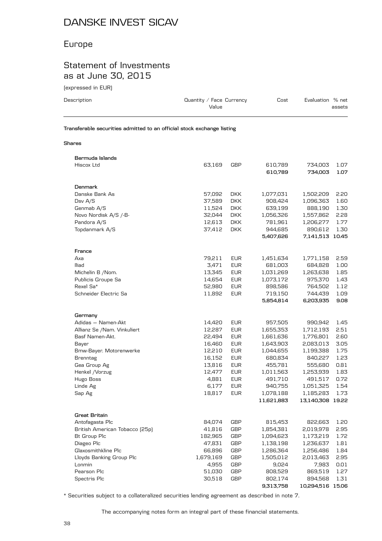## Europe

## Statement of Investments as at June 30, 2015

(expressed in EUR)

| Description                                                            | Quantity / Face Currency<br>Value |            | Cost               | Evaluation % net   | assets       |
|------------------------------------------------------------------------|-----------------------------------|------------|--------------------|--------------------|--------------|
| Transferable securities admitted to an official stock exchange listing |                                   |            |                    |                    |              |
| <b>Shares</b>                                                          |                                   |            |                    |                    |              |
| Bermuda Islands<br>Hiscox Ltd                                          | 63.169                            | <b>GBP</b> | 610,789<br>610,789 | 734.003<br>734,003 | 1.07<br>1.07 |

| Denmark                            |                 |                   |                  |                  |              |
|------------------------------------|-----------------|-------------------|------------------|------------------|--------------|
| Danske Bank As                     | 57,092          | <b>DKK</b>        | 1,077,031        | 1,502,209        | 2.20         |
| Dsv A/S                            | 37,589          | <b>DKK</b>        | 908,424          | 1,096,363        | 1.60         |
| Genmab A/S                         | 11,524          | <b>DKK</b>        | 639,199          | 888,190          | 1.30         |
| Novo Nordisk A/S /-B-              | 32,044          | <b>DKK</b>        | 1,056,326        | 1,557,862        | 2.28         |
| Pandora A/S                        | 12,613          | <b>DKK</b>        | 781,961          | 1,206,277        | 1.77         |
| Topdanmark A/S                     | 37,412          | <b>DKK</b>        | 944,685          | 890,612          | 1.30         |
|                                    |                 |                   | 5,407,626        | 7,141,513 10.45  |              |
| France                             |                 |                   |                  |                  |              |
| Axa                                | 79,211          | <b>EUR</b>        | 1,451,634        | 1,771,158        | 2.59         |
| lliad                              | 3,471           | <b>EUR</b>        | 681,003          | 684,828          | 1.00         |
| Michelin B /Nom.                   | 13,345          | <b>EUR</b>        | 1,031,269        | 1,263,638        | 1.85         |
| Publicis Groupe Sa                 | 14,654          | <b>EUR</b>        | 1,073,172        | 975,370          | 1.43         |
| Rexel Sa*                          | 52,980          | <b>EUR</b>        | 898,586          | 764,502          | 1.12         |
| Schneider Electric Sa              | 11,892          | <b>EUR</b>        | 719,150          | 744,439          | 1.09         |
|                                    |                 |                   | 5,854,814        | 6,203,935        | 9.08         |
|                                    |                 |                   |                  |                  |              |
| Germany                            |                 |                   |                  |                  |              |
| Adidas - Namen-Akt                 | 14,420          | <b>EUR</b>        | 957,505          | 990,942          | 1.45         |
| Allianz Se /Nam. Vinkuliert        | 12,287          | <b>EUR</b>        | 1,655,353        | 1,712,193        | 2.51         |
| Basf Namen-Akt.                    | 22,494          | <b>EUR</b>        | 1,661,636        | 1,776,801        | 2.60         |
| Bayer                              | 16,460          | <b>EUR</b>        | 1,643,903        | 2,083,013        | 3.05         |
| Bmw-Bayer. Motorenwerke            | 12,210          | <b>EUR</b>        | 1,044,655        | 1,199,388        | 1.75         |
| <b>Brenntag</b>                    | 16,152          | <b>EUR</b>        | 680,834          | 840,227          | 1.23         |
| Gea Group Ag                       | 13,816          | <b>EUR</b>        | 455,781          | 555,680          | 0.81         |
| Henkel /Vorzug                     | 12,477          | <b>EUR</b>        | 1,011,563        | 1,253,939        | 1.83         |
| Hugo Boss                          | 4,881           | <b>EUR</b>        | 491,710          | 491,517          | 0.72         |
| Linde Ag                           | 6,177           | <b>EUR</b>        | 940,755          | 1,051,325        | 1.54         |
| Sap Ag                             | 18,817          | <b>EUR</b>        | 1,078,188        | 1,185,283        | 1.73         |
|                                    |                 |                   | 11,621,883       | 13,140,308 19.22 |              |
| <b>Great Britain</b>               |                 |                   |                  |                  |              |
| Antofagasta Plc                    | 84,074          | <b>GBP</b>        | 815,453          | 822,663          | 1.20         |
| British American Tobacco (25p)     | 41,816          | GBP               | 1,854,381        | 2,019,978        | 2.95         |
| Bt Group Plc                       | 182,965         | <b>GBP</b>        | 1,094,623        | 1,173,219        | 1.72         |
| Diageo Plc                         | 47,831          | <b>GBP</b>        | 1,138,198        | 1,236,637        | 1.81         |
| Glaxosmithkline Plc                | 66,896          | <b>GBP</b>        | 1,286,364        |                  | 1.84         |
|                                    |                 |                   |                  | 1,256,486        |              |
| Lloyds Banking Group Plc<br>Lonmin | 1,679,169       | GBP<br><b>GBP</b> | 1,505,012        | 2,013,463        | 2.95         |
| Pearson Plc                        | 4,955<br>51,030 | <b>GBP</b>        | 9,024<br>808,529 | 7,983<br>869,519 | 0.01<br>1.27 |
|                                    |                 | <b>GBP</b>        |                  |                  | 1.31         |
| Spectris Plc                       | 30,518          |                   | 802,174          | 894,568          |              |
|                                    |                 |                   | 9,313,758        | 10,294,516 15.06 |              |

\* Securities subject to a collateralized securities lending agreement as described in note 7.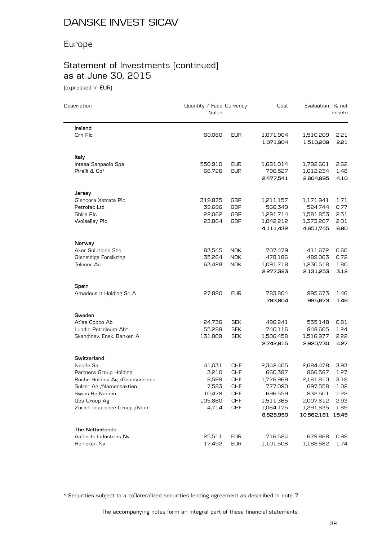## Europe

# Statement of Investments (continued) as at June 30, 2015

(expressed in EUR)

| Description                         | Quantity / Face Currency<br>Value |                          | Cost                   | Evaluation % net       | assets       |
|-------------------------------------|-----------------------------------|--------------------------|------------------------|------------------------|--------------|
| Ireland                             |                                   |                          |                        |                        |              |
| Crh Plc                             | 60,060                            | <b>EUR</b>               | 1,071,904<br>1,071,904 | 1,510,209<br>1,510,209 | 2.21<br>2.21 |
| Italy                               |                                   |                          |                        |                        |              |
| Intesa Sanpaolo Spa                 | 550,910                           | <b>EUR</b>               | 1,681,014              | 1,792,661              | 2.62         |
| Pirelli & Co*                       | 66,726                            | <b>EUR</b>               | 796,527<br>2,477,541   | 1,012,234<br>2,804,895 | 1.48<br>4.10 |
|                                     |                                   |                          |                        |                        |              |
| Jersey                              |                                   |                          |                        |                        |              |
| Glencore Xstrata Plc                | 319,875                           | GBP                      | 1,211,157              | 1,171,941              | 1.71         |
| Petrofac Ltd                        | 39,686                            | <b>GBP</b>               | 566,349                | 524,744                | 0.77         |
| Shire Plc                           | 22,062                            | <b>GBP</b>               | 1,291,714              | 1,581,853              | 2.31         |
| <b>Wolselley Plc</b>                | 23,864                            | <b>GBP</b>               | 1,042,212<br>4,111,432 | 1,373,207<br>4,651,745 | 2.01<br>6.80 |
|                                     |                                   |                          |                        |                        |              |
| Norway                              |                                   |                          |                        |                        |              |
| <b>Aker Solutions Shs</b>           | 83,545                            | <b>NOK</b>               | 707,479                | 411,672                | 0.60         |
| Gjensidige Forsikring<br>Telenor As | 35,264                            | <b>NOK</b><br><b>NOK</b> | 478,186                | 489,063                | 0.72         |
|                                     | 63,428                            |                          | 1,091,718<br>2,277,383 | 1,230,518<br>2,131,253 | 1.80<br>3.12 |
| Spain                               |                                   |                          |                        |                        |              |
| Amadeus It Holding Sr. A            | 27,890                            | <b>EUR</b>               | 783,804                | 995,673                | 1.46         |
|                                     |                                   |                          | 783,804                | 995,673                | 1.46         |
| Sweden                              |                                   |                          |                        |                        |              |
| Atlas Copco Ab                      | 24,736                            | <b>SEK</b>               | 496,241                | 555,148                | 0.81         |
| Lundin Petroleum Ab*                | 55,288                            | <b>SEK</b>               | 740,116                | 848,605                | 1.24         |
| Skandinav. Ensk. Banken A           | 131,809                           | <b>SEK</b>               | 1,506,458              | 1,516,977              | 2.22         |
|                                     |                                   |                          | 2,742,815              | 2,920,730              | 4.27         |
| Switzerland                         |                                   |                          |                        |                        |              |
| Nestle Sa                           | 41,031                            | <b>CHF</b>               | 2,342,405              | 2,684,478              | 3.93         |
| Partners Group Holding              | 3,210                             | <b>CHF</b>               | 660,387                | 866,587                | 1.27         |
| Roche Holding Ag / Genussschein     | 8,599                             | <b>CHF</b>               | 1,776,969              | 2,181,810              | 3.19         |
| Sulzer Ag /Namensaktien             | 7,583                             | <b>CHF</b>               | 777,090                | 697,558                | 1.02         |
| Swiss Re-Namen                      | 10,478                            | <b>CHF</b>               | 696,559                | 832,501                | 1.22         |
| Ubs Group Ag                        | 105,860                           | CHF                      | 1,511,365              | 2,007,612              | 2.93         |
| Zurich Insurance Group / Nam        | 4,714                             | <b>CHF</b>               | 1,064,175              | 1,291,635              | 1.89         |
|                                     |                                   |                          | 8,828,950              | 10,562,181 15.45       |              |
| <b>The Netherlands</b>              |                                   |                          |                        |                        |              |
| Aalberts Industries Nv              | 25,511                            | EUR                      | 716,524                | 679,868                | 0.99         |
| Heineken Nv                         | 17,492                            | <b>EUR</b>               | 1,101,506              | 1,188,582              | 1.74         |

\* Securities subject to a collateralized securities lending agreement as described in note 7.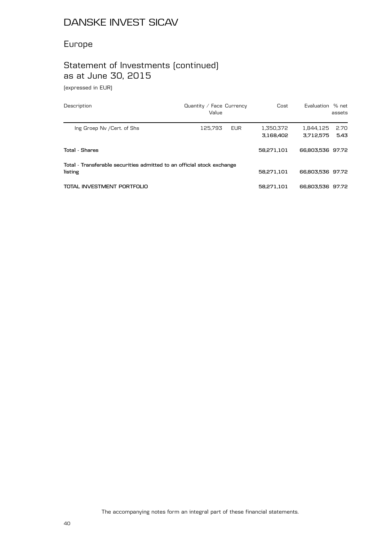# Europe

# Statement of Investments (continued) as at June 30, 2015

(expressed in EUR)

| Description                                                                       | Quantity / Face Currency<br>Value |            | Cost                   | Evaluation % net       | assets       |
|-----------------------------------------------------------------------------------|-----------------------------------|------------|------------------------|------------------------|--------------|
| Ing Groep Ny / Cert. of Shs                                                       | 125.793                           | <b>EUR</b> | 1.350.372<br>3.168.402 | 1.844.125<br>3.712.575 | 2.70<br>5.43 |
| Total - Shares                                                                    |                                   |            | 58.271.101             | 66,803,536 97.72       |              |
| Total - Transferable securities admitted to an official stock exchange<br>listing |                                   |            | 58.271.101             | 66,803,536 97.72       |              |
| TOTAL INVESTMENT PORTFOLIO                                                        |                                   |            | 58.271.101             | 66,803,536 97.72       |              |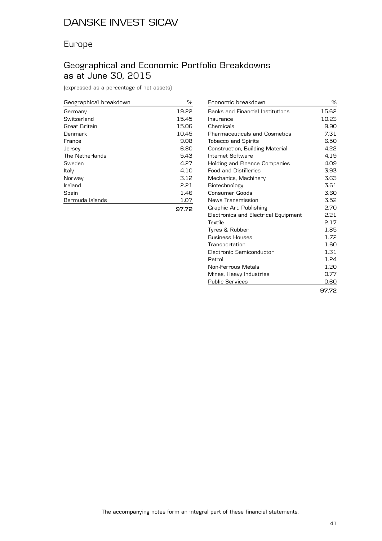## Europe

## Geographical and Economic Portfolio Breakdowns as at June 30, 2015

(expressed as a percentage of net assets)

| Geographical breakdown | %     |
|------------------------|-------|
| Germany                | 19.22 |
| Switzerland            | 15.45 |
| Great Britain          | 15.06 |
| Denmark                | 10.45 |
| France                 | 9.08  |
| Jersey                 | 6.80  |
| The Netherlands        | 5.43  |
| Sweden                 | 4.27  |
| Italy                  | 4.10  |
| Norway                 | 3.12  |
| Ireland                | 2.21  |
| Spain                  | 1.46  |
| Bermuda Islands        | 1.07  |
|                        |       |

| Economic breakdown                   | ℅     |
|--------------------------------------|-------|
| Banks and Financial Institutions     | 15.62 |
| Insurance                            | 10.23 |
| Chemicals                            | 9.90  |
| <b>Pharmaceuticals and Cosmetics</b> | 7.31  |
| <b>Tobacco and Spirits</b>           | 6.50  |
| Construction, Building Material      | 4.22  |
| Internet Software                    | 4.19  |
| Holding and Finance Companies        | 4.09  |
| <b>Food and Distilleries</b>         | 3.93  |
| Mechanics, Machinery                 | 3.63  |
| Biotechnology                        | 3.61  |
| Consumer Goods                       | 3.60  |
| News Transmission                    | 3.52  |
| Graphic Art, Publishing              | 2.70  |
| Electronics and Electrical Equipment | 2.21  |
| Textile                              | 2.17  |
| Tyres & Rubber                       | 1.85  |
| <b>Business Houses</b>               | 1.72  |
| Transportation                       | 1.60  |
| Electronic Semiconductor             | 1.31  |
| Petrol                               | 1.24  |
| Non-Ferrous Metals                   | 1.20  |
| Mines, Heavy Industries              | 0.77  |
| <b>Public Services</b>               | 0.60  |
|                                      | 97.72 |

**97.72**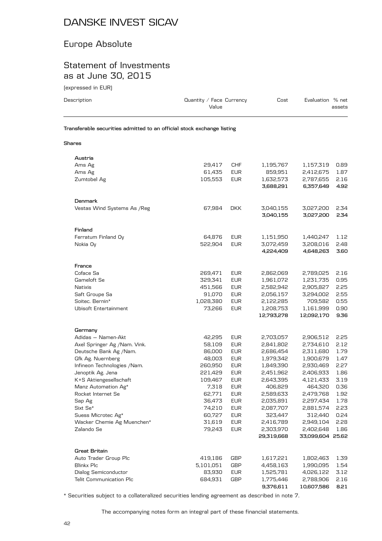## Europe Absolute

#### Statement of Investments as at June 30, 2015

(expressed in EUR)

| Description                                                            | Quantity / Face Currency<br>Value |            | Cost       | Evaluation % net | assets |
|------------------------------------------------------------------------|-----------------------------------|------------|------------|------------------|--------|
| Transferable securities admitted to an official stock exchange listing |                                   |            |            |                  |        |
| Shares                                                                 |                                   |            |            |                  |        |
|                                                                        |                                   |            |            |                  |        |
| Austria                                                                |                                   |            |            |                  |        |
| Ams Ag                                                                 | 29,417                            | CHF        | 1,195,767  | 1,157,319        | 0.89   |
| Ams Ag                                                                 | 61,435                            | <b>EUR</b> | 859,951    | 2,412,675        | 1.87   |
| Zumtobel Ag                                                            | 105,553                           | <b>EUR</b> | 1,632,573  | 2,787,655        | 2.16   |
|                                                                        |                                   |            | 3,688,291  | 6,357,649        | 4.92   |
| Denmark                                                                |                                   |            |            |                  |        |
| Vestas Wind Systems As / Reg                                           | 67,984                            | <b>DKK</b> | 3,040,155  | 3,027,200        | 2.34   |
|                                                                        |                                   |            | 3,040,155  | 3,027,200        | 2.34   |
| Finland                                                                |                                   |            |            |                  |        |
| Ferratum Finland Oy                                                    | 64,876                            | <b>EUR</b> | 1,151,950  | 1,440,247        | 1.12   |
| Nokia Oy                                                               | 522,904                           | <b>EUR</b> | 3,072,459  | 3,208,016        | 2.48   |
|                                                                        |                                   |            | 4,224,409  | 4,648,263        | 3.60   |
|                                                                        |                                   |            |            |                  |        |
| France                                                                 |                                   |            |            |                  |        |
| Coface Sa                                                              | 269,471                           | <b>EUR</b> | 2,862,069  | 2,789,025        | 2.16   |
| Gameloft Se                                                            | 329,341                           | <b>EUR</b> | 1,961,072  | 1,231,735        | 0.95   |
| Natixis                                                                | 451,566                           | <b>EUR</b> | 2,582,942  | 2,905,827        | 2.25   |
| Saft Groupe Sa                                                         | 91,070                            | <b>EUR</b> | 2,056,157  | 3,294,002        | 2.55   |
| Soitec. Bernin*                                                        | 1,028,380                         | <b>EUR</b> | 2,122,285  | 709,582          | 0.55   |
| Ubisoft Entertainment                                                  | 73,266                            | <b>EUR</b> | 1,208,753  | 1,161,999        | 0.90   |
|                                                                        |                                   |            | 12,793,278 | 12,092,170       | 9.36   |
| Germany                                                                |                                   |            |            |                  |        |
| Adidas - Namen-Akt                                                     | 42,295                            | <b>EUR</b> | 2,703,057  | 2,906,512        | 2.25   |
| Axel Springer Ag /Nam. Vink.                                           | 58,109                            | <b>EUR</b> | 2,841,802  | 2,734,610        | 2.12   |
| Deutsche Bank Ag /Nam.                                                 | 86,000                            | EUR        | 2,686,454  | 2,311,680        | 1.79   |
| Gfk Ag. Nuernberg                                                      | 48,003                            | <b>EUR</b> | 1,979,342  | 1,900,679        | 1.47   |
| Infineon Technologies / Nam.                                           | 260,950                           | <b>EUR</b> | 1,849,390  | 2,930,469        | 2.27   |
| Jenoptik Ag. Jena                                                      | 221,429                           | <b>EUR</b> | 2,451,962  | 2,406,933        | 1.86   |
| K+S Aktiengesellschaft                                                 | 109,467                           | <b>EUR</b> | 2,643,395  | 4,121,433        | 3.19   |
| Manz Automation Ag*                                                    | 7,318                             | <b>EUR</b> | 406,829    | 464,320          | 0.36   |
| Rocket Internet Se                                                     | 62,771                            | <b>EUR</b> | 2,589,633  | 2,479,768        | 1.92   |
| Sap Ag                                                                 | 36,473                            | <b>EUR</b> | 2,035,891  | 2,297,434        | 1.78   |
| $\textsf{Sixt}~\textsf{Se}^{\star}$                                    | 74,210                            | <b>EUR</b> | 2,087,707  | 2,881,574        | 2.23   |
| Suess Microtec Ag*                                                     | 60,727                            | <b>EUR</b> | 323,447    | 312,440          | 0.24   |
| Wacker Chemie Ag Muenchen*                                             | 31,619                            | <b>EUR</b> | 2,416,789  | 2,949,104        | 2.28   |
| Zalando Se                                                             | 79,243                            | <b>EUR</b> | 2,303,970  | 2,402,648        | 1.86   |
|                                                                        |                                   |            | 29,319,668 | 33,099,604 25.62 |        |
| <b>Great Britain</b>                                                   |                                   |            |            |                  |        |
| Auto Trader Group Plc                                                  | 419,186                           | GBP        | 1,617,221  | 1,802,463        | 1.39   |
| Blinkx Plc                                                             | 5,101,051                         | GBP        | 4,458,163  | 1,990,095        | 1.54   |
| Dialog Semiconductor                                                   | 83,930                            | <b>EUR</b> | 1,525,781  | 4,026,122        | 3.12   |

\* Securities subject to a collateralized securities lending agreement as described in note 7.

The accompanying notes form an integral part of these financial statements.

Telit Communication Plc 684,931 GBP 1,775,446 2,788,906 2.16

**9,376,611 10,607,586 8.21**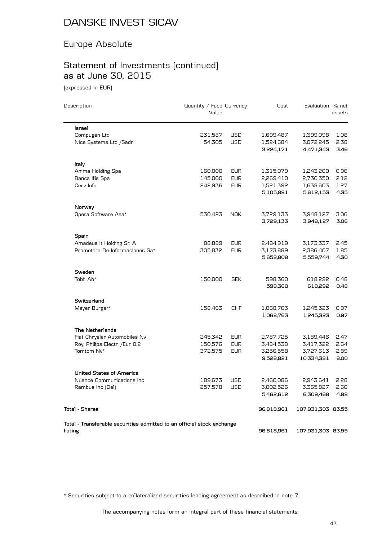## Europe Absolute

# Statement of Investments (continued) as at June 30, 2015

(expressed in EUR)

| Description                                                            | Quantity / Face Currency<br>Value |            | Cost       | Evaluation % net  | assets |
|------------------------------------------------------------------------|-----------------------------------|------------|------------|-------------------|--------|
| <b>Israel</b>                                                          |                                   |            |            |                   |        |
| Compugen Ltd                                                           | 231,587                           | <b>USD</b> | 1,699,487  | 1,399,098         | 1.08   |
| Nice Systems Ltd /Sadr                                                 | 54,305                            | <b>USD</b> | 1,524,684  | 3,072,245         | 2.38   |
|                                                                        |                                   |            | 3,224,171  | 4,471,343         | 3.46   |
| Italy                                                                  |                                   |            |            |                   |        |
| Anima Holding Spa                                                      | 160,000                           | <b>EUR</b> | 1,315,079  | 1,243,200         | 0.96   |
| Banca Ifis Spa                                                         | 145,000                           | <b>EUR</b> | 2,269,410  | 2,730,350         | 2.12   |
| Cerv Info                                                              | 242,936                           | <b>EUR</b> | 1,521,392  | 1,638,603         | 1.27   |
|                                                                        |                                   |            | 5,105,881  | 5,612,153         | 4.35   |
| Norway                                                                 |                                   |            |            |                   |        |
| Opera Software Asa*                                                    | 530,423                           | <b>NOK</b> | 3,729,133  | 3,948,127         | 3.06   |
|                                                                        |                                   |            | 3,729,133  | 3,948,127         | 3.06   |
| Spain                                                                  |                                   |            |            |                   |        |
| Amadeus It Holding Sr. A                                               | 88,889                            | <b>EUR</b> | 2,484,919  | 3,173,337         | 2.45   |
| Promotora De Informaciones Sa*                                         | 305,832                           | <b>EUR</b> | 3,173,889  | 2,386,407         | 1.85   |
|                                                                        |                                   |            | 5,658,808  | 5,559,744         | 4.30   |
| Sweden                                                                 |                                   |            |            |                   |        |
| Tobii Ab*                                                              | 150,000                           | <b>SEK</b> | 598,360    | 618,292           | 0.48   |
|                                                                        |                                   |            | 598,360    | 618,292           | 0.48   |
| Switzerland                                                            |                                   |            |            |                   |        |
| Meyer Burger*                                                          | 158,463                           | <b>CHF</b> | 1,068,763  | 1,245,323         | 0.97   |
|                                                                        |                                   |            | 1,068,763  | 1,245,323         | 0.97   |
| The Netherlands                                                        |                                   |            |            |                   |        |
| Fiat Chrysler Automobiles Nv                                           | 245,342                           | <b>EUR</b> | 2,787,725  | 3,189,446         | 2.47   |
| Roy. Philips Electr. / Eur 0.2                                         | 150,576                           | <b>EUR</b> | 3,484,538  | 3,417,322         | 2.64   |
| Tomtom Nv*                                                             | 372,575                           | <b>EUR</b> | 3,256,558  | 3,727,613         | 2.89   |
|                                                                        |                                   |            | 9,528,821  | 10,334,381        | 8.00   |
| <b>United States of America</b>                                        |                                   |            |            |                   |        |
| Nuance Communications Inc                                              | 189,673                           | <b>USD</b> | 2,460,086  | 2,943,641         | 2.28   |
| Rambus Inc (Del)                                                       | 257,578                           | <b>USD</b> | 3,002,526  | 3,365,827         | 2.60   |
|                                                                        |                                   |            | 5,462,612  | 6,309,468         | 4.88   |
| <b>Total - Shares</b>                                                  |                                   |            | 96,818,961 | 107,931,303 83.55 |        |
| Total - Transferable securities admitted to an official stock exchange |                                   |            |            |                   |        |
| listing                                                                |                                   |            | 96,818,961 | 107,931,303 83.55 |        |

\* Securities subject to a collateralized securities lending agreement as described in note 7.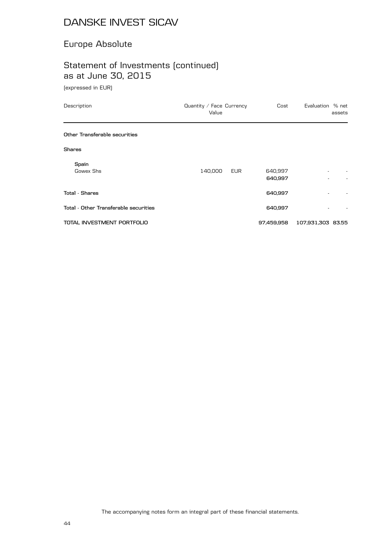## Europe Absolute

# Statement of Investments (continued) as at June 30, 2015

(expressed in EUR)

| Description                           | Quantity / Face Currency<br>Value | Cost               | Evaluation % net  | assets |
|---------------------------------------|-----------------------------------|--------------------|-------------------|--------|
| Other Transferable securities         |                                   |                    |                   |        |
| <b>Shares</b>                         |                                   |                    |                   |        |
| Spain<br>Gowex Shs                    | 140,000<br>EUR                    | 640,997<br>640,997 | ٠                 |        |
| <b>Total - Shares</b>                 |                                   | 640,997            |                   |        |
| Total - Other Transferable securities |                                   | 640,997            |                   |        |
| TOTAL INVESTMENT PORTFOLIO            |                                   | 97,459,958         | 107,931,303 83.55 |        |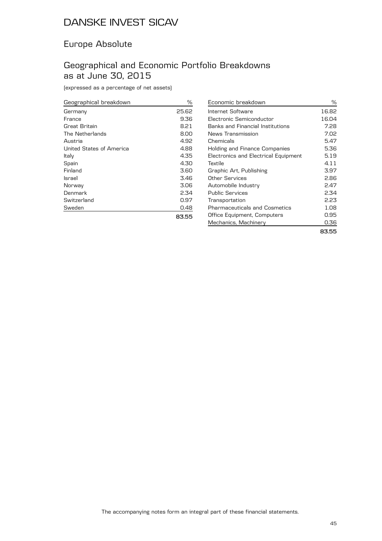## Europe Absolute

## Geographical and Economic Portfolio Breakdowns as at June 30, 2015

(expressed as a percentage of net assets)

| Geographical breakdown   | ℅     |
|--------------------------|-------|
| Germany                  | 25.62 |
| France                   | 9.36  |
| Great Britain            | 8.21  |
| The Netherlands          | 8.00  |
| Austria                  | 4.92  |
| United States of America | 4.88  |
| Italy                    | 4.35  |
| Spain                    | 4.30  |
| Finland                  | 3.60  |
| Israel                   | 3.46  |
| Norway                   | 3.06  |
| Denmark                  | 2.34  |
| Switzerland              | 0.97  |
| Sweden                   | 0.48  |
|                          | 83.55 |

| Economic breakdown                      | ℅     |
|-----------------------------------------|-------|
| Internet Software                       | 16.82 |
| Electronic Semiconductor                | 16.04 |
| <b>Banks and Financial Institutions</b> | 7.28  |
| News Transmission                       | 7.02  |
| Chemicals                               | 5.47  |
| Holding and Finance Companies           | 5.36  |
| Electronics and Electrical Equipment    | 5.19  |
| Textile                                 | 4.11  |
| Graphic Art, Publishing                 | 3.97  |
| Other Services                          | 2.86  |
| Automobile Industry                     | 2.47  |
| Public Services                         | 2.34  |
| Transportation                          | 2.23  |
| Pharmaceuticals and Cosmetics           | 1.08  |
| Office Equipment, Computers             | 0.95  |
| Mechanics, Machinery                    | 0.36  |
|                                         |       |

**83.55**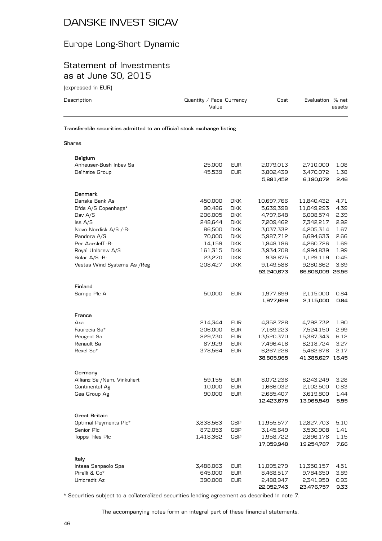# Europe Long-Short Dynamic

#### Statement of Investments as at June 30, 2015

(expressed in EUR)

| Description                                                            | Quantity / Face Currency<br>Value | Cost                    | Evaluation % net | assets |
|------------------------------------------------------------------------|-----------------------------------|-------------------------|------------------|--------|
| Transferable securities admitted to an official stock exchange listing |                                   |                         |                  |        |
| <b>Shares</b>                                                          |                                   |                         |                  |        |
| Belgium                                                                |                                   |                         |                  |        |
| Anheuser-Bush Inbey Sa                                                 | 25,000                            | <b>EUR</b><br>2,079,013 | 2,710,000        | 1.08   |
| Delhaize Group                                                         | 45.539                            | 3.802.439<br><b>EUR</b> | 3.470.072        | 1.38   |

|                             |           |            | 5,881,452  | 6,180,072        | 2.46 |
|-----------------------------|-----------|------------|------------|------------------|------|
| Denmark                     |           |            |            |                  |      |
| Danske Bank As              | 450,000   | <b>DKK</b> | 10,697,766 | 11,840,432       | 4.71 |
| Dfds A/S Copenhage*         | 90,486    | <b>DKK</b> | 5,639,398  | 11,049,293       | 4.39 |
| Dsv A/S                     | 206,005   | <b>DKK</b> | 4,797,648  | 6,008,574        | 2.39 |
| $\textsf{lss } A/S$         | 248,644   | <b>DKK</b> | 7,209,462  | 7,342,217        | 2.92 |
| Novo Nordisk A/S /-B-       | 86,500    | <b>DKK</b> | 3,037,332  | 4,205,314        | 1.67 |
| Pandora A/S                 | 70,000    | <b>DKK</b> | 5,987,712  | 6,694,633        | 2.66 |
| Per Aarsleff -B-            | 14,159    | <b>DKK</b> | 1,848,186  | 4,260,726        | 1.69 |
| Royal Unibrew A/S           | 161,315   | <b>DKK</b> | 3,934,708  | 4,994,839        | 1.99 |
| Solar A/S -B-               | 23,270    | <b>DKK</b> | 938,875    | 1,129,119        | 0.45 |
| Vestas Wind Systems As /Reg | 208,427   | <b>DKK</b> | 9,149,586  | 9,280,862        | 3.69 |
|                             |           |            | 53,240,673 | 66,806,009 26.56 |      |
| Finland                     |           |            |            |                  |      |
| Sampo Plc A                 | 50,000    | <b>EUR</b> | 1,977,699  | 2,115,000        | 0.84 |
|                             |           |            | 1,977,699  | 2,115,000        | 0.84 |
| France                      |           |            |            |                  |      |
| Axa                         | 214,344   | <b>EUR</b> | 4,352,728  | 4,792,732        | 1.90 |
| Faurecia Sa*                | 206,000   | <b>EUR</b> | 7,169,223  | 7,524,150        | 2.99 |
| Peugeot Sa                  | 829,730   | <b>EUR</b> | 13,520,370 | 15,387,343       | 6.12 |
| Renault Sa                  | 87,929    | EUR        | 7,496,418  | 8,218,724        | 3.27 |
| Rexel Sa*                   | 378,564   | <b>EUR</b> | 6,267,226  | 5,462,678        | 2.17 |
|                             |           |            | 38,805,965 | 41,385,627 16.45 |      |
| Germany                     |           |            |            |                  |      |
| Allianz Se /Nam. Vinkuliert | 59,155    | <b>EUR</b> | 8,072,236  | 8,243,249        | 3.28 |
| Continental Ag              | 10,000    | EUR        | 1,666,032  | 2,102,500        | 0.83 |
| Gea Group Ag                | 90,000    | <b>EUR</b> | 2,685,407  | 3,619,800        | 1.44 |
|                             |           |            | 12,423,675 | 13,965,549       | 5.55 |
| Great Britain               |           |            |            |                  |      |
| Optimal Payments Plc*       | 3,838,563 | GBP        | 11,955,577 | 12,827,703       | 5.10 |
| Senior Plc                  | 872,053   | GBP        | 3,145,649  | 3,530,908        | 1.41 |
| Topps Tiles Plc             | 1,418,362 | GBP        | 1,958,722  | 2,896,176        | 1.15 |
|                             |           |            | 17,059,948 | 19,254,787       | 7.66 |
|                             |           |            |            |                  |      |
| Italy                       |           |            |            |                  |      |
| Intesa Sanpaolo Spa         | 3,488,063 | <b>EUR</b> | 11,095,279 | 11,350,157       | 4.51 |
| Pirelli & Co*               | 645,000   | <b>EUR</b> | 8,468,517  | 9,784,650        | 3.89 |
| Unicredit Az                | 390,000   | <b>EUR</b> | 2,488,947  | 2,341,950        | 0.93 |
|                             |           |            | 22,052,743 | 23,476,757       | 9.33 |

\* Securities subject to a collateralized securities lending agreement as described in note 7.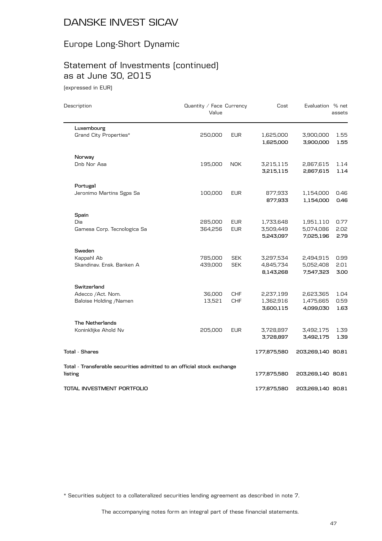# Europe Long-Short Dynamic

# Statement of Investments (continued) as at June 30, 2015

(expressed in EUR)

| Description                                                            | Quantity / Face Currency<br>Value |            | Cost                   | Evaluation % net       | assets       |
|------------------------------------------------------------------------|-----------------------------------|------------|------------------------|------------------------|--------------|
| Luxembourg                                                             |                                   |            |                        |                        |              |
| Grand City Properties*                                                 | 250,000                           | <b>EUR</b> | 1,625,000<br>1,625,000 | 3,900,000<br>3,900,000 | 1.55<br>1.55 |
| Norway                                                                 |                                   |            |                        |                        |              |
| Dnb Nor Asa                                                            | 195,000                           | <b>NOK</b> | 3,215,115<br>3,215,115 | 2,867,615<br>2,867,615 | 1.14<br>1.14 |
| Portugal                                                               |                                   |            |                        |                        |              |
| Jeronimo Martins Sgps Sa                                               | 100,000                           | <b>EUR</b> | 877,933<br>877,933     | 1,154,000<br>1,154,000 | 0.46<br>0.46 |
| Spain                                                                  |                                   |            |                        |                        |              |
| Dia                                                                    | 285,000                           | <b>EUR</b> | 1,733,648              | 1,951,110              | 0.77         |
| Gamesa Corp. Tecnologica Sa                                            | 364,256                           | <b>EUR</b> | 3,509,449<br>5,243,097 | 5,074,086<br>7,025,196 | 2.02<br>2.79 |
| Sweden                                                                 |                                   |            |                        |                        |              |
| Kappahl Ab                                                             | 785,000                           | <b>SEK</b> | 3,297,534              | 2,494,915              | 0.99         |
| Skandinav, Ensk, Banken A                                              | 439,000                           | <b>SEK</b> | 4,845,734<br>8,143,268 | 5,052,408<br>7,547,323 | 2.01<br>3.00 |
| Switzerland                                                            |                                   |            |                        |                        |              |
| Adecco /Act. Nom.                                                      | 36,000                            | <b>CHF</b> | 2,237,199              | 2,623,365              | 1.04         |
| Baloise Holding / Namen                                                | 13,521                            | <b>CHF</b> | 1,362,916<br>3,600,115 | 1,475,665<br>4,099,030 | 0.59<br>1.63 |
| The Netherlands                                                        |                                   |            |                        |                        |              |
| Koninklijke Ahold Nv                                                   | 205,000                           | <b>EUR</b> | 3,728,897<br>3,728,897 | 3,492,175<br>3,492,175 | 1.39<br>1.39 |
| <b>Total - Shares</b>                                                  |                                   |            | 177,875,580            | 203,269,140 80.81      |              |
| Total - Transferable securities admitted to an official stock exchange |                                   |            |                        |                        |              |
| listing                                                                |                                   |            | 177,875,580            | 203,269,140 80.81      |              |
| TOTAL INVESTMENT PORTFOLIO                                             |                                   |            | 177.875.580            | 203,269,140 80.81      |              |

\* Securities subject to a collateralized securities lending agreement as described in note 7.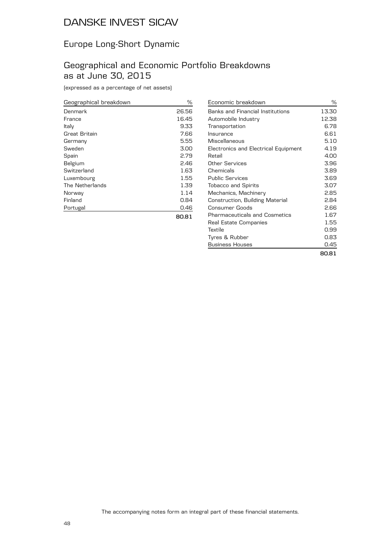## Europe Long-Short Dynamic

#### Geographical and Economic Portfolio Breakdowns as at June 30, 2015

(expressed as a percentage of net assets)

| Geographical breakdown | ℅     |
|------------------------|-------|
| Denmark                | 26.56 |
| France                 | 16.45 |
| Italy                  | 9.33  |
| Great Britain          | 7.66  |
| Germany                | 5.55  |
| Sweden                 | 3.00  |
| Spain                  | 2.79  |
| Belgium                | 2.46  |
| Switzerland            | 1.63  |
| Luxembourg             | 1.55  |
| The Netherlands        | 1.39  |
| Norway                 | 1.14  |
| Finland                | 0.84  |
| Portugal               | 0.46  |
|                        | 80.81 |

| Economic breakdown                   | %     |
|--------------------------------------|-------|
| Banks and Financial Institutions     | 13.30 |
| Automobile Industry                  | 12.38 |
| Transportation                       | 6.78  |
| Insurance                            | 6.61  |
| Miscellaneous                        | 5.10  |
| Electronics and Electrical Equipment | 4.19  |
| Retail                               | 4.NO  |
| Other Services                       | 3.96  |
| Chemicals                            | 3.89  |
| <b>Public Services</b>               | 3.69  |
| <b>Tobacco and Spirits</b>           | 3.07  |
| Mechanics, Machinery                 | 2.85  |
| Construction, Building Material      | 2.84  |
| Consumer Goods                       | 2.66  |
| <b>Pharmaceuticals and Cosmetics</b> | 1.67  |
| Real Estate Companies                | 1.55  |
| Textile                              | 0.99  |
| Tyres & Rubber                       | 0.83  |
| <b>Business Houses</b>               | 0.45  |
|                                      | 80.81 |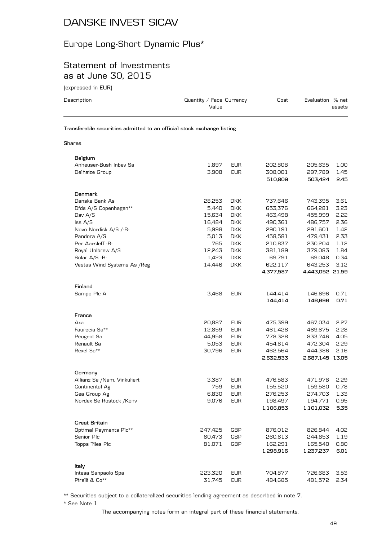# Europe Long-Short Dynamic Plus\*

#### Statement of Investments as at June 30, 2015

(expressed in EUR)

| Description                                                            | Quantity / Face Currency<br>Value |            | Cost               | Evaluation % net   | assets       |
|------------------------------------------------------------------------|-----------------------------------|------------|--------------------|--------------------|--------------|
| Transferable securities admitted to an official stock exchange listing |                                   |            |                    |                    |              |
| Shares                                                                 |                                   |            |                    |                    |              |
| Belgium                                                                |                                   |            |                    |                    |              |
| Anheuser-Bush Inbev Sa                                                 | 1,897                             | <b>EUR</b> | 202,808            | 205,635            | 1.00         |
| Delhaize Group                                                         | 3,908                             | <b>EUR</b> | 308,001<br>510,809 | 297,789<br>503,424 | 1.45<br>2.45 |
|                                                                        |                                   |            |                    |                    |              |
| <b>Denmark</b>                                                         |                                   |            |                    |                    |              |
| Danske Bank As                                                         | 28,253                            | DKK        | 737,646            | 743,395            | 3.61         |
| Dfds A/S Copenhagen**                                                  | 5,440                             | DKK        | 653,376            | 664,281            | 3.23         |
| Dsv A/S                                                                | 15,634                            | DKK.       | 463,498            | 455,999            | 2.22         |
| $\textsf{lss } A/S$                                                    | 16,484                            | <b>DKK</b> | 490,361            | 486,757            | 2.36         |
| Novo Nordisk A/S /-B-                                                  | 5,998                             | DKK.       | 290,191            | 291,601            | 1.42         |
| Pandora A/S                                                            | 5,013                             | <b>DKK</b> | 458,581            | 479,431            | 2.33         |
| Per Aarsleff -B-                                                       | 765                               | <b>DKK</b> | 210,837            | 230,204            | 1.12         |
| Royal Unibrew A/S                                                      | 12,243                            | DKK.       | 381,189            | 379,083            | 1.84         |
| Solar A/S -B-                                                          | 1,423                             | DKK.       | 69,791             | 69,048             | 0.34         |
| Vestas Wind Systems As / Reg                                           | 14,446                            | <b>DKK</b> | 622,117            | 643,253            | 3.12         |
|                                                                        |                                   |            | 4,377,587          | 4,443,052 21.59    |              |
| Finland                                                                |                                   |            |                    |                    |              |
| Sampo Plc A                                                            | 3,468                             | <b>EUR</b> | 144,414            | 146,696            | 0.71         |
|                                                                        |                                   |            | 144,414            | 146,696            | 0.71         |
| France                                                                 |                                   |            |                    |                    |              |
| Axa                                                                    | 20,887                            | <b>EUR</b> | 475,399            | 467,034            | 2.27         |
| Faurecia Sa**                                                          | 12,859                            | <b>EUR</b> | 461,428            | 469,675            | 2.28         |
| Peugeot Sa                                                             | 44,958                            | <b>EUR</b> | 778,328            | 833,746            | 4.05         |
| Renault Sa                                                             | 5,053                             | <b>EUR</b> | 454,814            | 472,304            | 2.29         |
| Rexel Sa**                                                             | 30,796                            | <b>EUR</b> | 462,564            | 444,386            | 2.16         |
|                                                                        |                                   |            | 2,632,533          | 2,687,145 13.05    |              |
| Germany                                                                |                                   |            |                    |                    |              |
| Allianz Se /Nam. Vinkuliert                                            | 3.387                             | EUR        | 476,583            | 471,978            | 2.29         |
| Continental Ag                                                         | 759                               | <b>EUR</b> | 155,520            | 159,580            | 0.78         |
| Gea Group Ag                                                           | 6,830                             | <b>EUR</b> | 276,253            | 274,703            | 1.33         |
| Nordex Se Rostock / Konv                                               | 9,076                             | <b>EUR</b> | 198,497            | 194,771            | 0.95         |
|                                                                        |                                   |            | 1,106,853          | 1,101,032          | 5.35         |
| Great Britain                                                          |                                   |            |                    |                    |              |
| Optimal Payments Plc**                                                 | 247,425                           | GBP        | 876,012            | 826,844            | 4.02         |
| Senior Plc                                                             | 60,473                            | GBP        | 260,613            | 244,853            | 1.19         |
| Topps Tiles Plc                                                        | 81,071                            | GBP        | 162,291            | 165,540            | 0.80         |
|                                                                        |                                   |            | 1,298,916          | 1,237,237          | 6.01         |
| Italy                                                                  |                                   |            |                    |                    |              |
| Intesa Sanpaolo Spa                                                    | 223,320                           | <b>EUR</b> | 704,877            | 726,683            | 3.53         |
| Pirelli & Co**                                                         | 31.745                            | <b>EUR</b> | 484.685            | 481.572            | 2.34         |

\*\* Securities subject to a collateralized securities lending agreement as described in note 7.

\* See Note 1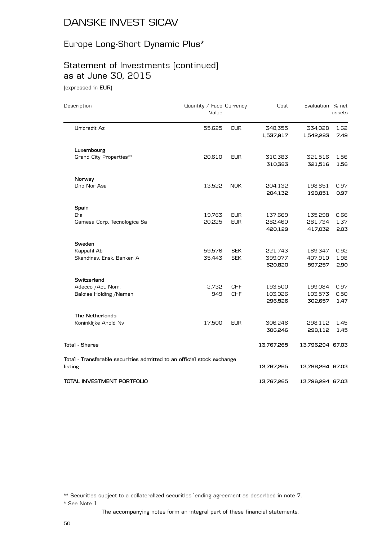# Europe Long-Short Dynamic Plus\*

# Statement of Investments (continued) as at June 30, 2015

(expressed in EUR)

| Description                                                                       | Quantity / Face Currency<br>Value |            | Cost                 | Evaluation % net     | assets       |
|-----------------------------------------------------------------------------------|-----------------------------------|------------|----------------------|----------------------|--------------|
| Unicredit Az                                                                      | 55,625                            | <b>EUR</b> | 348,355<br>1,537,917 | 334,028<br>1,542,283 | 1.62<br>7.49 |
| Luxembourg                                                                        |                                   |            |                      |                      |              |
| Grand City Properties**                                                           | 20,610                            | <b>EUR</b> | 310,383<br>310,383   | 321,516<br>321,516   | 1.56<br>1.56 |
| Norway                                                                            |                                   |            |                      |                      |              |
| Dnb Nor Asa                                                                       | 13,522                            | <b>NOK</b> | 204,132<br>204,132   | 198,851<br>198,851   | 0.97<br>0.97 |
| Spain                                                                             |                                   |            |                      |                      |              |
| Dia                                                                               | 19,763                            | <b>EUR</b> | 137,669              | 135,298              | 0.66         |
| Gamesa Corp. Tecnologica Sa                                                       | 20,225                            | <b>EUR</b> | 282,460<br>420,129   | 281,734<br>417,032   | 1.37<br>2.03 |
| Sweden                                                                            |                                   |            |                      |                      |              |
| Kappahl Ab                                                                        | 59,576                            | <b>SEK</b> | 221,743              | 189,347              | 0.92         |
| Skandinav, Ensk, Banken A                                                         | 35,443                            | <b>SEK</b> | 399,077<br>620,820   | 407,910<br>597,257   | 1.98<br>2.90 |
| Switzerland                                                                       |                                   |            |                      |                      |              |
| Adecco /Act. Nom.                                                                 | 2,732                             | <b>CHF</b> | 193,500              | 199,084              | 0.97         |
| Baloise Holding / Namen                                                           | 949                               | <b>CHF</b> | 103,026<br>296,526   | 103,573<br>302,657   | 0.50<br>1.47 |
| <b>The Netherlands</b>                                                            |                                   |            |                      |                      |              |
| Koninklijke Ahold Nv                                                              | 17,500                            | <b>EUR</b> | 306,246<br>306,246   | 298,112<br>298,112   | 1.45<br>1.45 |
| <b>Total - Shares</b>                                                             |                                   |            | 13,767,265           | 13,796,294 67.03     |              |
| Total - Transferable securities admitted to an official stock exchange<br>listing |                                   |            | 13,767,265           | 13,796,294 67.03     |              |
| TOTAL INVESTMENT PORTFOLIO                                                        |                                   |            | 13,767,265           | 13,796,294 67.03     |              |

\*\* Securities subject to a collateralized securities lending agreement as described in note 7.

\* See Note 1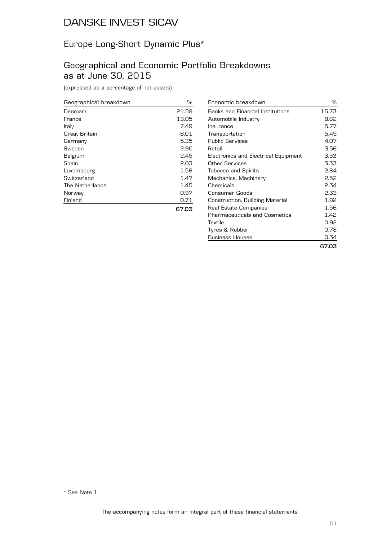# Europe Long-Short Dynamic Plus\*

#### Geographical and Economic Portfolio Breakdowns as at June 30, 2015

(expressed as a percentage of net assets)

| Geographical breakdown | %     |
|------------------------|-------|
| Denmark                | 21.59 |
| France                 | 13.05 |
| Italy                  | 7.49  |
| Great Britain          | 6.01  |
| Germany                | 5.35  |
| Sweden                 | 2.90  |
| Belgium                | 2.45  |
| Spain                  | 2.03  |
| Luxembourg             | 1.56  |
| Switzerland            | 1.47  |
| The Netherlands        | 1.45  |
| Norway                 | 0.97  |
| Finland                | 0.71  |
|                        |       |

| Economic breakdown                      | ℅     |
|-----------------------------------------|-------|
| <b>Banks and Financial Institutions</b> | 15.73 |
| Automobile Industry                     | 8.62  |
| Insurance                               | 5.77  |
| Transportation                          | 5.45  |
| Public Services                         | 4.07  |
| Retail                                  | 3.56  |
| Electronics and Electrical Equipment    | 3.53  |
| Other Services                          | 3.33  |
| <b>Tobacco and Spirits</b>              | 2.84  |
| Mechanics, Machinery                    | 2.52  |
| Chemicals                               | 2.34  |
| Consumer Goods                          | 2.33  |
| Construction, Building Material         | 1.92  |
| Real Estate Companies                   | 1.56  |
| Pharmaceuticals and Cosmetics           | 1.42  |
| Textile                                 | 0.92  |
| Tyres & Rubber                          | 0.78  |
| <b>Business Houses</b>                  | 0.34  |
|                                         | 67.03 |

**67.03**

\* See Note 1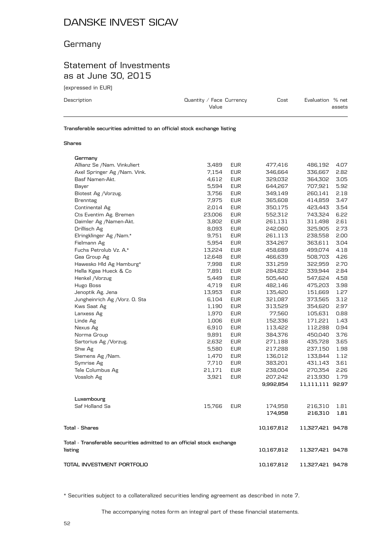## **Germany**

## Statement of Investments as at June 30, 2015

(expressed in EUR)

| Description | Quantity / Face Currency<br>Value                                      | Evaluation % net<br>Cost |  |  |  |
|-------------|------------------------------------------------------------------------|--------------------------|--|--|--|
|             | Transferable securities admitted to an official stock exchange listing |                          |  |  |  |

#### **Shares**

| Germany                                                                           |        |            |            |                  |      |
|-----------------------------------------------------------------------------------|--------|------------|------------|------------------|------|
| Allianz Se /Nam. Vinkuliert                                                       | 3,489  | <b>EUR</b> | 477,416    | 486,192          | 4.07 |
| Axel Springer Ag /Nam. Vink.                                                      | 7,154  | <b>EUR</b> | 346,664    | 336,667          | 2.82 |
| Basf Namen-Akt.                                                                   | 4,612  | <b>EUR</b> | 329,032    | 364,302          | 3.05 |
| Bayer                                                                             | 5,594  | <b>EUR</b> | 644,267    | 707,921          | 5.92 |
| Biotest Ag / Vorzug.                                                              | 3,756  | <b>EUR</b> | 349,149    | 260,141          | 2.18 |
| <b>Brenntag</b>                                                                   | 7,975  | <b>EUR</b> | 365,608    | 414,859          | 3.47 |
| Continental Ag                                                                    | 2,014  | <b>EUR</b> | 350,175    | 423,443          | 3.54 |
| Cts Eventim Ag. Bremen                                                            | 23,006 | <b>EUR</b> | 552,312    | 743,324          | 6.22 |
| Daimler Ag /Namen-Akt.                                                            | 3,802  | <b>EUR</b> | 261,131    | 311,498          | 2.61 |
| Drillisch Ag                                                                      | 8,093  | <b>EUR</b> | 242,060    | 325,905          | 2.73 |
| Elringklinger Ag /Nam.*                                                           | 9,751  | <b>EUR</b> | 261,113    | 238,558          | 2.00 |
| Fielmann Ag                                                                       | 5,954  | <b>EUR</b> | 334,267    | 363,611          | 3.04 |
| Fuchs Petrolub Vz. A.*                                                            | 13,224 | <b>EUR</b> | 458,689    | 499,074          | 4.18 |
| Gea Group Ag                                                                      | 12,648 | <b>EUR</b> | 466,639    | 508,703          | 4.26 |
| Hawesko Hld Ag Hamburg*                                                           | 7,998  | <b>EUR</b> | 331,259    | 322,959          | 2.70 |
| Hella Kgaa Hueck & Co                                                             | 7,891  | <b>EUR</b> | 284,822    | 339,944          | 2.84 |
| Henkel / Vorzug                                                                   | 5,449  | <b>EUR</b> | 505,440    | 547,624          | 4.58 |
| Hugo Boss                                                                         | 4,719  | <b>EUR</b> | 482,146    | 475,203          | 3.98 |
| Jenoptik Ag. Jena                                                                 | 13,953 | <b>EUR</b> | 135,420    | 151,669          | 1.27 |
| Jungheinrich Ag /Vorz. O. Sta                                                     | 6,104  | <b>EUR</b> | 321,087    | 373,565          | 3.12 |
| Kws Saat Ag                                                                       | 1,190  | <b>EUR</b> | 313,529    | 354,620          | 2.97 |
| Lanxess Ag                                                                        | 1,970  | <b>EUR</b> | 77,560     | 105,631          | 0.88 |
| Linde Ag                                                                          | 1,006  | <b>EUR</b> | 152,336    | 171,221          | 1.43 |
| Nexus Ag                                                                          | 6,910  | <b>EUR</b> | 113,422    | 112,288          | 0.94 |
| Norma Group                                                                       | 9,891  | <b>EUR</b> | 384,376    | 450,040          | 3.76 |
| Sartorius Ag / Vorzug.                                                            | 2,632  | <b>EUR</b> | 271,188    | 435,728          | 3.65 |
| Shw Ag                                                                            | 5,580  | <b>EUR</b> | 217,288    | 237,150          | 1.98 |
| Siemens Ag /Nam.                                                                  | 1,470  | <b>EUR</b> | 136,012    | 133,844          | 1.12 |
| Symrise Ag                                                                        | 7,710  | <b>EUR</b> | 383,201    | 431,143          | 3.61 |
| Tele Columbus Ag                                                                  | 21,171 | <b>EUR</b> | 238,004    | 270,354          | 2.26 |
| Vossloh Ag                                                                        | 3,921  | <b>EUR</b> | 207,242    | 213,930          | 1.79 |
|                                                                                   |        |            | 9,992,854  | 11,111,111 92.97 |      |
| Luxembourg                                                                        |        |            |            |                  |      |
| Saf Holland Sa                                                                    | 15,766 | <b>EUR</b> | 174,958    | 216,310          | 1.81 |
|                                                                                   |        |            | 174,958    | 216,310          | 1.81 |
| <b>Total - Shares</b>                                                             |        |            | 10,167,812 | 11,327,421 94.78 |      |
| Total - Transferable securities admitted to an official stock exchange<br>listing |        |            | 10,167,812 | 11,327,421 94.78 |      |
| TOTAL INVESTMENT PORTFOLIO                                                        |        |            |            |                  |      |
|                                                                                   |        |            | 10,167,812 | 11,327,421 94.78 |      |

\* Securities subject to a collateralized securities lending agreement as described in note 7.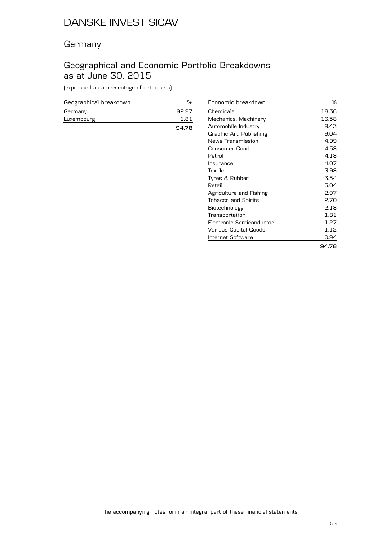#### **Germany**

## Geographical and Economic Portfolio Breakdowns as at June 30, 2015

(expressed as a percentage of net assets)

| Geographical breakdown |       |
|------------------------|-------|
| Germany                | 92.97 |
| Luxembourg             | 181   |
|                        | 94.78 |

| Economic breakdown         | ℅     |
|----------------------------|-------|
| Chemicals                  | 18.36 |
| Mechanics, Machinery       | 16.58 |
| Automobile Industry        | 9.43  |
| Graphic Art, Publishing    | 9.04  |
| News Transmission          | 4.99  |
| Consumer Goods             | 4.58  |
| Petrol                     | 4.18  |
| Insurance                  | 4.07  |
| Textile                    | 3.98  |
| Tyres & Rubber             | 3.54  |
| Retail                     | 3.04  |
| Agriculture and Fishing    | 2.97  |
| <b>Tobacco and Spirits</b> | 2.70  |
| Biotechnology              | 2.18  |
| Transportation             | 1.81  |
| Electronic Semiconductor   | 1.27  |
| Various Capital Goods      | 1.12  |
| Internet Software          | 0.94  |
|                            | 94.78 |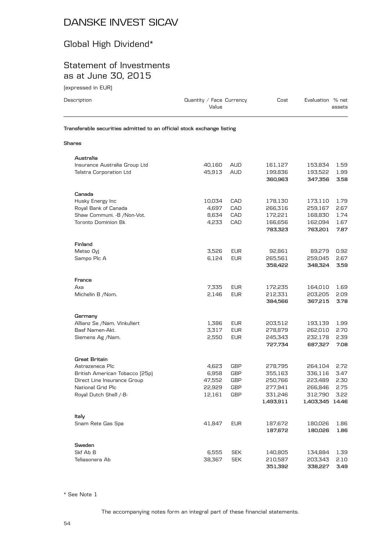# Global High Dividend\*

## Statement of Investments as at June 30, 2015

(expressed in EUR)

| Description                                                            | Quantity / Face Currency<br>Value |            | Cost                 | Evaluation % net           | assets       |
|------------------------------------------------------------------------|-----------------------------------|------------|----------------------|----------------------------|--------------|
| Transferable securities admitted to an official stock exchange listing |                                   |            |                      |                            |              |
| Shares                                                                 |                                   |            |                      |                            |              |
| Australia                                                              |                                   |            |                      |                            |              |
| Insurance Australia Group Ltd                                          | 40,160                            | <b>AUD</b> | 161,127              | 153,834                    | 1.59         |
| <b>Telstra Corporation Ltd</b>                                         | 45,913                            | <b>AUD</b> | 199,836<br>360,963   | 193,522<br>347,356         | 1.99<br>3.58 |
| Canada                                                                 |                                   |            |                      |                            |              |
| Husky Energy Inc                                                       | 10,034                            | CAD        | 178,130              | 173,110                    | 1.79         |
| Royal Bank of Canada                                                   | 4,697                             | CAD        | 266,316              | 259,167                    | 2.67         |
| Shaw Communi. - B / Non-Vot.                                           | 8,634                             | CAD        | 172,221              | 168,830                    | 1.74         |
| <b>Toronto Dominion Bk</b>                                             | 4,233                             | CAD        | 166,656<br>783,323   | 162,094<br>763,201         | 1.67<br>7.87 |
| Finland                                                                |                                   |            |                      |                            |              |
| Metso Oyj                                                              | 3,526                             | <b>EUR</b> | 92,861               | 89,279                     | 0.92         |
| Sampo Plc A                                                            | 6,124                             | <b>EUR</b> | 265,561              | 259,045                    | 2.67         |
|                                                                        |                                   |            | 358,422              | 348,324                    | 3.59         |
| France                                                                 |                                   |            |                      |                            |              |
| Axa                                                                    | 7,335                             | <b>EUR</b> | 172,235              | 164,010                    | 1.69         |
| Michelin B / Nom.                                                      | 2,146                             | <b>EUR</b> | 212,331<br>384,566   | 203,205<br>367,215         | 2.09<br>3.78 |
| Germany                                                                |                                   |            |                      |                            |              |
| Allianz Se /Nam. Vinkuliert                                            | 1,386                             | <b>EUR</b> | 203,512              | 193,139                    | 1.99         |
| Basf Namen-Akt.                                                        | 3,317                             | <b>EUR</b> | 278,879              | 262,010                    | 2.70         |
| Siemens Ag /Nam.                                                       | 2,550                             | <b>EUR</b> | 245,343              | 232,178                    | 2.39         |
|                                                                        |                                   |            | 727,734              | 687,327                    | 7.08         |
| <b>Great Britain</b>                                                   |                                   |            |                      |                            |              |
| Astrazeneca Plc                                                        | 4,623                             | GBP        | 278,795              | 264,104                    | 2.72         |
| British American Tobacco (25p)                                         | 6,958                             | GBP        | 355,163              | 336,116                    | 3.47         |
| Direct Line Insurance Group                                            | 47,552                            | GBP        | 250,766              | 223,489                    | 2.30         |
| National Grid Plc                                                      | 22,929                            | <b>GBP</b> | 277,941              | 266,846                    | 2.75         |
| Royal Dutch Shell /-B-                                                 | 12,161                            | GBP        | 331,246<br>1,493,911 | 312,790<br>1,403,345 14.46 | 3.22         |
| Italy                                                                  |                                   |            |                      |                            |              |
| Snam Rete Gas Spa                                                      | 41,847                            | <b>EUR</b> | 187,672              | 180,026                    | 1.86         |
|                                                                        |                                   |            | 187,672              | 180,026                    | 1.86         |
| Sweden                                                                 |                                   |            |                      |                            |              |
| Skf Ab B                                                               | 6,555                             | <b>SEK</b> | 140,805              | 134,884                    | 1.39         |
| Teliasonera Ab                                                         | 38,367                            | <b>SEK</b> | 210,587              | 203,343                    | 2.10         |

\* See Note 1

The accompanying notes form an integral part of these financial statements.

**351,392 338,227 3.49**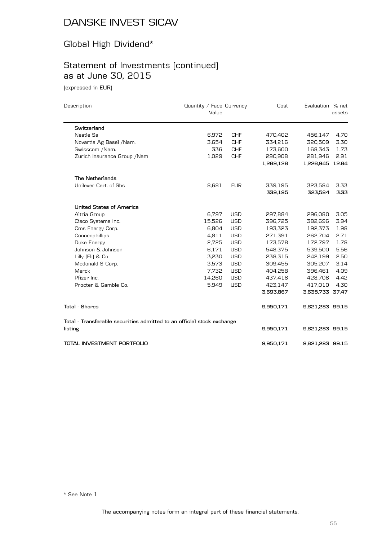# Global High Dividend\*

# Statement of Investments (continued) as at June 30, 2015

(expressed in EUR)

| Description                                                            | Quantity / Face Currency<br>Value |            | Cost      | Evaluation % net | assets |
|------------------------------------------------------------------------|-----------------------------------|------------|-----------|------------------|--------|
| Switzerland                                                            |                                   |            |           |                  |        |
| Nestle Sa                                                              | 6,972                             | <b>CHF</b> | 470,402   | 456,147          | 4.70   |
| Novartis Ag Basel /Nam.                                                | 3,654                             | <b>CHF</b> | 334,216   | 320,509          | 3.30   |
| Swisscom /Nam.                                                         | 336                               | <b>CHF</b> | 173,600   | 168,343          | 1.73   |
| Zurich Insurance Group / Nam                                           | 1,029                             | <b>CHF</b> | 290,908   | 281,946          | 2.91   |
|                                                                        |                                   |            | 1,269,126 | 1,226,945 12.64  |        |
| The Netherlands                                                        |                                   |            |           |                  |        |
| Unilever Cert, of Shs                                                  | 8,681                             | <b>EUR</b> | 339,195   | 323,584          | 3.33   |
|                                                                        |                                   |            | 339,195   | 323,584          | 3.33   |
| <b>United States of America</b>                                        |                                   |            |           |                  |        |
| Altria Group                                                           | 6,797                             | <b>USD</b> | 297,884   | 296,080          | 3.05   |
| Cisco Systems Inc.                                                     | 15,526                            | <b>USD</b> | 396,725   | 382,696          | 3.94   |
| Cms Energy Corp.                                                       | 6,804                             | <b>USD</b> | 193,323   | 192.373          | 1.98   |
| Conocophillips                                                         | 4,811                             | <b>USD</b> | 271,391   | 262,704          | 2.71   |
| Duke Energy                                                            | 2,725                             | <b>USD</b> | 173,578   | 172,797          | 1.78   |
| Johnson & Johnson                                                      | 6,171                             | <b>USD</b> | 548,375   | 539,500          | 5.56   |
| Lilly [Eli] & Co                                                       | 3,230                             | <b>USD</b> | 238,315   | 242,199          | 2.50   |
| Mcdonald S Corp.                                                       | 3,573                             | <b>USD</b> | 309,455   | 305,207          | 3.14   |
| Merck                                                                  | 7,732                             | <b>USD</b> | 404,258   | 396,461          | 4.09   |
| Pfizer Inc.                                                            | 14,260                            | <b>USD</b> | 437,416   | 428,706          | 4.42   |
| Procter & Gamble Co.                                                   | 5,949                             | <b>USD</b> | 423,147   | 417,010          | 4.30   |
|                                                                        |                                   |            | 3,693,867 | 3,635,733 37.47  |        |
| <b>Total - Shares</b>                                                  |                                   |            | 9,950,171 | 9,621,283 99.15  |        |
| Total - Transferable securities admitted to an official stock exchange |                                   |            |           |                  |        |
| listing                                                                |                                   |            | 9,950,171 | 9,621,283 99.15  |        |
| TOTAL INVESTMENT PORTFOLIO                                             |                                   |            | 9,950,171 | 9,621,283 99.15  |        |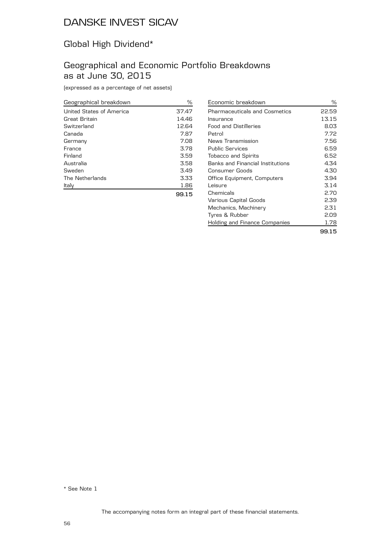## Global High Dividend\*

## Geographical and Economic Portfolio Breakdowns as at June 30, 2015

(expressed as a percentage of net assets)

| Geographical breakdown   | %     |
|--------------------------|-------|
| United States of America | 37.47 |
| Great Britain            | 14.46 |
| Switzerland              | 12.64 |
| Canada                   | 7.87  |
| Germany                  | 7.08  |
| France                   | 3.78  |
| Finland                  | 3.59  |
| Australia                | 3.58  |
| Sweden                   | 3.49  |
| The Netherlands          | 3.33  |
| Italy                    | 1.86  |
|                          | 99.15 |

| Economic breakdown                      | ℅     |
|-----------------------------------------|-------|
| <b>Pharmaceuticals and Cosmetics</b>    | 22.59 |
| Insurance                               | 13.15 |
| Food and Distilleries                   | 8.03  |
| Petrol                                  | 7.72  |
| News Transmission                       | 7.56  |
| <b>Public Services</b>                  | 6.59  |
| <b>Tobacco and Spirits</b>              | 6.52  |
| <b>Banks and Financial Institutions</b> | 4.34  |
| Consumer Goods                          | 4.30  |
| Office Equipment, Computers             | 3.94  |
| Leisure                                 | 3.14  |
| Chemicals                               | 2.70  |
| Various Capital Goods                   | 2.39  |
| Mechanics, Machinery                    | 2.31  |
| Tyres & Rubber                          | 2.09  |
| Holding and Finance Companies           | 1.78  |
|                                         |       |

**99.15**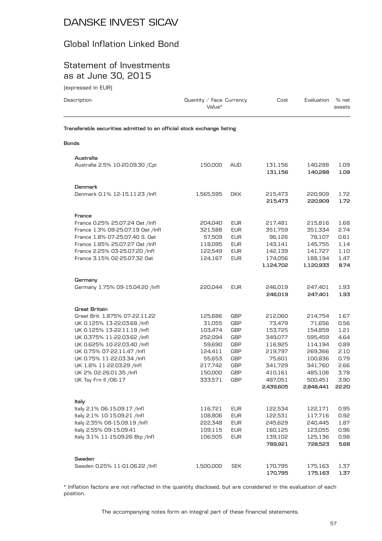## Global Inflation Linked Bond

#### Statement of Investments as at June 30, 2015

(expressed in EUR)

| Description                                                                                                                                                                                                                                                                                                      | Quantity / Face Currency<br>Value*                                                                      |                                                                                                                                   | Cost                                                                                                                  | Evaluation                                                                                                             | % net<br>assets                                                                       |
|------------------------------------------------------------------------------------------------------------------------------------------------------------------------------------------------------------------------------------------------------------------------------------------------------------------|---------------------------------------------------------------------------------------------------------|-----------------------------------------------------------------------------------------------------------------------------------|-----------------------------------------------------------------------------------------------------------------------|------------------------------------------------------------------------------------------------------------------------|---------------------------------------------------------------------------------------|
| Transferable securities admitted to an official stock exchange listing                                                                                                                                                                                                                                           |                                                                                                         |                                                                                                                                   |                                                                                                                       |                                                                                                                        |                                                                                       |
| <b>Bonds</b>                                                                                                                                                                                                                                                                                                     |                                                                                                         |                                                                                                                                   |                                                                                                                       |                                                                                                                        |                                                                                       |
| Australia                                                                                                                                                                                                                                                                                                        |                                                                                                         |                                                                                                                                   |                                                                                                                       |                                                                                                                        |                                                                                       |
| Australia 2.5% 10-20.09.30 / Cpi                                                                                                                                                                                                                                                                                 | 150,000                                                                                                 | <b>AUD</b>                                                                                                                        | 131,156<br>131,156                                                                                                    | 140,288<br>140,288                                                                                                     | 1.09<br>1.09                                                                          |
| Denmark                                                                                                                                                                                                                                                                                                          |                                                                                                         |                                                                                                                                   |                                                                                                                       |                                                                                                                        |                                                                                       |
| Denmark 0.1% 12-15.11.23 /Infl                                                                                                                                                                                                                                                                                   | 1,565,595                                                                                               | <b>DKK</b>                                                                                                                        | 215,473<br>215,473                                                                                                    | 220,909<br>220,909                                                                                                     | 1.72<br>1.72                                                                          |
| France                                                                                                                                                                                                                                                                                                           |                                                                                                         |                                                                                                                                   |                                                                                                                       |                                                                                                                        |                                                                                       |
| France 0.25% 25.07.24 Oat /Infl<br>France 1.3% 09-25.07.19 Oat /Infl<br>France 1.8% 07-25.07.40 S. Oat<br>France 1.85% 25.07.27 Oat /Infl<br>France 2.25% 03-25.07.20 /Infl<br>France 3.15% 02-25.07.32 Oat                                                                                                      | 204,040<br>321,588<br>57,509<br>118,095<br>122,549<br>124,167                                           | <b>EUR</b><br><b>EUR</b><br><b>EUR</b><br><b>EUR</b><br><b>EUR</b><br><b>EUR</b>                                                  | 217,481<br>351,759<br>96,126<br>143,141<br>142,139<br>174,056<br>1,124,702                                            | 215,816<br>351,334<br>78.107<br>145,755<br>141,727<br>188,194<br>1,120,933                                             | 1.68<br>2.74<br>0.61<br>1.14<br>1.10<br>1.47<br>8.74                                  |
|                                                                                                                                                                                                                                                                                                                  |                                                                                                         |                                                                                                                                   |                                                                                                                       |                                                                                                                        |                                                                                       |
| Germany<br>Germany 1.75% 09-15.04.20 /Infl                                                                                                                                                                                                                                                                       | 220,044                                                                                                 | <b>EUR</b>                                                                                                                        | 246,019<br>246,019                                                                                                    | 247,401<br>247,401                                                                                                     | 1.93<br>1.93                                                                          |
| <b>Great Britain</b>                                                                                                                                                                                                                                                                                             |                                                                                                         |                                                                                                                                   |                                                                                                                       |                                                                                                                        |                                                                                       |
| Great Brit. 1.875% 07-22.11.22<br>UK 0.125% 13-22.03.68 /lnfl<br>UK 0.125% 13-22.11.19 /Infl<br>UK 0.375% 11-22.03.62 /lnfl<br>UK 0.625% 10-22.03.40 /lnfl<br>UK 0.75% 07-22.11.47 /Infl<br>UK 0.75% 11-22.03.34 /Infl<br>UK 1.8% 11-22.03.29 /lnfl<br>UK 2% 02-26.01.35 /lnfl<br>UK Tsy Frn II / 06-17<br>Italy | 125,686<br>31,055<br>103,474<br>252,094<br>59,690<br>124,411<br>55,653<br>217,742<br>150,000<br>333,571 | GBP<br><b>GBP</b><br><b>GBP</b><br><b>GBP</b><br><b>GBP</b><br><b>GBP</b><br><b>GBP</b><br><b>GBP</b><br><b>GBP</b><br><b>GBP</b> | 212,060<br>73,479<br>153,725<br>349,077<br>116,925<br>219,797<br>75,601<br>341,729<br>410,161<br>487,051<br>2,439,605 | 214,754<br>71,656<br>154,859<br>595,459<br>114,194<br>269,366<br>100,836<br>341,760<br>485,106<br>500,451<br>2,848,441 | 1.67<br>0.56<br>1.21<br>4.64<br>0.89<br>2.10<br>0.79<br>2.66<br>3.78<br>3.90<br>22.20 |
| Italy 2.1% 06-15.09.17 /Infl<br>Italy 2.1% 10-15.09.21 /Infl<br>Italy 2.35% 08-15.09.19 /Infl<br>Italy 2.55% 09-15.09.41<br>Italy 3.1% 11-15.09.26 Btp /Infl                                                                                                                                                     | 116,721<br>108,806<br>222,348<br>109,115<br>106,505                                                     | <b>EUR</b><br><b>EUR</b><br><b>EUR</b><br><b>EUR</b><br><b>EUR</b>                                                                | 122,534<br>122,531<br>245,629<br>160,125<br>139,102<br>789,921                                                        | 122,171<br>117,716<br>240,445<br>123,055<br>125,136<br>728,523                                                         | 0.95<br>0.92<br>1.87<br>0.96<br>0.98<br>5.68                                          |
| Sweden<br>Sweden 0.25% 11-01.06.22 /Infl                                                                                                                                                                                                                                                                         | 1,500,000                                                                                               | <b>SEK</b>                                                                                                                        | 170,795<br>170,795                                                                                                    | 175,163<br>175,163                                                                                                     | 1.37<br>1.37                                                                          |

\* Inflation factors are not reflected in the quantity disclosed, but are considered in the evaluation of each position.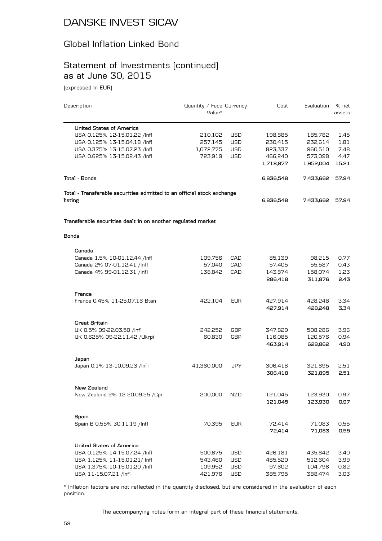#### Global Inflation Linked Bond

#### Statement of Investments (continued) as at June 30, 2015

(expressed in EUR)

| Description                                                            | Quantity / Face Currency<br>Value* |            | Cost      | Evaluation | % net<br>assets |
|------------------------------------------------------------------------|------------------------------------|------------|-----------|------------|-----------------|
| <b>United States of America</b>                                        |                                    |            |           |            |                 |
| USA 0.125% 12-15.01.22 /Infl                                           | 210,102                            | USD        | 198,885   | 185,782    | 1.45            |
| USA 0.125% 13-15.04.18 /Infl                                           | 257,145                            | <b>USD</b> | 230,415   | 232,614    | 1.81            |
| USA 0.375% 13-15.07.23 /Infl                                           | 1,072,775                          | USD        | 823,337   | 960,510    | 7.48            |
| USA 0.625% 13-15.02.43 /Infl                                           | 723,919                            | USD        | 466,240   | 573,098    | 4.47            |
|                                                                        |                                    |            | 1,718,877 | 1,952,004  | 15.21           |
| Total - Bonds                                                          |                                    |            | 6,836,548 | 7,433,662  | 57.94           |
| Total - Transferable securities admitted to an official stock exchange |                                    |            |           |            |                 |
| listing                                                                |                                    |            | 6,836,548 | 7,433,662  | 57.94           |
| Transferable securities dealt in on another regulated market           |                                    |            |           |            |                 |
| <b>Bonds</b>                                                           |                                    |            |           |            |                 |
| Canada                                                                 |                                    |            |           |            |                 |
| Canada 1.5% 10-01.12.44 /Infl                                          | 109,756                            | CAD        | 85,139    | 98,215     | 0.77            |
| Canada 2% 07-01.12.41 /Infl                                            | 57,040                             | CAD        | 57,405    | 55,587     | 0.43            |
| Canada 4% 99-01.12.31 /Infl                                            | 138,842                            | CAD        | 143,874   | 158,074    | 1.23            |
|                                                                        |                                    |            | 286,418   | 311,876    | 2.43            |
| France                                                                 |                                    |            |           |            |                 |
| France 0.45% 11-25.07.16 Btan                                          | 422,104                            | EUR        | 427,914   | 428,248    | 3.34            |
|                                                                        |                                    |            | 427,914   | 428,248    | 3.34            |
| Great Britain                                                          |                                    |            |           |            |                 |
| UK 0.5% 09-22.03.50 /lnfl                                              | 242,252                            | GBP        | 347,829   | 508,286    | 3.96            |
| UK 0.625% 09-22.11.42 / Ukrpi                                          | 60,830                             | GBP        | 116,085   | 120,576    | 0.94            |
|                                                                        |                                    |            | 463,914   | 628,862    | 4.90            |
| Japan                                                                  |                                    |            |           |            |                 |
| Japan 0.1% 13-10.09.23 /lnfl                                           | 41,360,000                         | JPY        | 306,418   | 321,895    | 2.51            |
|                                                                        |                                    |            | 306,418   | 321,895    | 2.51            |
| New Zealand                                                            |                                    |            |           |            |                 |
| New Zealand 2% 12-20.09.25 / Cpi                                       | 200,000                            | <b>NZD</b> | 121,045   | 123,930    | 0.97            |
|                                                                        |                                    |            | 121,045   | 123,930    | 0.97            |
| Spain<br>Spain B 0.55% 30.11.19 /Infl                                  | 70,395                             | <b>EUR</b> | 72,414    | 71,083     | 0.55            |
|                                                                        |                                    |            | 72,414    | 71,083     | 0.55            |
| United States of America                                               |                                    |            |           |            |                 |
| USA 0.125% 14-15.07.24 /Infl                                           | 500,675                            | USD        | 426,181   | 435,842    | 3.40            |
| USA 1.125% 11-15.01.21/ Infl                                           | 543,460                            | USD        | 485,520   | 512,604    | 3.99            |
| USA 1.375% 10-15.01.20 /Infl                                           | 109,952                            | USD        | 97,602    | 104,796    | 0.82            |
| USA 11-15.07.21 /Infl                                                  | 421,976                            | USD        | 385,795   | 388,474    | 3.03            |
|                                                                        |                                    |            |           |            |                 |

\* Inflation factors are not reflected in the quantity disclosed, but are considered in the evaluation of each position.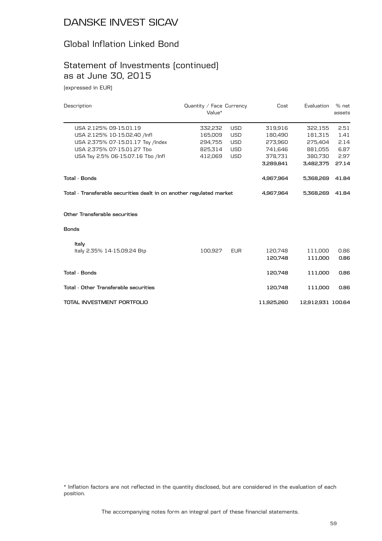#### Global Inflation Linked Bond

#### Statement of Investments (continued) as at June 30, 2015

(expressed in EUR)

| Description                                                          | Quantity / Face Currency<br>Value* |            | Cost       | Evaluation        | % net<br>assets |
|----------------------------------------------------------------------|------------------------------------|------------|------------|-------------------|-----------------|
| USA 2.125% 09-15.01.19                                               | 332,232                            | <b>USD</b> | 319,916    | 322,155           | 2.51            |
| USA 2.125% 10-15.02.40 /Infl                                         | 165,009                            | <b>USD</b> | 180.490    | 181,315           | 1.41            |
| USA 2.375% 07-15.01.17 Tsy /Index                                    | 294,755                            | <b>USD</b> | 273.960    | 275.404           | 2.14            |
| USA 2.375% 07-15.01.27 Tbo                                           | 825,314                            | <b>USD</b> | 741,646    | 881,055           | 6.87            |
| USA Tsy 2.5% 06-15.07.16 Tbo /Infl                                   | 412,069                            | <b>USD</b> | 378,731    | 380.730           | 2.97            |
|                                                                      |                                    |            | 3,289,841  | 3,482,375         | 27.14           |
| <b>Total - Bonds</b>                                                 |                                    |            | 4,967,964  | 5,368,269         | 41.84           |
| Total - Transferable securities dealt in on another regulated market |                                    |            | 4,967,964  | 5,368,269         | 41.84           |
| Other Transferable securities                                        |                                    |            |            |                   |                 |
| <b>Bonds</b>                                                         |                                    |            |            |                   |                 |
| Italy                                                                |                                    |            |            |                   |                 |
| Italy 2.35% 14-15.09.24 Btp                                          | 100,927                            | <b>EUR</b> | 120,748    | 111,000           | 0.86            |
|                                                                      |                                    |            | 120,748    | 111,000           | 0.86            |
| <b>Total - Bonds</b>                                                 |                                    |            | 120,748    | 111,000           | 0.86            |
| Total - Other Transferable securities                                |                                    |            | 120,748    | 111,000           | 0.86            |
| TOTAL INVESTMENT PORTFOLIO                                           |                                    |            | 11,925,260 | 12,912,931 100.64 |                 |

\* Inflation factors are not reflected in the quantity disclosed, but are considered in the evaluation of each position.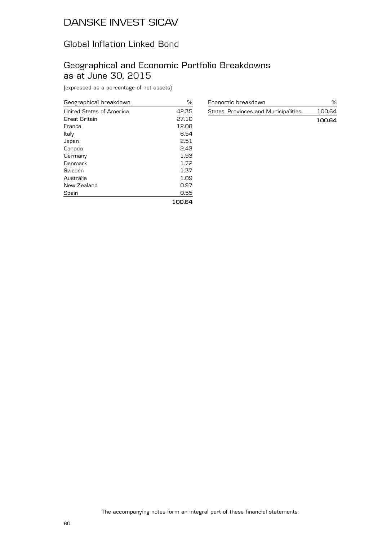## Global Inflation Linked Bond

## Geographical and Economic Portfolio Breakdowns as at June 30, 2015

(expressed as a percentage of net assets)

| Geographical breakdown   | $\frac{0}{0}$ |
|--------------------------|---------------|
| United States of America | 42.35         |
| Great Britain            | 27.10         |
| France                   | 12.08         |
| Italy                    | 6.54          |
| Japan                    | 2.51          |
| Canada                   | 2.43          |
| Germany                  | 1.93          |
| Denmark                  | 1.72          |
| Sweden                   | 1.37          |
| Australia                | 1.09          |
| New Zealand              | 0.97          |
| Spain                    | 0.55          |
|                          | 100.64        |

| Economic breakdown                   |        |
|--------------------------------------|--------|
| States, Provinces and Municipalities | 100.64 |
|                                      | 100.64 |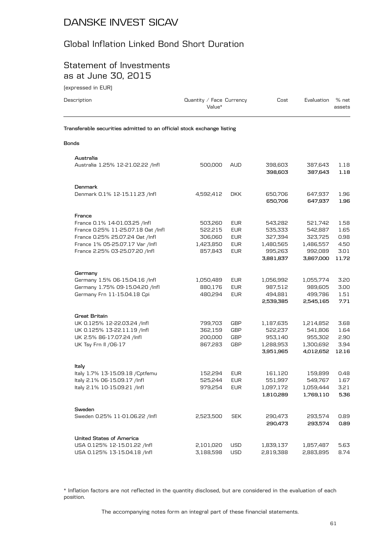## Global Inflation Linked Bond Short Duration

#### Statement of Investments as at June 30, 2015

(expressed in EUR)

| Description                                                            | Quantity / Face Currency<br>Value* |            | Cost      | Evaluation | % net<br>assets |
|------------------------------------------------------------------------|------------------------------------|------------|-----------|------------|-----------------|
| Transferable securities admitted to an official stock exchange listing |                                    |            |           |            |                 |
| Bonds                                                                  |                                    |            |           |            |                 |
| Australia                                                              |                                    |            |           |            |                 |
| Australia 1.25% 12-21.02.22 /Infl                                      | 500,000                            | <b>AUD</b> | 398,603   | 387,643    | 1.18            |
|                                                                        |                                    |            | 398,603   | 387,643    | 1.18            |
| Denmark                                                                |                                    |            |           |            |                 |
| Denmark 0.1% 12-15.11.23 /Infl                                         | 4,592,412                          | <b>DKK</b> | 650,706   | 647,937    | 1.96            |
|                                                                        |                                    |            | 650,706   | 647,937    | 1.96            |
| France                                                                 |                                    |            |           |            |                 |
| France 0.1% 14-01.03.25 /Infl                                          | 503,260                            | <b>EUR</b> | 543,282   | 521,742    | 1.58            |
| France 0.25% 11-25.07.18 Oat /Infl                                     | 522,215                            | <b>EUR</b> | 535,333   | 542,887    | 1.65            |
| France 0.25% 25.07.24 Oat /Infl                                        | 306,060                            | <b>EUR</b> | 327,394   | 323,725    | 0.98            |
| France 1% 05-25.07.17 Var /Infl                                        | 1,423,850                          | <b>EUR</b> | 1,480,565 | 1,486,557  | 4.50            |
| France 2.25% 03-25.07.20 /Infl                                         | 857,843                            | <b>EUR</b> | 995,263   | 992,089    | 3.01            |
|                                                                        |                                    |            | 3,881,837 | 3,867,000  | 11.72           |
| Germany                                                                |                                    |            |           |            |                 |
| Germany 1.5% 06-15.04.16 /Infl                                         | 1,050,489                          | EUR        | 1,056,992 | 1,055,774  | 3.20            |
| Germany 1.75% 09-15.04.20 /Infl                                        | 880,176                            | <b>EUR</b> | 987,512   | 989,605    | 3.00            |
| Germany Frn 11-15.04.18 Cpi                                            | 480,294                            | <b>EUR</b> | 494,881   | 499,786    | 1.51            |
|                                                                        |                                    |            | 2,539,385 | 2,545,165  | 7.71            |
| <b>Great Britain</b>                                                   |                                    |            |           |            |                 |
| UK 0.125% 12-22.03.24 /Infl                                            | 799,703                            | GBP        | 1,187,635 | 1,214,852  | 3.68            |
| UK 0.125% 13-22.11.19 /Infl                                            | 362,159                            | GBP        | 522,237   | 541,806    | 1.64            |
| UK 2.5% 86-17.07.24 /Infl                                              | 200,000                            | <b>GBP</b> | 953,140   | 955,302    | 2.90            |
| UK Tsy Frn II / 06-17                                                  | 867,283                            | GBP        | 1,288,953 | 1,300,692  | 3.94            |
|                                                                        |                                    |            | 3,951,965 | 4,012,652  | 12.16           |
| Italy                                                                  |                                    |            |           |            |                 |
| Italy 1.7% 13-15.09.18 / Cptfemu                                       | 152,294                            | <b>EUR</b> | 161,120   | 159,899    | 0.48            |
| Italy 2.1% 06-15.09.17 /Infl                                           | 525,244                            | <b>EUR</b> | 551,997   | 549,767    | 1.67            |
| Italy 2.1% 10-15.09.21 /Infl                                           | 979,254                            | <b>EUR</b> | 1,097,172 | 1,059,444  | 3.21            |
|                                                                        |                                    |            | 1,810,289 | 1,769,110  | 5.36            |
| Sweden                                                                 |                                    |            |           |            |                 |
| Sweden 0.25% 11-01.06.22 /Infl                                         | 2,523,500                          | <b>SEK</b> | 290,473   | 293,574    | 0.89            |
|                                                                        |                                    |            | 290,473   | 293,574    | 0.89            |
| <b>United States of America</b>                                        |                                    |            |           |            |                 |
| USA 0.125% 12-15.01.22 /Infl                                           | 2,101,020                          | USD        | 1,839,137 | 1,857,487  | 5.63            |
| USA 0.125% 13-15.04.18 /Infl                                           | 3,188,598                          | USD        | 2,819,388 | 2,883,895  | 8.74            |

\* Inflation factors are not reflected in the quantity disclosed, but are considered in the evaluation of each position.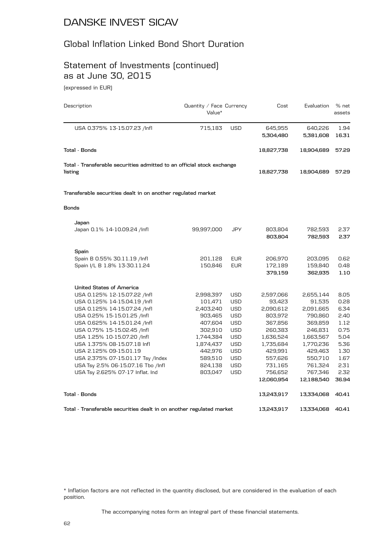#### Global Inflation Linked Bond Short Duration

# Statement of Investments (continued) as at June 30, 2015

(expressed in EUR)

| Description                                                            | Quantity / Face Currency<br>Value* |            | Cost       | Evaluation | % net<br>assets |
|------------------------------------------------------------------------|------------------------------------|------------|------------|------------|-----------------|
| USA 0.375% 13-15.07.23 /Infl                                           | 715,183                            | <b>USD</b> | 645,955    | 640,226    | 1.94            |
|                                                                        |                                    |            | 5,304,480  | 5,381,608  | 16.31           |
| Total - Bonds                                                          |                                    |            | 18,827,738 | 18,904,689 | 57.29           |
| Total - Transferable securities admitted to an official stock exchange |                                    |            |            |            |                 |
| listing                                                                |                                    |            | 18,827,738 | 18,904,689 | 57.29           |
| Transferable securities dealt in on another regulated market           |                                    |            |            |            |                 |
| <b>Bonds</b>                                                           |                                    |            |            |            |                 |
| Japan                                                                  |                                    |            |            |            |                 |
| Japan 0.1% 14-10.09.24 /Infl                                           | 99,997,000                         | <b>JPY</b> | 803,804    | 782,593    | 2.37            |
|                                                                        |                                    |            | 803,804    | 782,593    | 2.37            |
| Spain                                                                  |                                    |            |            |            |                 |
| Spain B 0.55% 30.11.19 /Infl                                           | 201,128                            | <b>EUR</b> | 206,970    | 203,095    | 0.62            |
| Spain I/L B 1.8% 13-30.11.24                                           | 150,846                            | <b>EUR</b> | 172,189    | 159,840    | 0.48            |
|                                                                        |                                    |            | 379,159    | 362,935    | 1.10            |
| <b>United States of America</b>                                        |                                    |            |            |            |                 |
| USA 0.125% 12-15.07.22 /lnfl                                           | 2,998,397                          | <b>USD</b> | 2,597,066  | 2,655,144  | 8.05            |
| USA 0.125% 14-15.04.19 /lnfl                                           | 101,471                            | <b>USD</b> | 93,423     | 91,535     | 0.28            |
| USA 0.125% 14-15.07.24 /lnfl                                           | 2,403,240                          | <b>USD</b> | 2,090,612  | 2,091,665  | 6.34            |
| USA 0.25% 15-15.01.25 /lnfl                                            | 903,465                            | <b>USD</b> | 803,972    | 790,860    | 2.40            |
| USA 0.625% 14-15.01.24 /Infl                                           | 407,604                            | <b>USD</b> | 367,856    | 369,859    | 1.12            |
| USA 0.75% 15-15.02.45 /Infl                                            | 302,910                            | <b>USD</b> | 260,383    | 246,831    | 0.75            |
| USA 1.25% 10-15.07.20 /lnfl                                            | 1,744,384                          | <b>USD</b> | 1,636,524  | 1,663,567  | 5.04            |
| USA 1.375% 08-15.07.18 Infl                                            | 1,874,437                          | <b>USD</b> | 1,735,684  | 1,770,236  | 5.36            |
| USA 2.125% 09-15.01.19                                                 | 442,976                            | <b>USD</b> | 429,991    | 429,463    | 1.30            |
| USA 2.375% 07-15.01.17 Tsy /Index                                      | 589,510                            | <b>USD</b> | 557,626    | 550,710    | 1.67            |
| USA Tsy 2.5% 06-15.07.16 Tbo /Infl                                     | 824,138                            | <b>USD</b> | 731,165    | 761,324    | 2.31            |
| USA Tsy 2.625% 07-17 Inflat. Ind                                       | 803,047                            | <b>USD</b> | 756,652    | 767,346    | 2.32            |
|                                                                        |                                    |            | 12,060,954 | 12,188,540 | 36.94           |
| Total - Bonds                                                          |                                    |            | 13,243,917 | 13,334,068 | 40.41           |
| Total - Transferable securities dealt in on another regulated market   |                                    |            | 13,243,917 | 13,334,068 | 40.41           |

\* Inflation factors are not reflected in the quantity disclosed, but are considered in the evaluation of each position.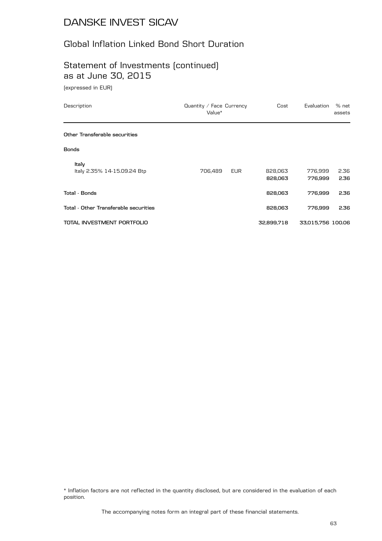## Global Inflation Linked Bond Short Duration

## Statement of Investments (continued) as at June 30, 2015

(expressed in EUR)

| Description                           | Quantity / Face Currency<br>Value* | Cost               | Evaluation         | % net<br>assets |
|---------------------------------------|------------------------------------|--------------------|--------------------|-----------------|
| Other Transferable securities         |                                    |                    |                    |                 |
| <b>Bonds</b>                          |                                    |                    |                    |                 |
| Italy<br>Italy 2.35% 14-15.09.24 Btp  | 706,489<br><b>EUR</b>              | 828,063<br>828,063 | 776,999<br>776,999 | 2.36<br>2.36    |
| <b>Total - Bonds</b>                  |                                    | 828,063            | 776,999            | 2.36            |
| Total - Other Transferable securities |                                    | 828,063            | 776.999            | 2.36            |
| TOTAL INVESTMENT PORTFOLIO            |                                    | 32,899,718         | 33,015,756 100.06  |                 |

\* Inflation factors are not reflected in the quantity disclosed, but are considered in the evaluation of each position.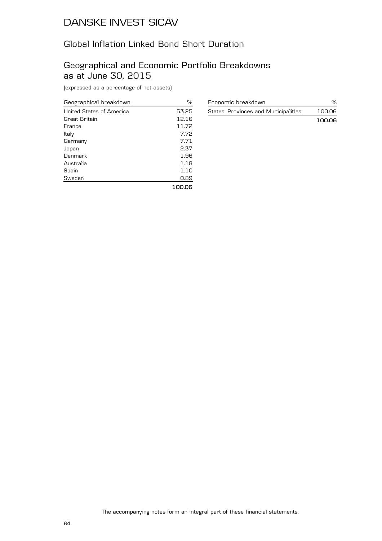## Global Inflation Linked Bond Short Duration

## Geographical and Economic Portfolio Breakdowns as at June 30, 2015

(expressed as a percentage of net assets)

| Geographical breakdown   | %      |
|--------------------------|--------|
| United States of America | 53.25  |
| Great Britain            | 12.16  |
| France                   | 11.72  |
| Italy                    | 7.72   |
| Germany                  | 7.71   |
| Japan                    | 2.37   |
| Denmark                  | 1.96   |
| Australia                | 1.18   |
| Spain                    | 1.10   |
| Sweden                   | 0.89   |
|                          | 100.06 |

| Economic breakdown                   |        |
|--------------------------------------|--------|
| States, Provinces and Municipalities | 100.06 |
|                                      | 100.06 |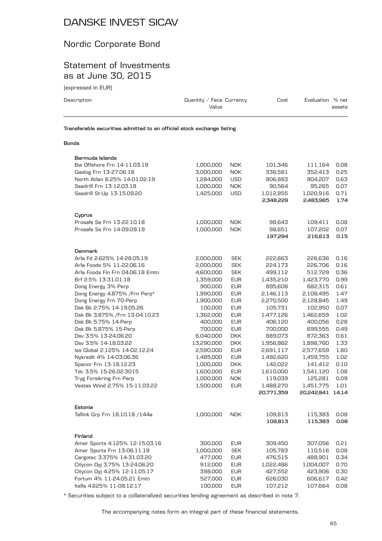## Nordic Corporate Bond

#### Statement of Investments as at June 30, 2015

(expressed in EUR)

| Description  | Quantity / Face Currency<br>Value                                      | Cost | Evaluation % net<br>assets |
|--------------|------------------------------------------------------------------------|------|----------------------------|
|              | Transferable securities admitted to an official stock exchange listing |      |                            |
| <b>Bonds</b> |                                                                        |      |                            |

| Bermuda Islands                  |            |            |            |            |       |
|----------------------------------|------------|------------|------------|------------|-------|
| Bw Offshore Frn 14-11.03.19      | 1,000,000  | <b>NOK</b> | 101,346    | 111,164    | 0.08  |
| Gaslog Frn 13-27.06.18           | 3,000,000  | <b>NOK</b> | 336,581    | 352,413    | 0.25  |
| North Atlan 6.25% 14-01.02.19    | 1,284,000  | <b>USD</b> | 806,883    | 904,207    | 0.63  |
| Seadrill Frn 13-12.03.18         | 1,000,000  | <b>NOK</b> | 90,564     | 95,265     | 0.07  |
| Seadrill St-Up 13-15.09.20       | 1,425,000  | <b>USD</b> | 1,012,855  | 1,020,916  | 0.71  |
|                                  |            |            | 2,348,229  | 2,483,965  | 1.74  |
| Cyprus                           |            |            |            |            |       |
| Prosafe Se Frn 13-22.10.18       | 1,000,000  | <b>NOK</b> | 98,643     | 109,411    | 0.08  |
| Prosafe Se Frn 14-09.09.19       | 1,000,000  | <b>NOK</b> | 98,651     | 107,202    | 0.07  |
|                                  |            |            | 197,294    | 216,613    | 0.15  |
| Denmark                          |            |            |            |            |       |
| Arla Fd 2.625% 14-28.05.19       | 2,000,000  | <b>SEK</b> | 222,663    | 226,636    | 0.16  |
| Arla Foods 5% 11-22.06.16        | 2,000,000  | <b>SEK</b> | 224,173    | 226,706    | 0.16  |
| Arla Foods Fin Frn 04.06.18 Emtn | 4,600,000  | <b>SEK</b> | 499,112    | 512,729    | 0.36  |
| Brf 2.5% 13-31.01.18             | 1,359,000  | <b>EUR</b> | 1,435,210  | 1,423,770  | 0.99  |
| Dong Energy 3% Perp              | 900,000    | <b>EUR</b> | 895,608    | 882,315    | 0.61  |
| Dong Energy 4.875% / Frn Perp*   | 1,990,000  | <b>EUR</b> | 2,146,113  | 2,108,495  | 1.47  |
| Dong Energy Frn 70-Perp          | 1,900,000  | <b>EUR</b> | 2,270,500  | 2,128,845  | 1.49  |
| Dsk Bk 2.75% 14-19.05.26         | 100,000    | <b>EUR</b> | 105,731    | 102,950    | 0.07  |
| Dsk Bk 3.875% / Frn 13-04.10.23  | 1,362,000  | <b>EUR</b> | 1,477,126  | 1,462,659  | 1.02  |
| Dsk Bk 5.75% 14-Perp             | 400,000    | <b>EUR</b> | 406,120    | 400,056    | 0.28  |
| Dsk Bk 5.875% 15-Perp            | 700,000    | <b>EUR</b> | 700,000    | 699,555    | 0.49  |
| Dsv 3.5% 13-24.06.20             | 6,040,000  | <b>DKK</b> | 889,073    | 872,363    | 0.61  |
| Dsv 3.5% 14-18.03.22             | 13,290,000 | <b>DKK</b> | 1,956,862  | 1,898,760  | 1.33  |
| Iss Global 2.125% 14-02.12.24    | 2,590,000  | <b>EUR</b> | 2,691,117  | 2,577,659  | 1.80  |
| Nykredit 4% 14-03.06.36          | 1,485,000  | <b>EUR</b> | 1,492,620  | 1,459,755  | 1.02  |
| Spanor Frn 13-18.12.23           | 1,000,000  | <b>DKK</b> | 142,022    | 141,412    | 0.10  |
| Tdc 3.5% 15-26.02.3015           | 1,600,000  | <b>EUR</b> | 1,610,000  | 1,541,120  | 1.08  |
| Tryg Forsikring Frn Perp         | 1,000,000  | <b>NOK</b> | 119,039    | 125,281    | 0.09  |
| Vestas Wind 2.75% 15-11.03.22    | 1,500,000  | <b>EUR</b> | 1,488,270  | 1,451,775  | 1.01  |
|                                  |            |            | 20,771,359 | 20,242,841 | 14.14 |
| Estonia                          |            |            |            |            |       |
| Tallink Grp Frn 18.10.18 / 144a  | 1,000,000  | <b>NOK</b> | 109,813    | 115,383    | 0.08  |
|                                  |            |            | 109,813    | 115,383    | 0.08  |
| Finland                          |            |            |            |            |       |
| Amer Sports 4.125% 12-15.03.16   | 300,000    | <b>EUR</b> | 309,450    | 307,056    | 0.21  |
| Amer Sports Frn 13-06.11.18      | 1,000,000  | <b>SEK</b> | 105,783    | 110,516    | 0.08  |
| Cargotec 3.375% 14-31.03.20      | 477,000    | <b>EUR</b> | 476,515    | 488,901    | 0.34  |
| Citycon Oyj 3.75% 13-24.06.20    | 912,000    | <b>EUR</b> | 1,022,486  | 1,004,007  | 0.70  |
| Citycon Oyj 4.25% 12-11.05.17    | 398,000    | <b>EUR</b> | 427,552    | 423,906    | 0.30  |
| Fortum 4% 11-24.05.21 Emtn       | 527,000    | <b>EUR</b> | 626,030    | 606,617    | 0.42  |
| Itella 4.625% 11-08.12.17        | 100,000    | <b>EUR</b> | 107,212    | 107,664    | 0.08  |

\* Securities subject to a collateralized securities lending agreement as described in note 7.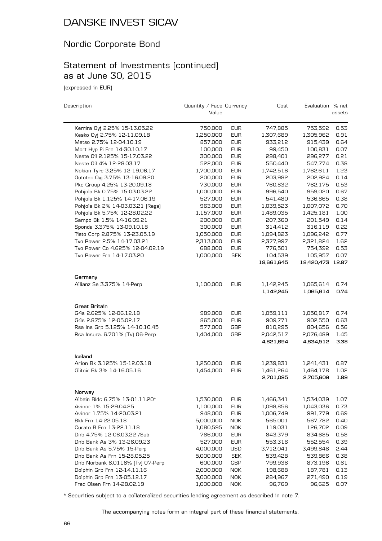## Nordic Corporate Bond

## Statement of Investments (continued) as at June 30, 2015

(expressed in EUR)

| Description                            | Quantity / Face Currency<br>Value |            | Cost       | Evaluation % net | assets |
|----------------------------------------|-----------------------------------|------------|------------|------------------|--------|
| Kemira Oyj 2.25% 15-13.05.22           | 750,000                           | <b>EUR</b> | 747,885    | 753,592          | 0.53   |
| Kesko Oyj 2.75% 12-11.09.18            | 1,250,000                         | <b>EUR</b> | 1,307,689  | 1,305,962        | 0.91   |
| Metso 2.75% 12-04.10.19                | 857,000                           | <b>EUR</b> | 933,212    | 915,439          | 0.64   |
| Mort Hyp Fi Frn 14-30.10.17            | 100,000                           | <b>EUR</b> | 99,450     | 100,831          | 0.07   |
| Neste Oil 2.125% 15-17.03.22           | 300,000                           | <b>EUR</b> | 298,401    | 296,277          | 0.21   |
| Neste Oil 4% 12-28.03.17               | 522,000                           | <b>EUR</b> | 550,440    | 547,774          | 0.38   |
| Nokian Tyre 3.25% 12-19.06.17          | 1,700,000                         | <b>EUR</b> | 1,742,516  | 1,762,611        | 1.23   |
| Outotec Oyj 3.75% 13-16.09.20          | 200,000                           | <b>EUR</b> | 203.982    | 202,924          | 0.14   |
| Pkc Group 4.25% 13-20.09.18            | 730,000                           | <b>EUR</b> | 760,832    | 762,175          | 0.53   |
| Pohjola Bk 0.75% 15-03.03.22           | 1,000,000                         | <b>EUR</b> | 996,540    | 959,020          | 0.67   |
| Pohjola Bk 1.125% 14-17.06.19          | 527,000                           | <b>EUR</b> | 541,480    | 536,865          | 0.38   |
| Pohjola Bk 2% 14-03.03.21 [Regs]       | 963,000                           | <b>EUR</b> | 1,039,523  | 1,007,072        | 0.70   |
| Pohjola Bk 5.75% 12-28.02.22           | 1,157,000                         | <b>EUR</b> | 1,489,035  | 1,425,181        | 1.00   |
| Sampo Bk 1.5% 14-16.09.21              | 200,000                           | <b>EUR</b> | 207,360    | 201,549          | 0.14   |
| Sponda 3.375% 13-09.10.18              | 300,000                           | <b>EUR</b> | 314,412    | 316,119          | 0.22   |
| Tieto Corp 2.875% 13-23.05.19          | 1,050,000                         | <b>EUR</b> | 1,094,823  | 1,096,242        | 0.77   |
| Tvo Power 2.5% 14-17.03.21             | 2,313,000                         | <b>EUR</b> | 2,377,997  | 2,321,824        | 1.62   |
| Tvo Power Co 4.625% 12-04.02.19        | 688,000                           | <b>EUR</b> | 776,501    | 754,392          | 0.53   |
| Tvo Power Frn 14-17.03.20              | 1,000,000                         | <b>SEK</b> | 104,539    | 105,957          | 0.07   |
|                                        |                                   |            | 18,661,645 | 18,420,473 12.87 |        |
|                                        |                                   |            |            |                  |        |
| Germany                                |                                   |            |            |                  |        |
| Allianz Se 3.375% 14-Perp              | 1,100,000                         | <b>EUR</b> | 1,142,245  | 1,065,614        | 0.74   |
|                                        |                                   |            | 1,142,245  | 1,065,614        | 0.74   |
| Great Britain                          |                                   |            |            |                  |        |
| G4s 2.625% 12-06.12.18                 | 989,000                           | <b>EUR</b> | 1,059,111  | 1,050,817        | 0.74   |
| G4s 2.875% 12-05.02.17                 | 865,000                           | <b>EUR</b> | 909,771    | 902,550          | 0.63   |
| Rsa Ins Grp 5.125% 14-10.10.45         | 577,000                           | <b>GBP</b> | 810,295    | 804,656          | 0.56   |
| Rsa Insura. 6.701% [Tv] 06-Perp        | 1,404,000                         | <b>GBP</b> | 2,042,517  | 2,076,489        | 1.45   |
|                                        |                                   |            | 4,821,694  | 4,834,512        | 3.38   |
|                                        |                                   |            |            |                  |        |
| Iceland<br>Arion Bk 3.125% 15-12.03.18 | 1,250,000                         | <b>EUR</b> | 1,239,831  | 1,241,431        | 0.87   |
| Glitnir Bk 3% 14-16.05.16              | 1,454,000                         | <b>EUR</b> | 1,461,264  | 1,464,178        | 1.02   |
|                                        |                                   |            | 2,701,095  | 2,705,609        | 1.89   |
|                                        |                                   |            |            |                  |        |
| Norway                                 |                                   |            |            |                  |        |
| Albain Bidc 6.75% 13-01.11.20*         | 1,530,000                         | <b>EUR</b> | 1,466,341  | 1,534,039        | 1.07   |
| Avinor 1% 15-29.04.25                  | 1,100,000                         | <b>EUR</b> | 1,098,856  | 1,043,036        | 0.73   |
| Avinor 1.75% 14-20.03.21               | 948,000                           | <b>EUR</b> | 1,006,749  | 991,779          | 0.69   |
| Bkk Frn 14-22.05.18                    | 5,000,000                         | <b>NOK</b> | 565,001    | 567,782          | 0.40   |
| Curato B Frn 13-22.11.18               | 1,080,595                         | <b>NOK</b> | 119,031    | 126,702          | 0.09   |
| Dnb 4.75% 12-08.03.22 /Sub             | 786,000                           | <b>EUR</b> | 843,379    | 834,685          | 0.58   |
| Dnb Bank As 3% 13-26.09.23             | 527,000                           | <b>EUR</b> | 553,316    | 552,554          | 0.39   |
| Dnb Bank As 5.75% 15-Perp              | 4,000,000                         | <b>USD</b> | 3,712,041  | 3,499,848        | 2.44   |
| Dnb Bank As Frn 15-28.05.25            | 5,000,000                         | <b>SEK</b> | 539,428    | 539,866          | 0.38   |
| Dnb Norbank 6.0116% [Tv] 07-Perp       | 600,000                           | <b>GBP</b> | 799,936    | 873,196          | 0.61   |
| Dolphin Grp Frn 12-14.11.16            | 2,000,000                         | <b>NOK</b> | 198,688    | 187,781          | 0.13   |
| Dolphin Grp Frn 13-05.12.17            | 3,000,000                         | <b>NOK</b> | 284,967    | 271,490          | 0.19   |
| Fred Olsen Frn 14-28.02.19             | 1,000,000                         | <b>NOK</b> | 96,769     | 96,625           | 0.07   |

\* Securities subject to a collateralized securities lending agreement as described in note 7.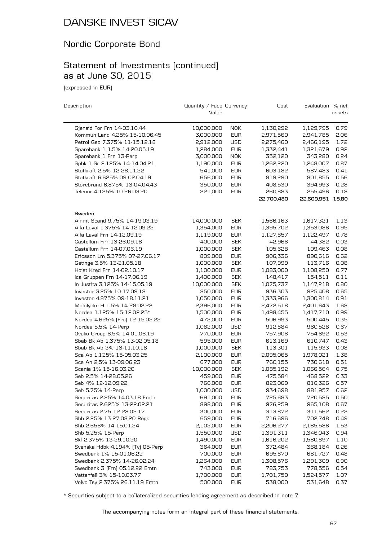## Nordic Corporate Bond

## Statement of Investments (continued) as at June 30, 2015

(expressed in EUR)

| Description                                   | Quantity / Face Currency<br>Value |            | Cost                 | Evaluation % net     | assets |
|-----------------------------------------------|-----------------------------------|------------|----------------------|----------------------|--------|
| Gjensid For Frn 14-03.10.44                   | 10,000,000                        | <b>NOK</b> | 1,130,292            | 1,129,795            | 0.79   |
| Kommun Land 4.25% 15-10.06.45                 | 3,000,000                         | <b>EUR</b> | 2,971,560            | 2,941,785            | 2.06   |
| Petrol Geo 7.375% 11-15.12.18                 | 2,912,000                         | <b>USD</b> | 2,275,460            | 2,466,195            | 1.72   |
| Sparebank 1 1.5% 14-20.05.19                  | 1,284,000                         | <b>EUR</b> | 1,332,441            | 1,321,679            | 0.92   |
| Sparebank 1 Frn 13-Perp                       | 3,000,000                         | <b>NOK</b> | 352,120              | 343,280              | 0.24   |
| Spbk 1 Sr 2.125% 14-14.04.21                  | 1,190,000                         | <b>EUR</b> | 1,262,220            | 1,248,007            | 0.87   |
| Statkraft 2.5% 12-28.11.22                    | 541,000                           | <b>EUR</b> | 603,182              | 587,483              | 0.41   |
| Statkraft 6.625% 09-02.04.19                  | 656,000                           | <b>EUR</b> | 819,290              | 801,855              | 0.56   |
| Storebrand 6.875% 13-04.04.43                 | 350,000                           | <b>EUR</b> | 408,530              | 394,993              | 0.28   |
| Telenor 4.125% 10-26.03.20                    | 221,000                           | <b>EUR</b> | 260,883              | 255,496              | 0.18   |
|                                               |                                   |            | 22,700,480           | 22,609,951 15.80     |        |
| Sweden                                        |                                   |            |                      |                      |        |
| Ainmt Scand 9.75% 14-19.03.19                 | 14,000,000                        | <b>SEK</b> | 1,566,163            | 1,617,321            | 1.13   |
| Alfa Laval 1.375% 14-12.09.22                 | 1,354,000                         | <b>EUR</b> | 1,395,702            | 1,353,086            | 0.95   |
| Alfa Laval Frn 14-12.09.19                    | 1,119,000                         | <b>EUR</b> | 1,127,857            | 1,122,497            | 0.78   |
| Castellum Frn 13-26.09.18                     | 400,000                           | <b>SEK</b> | 42,966               | 44,382               | 0.03   |
| Castellum Frn 14-07.06.19                     | 1,000,000                         | <b>SEK</b> | 105,628              | 109,463              | 0.08   |
| Ericsson Lm 5.375% 07-27.06.17                | 809,000                           | <b>EUR</b> | 906,336              | 890,616              | 0.62   |
| Getinge 3.5% 13-21.05.18                      | 1,000,000                         | <b>SEK</b> | 107,999              | 113,716              | 0.08   |
| Hoist Kred Frn 14-02.10.17                    | 1,100,000                         | <b>EUR</b> | 1,083,000            | 1,108,250            | 0.77   |
| Ica Gruppen Frn 14-17.06.19                   | 1,400,000                         | <b>SEK</b> | 148,417              | 154,511              | 0.11   |
| In Justita 3.125% 14-15.05.19                 | 10,000,000                        | <b>SEK</b> | 1,075,737            | 1,147,218            | 0.80   |
| Investor 3.25% 10-17.09.18                    | 850,000                           | <b>EUR</b> | 936,303              | 925,408              | 0.65   |
| Investor 4.875% 09-18.11.21                   | 1,050,000                         | <b>EUR</b> | 1,333,966            | 1,300,814            | 0.91   |
| Molnlycke H 1.5% 14-28.02.22                  | 2,396,000                         | <b>EUR</b> | 2,472,518            | 2,401,643            | 1.68   |
| Nordea 1.125% 15-12.02.25*                    | 1,500,000                         | <b>EUR</b> | 1,498,455            | 1,417,710            | 0.99   |
| Nordea 4.625% [Frn] 12-15.02.22               | 472,000                           | <b>EUR</b> | 506,993              | 500,445              | 0.35   |
| Nordea 5.5% 14-Perp                           | 1,082,000                         | <b>USD</b> | 912,884              | 960,528              | 0.67   |
| Ovako Group 6.5% 14-01.06.19                  | 770,000                           | <b>EUR</b> | 757,906              | 754,692              | 0.53   |
| Sbab Bk Ab 1.375% 13-02.05.18                 | 595,000                           | <b>EUR</b> | 613,169              | 610,747              | 0.43   |
| Sbab Bk Ab 3% 13-11.10.18                     |                                   | <b>SEK</b> |                      |                      | 0.08   |
| Sca Ab 1.125% 15-05.03.25                     | 1,000,000<br>2,100,000            | <b>EUR</b> | 113,301              | 115,933<br>1,978,021 | 1.38   |
| Sca An 2.5% 13-09.06.23                       |                                   | <b>EUR</b> | 2,095,065<br>760,155 | 730,618              | 0.51   |
|                                               | 677,000                           |            |                      |                      |        |
| Scania 1% 15-16.03.20<br>Seb 2.5% 14-28.05.26 | 10,000,000                        | <b>SEK</b> | 1,085,192            | 1,066,564            | 0.75   |
| Seb 4% 12-12.09.22                            | 459,000<br>766,000                | <b>EUR</b> | 475,584              | 468,522              | 0.33   |
|                                               |                                   | <b>EUR</b> | 823,069              | 816,326              | 0.57   |
| Seb 5.75% 14-Perp                             | 1,000,000                         | <b>USD</b> | 934,698              | 881,957              | 0.62   |
| Securitas 2.25% 14.03.18 Emtn                 | 691,000                           | EUR        | 725,683              | 720,585              | 0.50   |
| Securitas 2.625% 13-22.02.21                  | 898,000                           | <b>EUR</b> | 976,259              | 965,108              | 0.67   |
| Securitas 2.75 12-28.02.17                    | 300,000                           | <b>EUR</b> | 313,872              | 311,562              | 0.22   |
| Shb 2.25% 13-27.08.20 Regs                    | 659,000                           | <b>EUR</b> | 716,696              | 702,748              | 0.49   |
| Shb 2.656% 14-15.01.24                        | 2,102,000                         | <b>EUR</b> | 2,206,277            | 2,185,586            | 1.53   |
| Shb 5.25% 15-Perp                             | 1,550,000                         | <b>USD</b> | 1,391,311            | 1,346,043            | 0.94   |
| Skf 2.375% 13-29.10.20                        | 1,490,000                         | <b>EUR</b> | 1,616,202            | 1,580,897            | 1.10   |
| Svenska Hdbk 4.194% [Tv] 05-Perp              | 364,000                           | <b>EUR</b> | 372,484              | 368,184              | 0.26   |
| Swedbank 1% 15-01.06.22                       | 700,000                           | <b>EUR</b> | 695,870              | 681,727              | 0.48   |
| Swedbank 2.375% 14-26.02.24                   | 1,264,000                         | <b>EUR</b> | 1,308,576            | 1,291,309            | 0.90   |
| Swedbank 3 [Frn] 05.12.22 Emtn                | 743,000                           | <b>EUR</b> | 783,753              | 778,556              | 0.54   |
| Vattenfall 3% 15-19.03.77                     | 1,700,000                         | <b>EUR</b> | 1,701,750            | 1,524,577            | 1.07   |
| Volvo Tsy 2.375% 26.11.19 Emtn                | 500,000                           | <b>EUR</b> | 538,000              | 531,648              | 0.37   |

\* Securities subject to a collateralized securities lending agreement as described in note 7.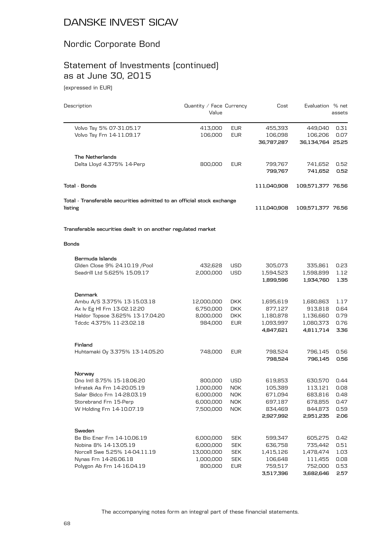## Nordic Corporate Bond

# Statement of Investments (continued) as at June 30, 2015

(expressed in EUR)

| Description                                                            | Quantity / Face Currency<br>Value |            | Cost               | Evaluation % net   | assets       |
|------------------------------------------------------------------------|-----------------------------------|------------|--------------------|--------------------|--------------|
| Volvo Tsy 5% 07-31.05.17                                               | 413,000                           | <b>EUR</b> | 455,393            | 449,040            | 0.31         |
| Volvo Tsy Frn 14-11.09.17                                              | 106,000                           | <b>EUR</b> | 106,098            | 106,206            | 0.07         |
|                                                                        |                                   |            | 36,787,287         | 36,134,764 25.25   |              |
| The Netherlands                                                        |                                   |            |                    |                    |              |
| Delta Lloyd 4.375% 14-Perp                                             | 800,000                           | <b>EUR</b> | 799,767            | 741,652            | 0.52         |
|                                                                        |                                   |            | 799,767            | 741,652            | 0.52         |
| Total - Bonds                                                          |                                   |            | 111,040,908        | 109,571,377 76.56  |              |
| Total - Transferable securities admitted to an official stock exchange |                                   |            |                    |                    |              |
| listing                                                                |                                   |            | 111,040,908        | 109,571,377 76.56  |              |
| Transferable securities dealt in on another regulated market           |                                   |            |                    |                    |              |
| <b>Bonds</b>                                                           |                                   |            |                    |                    |              |
| Bermuda Islands                                                        |                                   |            |                    |                    |              |
| Glden Close 9% 24.10.19 / Pool                                         | 432,628                           | <b>USD</b> | 305,073            | 335,861            | 0.23         |
| Seadrill Ltd 5.625% 15.09.17                                           | 2,000,000                         | <b>USD</b> | 1,594,523          | 1,598,899          | 1.12         |
|                                                                        |                                   |            | 1,899,596          | 1,934,760          | 1.35         |
| Denmark                                                                |                                   |            |                    |                    |              |
| Ambu A/S 3.375% 13-15.03.18                                            | 12,000,000                        | <b>DKK</b> | 1,695,619          | 1,680,863          | 1.17         |
| Ax Iv Eg HI Frn 13-02.12.20                                            | 6,750,000                         | <b>DKK</b> | 877,127            | 913,818            | 0.64         |
| Haldor Topsoe 3.625% 13-17.04.20                                       | 8,000,000                         | <b>DKK</b> | 1,180,878          | 1,136,660          | 0.79         |
| Tdcdc 4.375% 11-23.02.18                                               | 984,000                           | <b>EUR</b> | 1,093,997          | 1,080,373          | 0.76         |
|                                                                        |                                   |            | 4,847,621          | 4,811,714          | 3.36         |
| Finland                                                                |                                   |            |                    |                    |              |
| Huhtamaki Oy 3.375% 13-14.05.20                                        | 748,000                           | <b>EUR</b> | 798,524<br>798,524 | 796,145<br>796,145 | 0.56<br>0.56 |
|                                                                        |                                   |            |                    |                    |              |
| Norway                                                                 |                                   |            |                    |                    |              |
| Dno Intl 8.75% 15-18.06.20                                             | 800,000                           | <b>USD</b> | 619,853            | 630,570            | 0.44         |
| Infratek As Frn 14-20.05.19                                            | 1,000,000                         | <b>NOK</b> | 105,389            | 113,121            | 0.08         |
| Salar Bidco Frn 14-28.03.19                                            | 6,000,000                         | <b>NOK</b> | 671,094            | 683,816            | 0.48         |
| Storebrand Frn 15-Perp                                                 | 6,000,000                         | <b>NOK</b> | 697,187            | 678,855            | 0.47         |
| W Holding Frn 14-10.07.19                                              | 7,500,000                         | <b>NOK</b> | 834,469            | 844,873            | 0.59         |
|                                                                        |                                   |            | 2,927,992          | 2,951,235          | 2.06         |
| Sweden<br>Be Bio Ener Frn 14-10.06.19                                  | 6,000,000                         | <b>SEK</b> | 599,347            | 605,275            | 0.42         |
| Nobina 8% 14-13.05.19                                                  | 6,000,000                         | <b>SEK</b> | 636,758            | 735,442            | 0.51         |
| Norcell Swe 5.25% 14-04.11.19                                          | 13,000,000                        | <b>SEK</b> | 1,415,126          | 1,478,474          | 1.03         |
| Nynas Frn 14-26.06.18                                                  | 1,000,000                         | <b>SEK</b> | 106,648            | 111,455            | 0.08         |
| Polygon Ab Frn 14-16.04.19                                             | 800,000                           | <b>EUR</b> | 759,517            | 752,000            | 0.53         |
|                                                                        |                                   |            | 3,517,396          | 3,682,646          | 2.57         |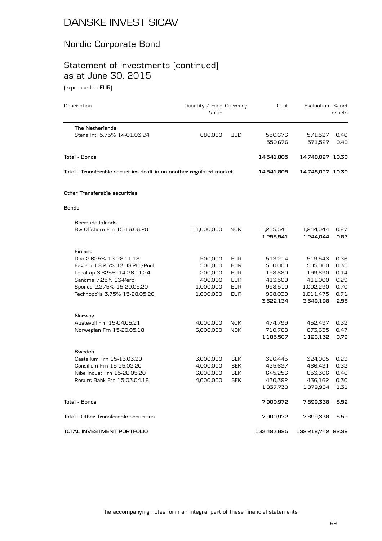## Nordic Corporate Bond

# Statement of Investments (continued) as at June 30, 2015

(expressed in EUR)

| Description                                                          | Quantity / Face Currency<br>Value |            | Cost                   | Evaluation % net       | assets       |
|----------------------------------------------------------------------|-----------------------------------|------------|------------------------|------------------------|--------------|
| <b>The Netherlands</b>                                               |                                   |            |                        |                        |              |
| Stena Intl 5.75% 14-01.03.24                                         | 680,000                           | <b>USD</b> | 550,676<br>550,676     | 571,527<br>571,527     | 0.40<br>0.40 |
| <b>Total - Bonds</b>                                                 |                                   |            | 14,541,805             | 14,748,027 10.30       |              |
| Total - Transferable securities dealt in on another regulated market |                                   |            | 14,541,805             | 14,748,027 10.30       |              |
| Other Transferable securities                                        |                                   |            |                        |                        |              |
| Bonds                                                                |                                   |            |                        |                        |              |
| Bermuda Islands                                                      |                                   |            |                        |                        |              |
| Bw Offshore Frn 15-16.06.20                                          | 11,000,000                        | <b>NOK</b> | 1,255,541<br>1,255,541 | 1,244,044<br>1,244,044 | 0.87<br>0.87 |
| Finland                                                              |                                   |            |                        |                        |              |
| Dna 2.625% 13-28.11.18                                               | 500,000                           | <b>EUR</b> | 513,214                | 519,543                | 0.36         |
| Eagle Ind 8.25% 13.03.20 / Pool                                      | 500,000                           | <b>EUR</b> | 500,000                | 505,000                | 0.35         |
| Localtap 3.625% 14-26.11.24                                          | 200,000                           | <b>EUR</b> | 198,880                | 199,890                | 0.14         |
| Sanoma 7.25% 13-Perp                                                 | 400,000                           | <b>EUR</b> | 413,500                | 411,000                | 0.29         |
| Sponda 2.375% 15-20.05.20                                            | 1,000,000                         | <b>EUR</b> | 998,510                | 1,002,290              | 0.70         |
| Technopolis 3.75% 15-28.05.20                                        | 1,000,000                         | <b>EUR</b> | 998,030<br>3,622,134   | 1,011,475<br>3,649,198 | 0.71<br>2.55 |
| Norway                                                               |                                   |            |                        |                        |              |
| Austevoll Frn 15-04.05.21                                            | 4,000,000                         | <b>NOK</b> | 474,799                | 452,497                | 0.32         |
| Norwegian Frn 15-20.05.18                                            | 6,000,000                         | <b>NOK</b> | 710,768                | 673,635                | 0.47         |
|                                                                      |                                   |            | 1,185,567              | 1,126,132              | 0.79         |
| Sweden                                                               |                                   |            |                        |                        |              |
| Castellum Frn 15-13.03.20                                            | 3,000,000                         | <b>SEK</b> | 326,445                | 324,065                | 0.23         |
| Consilium Frn 15-25.03.20                                            | 4,000,000                         | <b>SEK</b> | 435,637                | 466,431                | 0.32         |
| Nibe Indust Frn 15-28.05.20                                          | 6,000,000                         | <b>SEK</b> | 645,256                | 653,306                | 0.46         |
| Resurs Bank Frn 15-03.04.18                                          | 4,000,000                         | <b>SEK</b> | 430,392                | 436,162                | 0.30         |
|                                                                      |                                   |            | 1,837,730              | 1,879,964              | 1.31         |
| Total - Bonds                                                        |                                   |            | 7,900,972              | 7,899,338              | 5.52         |
| Total - Other Transferable securities                                |                                   |            | 7,900,972              | 7,899,338              | 5.52         |
| TOTAL INVESTMENT PORTFOLIO                                           |                                   |            | 133,483,685            | 132,218,742 92.38      |              |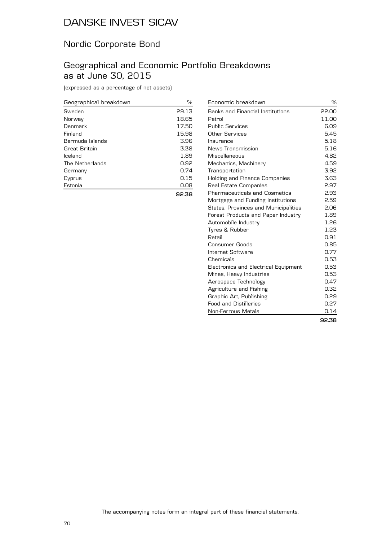## Nordic Corporate Bond

## Geographical and Economic Portfolio Breakdowns as at June 30, 2015

(expressed as a percentage of net assets)

| Geographical breakdown | %     |
|------------------------|-------|
| Sweden                 | 29.13 |
| Norway                 | 18.65 |
| Denmark                | 17.50 |
| Finland                | 15.98 |
| Bermuda Islands        | 3.96  |
| Great Britain          | 3.38  |
| Iceland                | 1.89  |
| The Netherlands        | 0.92  |
| Germany                | 0.74  |
| Cyprus                 | 0.15  |
| Estonia                | 0.08  |
|                        | 92.38 |

| Economic breakdown                          | ℅     |
|---------------------------------------------|-------|
| Banks and Financial Institutions            | 22.00 |
| Petrol                                      | 11.00 |
| <b>Public Services</b>                      | 6.09  |
| Other Services                              | 5.45  |
| Insurance                                   | 5.18  |
| News Transmission                           | 5.16  |
| Miscellaneous                               | 4.82  |
| Mechanics, Machinery                        | 4.59  |
| Transportation                              | 3.92  |
| Holding and Finance Companies               | 3.63  |
| Real Estate Companies                       | 2.97  |
| <b>Pharmaceuticals and Cosmetics</b>        | 2.93  |
| Mortgage and Funding Institutions           | 2.59  |
| <b>States, Provinces and Municipalities</b> | 2.06  |
| Forest Products and Paper Industry          | 1.89  |
| Automobile Industry                         | 1.26  |
| Tyres & Rubber                              | 1.23  |
| Retail                                      | 0.91  |
| Consumer Goods                              | 0.85  |
| Internet Software                           | 0.77  |
| Chemicals                                   | 0.53  |
| Electronics and Electrical Equipment        | 0.53  |
| Mines, Heavy Industries                     | 0.53  |
| Aerospace Technology                        | 0.47  |
| Agriculture and Fishing                     | 0.32  |
| Graphic Art, Publishing                     | 0.29  |
| <b>Food and Distilleries</b>                | 0.27  |
| Non-Ferrous Metals                          | 0.14  |
|                                             | 92.38 |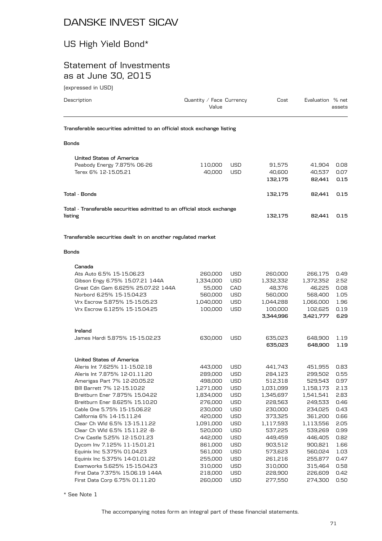#### US High Yield Bond\*

#### Statement of Investments as at June 30, 2015

(expressed in USD)

\* See Note 1

| Description                                                            | Quantity / Face Currency<br>Value |            | Cost      | Evaluation % net | assets |  |  |  |  |  |
|------------------------------------------------------------------------|-----------------------------------|------------|-----------|------------------|--------|--|--|--|--|--|
| Transferable securities admitted to an official stock exchange listing |                                   |            |           |                  |        |  |  |  |  |  |
| Bonds                                                                  |                                   |            |           |                  |        |  |  |  |  |  |
| <b>United States of America</b>                                        |                                   |            |           |                  |        |  |  |  |  |  |
| Peabody Energy 7.875% 06-26                                            | 110,000                           | <b>USD</b> | 91,575    | 41,904           | 0.08   |  |  |  |  |  |
| Terex 6% 12-15.05.21                                                   | 40,000                            | <b>USD</b> | 40,600    | 40,537           | 0.07   |  |  |  |  |  |
|                                                                        |                                   |            | 132.175   | 82,441           | 0.15   |  |  |  |  |  |
| Tota1 - Bonds                                                          |                                   |            | 132,175   | 82,441           | 0.15   |  |  |  |  |  |
|                                                                        |                                   |            |           |                  |        |  |  |  |  |  |
| Total - Transferable securities admitted to an official stock exchange |                                   |            |           |                  |        |  |  |  |  |  |
| listing                                                                |                                   |            | 132,175   | 82,441           | 0.15   |  |  |  |  |  |
|                                                                        |                                   |            |           |                  |        |  |  |  |  |  |
| Transferable securities dealt in on another regulated market           |                                   |            |           |                  |        |  |  |  |  |  |
| <b>Bonds</b>                                                           |                                   |            |           |                  |        |  |  |  |  |  |
| Canada                                                                 |                                   |            |           |                  |        |  |  |  |  |  |
| Ats Auto 6.5% 15-15.06.23                                              | 260,000                           | <b>USD</b> | 260,000   | 266,175          | 0.49   |  |  |  |  |  |
| Gibson Engy 6.75% 15.07.21 144A                                        | 1,334,000                         | <b>USD</b> | 1,332,332 | 1,372,352        | 2.52   |  |  |  |  |  |
| Great Cdn Gam 6.625% 25.07.22 144A                                     | 55,000                            | CAD        | 48,376    | 46,225           | 0.08   |  |  |  |  |  |
| Norbord 6.25% 15-15.04.23                                              | 560,000                           | USD        | 560,000   | 568,400          | 1.05   |  |  |  |  |  |
| Vrx Escrow 5.875% 15-15.05.23                                          | 1,040,000                         | <b>USD</b> | 1,044,288 | 1,066,000        | 1.96   |  |  |  |  |  |
| Vrx Escrow 6.125% 15-15.04.25                                          | 100,000                           | <b>USD</b> | 100,000   | 102,625          | 0.19   |  |  |  |  |  |
|                                                                        |                                   |            | 3,344,996 | 3,421,777        | 6.29   |  |  |  |  |  |
| Ireland                                                                |                                   |            |           |                  |        |  |  |  |  |  |
| James Hardi 5.875% 15-15.02.23                                         | 630,000                           | USD        | 635,023   | 648,900          | 1.19   |  |  |  |  |  |
|                                                                        |                                   |            | 635,023   | 648,900          | 1.19   |  |  |  |  |  |
| <b>United States of America</b>                                        |                                   |            |           |                  |        |  |  |  |  |  |
| Aleris Int 7.625% 11-15.02.18                                          | 443,000                           | USD        | 441,743   | 451,955          | 0.83   |  |  |  |  |  |
| Aleris Int 7.875% 12-01.11.20                                          | 289,000                           | USD        | 284,123   | 299,502          | 0.55   |  |  |  |  |  |
| Amerigas Part 7% 12-20.05.22                                           | 498,000                           | USD        | 512,318   | 529,543 0.97     |        |  |  |  |  |  |
| Bill Barrett 7% 12-15.10.22                                            | 1,271,000                         | USD        | 1,031,099 | 1,158,173        | 2.13   |  |  |  |  |  |
| Breitburn Ener 7.875% 15.04.22                                         | 1,834,000                         | <b>USD</b> | 1,345,697 | 1,541,541        | 2.83   |  |  |  |  |  |
| Breitburn Ener 8.625% 15.10.20                                         | 276,000                           | USD        | 228,563   | 249,533          | 0.46   |  |  |  |  |  |
| Cable One 5.75% 15-15.06.22                                            | 230,000                           | USD        | 230,000   | 234,025          | 0.43   |  |  |  |  |  |
| California 6% 14-15.11.24                                              | 420,000                           | <b>USD</b> | 373,325   | 361,200          | 0.66   |  |  |  |  |  |
| Clear Ch Wld 6.5% 13-15.11.22                                          | 1,091,000                         | <b>USD</b> | 1,117,593 | 1,113,556        | 2.05   |  |  |  |  |  |
| Clear Ch Wld 6.5% 15.11.22 -B-                                         | 520,000                           | <b>USD</b> | 537,225   | 539,269          | 0.99   |  |  |  |  |  |

Crw Castle 5.25% 12-15.01.23 442,000 USD 449,459 446,405 0.82 Dycom Inv 7.125% 11-15.01.21 861,000 USD 903,512 900,821 1.66 Equinix Inc 5.375% 01.04.23 561,000 USD 573,623 560,024 1.03 Equinix Inc 5.375% 14-01.01.22 255,000 USD 261,216 255,877 0.47 Examworks 5.625% 15-15.04.23 310,000 USD 310,000 315,464 0.58 First Data 7.375% 15.06.19 144A 218,000 USD 228,900 226,609 0.42 First Data Corp 6.75% 01.11.20 260,000 USD 277,550 274,300 0.50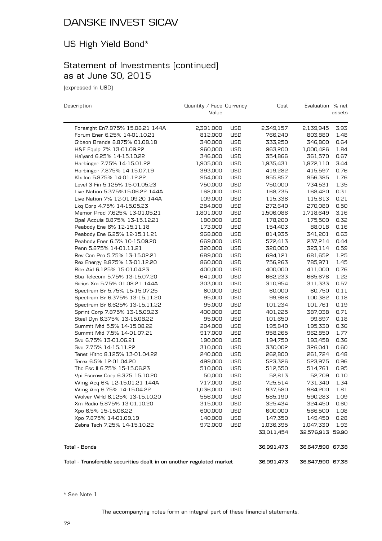# US High Yield Bond\*

## Statement of Investments (continued) as at June 30, 2015

(expressed in USD)

| Description                                                          | Quantity / Face Currency |            | Cost       | Evaluation % net |        |
|----------------------------------------------------------------------|--------------------------|------------|------------|------------------|--------|
|                                                                      | Value                    |            |            |                  | assets |
| Foresight En7.875% 15.08.21 144A                                     | 2,391,000                | <b>USD</b> | 2,349,157  | 2,139,945        | 3.93   |
| Forum Ener 6.25% 14-01.10.21                                         | 812,000                  | <b>USD</b> | 766,240    | 803,880          | 1.48   |
| Gibson Brands 8.875% 01.08.18                                        | 340,000                  | <b>USD</b> | 333,250    | 346,800          | 0.64   |
| H&E Equip 7% 13-01.09.22                                             | 960,000                  | <b>USD</b> | 963,200    | 1,000,426        | 1.84   |
| Halyard 6.25% 14-15.10.22                                            | 346,000                  | <b>USD</b> | 354,866    | 361,570          | 0.67   |
| Harbinger 7.75% 14-15.01.22                                          | 1,905,000                | <b>USD</b> | 1,935,431  | 1,872,110        | 3.44   |
| Harbinger 7.875% 14-15.07.19                                         | 393,000                  | <b>USD</b> | 419,282    | 415,597          | 0.76   |
| Klx Inc 5.875% 14-01.12.22                                           | 954,000                  | <b>USD</b> | 955,857    | 956,385          | 1.76   |
| Level 3 Fin 5.125% 15-01.05.23                                       | 750,000                  | <b>USD</b> | 750,000    | 734,531          | 1.35   |
| Live Nation 5.375%15.06.22 144A                                      | 168,000                  | <b>USD</b> | 168,735    | 168,420          | 0.31   |
| Live Nation 7% 12-01.09.20 144A                                      | 109,000                  | <b>USD</b> | 115,336    | 115,813          | 0.21   |
| Lkq Corp 4.75% 14-15.05.23                                           | 284,000                  | USD        | 272,640    | 270,080          | 0.50   |
| Memor Prod 7.625% 13-01.05.21                                        | 1,801,000                | <b>USD</b> | 1,506,086  | 1,718,649        | 3.16   |
| Opal Acquis 8.875% 13-15.12.21                                       | 180,000                  | <b>USD</b> | 178,200    | 175,500          | 0.32   |
| Peabody Ene 6% 12-15.11.18                                           | 173,000                  | <b>USD</b> | 154,403    | 88,018           | 0.16   |
| Peabody Ene 6.25% 12-15.11.21                                        | 968,000                  | <b>USD</b> | 814,935    | 341,201          | 0.63   |
| Peabody Ener 6.5% 10-15.09.20                                        | 669,000                  | <b>USD</b> | 572,413    | 237,214          | 0.44   |
| Penn 5.875% 14-01.11.21                                              | 320,000                  | <b>USD</b> | 320,000    | 323,114          | 0.59   |
| Rev Con Pro 5.75% 13-15.02.21                                        | 689,000                  | <b>USD</b> | 694,121    | 681,652          | 1.25   |
| Rex Energy 8.875% 13-01.12.20                                        | 860,000                  | <b>USD</b> | 756,263    | 785,971          | 1.45   |
| Rite Aid 6.125% 15-01.04.23                                          | 400,000                  | USD        | 400,000    | 411,000          | 0.76   |
| Sba Telecom 5.75% 13-15.07.20                                        | 641,000                  | <b>USD</b> | 662,233    | 665,678          | 1.22   |
| Sirius Xm 5.75% 01.08.21 144A                                        | 303,000                  | <b>USD</b> | 310,954    | 311,333          | 0.57   |
| Spectrum Br 5.75% 15-15.07.25                                        | 60,000                   | <b>USD</b> | 60,000     | 60,750           | 0.11   |
| Spectrum Br 6.375% 13-15.11.20                                       | 95,000                   | <b>USD</b> | 99,988     | 100,382          | 0.18   |
| Spectrum Br 6.625% 13-15.11.22                                       | 95,000                   | <b>USD</b> | 101,234    | 101,761          | 0.19   |
| Sprint Corp 7.875% 13-15.09.23                                       | 400,000                  | <b>USD</b> | 401,225    | 387,038          | 0.71   |
| Steel Dyn 6.375% 13-15.08.22                                         | 95,000                   | <b>USD</b> | 101,650    | 99,897           | 0.18   |
| Summit Mid 5.5% 14-15.08.22                                          | 204,000                  | <b>USD</b> | 195,840    | 195,330          | 0.36   |
| Summit Mid 7.5% 14-01.07.21                                          | 917,000                  | USD        | 958,265    | 962,850          | 1.77   |
| Svu 6.75% 13-01.06.21                                                | 190,000                  | <b>USD</b> | 194,750    | 193,458          | 0.36   |
| Svu 7.75% 14-15.11.22                                                | 310,000                  | <b>USD</b> | 330,002    | 326,041          | 0.60   |
| Tenet Hlthc 8.125% 13-01.04.22                                       | 240,000                  | USD        | 262,800    | 261,724          | 0.48   |
| Terex 6.5% 12-01.04.20                                               | 499,000                  | <b>USD</b> | 523,326    | 523,975          | 0.96   |
| The Esc II 6.75% 15-15.06.23                                         | 510,000                  | <b>USD</b> | 512,550    | 514,761          | 0.95   |
| Vpi Escrow Corp 6.375 15.10.20                                       | 50,000                   | <b>USD</b> | 52,813     | 52,709           | 0.10   |
| Wmg Acq 6% 12-15.01.21 144A                                          | 717,000                  | <b>USD</b> | 725,514    | 731,340          | 1.34   |
| Wmg Acq 6.75% 14-15.04.22                                            | 1,036,000                | <b>USD</b> | 937,580    | 984,200          | 1.81   |
| Wolver Wrld 6.125% 13-15.10.20                                       | 556,000                  | USD        | 585,190    | 590,283          | 1.09   |
| Xm Radio 5.875% 13-01.10.20                                          | 315,000                  | <b>USD</b> | 325,434    | 324,450          | 0.60   |
| Xpo 6.5% 15-15.06.22                                                 | 600,000                  | <b>USD</b> | 600,000    | 586,500          | 1.08   |
| Xpo 7.875% 14-01.09.19                                               | 140,000                  | <b>USD</b> | 147,350    | 149,450          | 0.28   |
| Zebra Tech 7.25% 14-15.10.22                                         | 972,000                  | <b>USD</b> | 1,036,395  | 1,047,330        | 1.93   |
|                                                                      |                          |            | 33,011,454 | 32,576,913 59.90 |        |
| <b>Total - Bonds</b>                                                 |                          |            | 36,991,473 | 36,647,590 67.38 |        |
| Total - Transferable securities dealt in on another regulated market |                          |            | 36,991,473 | 36,647,590 67.38 |        |

\* See Note 1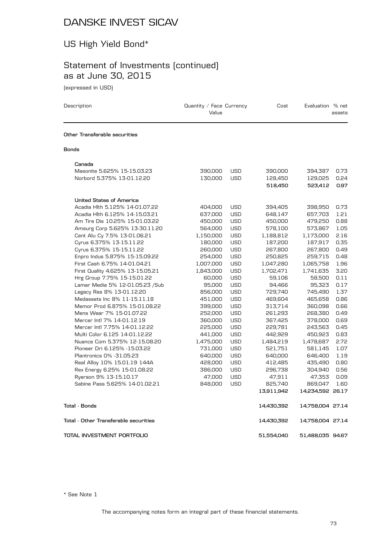# US High Yield Bond\*

# Statement of Investments (continued) as at June 30, 2015

(expressed in USD)

| Description                                                | Quantity / Face Currency<br>Value |                          | Cost               | Evaluation % net     | assets       |
|------------------------------------------------------------|-----------------------------------|--------------------------|--------------------|----------------------|--------------|
| Other Transferable securities                              |                                   |                          |                    |                      |              |
| Bonds                                                      |                                   |                          |                    |                      |              |
| Canada                                                     |                                   |                          |                    |                      |              |
| Masonite 5.625% 15-15.03.23                                | 390,000                           | <b>USD</b>               | 390,000            | 394,387              | 0.73         |
| Norbord 5.375% 13-01.12.20                                 | 130,000                           | <b>USD</b>               | 128,450            | 129,025              | 0.24         |
|                                                            |                                   |                          | 518,450            | 523,412              | 0.97         |
| <b>United States of America</b>                            |                                   |                          |                    |                      |              |
| Acadia Hlth 5.125% 14-01.07.22                             | 404,000                           | <b>USD</b>               | 394,405            | 398,950              | 0.73         |
| Acadia Hlth 6.125% 14-15.03.21                             | 637,000                           | <b>USD</b>               | 648,147            | 657,703              | 1.21         |
| Am Tire Dis 10.25% 15-01.03.22                             | 450,000                           | <b>USD</b>               | 450,000            | 479,250              | 0.88         |
| Amsurg Corp 5.625% 13-30.11.20                             | 564,000                           | <b>USD</b>               | 578,100            | 573,867              | 1.05         |
| Cent Alu Cy 7.5% 13-01.06.21                               | 1,150,000                         | <b>USD</b>               | 1,188,812          | 1,173,000            | 2.16         |
| Cyrus 6.375% 13-15.11.22                                   | 180,000                           | <b>USD</b>               | 187,200            | 187,917              | 0.35         |
| Cyrus 6.375% 15-15.11.22<br>Enpro Indus 5.875% 15-15.09.22 | 260,000                           | <b>USD</b><br><b>USD</b> | 267,800<br>250,825 | 267,800              | 0.49<br>0.48 |
| First Cash 6.75% 14-01.04.21                               | 254,000<br>1,007,000              | <b>USD</b>               | 1,047,280          | 259,715<br>1,065,758 | 1.96         |
| First Quality 4.625% 13-15.05.21                           | 1,843,000                         | <b>USD</b>               | 1,702,471          | 1,741,635            | 3.20         |
| Hrg Group 7.75% 15-15.01.22                                | 60,000                            | <b>USD</b>               | 59,106             | 58,500               | 0.11         |
| Lamar Media 5% 12-01.05.23 / Sub                           | 95,000                            | <b>USD</b>               | 94,466             | 95,323               | 0.17         |
| Legacy Res 8% 13-01.12.20                                  | 856,000                           | <b>USD</b>               | 729,740            | 745,490              | 1.37         |
| Medassets Inc 8% 11-15.11.18                               | 451,000                           | USD                      | 469,604            | 465,658              | 0.86         |
| Memor Prod 6.875% 15-01.08.22                              | 399,000                           | <b>USD</b>               | 313,714            | 360,098              | 0.66         |
| Mens Wear 7% 15-01.07.22                                   | 252,000                           | <b>USD</b>               | 261,293            | 268,380              | 0.49         |
| Mercer Intl 7% 14-01.12.19                                 | 360,000                           | <b>USD</b>               | 367,425            | 378,000              | 0.69         |
| Mercer Intl 7.75% 14-01.12.22                              | 225,000                           | <b>USD</b>               | 229,781            | 243,563              | 0.45         |
| Multi Color 6.125 14-01.12.22                              | 441,000                           | <b>USD</b>               | 442,929            | 450,923              | 0.83         |
| Nuance Com 5.375% 12-15.08.20                              | 1,475,000                         | <b>USD</b>               | 1,484,219          | 1,478,687            | 2.72         |
| Pioneer Dri 6.125% -15.03.22<br>Plantronics 0% - 31.05.23  | 731,000                           | <b>USD</b><br><b>USD</b> | 521,751            | 581,145<br>646,400   | 1.07<br>1.19 |
| Real Alloy 10% 15.01.19 144A                               | 640,000<br>428,000                | <b>USD</b>               | 640,000<br>412,485 | 435,490              | 0.80         |
| Rex Energy 6.25% 15-01.08.22                               | 386,000                           | <b>USD</b>               | 296,738            | 304,940              | 0.56         |
| Ryerson 9% 13-15.10.17                                     | 47,000                            | <b>USD</b>               | 47,911             | 47,353               | 0.09         |
| Sabine Pass 5.625% 14-01.02.21                             | 848,000                           | <b>USD</b>               | 825,740            | 869,047              | 1.60         |
|                                                            |                                   |                          | 13,911,942         | 14,234,592 26.17     |              |
| Total - Bonds                                              |                                   |                          | 14,430,392         | 14,758,004 27.14     |              |
| Total - Other Transferable securities                      |                                   |                          | 14,430,392         | 14,758,004 27.14     |              |
| TOTAL INVESTMENT PORTFOLIO                                 |                                   |                          | 51.554.040         | 51,488,035 94.67     |              |

\* See Note 1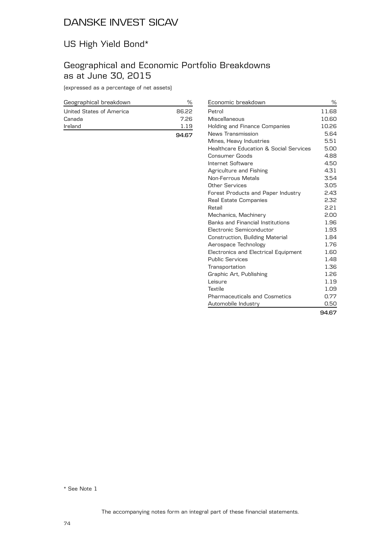# US High Yield Bond\*

## Geographical and Economic Portfolio Breakdowns as at June 30, 2015

(expressed as a percentage of net assets)

| Geographical breakdown   | %     |
|--------------------------|-------|
| United States of America | 86.22 |
| Canada                   | 7.26  |
| Ireland                  | 1.19  |
|                          | 94.67 |

| Economic breakdown                      | %     |
|-----------------------------------------|-------|
| Petrol                                  | 11.68 |
| Miscellaneous                           | 10.60 |
| Holding and Finance Companies           | 10.26 |
| News Transmission                       | 5.64  |
| Mines, Heavy Industries                 | 5.51  |
| Healthcare Education & Social Services  | 5.00  |
| Consumer Goods                          | 4.88  |
| Internet Software                       | 4.50  |
| Agriculture and Fishing                 | 4.31  |
| <b>Non-Ferrous Metals</b>               | 3.54  |
| Other Services                          | 3.05  |
| Forest Products and Paper Industry      | 2.43  |
| Real Estate Companies                   | 2.32  |
| Retail                                  | 2.21  |
| Mechanics, Machinery                    | 2.00  |
| <b>Banks and Financial Institutions</b> | 1.96  |
| Electronic Semiconductor                | 1.93  |
| Construction, Building Material         | 1.84  |
| Aerospace Technology                    | 1.76  |
| Electronics and Electrical Equipment    | 1.60  |
| <b>Public Services</b>                  | 1.48  |
| Transportation                          | 1.36  |
| Graphic Art, Publishing                 | 1.26  |
| Leisure                                 | 1.19  |
| Textile                                 | 1.09  |
| <b>Pharmaceuticals and Cosmetics</b>    | 0.77  |
| Automobile Industry                     | 0.50  |
|                                         | 94.67 |

\* See Note 1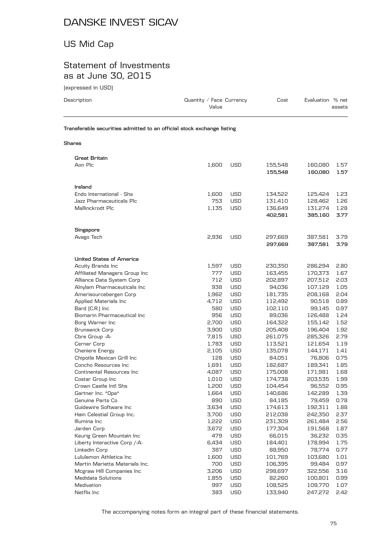# US Mid Cap

## Statement of Investments as at June 30, 2015

(expressed in USD)

| Description              | Quantity / Face Currency<br>Value                                      | Cost               | Evaluation % net<br>assets         |
|--------------------------|------------------------------------------------------------------------|--------------------|------------------------------------|
|                          | Transferable securities admitted to an official stock exchange listing |                    |                                    |
| <b>Shares</b>            |                                                                        |                    |                                    |
| Great Britain<br>Aon Plc | 1,600<br><b>USD</b>                                                    | 155,548<br>155.548 | 160,080<br>1.57<br>160.080<br>1.57 |

|                                 |       |            | 155,548 | 160,080 | 1.57 |
|---------------------------------|-------|------------|---------|---------|------|
|                                 |       |            |         |         |      |
| Ireland                         |       |            |         |         |      |
| Endo International - Shs        | 1,600 | <b>USD</b> | 134,522 | 125,424 | 1.23 |
| Jazz Pharmaceuticals Plc        | 753   | <b>USD</b> | 131,410 | 128,462 | 1.26 |
| Mallinckrodt Plc                | 1,135 | <b>USD</b> | 136,649 | 131,274 | 1.28 |
|                                 |       |            | 402,581 | 385,160 | 3.77 |
|                                 |       |            |         |         |      |
| Singapore                       |       |            |         |         |      |
| Avago Tech                      | 2,936 | <b>USD</b> | 297,669 | 387,581 | 3.79 |
|                                 |       |            | 297,669 | 387,581 | 3.79 |
| <b>United States of America</b> |       |            |         |         |      |
| Acuity Brands Inc               | 1,597 | <b>USD</b> | 230,350 | 286,294 | 2.80 |
| Affiliated Managers Group Inc   | 777   | <b>USD</b> | 163,455 | 170,373 | 1.67 |
| Alliance Data System Corp       | 712   | <b>USD</b> | 202,897 | 207,512 | 2.03 |
| Alnylam Pharmaceuticals Inc     | 938   | <b>USD</b> | 94,036  | 107,129 | 1.05 |
| Amerisourcebergen Corp          | 1,962 | <b>USD</b> | 181,735 | 208,168 | 2.04 |
| Applied Materials Inc           | 4,712 | <b>USD</b> | 112,492 | 90,518  | 0.89 |
| Bard (C.R.) Inc                 | 580   | <b>USD</b> | 102,110 | 99,145  | 0.97 |
| Biomarin Pharmaceutical Inc     | 956   | USD        | 89,036  | 126,488 | 1.24 |
| Borg Warner Inc                 | 2,700 | <b>USD</b> | 164,322 | 155,142 | 1.52 |
| <b>Brunswick Corp</b>           | 3,900 | <b>USD</b> | 205,408 | 196,404 | 1.92 |
| Cbre Group - A-                 | 7,815 | <b>USD</b> | 261,075 | 285,326 | 2.79 |
| Cerner Corp                     | 1,783 | <b>USD</b> | 113,521 | 121,654 | 1.19 |
| <b>Cheniere Energy</b>          | 2,105 | <b>USD</b> | 135,078 | 144,171 | 1.41 |
| Chipotle Mexican Grill Inc      | 128   | USD        | 84,051  | 76,806  | 0.75 |
| Concho Resources Inc            | 1,691 | <b>USD</b> | 182,687 | 189,341 | 1.85 |
| Continental Resources Inc       | 4,087 | <b>USD</b> | 175,008 | 171,981 | 1.68 |
| Costar Group Inc                | 1,010 | <b>USD</b> | 174,738 | 203,535 | 1.99 |
| Crown Castle Intl Shs           | 1,200 | <b>USD</b> | 104,454 | 96,552  | 0.95 |
| Gartner Inc. *Opa*              | 1,664 | <b>USD</b> | 140,686 | 142,289 | 1.39 |
| Genuine Parts Co                | 890   | <b>USD</b> | 84,185  | 79,459  | 0.78 |
| Guidewire Software Inc          | 3,634 | <b>USD</b> | 174,613 | 192,311 | 1.88 |
| Hain Celestial Group Inc.       | 3,700 | USD        | 212,038 | 242,350 | 2.37 |
| Illumina Inc                    | 1,222 | <b>USD</b> | 231,309 | 261,484 | 2.56 |
| Jarden Corp                     | 3,672 | <b>USD</b> | 177,304 | 191,568 | 1.87 |
| Keurig Green Mountain Inc       | 479   | <b>USD</b> | 66,015  | 36,232  | 0.35 |
| Liberty Interactive Corp /-A-   | 6,434 | <b>USD</b> | 184,401 | 178,994 | 1.75 |
| Linkedin Corp                   | 387   | <b>USD</b> | 88,950  | 78,774  | 0.77 |
| Lululemon Athletica Inc         | 1,600 | USD        | 101,769 | 103,680 | 1.01 |
| Martin Marietta Materials Inc.  | 700   | <b>USD</b> | 106,395 | 99,484  | 0.97 |
| Mcgraw Hill Companies Inc       | 3,206 | <b>USD</b> | 298,697 | 322,556 | 3.16 |
| <b>Medidata Solutions</b>       | 1,855 | <b>USD</b> | 82,260  | 100,801 | 0.99 |
| Medivation                      | 997   | <b>USD</b> | 108,525 | 109,770 | 1.07 |
| Netflix Inc                     | 383   | <b>USD</b> | 133,940 | 247,272 | 2.42 |
|                                 |       |            |         |         |      |

The accompanying notes form an integral part of these financial statements.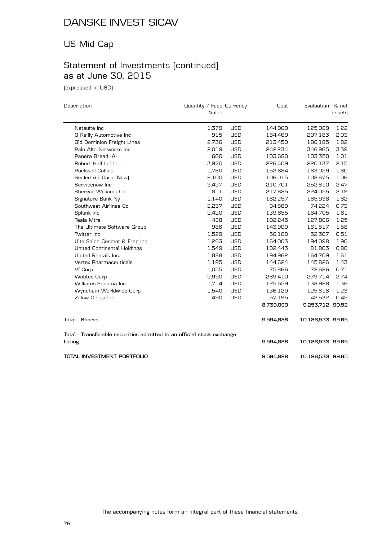## US Mid Cap

# Statement of Investments (continued) as at June 30, 2015

(expressed in USD)

| Description                                                            | Quantity / Face Currency |            | Cost      | Evaluation % net |        |
|------------------------------------------------------------------------|--------------------------|------------|-----------|------------------|--------|
|                                                                        | Value                    |            |           |                  | assets |
| Netsuite Inc                                                           | 1,379                    | <b>USD</b> | 144,969   | 125,089          | 1.22   |
| O Reilly Automotive Inc                                                | 915                      | <b>USD</b> | 184,469   | 207,183          | 2.03   |
| Old Dominion Freight Lines                                             | 2,736                    | <b>USD</b> | 213,450   | 186,185          | 1.82   |
| Palo Alto Networks Inc                                                 | 2,019                    | <b>USD</b> | 242,234   | 346,965          | 3.39   |
| Panera Bread -A-                                                       | 600                      | <b>USD</b> | 103,680   | 103,350          | 1.01   |
| Robert Half Intl Inc.                                                  | 3,970                    | <b>USD</b> | 226,409   | 220,137          | 2.15   |
| Rockwell Collins                                                       | 1,760                    | <b>USD</b> | 152,684   | 163,029          | 1.60   |
| Sealed Air Corp (New)                                                  | 2,100                    | <b>USD</b> | 106,015   | 108,675          | 1.06   |
| Servicenow Inc                                                         | 3,427                    | <b>USD</b> | 210,701   | 252,810          | 2.47   |
| Sherwin-Williams Co.                                                   | 811                      | <b>USD</b> | 217,685   | 224,055          | 2.19   |
| Signature Bank Ny                                                      | 1,140                    | <b>USD</b> | 162,257   | 165,938          | 1.62   |
| Southwest Airlines Co.                                                 | 2,237                    | <b>USD</b> | 94,889    | 74,224           | 0.73   |
| Splunk Inc                                                             | 2,420                    | <b>USD</b> | 139,655   | 164,705          | 1.61   |
| <b>Tesla Mtrs</b>                                                      | 488                      | <b>USD</b> | 102,245   | 127,866          | 1.25   |
| The Ultimate Software Group                                            | 986                      | <b>USD</b> | 143,909   | 161,517          | 1.58   |
| Twitter Inc.                                                           | 1,529                    | <b>USD</b> | 56,108    | 52,307           | 0.51   |
| Ulta Salon Cosmet & Frag Inc                                           | 1,263                    | <b>USD</b> | 164,003   | 194,098          | 1.90   |
| <b>United Continental Holdings</b>                                     | 1,549                    | <b>USD</b> | 102,443   | 81,803           | 0.80   |
| United Rentals Inc.                                                    | 1,888                    | <b>USD</b> | 194,962   | 164,709          | 1.61   |
| <b>Vertex Pharmaceuticals</b>                                          | 1,195                    | <b>USD</b> | 144,624   | 145,826          | 1.43   |
| Vf Corp                                                                | 1,055                    | <b>USD</b> | 75,866    | 72,626           | 0.71   |
| <b>Wabtec Corp</b>                                                     | 2,990                    | <b>USD</b> | 269,410   | 279,714          | 2.74   |
| Williams-Sonoma Inc                                                    | 1,714                    | <b>USD</b> | 125,559   | 138,988          | 1.36   |
| Wyndham Worldwide Corp                                                 | 1,540                    | <b>USD</b> | 136,129   | 125,818          | 1.23   |
| Zillow Group Inc                                                       | 490                      | <b>USD</b> | 57,195    | 42,532           | 0.42   |
|                                                                        |                          |            | 8,739,090 | 9,253,712 90.52  |        |
| <b>Total - Shares</b>                                                  |                          |            | 9,594,888 | 10,186,533 99.65 |        |
| Total - Transferable securities admitted to an official stock exchange |                          |            |           |                  |        |
| listing                                                                |                          |            | 9,594,888 | 10,186,533 99.65 |        |
| TOTAL INVESTMENT PORTFOLIO                                             |                          |            | 9,594,888 | 10,186,533 99.65 |        |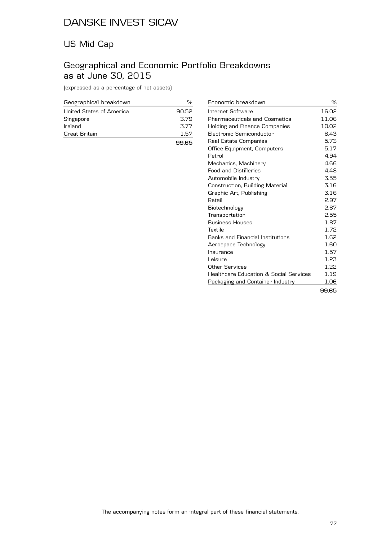## US Mid Cap

## Geographical and Economic Portfolio Breakdowns as at June 30, 2015

(expressed as a percentage of net assets)

| Geographical breakdown   | ℆     |
|--------------------------|-------|
| United States of America | 90.52 |
| Singapore                | 3.79  |
| Ireland                  | 3.77  |
| Great Britain            | 1.57  |
|                          |       |

| Economic breakdown                                | ℅     |
|---------------------------------------------------|-------|
| Internet Software                                 | 16.02 |
| <b>Pharmaceuticals and Cosmetics</b>              | 11.06 |
| Holding and Finance Companies                     | 10.02 |
| Electronic Semiconductor                          | 6.43  |
| Real Estate Companies                             | 5.73  |
| Office Equipment, Computers                       | 5.17  |
| Petrol                                            | 4.94  |
| Mechanics, Machinery                              | 4.66  |
| <b>Food and Distilleries</b>                      | 4.48  |
| Automobile Industry                               | 3.55  |
| Construction, Building Material                   | 3.16  |
| Graphic Art, Publishing                           | 3.16  |
| Retail                                            | 2.97  |
| Biotechnology                                     | 2.67  |
| Transportation                                    | 2.55  |
| <b>Business Houses</b>                            | 1.87  |
| Textile                                           | 1.72  |
| <b>Banks and Financial Institutions</b>           | 1.62  |
| Aerospace Technology                              | 1.60  |
| Insurance                                         | 1.57  |
| Leisure                                           | 1.23  |
| Other Services                                    | 1.22  |
| <b>Healthcare Education &amp; Social Services</b> | 1.19  |
| Packaging and Container Industry                  | 1.06  |
|                                                   | 99.65 |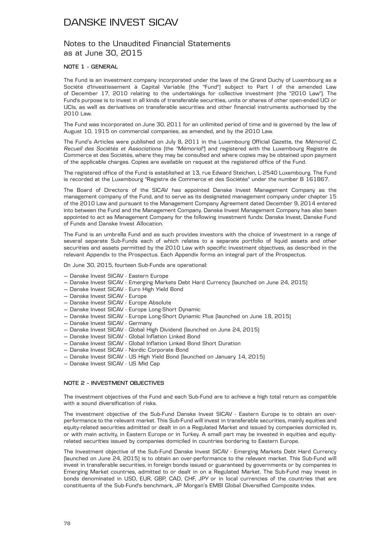### Notes to the Unaudited Financial Statements as at June 30, 2015

### **NOTE 1 – GENERAL**

The Fund is an investment company incorporated under the laws of the Grand Duchy of Luxembourg as a Société d'Investissement à Capital Variable (the "Fund") subject to Part I of the amended Law of December 17, 2010 relating to the undertakings for collective investment (the "2010 Law"). The Fund's purpose is to invest in all kinds of transferable securities, units or shares of other open-ended UCI or UCIs, as well as derivatives on transferable securities and other financial instruments authorised by the 2010 Law.

The Fund was incorporated on June 30, 2011 for an unlimited period of time and is governed by the law of August 10, 1915 on commercial companies, as amended, and by the 2010 Law.

The Fund's Articles were published on July 8, 2011 in the Luxembourg Official Gazette, the *Mémorial C, Recueil des Sociétés et Associations* (the *"Mémorial"*) and registered with the Luxembourg Registre de Commerce et des Sociétés, where they may be consulted and where copies may be obtained upon payment of the applicable charges. Copies are available on request at the registered office of the Fund.

The registered office of the Fund is established at 13, rue Edward Steichen, L-2540 Luxembourg. The Fund is recorded at the Luxembourg "Registre de Commerce et des Sociétés" under the number B 161867.

The Board of Directors of the SICAV has appointed Danske Invest Management Company as the management company of the Fund, and to serve as its designated management company under chapter 15 of the 2010 Law and pursuant to the Management Company Agreement dated December 9, 2014 entered into between the Fund and the Management Company. Danske Invest Management Company has also been appointed to act as Management Company for the following investment funds: Danske Invest, Danske Fund of Funds and Danske Invest Allocation.

The Fund is an umbrella Fund and as such provides investors with the choice of investment in a range of several separate Sub-Funds each of which relates to a separate portfolio of liquid assets and other securities and assets permitted by the 2010 Law with specific investment objectives, as described in the relevant Appendix to the Prospectus. Each Appendix forms an integral part of the Prospectus.

On June 30, 2015, fourteen Sub-Funds are operational:

- Danske Invest SICAV Eastern Europe
- Danske Invest SICAV Emerging Markets Debt Hard Currency (launched on June 24, 2015)
- Danske Invest SICAV Euro High Yield Bond
- Danske Invest SICAV Europe
- Danske Invest SICAV Europe Absolute
- Danske Invest SICAV Europe Long-Short Dynamic
- Danske Invest SICAV Europe Long-Short Dynamic Plus (launched on June 18, 2015)
- Danske Invest SICAV Germany
- Danske Invest SICAV Global High Dividend (launched on June 24, 2015)
- Danske Invest SICAV Global Inflation Linked Bond
- Danske Invest SICAV Global Inflation Linked Bond Short Duration
- Danske Invest SICAV Nordic Corporate Bond
- Danske Invest SICAV US High Yield Bond (launched on January 14, 2015)
- Danske Invest SICAV US Mid Cap

### **NOTE 2 – INVESTMENT OBJECTIVES**

The investment objectives of the Fund and each Sub-Fund are to achieve a high total return as compatible with a sound diversification of risks.

The investment objective of the Sub-Fund Danske Invest SICAV - Eastern Europe is to obtain an overperformance to the relevant market. This Sub-Fund will invest in transferable securities, mainly equities and equity-related securities admitted or dealt in on a Regulated Market and issued by companies domiciled in, or with main activity, in Eastern Europe or in Turkey. A small part may be invested in equities and equityrelated securities issued by companies domiciled in countries bordering to Eastern Europe.

The Investment objective of the Sub-Fund Danske Invest SICAV - Emerging Markets Debt Hard Currency (launched on June 24, 2015) is to obtain an over-performance to the relevant market. This Sub-Fund will invest in transferable securities, in foreign bonds issued or guaranteed by governments or by companies in Emerging Market countries, admitted to or dealt in on a Regulated Market. The Sub-Fund may invest in bonds denominated in USD, EUR, GBP, CAD, CHF, JPY or in local currencies of the countries that are constituents of the Sub-Fund's benchmark, JP Morgan's EMBI Global Diversified Composite index.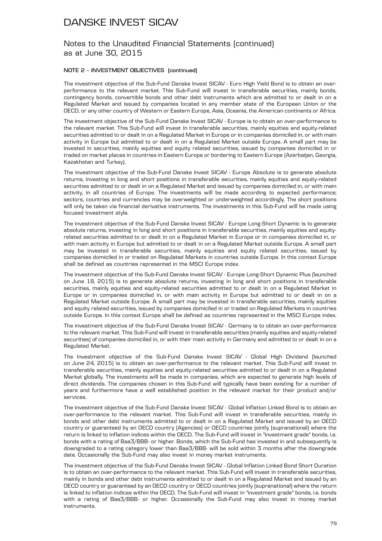### Notes to the Unaudited Financial Statements (continued) as at June 30, 2015

### **NOTE 2 – INVESTMENT OBJECTIVES (continued)**

The investment objective of the Sub-Fund Danske Invest SICAV - Euro High Yield Bond is to obtain an overperformance to the relevant market. This Sub-Fund will invest in transferable securities, mainly bonds, contingency bonds, convertible bonds and other debt instruments which are admitted to or dealt in on a Regulated Market and issued by companies located in any member state of the European Union or the OECD, or any other country of Western or Eastern Europe, Asia, Oceania, the American continents or Africa.

The investment objective of the Sub-Fund Danske Invest SICAV - Europe is to obtain an over-performance to the relevant market. This Sub-Fund will invest in transferable securities, mainly equities and equity-related securities admitted to or dealt in on a Regulated Market in Europe or in companies domiciled in, or with main activity in Europe but admitted to or dealt in on a Regulated Market outside Europe. A small part may be invested in securities, mainly equities and equity related securities, issued by companies domiciled in or traded on market places in countries in Eastern Europe or bordering to Eastern Europe (Azerbaijan, Georgia, Kazakhstan and Turkey).

The investment objective of the Sub-Fund Danske Invest SICAV - Europe Absolute is to generate absolute returns, investing in long and short positions in transferable securities, mainly equities and equity-related securities admitted to or dealt in on a Regulated Market and issued by companies domiciled in, or with main activity, in all countries of Europe. The investments will be made according to expected performance; sectors, countries and currencies may be overweighted or underweighted accordingly. The short positions will only be taken via financial derivative instruments. The investments in this Sub-Fund will be made using focused investment style.

The investment objective of the Sub-Fund Danske Invest SICAV - Europe Long-Short Dynamic is to generate absolute returns, investing in long and short positions in transferable securities, mainly equities and equityrelated securities admitted to or dealt in on a Regulated Market in Europe or in companies domiciled in, or with main activity in Europe but admitted to or dealt in on a Regulated Market outside Europe. A small part may be invested in transferable securities, mainly equities and equity related securities, issued by companies domiciled in or traded on Regulated Markets in countries outside Europe. In this context Europe shall be defined as countries represented in the MSCI Europe index.

The investment objective of the Sub-Fund Danske Invest SICAV - Europe Long-Short Dynamic Plus (launched on June 18, 2015) is to generate absolute returns, investing in long and short positions in transferable securities, mainly equities and equity-related securities admitted to or dealt in on a Regulated Market in Europe or in companies domiciled in, or with main activity in Europe but admitted to or dealt in on a Regulated Market outside Europe. A small part may be invested in transferable securities, mainly equities and equity related securities, issued by companies domiciled in or traded on Regulated Markets in countries outside Europe. In this context Europe shall be defined as countries represented in the MSCI Europe index.

The investment objective of the Sub-Fund Danske Invest SICAV - Germany is to obtain an over-performance to the relevant market. This Sub-Fund will invest in transferable securities (mainly equities and equity-related securities) of companies domiciled in, or with their main activity in Germany and admitted to or dealt in on a Regulated Market.

The Investment objective of the Sub-Fund Danske Invest SICAV - Global High Dividend (launched on June 24, 2015) is to obtain an over-performance to the relevant market. This Sub-Fund will invest in transferable securities, mainly equities and equity-related securities admitted to or dealt in on a Regulated Market globally. The investments will be made in companies, which are expected to generate high levels of direct dividends. The companies chosen in this Sub-Fund will typically have been existing for a number of years and furthermore have a well established position in the relevant market for their product and/or services.

The investment objective of the Sub-Fund Danske Invest SICAV - Global Inflation Linked Bond is to obtain an over-performance to the relevant market. This Sub-Fund will invest in transferable securities, mainly in bonds and other debt instruments admitted to or dealt in on a Regulated Market and issued by an OECD country or guaranteed by an OECD country (Agencies) or OECD countries jointly (supranational) where the return is linked to inflation indices within the OECD. The Sub-Fund will invest in "investment grade" bonds, i.e. bonds with a rating of Baa3/BBB- or higher. Bonds, which the Sub-Fund has invested in and subsequently is downgraded to a rating category lower than Baa3/BBB- will be sold within 3 months after the downgrade date. Occasionally the Sub-Fund may also invest in money market instruments.

The investment objective of the Sub-Fund Danske Invest SICAV - Global Inflation Linked Bond Short Duration is to obtain an over-performance to the relevant market. This Sub-Fund will invest in transferable securities, mainly in bonds and other debt instruments admitted to or dealt in on a Regulated Market and issued by an OECD country or guaranteed by an OECD country or OECD countries jointly (supranational) where the return is linked to inflation indices within the OECD. The Sub-Fund will invest in "investment grade" bonds, i.e. bonds with a rating of Baa3/BBB- or higher. Occasionally the Sub-Fund may also invest in money market instruments.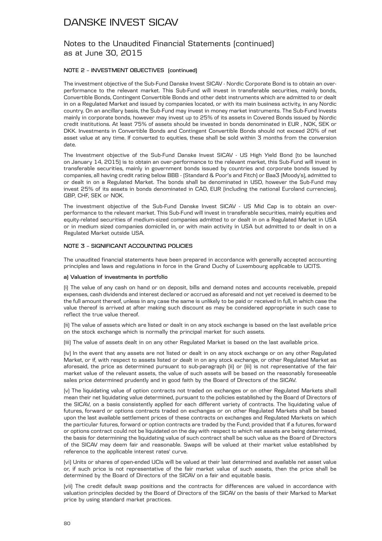### Notes to the Unaudited Financial Statements (continued) as at June 30, 2015

### **NOTE 2 – INVESTMENT OBJECTIVES (continued)**

The investment objective of the Sub-Fund Danske Invest SICAV - Nordic Corporate Bond is to obtain an overperformance to the relevant market. This Sub-Fund will invest in transferable securities, mainly bonds, Convertible Bonds, Contingent Convertible Bonds and other debt instruments which are admitted to or dealt in on a Regulated Market and issued by companies located, or with its main business activity, in any Nordic country. On an ancillary basis, the Sub-Fund may invest in money market instruments. The Sub-Fund Invests mainly in corporate bonds, however may invest up to 25% of its assets in Covered Bonds issued by Nordic credit institutions. At least 75% of assets should be invested in bonds denominated in EUR , NOK, SEK or DKK. Investments in Convertible Bonds and Contingent Convertible Bonds should not exceed 20% of net asset value at any time. If converted to equities, these shall be sold within 3 months from the conversion date.

The Investment objective of the Sub-Fund Danske Invest SICAV - US High Yield Bond (to be launched on January 14, 2015) is to obtain an over-performance to the relevant market, this Sub-Fund will invest in transferable securities, mainly in government bonds issued by countries and corporate bonds issued by companies, all having credit rating below BBB - (Standard & Poor's and Fitch) or Baa3 (Moody's), admitted to or dealt in on a Regulated Market. The bonds shall be denominated in USD, however the Sub-Fund may invest 25% of its assets in bonds denominated in CAD, EUR (including the national Euroland currencies), GBP, CHF, SEK or NOK.

The investment objective of the Sub-Fund Danske Invest SICAV - US Mid Cap is to obtain an overperformance to the relevant market. This Sub-Fund will invest in transferable securities, mainly equities and equity-related securities of medium-sized companies admitted to or dealt in on a Regulated Market in USA or in medium sized companies domiciled in, or with main activity in USA but admitted to or dealt in on a Regulated Market outside USA.

#### **NOTE 3 – SIGNIFICANT ACCOUNTING POLICIES**

The unaudited financial statements have been prepared in accordance with generally accepted accounting principles and laws and regulations in force in the Grand Duchy of Luxembourg applicable to UCITS.

#### **a) Valuation of investments in portfolio**

(i) The value of any cash on hand or on deposit, bills and demand notes and accounts receivable, prepaid expenses, cash dividends and interest declared or accrued as aforesaid and not yet received is deemed to be the full amount thereof, unless in any case the same is unlikely to be paid or received in full, in which case the value thereof is arrived at after making such discount as may be considered appropriate in such case to reflect the true value thereof.

(ii) The value of assets which are listed or dealt in on any stock exchange is based on the last available price on the stock exchange which is normally the principal market for such assets.

(iii) The value of assets dealt in on any other Regulated Market is based on the last available price.

(iv) In the event that any assets are not listed or dealt in on any stock exchange or on any other Regulated Market, or if, with respect to assets listed or dealt in on any stock exchange, or other Regulated Market as aforesaid, the price as determined pursuant to sub-paragraph (ii) or (iii) is not representative of the fair market value of the relevant assets, the value of such assets will be based on the reasonably foreseeable sales price determined prudently and in good faith by the Board of Directors of the SICAV.

(v) The liquidating value of option contracts not traded on exchanges or on other Regulated Markets shall mean their net liquidating value determined, pursuant to the policies established by the Board of Directors of the SICAV, on a basis consistently applied for each different variety of contracts. The liquidating value of futures, forward or options contracts traded on exchanges or on other Regulated Markets shall be based upon the last available settlement prices of these contracts on exchanges and Regulated Markets on which the particular futures, forward or option contracts are traded by the Fund; provided that if a futures, forward or options contract could not be liquidated on the day with respect to which net assets are being determined, the basis for determining the liquidating value of such contract shall be such value as the Board of Directors of the SICAV may deem fair and reasonable. Swaps will be valued at their market value established by reference to the applicable interest rates' curve.

(vi) Units or shares of open-ended UCIs will be valued at their last determined and available net asset value or, if such price is not representative of the fair market value of such assets, then the price shall be determined by the Board of Directors of the SICAV on a fair and equitable basis.

(vii) The credit default swap positions and the contracts for differences are valued in accordance with valuation principles decided by the Board of Directors of the SICAV on the basis of their Marked to Market price by using standard market practices.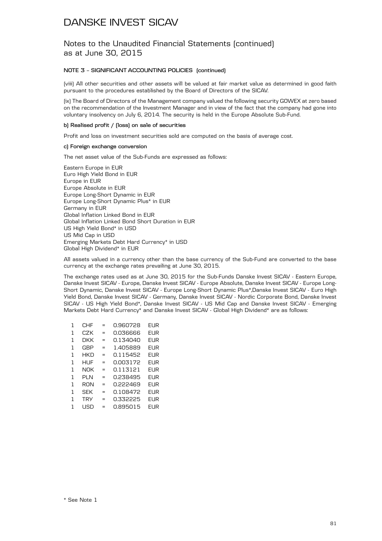Notes to the Unaudited Financial Statements (continued) as at June 30, 2015

### **NOTE 3 – SIGNIFICANT ACCOUNTING POLICIES (continued)**

(viii) All other securities and other assets will be valued at fair market value as determined in good faith pursuant to the procedures established by the Board of Directors of the SICAV.

(ix) The Board of Directors of the Management company valued the following security GOWEX at zero based on the recommendation of the Investment Manager and in view of the fact that the company had gone into voluntary insolvency on July 6, 2014. The security is held in the Europe Absolute Sub-Fund.

### **b) Realised profit / (loss) on sale of securities**

Profit and loss on investment securities sold are computed on the basis of average cost.

### **c) Foreign exchange conversion**

The net asset value of the Sub-Funds are expressed as follows:

Eastern Europe in EUR Euro High Yield Bond in EUR Europe in EUR Europe Absolute in EUR Europe Long-Short Dynamic in EUR Europe Long-Short Dynamic Plus\* in EUR Germany in EUR Global Inflation Linked Bond in EUR Global Inflation Linked Bond Short Duration in EUR US High Yield Bond\* in USD US Mid Cap in USD Emerging Markets Debt Hard Currency\* in USD Global High Dividend\* in EUR

All assets valued in a currency other than the base currency of the Sub-Fund are converted to the base currency at the exchange rates prevailing at June 30, 2015.

The exchange rates used as at June 30, 2015 for the Sub-Funds Danske Invest SICAV - Eastern Europe, Danske Invest SICAV - Europe, Danske Invest SICAV - Europe Absolute, Danske Invest SICAV - Europe Long-Short Dynamic, Danske Invest SICAV - Europe Long-Short Dynamic Plus\*,Danske Invest SICAV - Euro High Yield Bond, Danske Invest SICAV - Germany, Danske Invest SICAV - Nordic Corporate Bond, Danske Invest SICAV - US High Yield Bond\*, Danske Invest SICAV - US Mid Cap and Danske Invest SICAV - Emerging Markets Debt Hard Currency\* and Danske Invest SICAV - Global High Dividend\* are as follows:

| 1 | CHF        |   | 0.960728 | EUR        |
|---|------------|---|----------|------------|
| 1 | CZK        | = | 0.036666 | EUR        |
| 1 | DKK        | = | 0.134040 | <b>EUR</b> |
| 1 | <b>GBP</b> | = | 1.405889 | EUR        |
| 1 | HKD        | = | 0.115452 | EUR        |
| 1 | HUF        |   | 0.003172 | EUR        |
| 1 | NOK        | = | 0.113121 | EUR        |
| 1 | PLN        |   | 0.238495 | EUR        |
| 1 | RON        | = | 0.222469 | EUR        |
| 1 | <b>SEK</b> | = | 0.108472 | FI IR      |
| 1 | <b>TRY</b> | = | 0.332225 | EUR        |
| 1 | l ISD      |   | 0.895015 | FI IR      |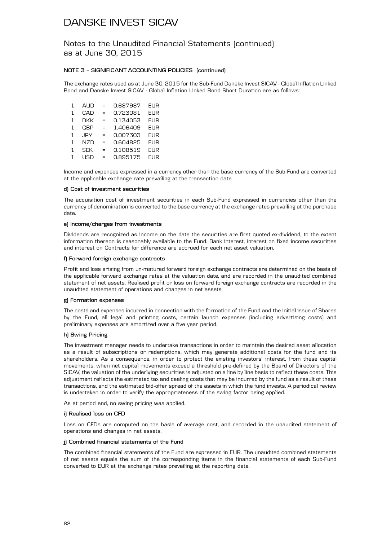Notes to the Unaudited Financial Statements (continued) as at June 30, 2015

### **NOTE 3 – SIGNIFICANT ACCOUNTING POLICIES (continued)**

The exchange rates used as at June 30, 2015 for the Sub-Fund Danske Invest SICAV - Global Inflation Linked Bond and Danske Invest SICAV - Global Inflation Linked Bond Short Duration are as follows:

| 1 | <b>AUD</b> | $=$ | 0.687987 | <b>EUR</b> |
|---|------------|-----|----------|------------|
| 1 | CAD        | $=$ | 0.723081 | <b>EUR</b> |
| 1 | <b>DKK</b> | $=$ | 0.134053 | <b>EUR</b> |
| 1 | <b>GBP</b> | =   | 1.406409 | <b>EUR</b> |
| 1 | <b>JPY</b> | $=$ | 0.007303 | <b>EUR</b> |
| 1 | <b>NZD</b> | $=$ | 0.604825 | <b>EUR</b> |
| 1 | <b>SEK</b> | =   | 0.108519 | <b>EUR</b> |
| 1 | l ISD      | $=$ | 0.895175 | FUR.       |

Income and expenses expressed in a currency other than the base currency of the Sub-Fund are converted at the applicable exchange rate prevailing at the transaction date.

#### **d) Cost of investment securities**

The acquisition cost of investment securities in each Sub-Fund expressed in currencies other than the currency of denomination is converted to the base currency at the exchange rates prevailing at the purchase date.

#### **e) Income/charges from investments**

Dividends are recognized as income on the date the securities are first quoted ex-dividend, to the extent information thereon is reasonably available to the Fund. Bank interest, interest on fixed income securities and interest on Contracts for difference are accrued for each net asset valuation.

#### **f) Forward foreign exchange contracts**

Profit and loss arising from un-matured forward foreign exchange contracts are determined on the basis of the applicable forward exchange rates at the valuation date, and are recorded in the unaudited combined statement of net assets. Realised profit or loss on forward foreign exchange contracts are recorded in the unaudited statement of operations and changes in net assets.

### **g) Formation expenses**

The costs and expenses incurred in connection with the formation of the Fund and the initial issue of Shares by the Fund, all legal and printing costs, certain launch expenses (including advertising costs) and preliminary expenses are amortized over a five year period.

### **h) Swing Pricing**

The investment manager needs to undertake transactions in order to maintain the desired asset allocation as a result of subscriptions or redemptions, which may generate additional costs for the fund and its shareholders. As a consequence, in order to protect the existing investors' interest, from these capital movements, when net capital movements exceed a threshold pre-defined by the Board of Directors of the SICAV, the valuation of the underlying securities is adjusted on a line by line basis to reflect these costs. This adjustment reflects the estimated tax and dealing costs that may be incurred by the fund as a result of these transactions, and the estimated bid-offer spread of the assets in which the fund invests. A periodical review is undertaken in order to verify the appropriateness of the swing factor being applied.

As at period end, no swing pricing was applied.

#### **i) Realised loss on CFD**

Loss on CFDs are computed on the basis of average cost, and recorded in the unaudited statement of operations and changes in net assets.

### **j) Combined financial statements of the Fund**

The combined financial statements of the Fund are expressed in EUR. The unaudited combined statements of net assets equals the sum of the corresponding items in the financial statements of each Sub-Fund converted to EUR at the exchange rates prevailing at the reporting date.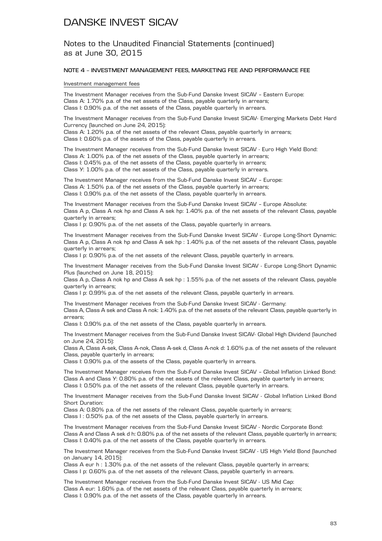Notes to the Unaudited Financial Statements (continued) as at June 30, 2015

#### **NOTE 4 – INVESTMENT MANAGEMENT FEES, MARKETING FEE AND PERFORMANCE FEE**

#### Investment management fees

The Investment Manager receives from the Sub-Fund Danske Invest SICAV – Eastern Europe: Class A: 1.70% p.a. of the net assets of the Class, payable quarterly in arrears; Class I: 0.90% p.a. of the net assets of the Class, payable quarterly in arrears.

The Investment Manager receives from the Sub-Fund Danske Invest SICAV- Emerging Markets Debt Hard Currency (launched on June 24, 2015):

Class A: 1.20% p.a. of the net assets of the relevant Class, payable quarterly in arrears; Class I: 0.60% p.a. of the assets of the Class, payable quarterly in arrears.

The Investment Manager receives from the Sub-Fund Danske Invest SICAV - Euro High Yield Bond: Class A: 1.00% p.a. of the net assets of the Class, payable quarterly in arrears; Class I: 0.45% p.a. of the net assets of the Class, payable quarterly in arrears; Class Y: 1.00% p.a. of the net assets of the Class, payable quarterly in arrears.

The Investment Manager receives from the Sub-Fund Danske Invest SICAV – Europe: Class A: 1.50% p.a. of the net assets of the Class, payable quarterly in arrears; Class I: 0.90% p.a. of the net assets of the Class, payable quarterly in arrears.

The Investment Manager receives from the Sub-Fund Danske Invest SICAV – Europe Absolute: Class A p, Class A nok hp and Class A sek hp: 1.40% p.a. of the net assets of the relevant Class, payable quarterly in arrears;

Class I p: 0.90% p.a. of the net assets of the Class, payable quarterly in arrears.

The Investment Manager receives from the Sub-Fund Danske Invest SICAV - Europe Long-Short Dynamic: Class A p, Class A nok hp and Class A sek hp : 1.40% p.a. of the net assets of the relevant Class, payable quarterly in arrears;

Class I p: 0.90% p.a. of the net assets of the relevant Class, payable quarterly in arrears.

The Investment Manager receives from the Sub-Fund Danske Invest SICAV - Europe Long-Short Dynamic Plus (launched on June 18, 2015):

Class A p, Class A nok hp and Class A sek hp : 1.55% p.a. of the net assets of the relevant Class, payable quarterly in arrears;

Class I p: 0.99% p.a. of the net assets of the relevant Class, payable quarterly in arrears.

The Investment Manager receives from the Sub-Fund Danske Invest SICAV - Germany:

Class A, Class A sek and Class A nok: 1.40% p.a. of the net assets of the relevant Class, payable quarterly in arrears;

Class I: 0.90% p.a. of the net assets of the Class, payable quarterly in arrears.

The Investment Manager receives from the Sub-Fund Danske Invest SICAV- Global High Dividend (launched on June 24, 2015):

Class A, Class A-sek, Class A-nok, Class A-sek d, Class A-nok d: 1.60% p.a. of the net assets of the relevant Class, payable quarterly in arrears;

Class I: 0.90% p.a. of the assets of the Class, payable quarterly in arrears.

The Investment Manager receives from the Sub-Fund Danske Invest SICAV – Global Inflation Linked Bond: Class A and Class Y: 0.80% p.a. of the net assets of the relevant Class, payable quarterly in arrears; Class I: 0.50% p.a. of the net assets of the relevant Class, payable quarterly in arrears.

The Investment Manager receives from the Sub-Fund Danske Invest SICAV - Global Inflation Linked Bond Short Duration:

Class A: 0.80% p.a. of the net assets of the relevant Class, payable quarterly in arrears; Class I: 0.50% p.a. of the net assets of the Class, payable quarterly in arrears.

The Investment Manager receives from the Sub-Fund Danske Invest SICAV - Nordic Corporate Bond: Class A and Class A sek d h: 0.80% p.a. of the net assets of the relevant Class, payable quarterly in arrears; Class I: 0.40% p.a. of the net assets of the Class, payable quarterly in arrears.

The Investment Manager receives from the Sub-Fund Danske Invest SICAV - US High Yield Bond (launched on January 14, 2015):

Class A eur h : 1.30% p.a. of the net assets of the relevant Class, payable quarterly in arrears; Class I p: 0.60% p.a. of the net assets of the relevant Class, payable quarterly in arrears.

The Investment Manager receives from the Sub-Fund Danske Invest SICAV - US Mid Cap: Class A eur: 1.60% p.a. of the net assets of the relevant Class, payable quarterly in arrears; Class I: 0.90% p.a. of the net assets of the Class, payable quarterly in arrears.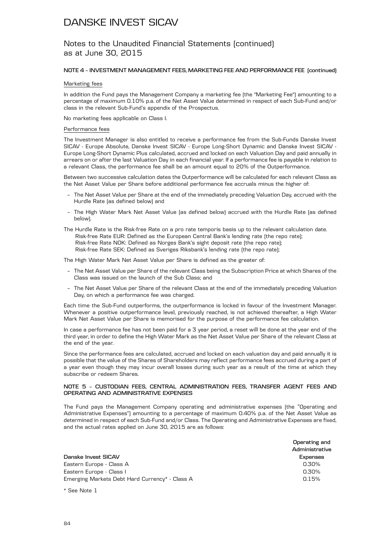### Notes to the Unaudited Financial Statements (continued) as at June 30, 2015

### **NOTE 4 – INVESTMENT MANAGEMENT FEES, MARKETING FEE AND PERFORMANCE FEE (continued)**

#### Marketing fees

In addition the Fund pays the Management Company a marketing fee (the "Marketing Fee") amounting to a percentage of maximum 0.10% p.a. of the Net Asset Value determined in respect of each Sub-Fund and/or class in the relevant Sub-Fund's appendix of the Prospectus.

No marketing fees applicable on Class I.

#### Performance fees

The Investment Manager is also entitled to receive a performance fee from the Sub-Funds Danske Invest SICAV - Europe Absolute, Danske Invest SICAV - Europe Long-Short Dynamic and Danske Invest SICAV - Europe Long-Short Dynamic Plus calculated, accrued and locked on each Valuation Day and paid annually in arrears on or after the last Valuation Day in each financial year. If a performance fee is payable in relation to a relevant Class, the performance fee shall be an amount equal to 20% of the Outperformance.

Between two successive calculation dates the Outperformance will be calculated for each relevant Class as the Net Asset Value per Share before additional performance fee accruals minus the higher of:

- The Net Asset Value per Share at the end of the immediately preceding Valuation Day, accrued with the Hurdle Rate (as defined below) and
- The High Water Mark Net Asset Value (as defined below) accrued with the Hurdle Rate (as defined below).
- The Hurdle Rate is the Risk-free Rate on a pro rate temporis basis up to the relevant calculation date. Risk-free Rate EUR: Defined as the European Central Bank's lending rate (the repo rate); Risk-free Rate NOK: Defined as Norges Bank's sight deposit rate (the repo rate); Risk-free Rate SEK: Defined as Sveriges Riksbank's lending rate (the repo rate);

The High Water Mark Net Asset Value per Share is defined as the greater of:

- The Net Asset Value per Share of the relevant Class being the Subscription Price at which Shares of the Class was issued on the launch of the Sub Class; and
- The Net Asset Value per Share of the relevant Class at the end of the immediately preceding Valuation Day, on which a performance fee was charged.

Each time the Sub-Fund outperforms, the outperformance is locked in favour of the Investment Manager. Whenever a positive outperformance level, previously reached, is not achieved thereafter, a High Water Mark Net Asset Value per Share is memorised for the purpose of the performance fee calculation.

In case a performance fee has not been paid for a 3 year period, a reset will be done at the year end of the third year, in order to define the High Water Mark as the Net Asset Value per Share of the relevant Class at the end of the year.

Since the performance fees are calculated, accrued and locked on each valuation day and paid annually it is possible that the value of the Shares of Shareholders may reflect performance fees accrued during a part of a year even though they may incur overall losses during such year as a result of the time at which they subscribe or redeem Shares.

#### **NOTE 5 – CUSTODIAN FEES, CENTRAL ADMINISTRATION FEES, TRANSFER AGENT FEES AND OPERATING AND ADMINISTRATIVE EXPENSES**

The Fund pays the Management Company operating and administrative expenses (the "Operating and Administrative Expenses") amounting to a percentage of maximum 0.40% p.a. of the Net Asset Value as determined in respect of each Sub-Fund and/or Class. The Operating and Administrative Expenses are fixed, and the actual rates applied on June 30, 2015 are as follows:

|                                                | Operating and  |
|------------------------------------------------|----------------|
|                                                | Administrative |
| Danske Invest SICAV                            | Expenses       |
| Eastern Europe - Class A                       | 0.30%          |
| Eastern Europe - Class I                       | 0.30%          |
| Emerging Markets Debt Hard Currency* - Class A | 0.15%          |

\* See Note 1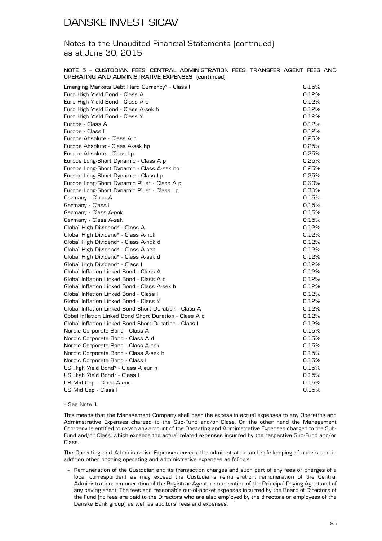### Notes to the Unaudited Financial Statements (continued) as at June 30, 2015

#### **NOTE 5 – CUSTODIAN FEES, CENTRAL ADMINISTRATION FEES, TRANSFER AGENT FEES AND OPERATING AND ADMINISTRATIVE EXPENSES (continued)**

| Emerging Markets Debt Hard Currency* - Class I         | 0.15% |
|--------------------------------------------------------|-------|
| Euro High Yield Bond - Class A                         | 0.12% |
| Euro High Yield Bond - Class A d                       | 0.12% |
| Euro High Yield Bond - Class A-sek h                   | 0.12% |
| Euro High Yield Bond - Class Y                         | 0.12% |
| Europe - Class A                                       | 0.12% |
| Europe - Class I                                       | 0.12% |
| Europe Absolute - Class A p                            | 0.25% |
| Europe Absolute - Class A-sek hp                       | 0.25% |
| Europe Absolute - Class I p                            | 0.25% |
| Europe Long-Short Dynamic - Class A p                  | 0.25% |
| Europe Long-Short Dynamic - Class A-sek hp             | 0.25% |
| Europe Long-Short Dynamic - Class I p                  | 0.25% |
| Europe Long-Short Dynamic Plus* - Class A p            | 0.30% |
| Europe Long-Short Dynamic Plus* - Class I p            | 0.30% |
| Germany - Class A                                      | 0.15% |
| Germany - Class I                                      | 0.15% |
| Germany - Class A-nok                                  | 0.15% |
| Germany - Class A-sek                                  | 0.15% |
| Global High Dividend* - Class A                        | 0.12% |
| Global High Dividend* - Class A-nok                    | 0.12% |
| Global High Dividend* - Class A-nok d                  | 0.12% |
| Global High Dividend* - Class A-sek                    | 0.12% |
| Global High Dividend* - Class A-sek d                  | 0.12% |
| Global High Dividend* - Class I                        | 0.12% |
| Global Inflation Linked Bond - Class A                 | 0.12% |
| Global Inflation Linked Bond - Class A d               | 0.12% |
| Global Inflation Linked Bond - Class A-sek h           | 0.12% |
| Global Inflation Linked Bond - Class I                 | 0.12% |
| Global Inflation Linked Bond - Class Y                 | 0.12% |
| Global Inflation Linked Bond Short Duration - Class A  | 0.12% |
| Gobal Inflation Linked Bond Short Duration - Class A d | 0.12% |
| Global Inflation Linked Bond Short Duration - Class I  | 0.12% |
| Nordic Corporate Bond - Class A                        | 0.15% |
| Nordic Corporate Bond - Class A d                      | 0.15% |
| Nordic Corporate Bond - Class A-sek                    | 0.15% |
| Nordic Corporate Bond - Class A-sek h                  | 0.15% |
| Nordic Corporate Bond - Class I                        | 0.15% |
| US High Yield Bond* - Class A eur h                    | 0.15% |
| US High Yield Bond* - Class I                          | 0.15% |
| US Mid Cap - Class A-eur                               | 0.15% |
| US Mid Cap - Class I                                   | 0.15% |
|                                                        |       |

### \* See Note 1

This means that the Management Company shall bear the excess in actual expenses to any Operating and Administrative Expenses charged to the Sub-Fund and/or Class. On the other hand the Management Company is entitled to retain any amount of the Operating and Administrative Expenses charged to the Sub-Fund and/or Class, which exceeds the actual related expenses incurred by the respective Sub-Fund and/or Class.

The Operating and Administrative Expenses covers the administration and safe-keeping of assets and in addition other ongoing operating and administrative expenses as follows:

– Remuneration of the Custodian and its transaction charges and such part of any fees or charges of a local correspondent as may exceed the Custodian's remuneration; remuneration of the Central Administration; remuneration of the Registrar Agent; remuneration of the Principal Paying Agent and of any paying agent. The fees and reasonable out-of-pocket expenses incurred by the Board of Directors of the Fund (no fees are paid to the Directors who are also employed by the directors or employees of the Danske Bank group) as well as auditors' fees and expenses;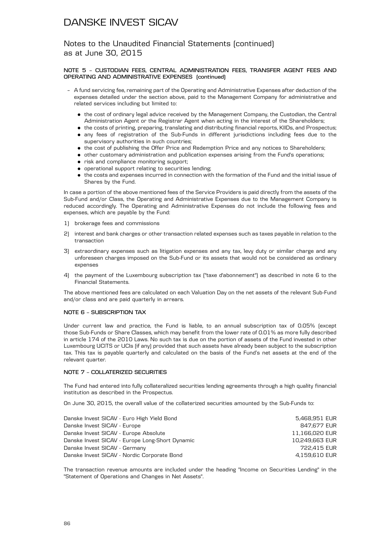Notes to the Unaudited Financial Statements (continued) as at June 30, 2015

### **NOTE 5 – CUSTODIAN FEES, CENTRAL ADMINISTRATION FEES, TRANSFER AGENT FEES AND OPERATING AND ADMINISTRATIVE EXPENSES (continued)**

- A fund servicing fee, remaining part of the Operating and Administrative Expenses after deduction of the expenses detailed under the section above, paid to the Management Company for administrative and related services including but limited to:
	- . the cost of ordinary legal advice received by the Management Company, the Custodian, the Central Administration Agent or the Registrar Agent when acting in the interest of the Shareholders;
	- . the costs of printing, preparing, translating and distributing financial reports, KIIDs, and Prospectus;
	- . any fees of registration of the Sub-Funds in different jurisdictions including fees due to the supervisory authorities in such countries;
	- . the cost of publishing the Offer Price and Redemption Price and any notices to Shareholders;
	- . other customary administration and publication expenses arising from the Fund's operations;
	- . risk and compliance monitoring support;
	- . operational support relating to securities lending;
	- . the costs and expenses incurred in connection with the formation of the Fund and the initial issue of Shares by the Fund.

In case a portion of the above mentioned fees of the Service Providers is paid directly from the assets of the Sub-Fund and/or Class, the Operating and Administrative Expenses due to the Management Company is reduced accordingly. The Operating and Administrative Expenses do not include the following fees and expenses, which are payable by the Fund:

- 1) brokerage fees and commissions
- 2) interest and bank charges or other transaction related expenses such as taxes payable in relation to the transaction
- 3) extraordinary expenses such as litigation expenses and any tax, levy duty or similar charge and any unforeseen charges imposed on the Sub-Fund or its assets that would not be considered as ordinary expenses
- 4) the payment of the Luxembourg subscription tax ("taxe d'abonnement") as described in note 6 to the Financial Statements.

The above mentioned fees are calculated on each Valuation Day on the net assets of the relevant Sub-Fund and/or class and are paid quarterly in arrears.

### **NOTE 6 – SUBSCRIPTION TAX**

Under current law and practice, the Fund is liable, to an annual subscription tax of 0.05% (except those Sub-Funds or Share Classes, which may benefit from the lower rate of 0.01% as more fully described in article 174 of the 2010 Laws. No such tax is due on the portion of assets of the Fund invested in other Luxembourg UCITS or UCIs (if any) provided that such assets have already been subject to the subscription tax. This tax is payable quarterly and calculated on the basis of the Fund's net assets at the end of the relevant quarter.

### **NOTE 7 – COLLATERIZED SECURITIES**

The Fund had entered into fully collateralized securities lending agreements through a high quality financial institution as described in the Prospectus.

On June 30, 2015, the overall value of the collaterized securities amounted by the Sub-Funds to:

| Danske Invest SICAV - Euro High Yield Bond      | 5.468.951 EUR  |
|-------------------------------------------------|----------------|
| Danske Invest SICAV - Europe                    | 847,677 EUR    |
| Danske Invest SICAV - Europe Absolute           | 11,166,020 EUR |
| Danske Invest SICAV - Europe Long-Short Dynamic | 10.249.663 EUR |
| Danske Invest SICAV - Germany                   | 722.415 EUR    |
| Danske Invest SICAV - Nordic Corporate Bond     | 4.159.610 EUR  |
|                                                 |                |

The transaction revenue amounts are included under the heading "Income on Securities Lending" in the "Statement of Operations and Changes in Net Assets".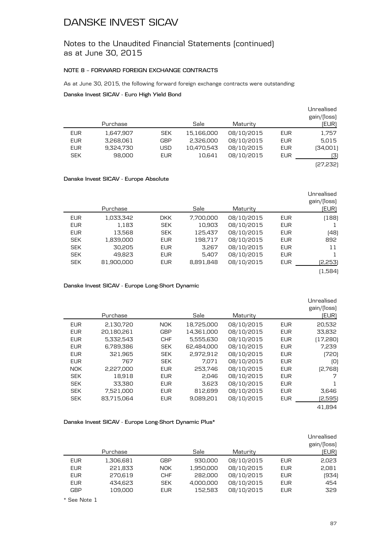Notes to the Unaudited Financial Statements (continued) as at June 30, 2015

### **NOTE 8 – FORWARD FOREIGN EXCHANGE CONTRACTS**

As at June 30, 2015, the following forward foreign exchange contracts were outstanding:

**Danske Invest SICAV - Euro High Yield Bond**

|            |           |            |            |            |            | Unrealised  |
|------------|-----------|------------|------------|------------|------------|-------------|
|            |           |            |            |            |            | gain/(loss) |
|            | Purchase  |            | Sale       | Maturity   |            | (EUR)       |
| <b>EUR</b> | 1,647,907 | <b>SEK</b> | 15,166,000 | 08/10/2015 | EUR        | 1,757       |
| <b>EUR</b> | 3,268,061 | <b>GBP</b> | 2,326,000  | 08/10/2015 | EUR        | 5,015       |
| <b>EUR</b> | 9,324,730 | USD        | 10,470,543 | 08/10/2015 | <b>EUR</b> | [34,001]    |
| <b>SEK</b> | 98.000    | <b>EUR</b> | 10.641     | 08/10/2015 | EUR        | (3)         |
|            |           |            |            |            |            | [27,232]    |
|            |           |            |            |            |            |             |

### **Danske Invest SICAV - Europe Absolute**

| Unrealised  |            |            |           |            |            |            |
|-------------|------------|------------|-----------|------------|------------|------------|
| gain/(loss) |            |            |           |            |            |            |
| (EUR)       |            | Maturity   | Sale      |            | Purchase   |            |
| (188)       | <b>EUR</b> | 08/10/2015 | 7,700,000 | DKK.       | 1,033,342  | <b>EUR</b> |
|             | <b>EUR</b> | 08/10/2015 | 10,903    | <b>SEK</b> | 1,183      | <b>EUR</b> |
| (48)        | <b>EUR</b> | 08/10/2015 | 125,437   | <b>SEK</b> | 13,568     | <b>EUR</b> |
| 892         | <b>EUR</b> | 08/10/2015 | 198,717   | <b>EUR</b> | 1,839,000  | <b>SEK</b> |
| 11          | <b>EUR</b> | 08/10/2015 | 3,267     | <b>EUR</b> | 30,205     | <b>SEK</b> |
|             | <b>EUR</b> | 08/10/2015 | 5,407     | <b>EUR</b> | 49.823     | <b>SEK</b> |
| (2,253)     | <b>EUR</b> | 08/10/2015 | 8,891,848 | <b>EUR</b> | 81.900.000 | <b>SEK</b> |
| (1,584)     |            |            |           |            |            |            |

**Danske Invest SICAV - Europe Long-Short Dynamic**

|            |            |            |            |            |            | Unrealised<br>gain/(loss) |
|------------|------------|------------|------------|------------|------------|---------------------------|
|            | Purchase   |            | Sale       | Maturity   |            | [EUR]                     |
| <b>EUR</b> | 2,130,720  | <b>NOK</b> | 18,725,000 | 08/10/2015 | <b>EUR</b> | 20,532                    |
| <b>EUR</b> | 20,180,261 | <b>GBP</b> | 14,361,000 | 08/10/2015 | <b>EUR</b> | 33,832                    |
| <b>EUR</b> | 5,332,543  | <b>CHF</b> | 5,555,630  | 08/10/2015 | <b>EUR</b> | (17,280)                  |
| <b>EUR</b> | 6.789.386  | <b>SEK</b> | 62.484.000 | 08/10/2015 | <b>EUR</b> | 7,239                     |
| <b>EUR</b> | 321,965    | <b>SEK</b> | 2,972,912  | 08/10/2015 | <b>EUR</b> | (720)                     |
| <b>EUR</b> | 767        | <b>SEK</b> | 7.071      | 08/10/2015 | <b>EUR</b> | [O]                       |
| <b>NOK</b> | 2,227,000  | <b>EUR</b> | 253.746    | 08/10/2015 | <b>EUR</b> | [2,768]                   |
| <b>SEK</b> | 18,918     | <b>EUR</b> | 2,046      | 08/10/2015 | <b>EUR</b> | 7                         |
| <b>SEK</b> | 33.380     | <b>EUR</b> | 3.623      | 08/10/2015 | <b>EUR</b> |                           |
| <b>SEK</b> | 7,521,000  | <b>EUR</b> | 812,699    | 08/10/2015 | <b>EUR</b> | 3,646                     |
| <b>SEK</b> | 83.715.064 | <b>EUR</b> | 9,089,201  | 08/10/2015 | <b>EUR</b> | (2,595)                   |
|            |            |            |            |            |            | 41.894                    |

### **Danske Invest SICAV - Europe Long-Short Dynamic Plus\***

|            | Purchase  |            | Sale      | Maturity   |            | Unrealised<br>gain/(loss)<br>(EUR) |
|------------|-----------|------------|-----------|------------|------------|------------------------------------|
| <b>EUR</b> | 1,306,681 | <b>GBP</b> | 930,000   | 08/10/2015 | EUR        | 2,023                              |
| <b>EUR</b> | 221,833   | <b>NOK</b> | 1,950,000 | 08/10/2015 | <b>EUR</b> | 2,081                              |
| <b>EUR</b> | 270,619   | <b>CHF</b> | 282,000   | 08/10/2015 | EUR        | (934)                              |
| <b>EUR</b> | 434.623   | <b>SEK</b> | 4.000.000 | 08/10/2015 | EUR        | 454                                |
| <b>GBP</b> | 109,000   | <b>EUR</b> | 152.583   | 08/10/2015 | EUR        | 329                                |

\* See Note 1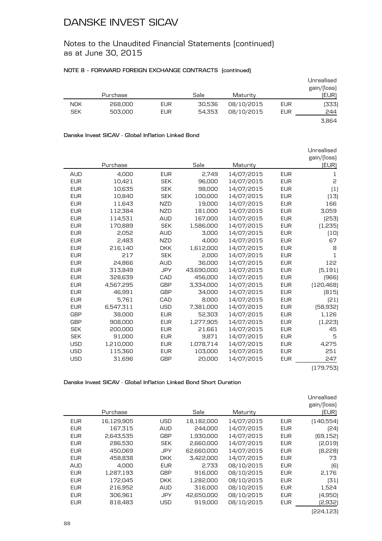Notes to the Unaudited Financial Statements (continued) as at June 30, 2015

### **NOTE 8 – FORWARD FOREIGN EXCHANGE CONTRACTS (continued)**

|            |          |            |        |            |     | Unrealised<br>gain/(loss) |
|------------|----------|------------|--------|------------|-----|---------------------------|
|            | Purchase |            | Sale   | Maturity   |     | (EUR)                     |
| <b>NOK</b> | 268,000  | <b>EUR</b> | 30,536 | 08/10/2015 | EUR | (333)                     |
| <b>SEK</b> | 503,000  | <b>EUR</b> | 54,353 | 08/10/2015 | EUR | 244                       |
|            |          |            |        |            |     | 3.864                     |

#### **Danske Invest SICAV - Global Inflation Linked Bond**

|            |           |            |            |            |            | Unrealised   |
|------------|-----------|------------|------------|------------|------------|--------------|
|            |           |            |            |            |            | gain/(loss)  |
|            | Purchase  |            | Sale       | Maturity   |            | (EUR)        |
| <b>AUD</b> | 4.000     | <b>EUR</b> | 2.749      | 14/07/2015 | <b>EUR</b> | 1            |
| <b>EUR</b> | 10,421    | <b>SEK</b> | 96,000     | 14/07/2015 | <b>EUR</b> | 2            |
| <b>EUR</b> | 10.635    | <b>SEK</b> | 98.000     | 14/07/2015 | <b>EUR</b> | (1)          |
| <b>EUR</b> | 10,840    | <b>SEK</b> | 100,000    | 14/07/2015 | <b>EUR</b> | [13]         |
| <b>EUR</b> | 11,643    | <b>NZD</b> | 19,000     | 14/07/2015 | <b>EUR</b> | 166          |
| <b>EUR</b> | 112,384   | <b>NZD</b> | 181,000    | 14/07/2015 | <b>EUR</b> | 3,059        |
| <b>EUR</b> | 114,531   | <b>AUD</b> | 167,000    | 14/07/2015 | <b>EUR</b> | (253)        |
| <b>EUR</b> | 170.889   | <b>SEK</b> | 1,586,000  | 14/07/2015 | <b>EUR</b> | (1,235)      |
| <b>EUR</b> | 2,052     | <b>AUD</b> | 3,000      | 14/07/2015 | <b>EUR</b> | (10)         |
| <b>EUR</b> | 2.483     | <b>NZD</b> | 4,000      | 14/07/2015 | <b>EUR</b> | 67           |
| <b>EUR</b> | 216,140   | <b>DKK</b> | 1,612,000  | 14/07/2015 | <b>EUR</b> | 8            |
| <b>EUR</b> | 217       | <b>SEK</b> | 2.000      | 14/07/2015 | <b>EUR</b> | $\mathbf{1}$ |
| <b>EUR</b> | 24,866    | <b>AUD</b> | 36,000     | 14/07/2015 | <b>EUR</b> | 122          |
| <b>EUR</b> | 313,849   | <b>JPY</b> | 43,690,000 | 14/07/2015 | <b>EUR</b> | (5, 191)     |
| <b>EUR</b> | 328,639   | CAD        | 456,000    | 14/07/2015 | <b>EUR</b> | (966)        |
| <b>EUR</b> | 4,567,295 | <b>GBP</b> | 3,334,000  | 14/07/2015 | <b>EUR</b> | [120, 468]   |
| <b>EUR</b> | 46.991    | <b>GBP</b> | 34,000     | 14/07/2015 | <b>EUR</b> | [815]        |
| <b>EUR</b> | 5.761     | CAD        | 8,000      | 14/07/2015 | <b>EUR</b> | [21]         |
| <b>EUR</b> | 6,547,311 | <b>USD</b> | 7,381,000  | 14/07/2015 | <b>EUR</b> | [58, 932]    |
| <b>GBP</b> | 38,000    | <b>EUR</b> | 52,303     | 14/07/2015 | <b>EUR</b> | 1,126        |
| <b>GBP</b> | 908,000   | <b>EUR</b> | 1,277,905  | 14/07/2015 | <b>EUR</b> | (1,223)      |
| <b>SEK</b> | 200,000   | <b>EUR</b> | 21,661     | 14/07/2015 | <b>EUR</b> | 45           |
| <b>SEK</b> | 91,000    | <b>EUR</b> | 9.871      | 14/07/2015 | <b>EUR</b> | 5            |
| <b>USD</b> | 1,210,000 | <b>EUR</b> | 1,078,714  | 14/07/2015 | <b>EUR</b> | 4,275        |
| <b>USD</b> | 115,360   | <b>EUR</b> | 103,000    | 14/07/2015 | <b>EUR</b> | 251          |
| <b>USD</b> | 31,696    | <b>GBP</b> | 20,000     | 14/07/2015 | <b>EUR</b> | 247          |
|            |           |            |            |            |            |              |

(179,753)

**Danske Invest SICAV - Global Inflation Linked Bond Short Duration**

|            | Purchase   |            | Sale       | Maturity   |            | Unrealised<br>gain/(loss)<br>(EUR) |
|------------|------------|------------|------------|------------|------------|------------------------------------|
| <b>EUR</b> | 16,129,905 | <b>USD</b> | 18,182,000 | 14/07/2015 | <b>EUR</b> | (140, 554)                         |
|            |            |            |            |            |            |                                    |
| <b>EUR</b> | 167,315    | <b>AUD</b> | 244,000    | 14/07/2015 | <b>EUR</b> | [24]                               |
| <b>EUR</b> | 2,643,535  | <b>GBP</b> | 1,930,000  | 14/07/2015 | <b>EUR</b> | [69, 152]                          |
| <b>EUR</b> | 286,530    | <b>SEK</b> | 2,660,000  | 14/07/2015 | <b>EUR</b> | [2,019]                            |
| <b>EUR</b> | 450.069    | <b>JPY</b> | 62,660,000 | 14/07/2015 | <b>EUR</b> | (8,228)                            |
| <b>EUR</b> | 458,838    | <b>DKK</b> | 3,422,000  | 14/07/2015 | <b>EUR</b> | 73                                 |
| <b>AUD</b> | 4.000      | <b>EUR</b> | 2,733      | 08/10/2015 | <b>EUR</b> | (6)                                |
| <b>EUR</b> | 1,287,193  | <b>GBP</b> | 916,000    | 08/10/2015 | <b>EUR</b> | 2,176                              |
| <b>EUR</b> | 172,045    | <b>DKK</b> | 1,282,000  | 08/10/2015 | <b>EUR</b> | (31)                               |
| <b>EUR</b> | 216,952    | <b>AUD</b> | 316,000    | 08/10/2015 | <b>EUR</b> | 1,524                              |
| <b>EUR</b> | 306,961    | <b>JPY</b> | 42,650,000 | 08/10/2015 | <b>EUR</b> | (4,950)                            |
| <b>EUR</b> | 818,483    | USD        | 919,000    | 08/10/2015 | <b>EUR</b> | [2,932]                            |
|            |            |            |            |            |            |                                    |

(224,123)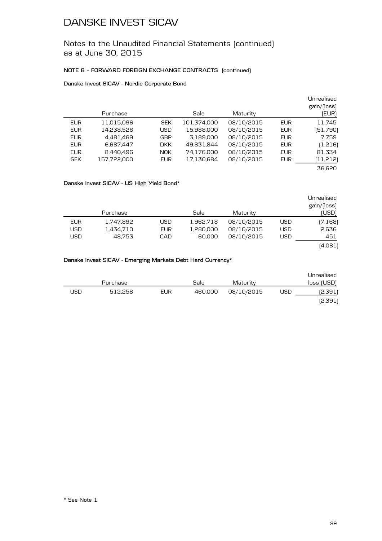Notes to the Unaudited Financial Statements (continued) as at June 30, 2015

### **NOTE 8 – FORWARD FOREIGN EXCHANGE CONTRACTS (continued)**

### **Danske Invest SICAV - Nordic Corporate Bond**

| Unrealised<br>gain/(loss)<br>(EUR) |            | Maturity   | Sale        |            | Purchase    |            |
|------------------------------------|------------|------------|-------------|------------|-------------|------------|
| 11,745                             | <b>EUR</b> | 08/10/2015 | 101,374,000 | <b>SEK</b> | 11,015,096  | <b>EUR</b> |
| [51,790]                           | <b>EUR</b> | 08/10/2015 | 15,988,000  | USD        | 14,238,526  | <b>EUR</b> |
| 7.759                              | <b>EUR</b> | 08/10/2015 | 3,189,000   | <b>GBP</b> | 4,481,469   | <b>EUR</b> |
| (1,216)                            | <b>EUR</b> | 08/10/2015 | 49,831,844  | DKK.       | 6,687,447   | <b>EUR</b> |
| 81,334                             | <b>EUR</b> | 08/10/2015 | 74,176,000  | <b>NOK</b> | 8.440.496   | <b>EUR</b> |
| (11,212)                           | <b>EUR</b> | 08/10/2015 | 17,130,684  | <b>EUR</b> | 157,722,000 | <b>SEK</b> |
| 36.620                             |            |            |             |            |             |            |

### **Danske Invest SICAV - US High Yield Bond\***

|            | Purchase  |            | Sale      | Maturity   |            | Unrealised<br>gain/(loss) |
|------------|-----------|------------|-----------|------------|------------|---------------------------|
|            |           |            |           |            |            | (USD)                     |
| <b>EUR</b> | 1,747,892 | USD        | 1,962,718 | 08/10/2015 | USD        | (7,168)                   |
| <b>USD</b> | 1,434,710 | <b>EUR</b> | 1,280,000 | 08/10/2015 | <b>USD</b> | 2,636                     |
| <b>USD</b> | 48.753    | CAD        | 60,000    | 08/10/2015 | <b>USD</b> | 451                       |
|            |           |            |           |            |            | (4,081)                   |

### **Danske Invest SICAV - Emerging Markets Debt Hard Currency\***

|     | Purchase |     | Sale    | Maturity   |     | Unrealised<br>loss (USD) |
|-----|----------|-----|---------|------------|-----|--------------------------|
| USD | 512.256  | EUR | 460.000 | 08/10/2015 | USD | (2,391)                  |
|     |          |     |         |            |     | [2,391]                  |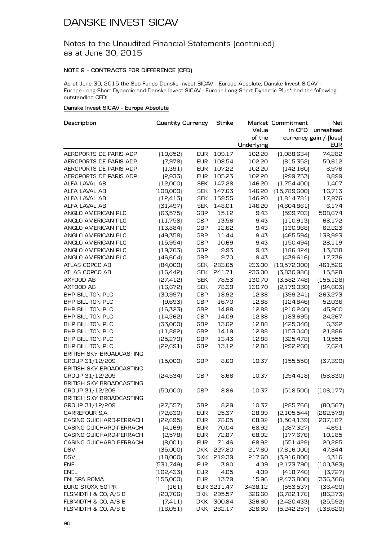### Notes to the Unaudited Financial Statements (continued) as at June 30, 2015

### **NOTE 9 – CONTRACTS FOR DIFFERENCE (CFD)**

As at June 30, 2015 the Sub-Funds Danske Invest SICAV - Europe Absolute, Danske Invest SICAV - Europe Long-Short Dynamic and Danske Invest SICAV - Europe Long-Short Dynamic Plus\* had the following outstanding CFD:

### **Danske Invest SICAV - Europe Absolute**

| Description              | <b>Quantity Currency</b> |            | Strike      |            | Market Commitment | <b>Net</b>             |
|--------------------------|--------------------------|------------|-------------|------------|-------------------|------------------------|
|                          |                          |            |             | Value      | in CFD            | unrealised             |
|                          |                          |            |             | of the     |                   | currency gain / (loss) |
|                          |                          |            |             | Underlying |                   | <b>EUR</b>             |
| AEROPORTS DE PARIS ADP   | [10,652]                 | <b>EUR</b> | 109.17      | 102.20     | [1,088,634]       | 74,282                 |
| AEROPORTS DE PARIS ADP   | (7,978)                  | <b>EUR</b> | 108.54      | 102.20     | [815, 352]        | 50,612                 |
| AEROPORTS DE PARIS ADP   | (1, 391)                 | <b>EUR</b> | 107.22      | 102.20     | [142, 160]        | 6,976                  |
| AEROPORTS DE PARIS ADP   | [2,933]                  | <b>EUR</b> | 105.23      | 102.20     | [299,753]         | 8,899                  |
| ALFA LAVAL AB            | (12,000)                 | <b>SEK</b> | 147.28      | 146.20     | (1,754,400)       | 1,407                  |
| ALFA LAVAL AB            | [108,000]                | <b>SEK</b> | 147.63      | 146.20     | (15,789,600)      | 16,713                 |
| ALFA LAVAL AB            | [12, 413]                | <b>SEK</b> | 159.55      | 146.20     | (1,814,781)       | 17,976                 |
| ALFA LAVAL AB            | [31, 497]                | <b>SEK</b> | 148.01      | 146.20     | (4,604,861)       | 6,174                  |
| ANGLO AMERICAN PLC       | [63, 575]                | <b>GBP</b> | 15.12       | 9.43       | [599,703]         | 508,674                |
| ANGLO AMERICAN PLC       | (11,758)                 | <b>GBP</b> | 13.56       | 9.43       | (110,913)         | 68,172                 |
| ANGLO AMERICAN PLC       | [13,884]                 | <b>GBP</b> | 12.62       | 9.43       | (130, 968)        | 62,223                 |
| ANGLO AMERICAN PLC       | [49,358]                 | <b>GBP</b> | 11.44       | 9.43       | [465,594]         | 138,993                |
| ANGLO AMERICAN PLC       | [15,954]                 | <b>GBP</b> | 10.69       | 9.43       | (150, 494)        | 28,119                 |
| ANGLO AMERICAN PLC       | [19, 763]                | <b>GBP</b> | 9.93        | 9.43       | (186, 424)        | 13,838                 |
| ANGLO AMERICAN PLC       | [46,604]                 | <b>GBP</b> | 9.70        | 9.43       | [439, 616]        | 17,736                 |
| ATLAS COPCO AB           | [84,000]                 | <b>SEK</b> | 283.65      | 233.00     | [19,572,000]      | 461,526                |
| ATLAS COPCO AB           | (16, 442)                | <b>SEK</b> | 241.71      | 233.00     | [3,830,986]       | 15,528                 |
| AXFOOD AB                | [27, 412]                | <b>SEK</b> | 78.53       | 130.70     | [3,582,748]       | (155, 128)             |
| AXFOOD AB                | [16, 672]                | <b>SEK</b> | 78.39       | 130.70     | [2,179,030]       | [94, 603]              |
| BHP BILLITON PLC         | [30, 997]                | <b>GBP</b> | 18.92       | 12.88      | [399, 241]        | 263,273                |
| <b>BHP BILLITON PLC</b>  | (9,693)                  | <b>GBP</b> | 16.70       | 12.88      | [124, 846]        | 52,036                 |
| BHP BILLITON PLC         | (16, 323)                | <b>GBP</b> | 14.88       | 12.88      | [210, 240]        | 45,900                 |
| BHP BILLITON PLC         | [14,262]                 | <b>GBP</b> | 14.09       | 12.88      | (183, 695)        | 24,267                 |
| <b>BHP BILLITON PLC</b>  | [33,000]                 | <b>GBP</b> | 13.02       | 12.88      | [425,040]         | 6,392                  |
| <b>BHP BILLITON PLC</b>  | (11,882)                 | <b>GBP</b> | 14.19       | 12.88      | (153,040)         | 21,886                 |
| BHP BILLITON PLC         | [25, 270]                | <b>GBP</b> | 13.43       | 12.88      | [325, 478]        | 19,555                 |
| BHP BILLITON PLC         | [22,691]                 | <b>GBP</b> | 13.12       | 12.88      | [292, 260]        | 7,624                  |
| BRITISH SKY BROADCASTING |                          |            |             |            |                   |                        |
| GROUP 31/12/209          | (15,000)                 | <b>GBP</b> | 8.60        | 10.37      | (155, 550)        | (37, 390)              |
| BRITISH SKY BROADCASTING |                          |            |             |            |                   |                        |
| GROUP 31/12/209          | [24,534]                 | GBP        | 8.66        | 10.37      | [254, 418]        | [58, 830]              |
| BRITISH SKY BROADCASTING |                          |            |             |            |                   |                        |
| GROUP 31/12/209          | [50,000]                 | <b>GBP</b> | 8.86        | 10.37      | [518,500]         | (106, 177)             |
| BRITISH SKY BROADCASTING |                          |            |             |            |                   |                        |
| GROUP 31/12/209          | [27,557]                 | GBP        | 8.29        | 10.37      | [285, 766]        | [80, 567]              |
| CARREFOUR S,A,           | [72, 630]                | <b>EUR</b> | 25.37       | 28.99      | [2, 105, 544]     | [262, 579]             |
| CASINO GUICHARD-PERRACH  | [22,695]                 | <b>EUR</b> | 78.05       | 68.92      | [1,564,139]       | 207,187                |
| CASINO GUICHARD-PERRACH  | (4, 169)                 | <b>EUR</b> | 70.04       | 68.92      | [287, 327]        | 4,651                  |
| CASINO GUICHARD-PERRACH  | [2,578]                  | <b>EUR</b> | 72.87       | 68.92      | (177, 676)        | 10,185                 |
| CASINO GUICHARD-PERRACH  | [8,001]                  | <b>EUR</b> | 71.46       | 68.92      | [551, 429]        | 20,285                 |
| <b>DSV</b>               | [35,000]                 | <b>DKK</b> | 227.80      | 217.60     | (7,616,000)       | 47,844                 |
| <b>DSV</b>               | (18,000)                 | <b>DKK</b> | 219.39      | 217.60     | [3,916,800]       | 4,316                  |
| <b>ENEL</b>              | [531,749]                | <b>EUR</b> | 3.90        | 4.09       | [2,173,790]       | (100, 363)             |
| <b>ENEL</b>              | [102, 433]               | <b>EUR</b> | 4.05        | 4.09       | [418,746]         | (3,727)                |
| ENI SPA ROMA             | (155,000)                | <b>EUR</b> | 13.79       | 15.96      | [2,473,800]       | [336,366]              |
| EURO STOXX 50 PR         | (161)                    |            | EUR 3211.47 | 3438.12    | [553, 537]        | [36, 490]              |
| FLSMIDTH & CO, A/S B     | [20, 766]                |            | DKK 295.57  | 326.60     | [6,782,176]       | [86, 373]              |
| FLSMIDTH & CO, A/S B     | (7, 411)                 | <b>DKK</b> | 300.84      | 326.60     | [2,420,433]       | (25, 592)              |
| FLSMIDTH & CO, A/S B     | (16,051)                 | <b>DKK</b> | 262.17      | 326.60     | [5,242,257]       | (138, 620)             |
|                          |                          |            |             |            |                   |                        |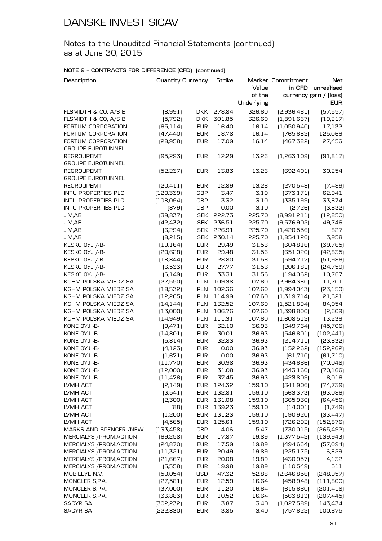Notes to the Unaudited Financial Statements (continued) as at June 30, 2015

| Description              | <b>Quantity Currency</b> |            | Strike |                 | Market Commitment | <b>Net</b>                           |
|--------------------------|--------------------------|------------|--------|-----------------|-------------------|--------------------------------------|
|                          |                          |            |        | Value<br>of the | in CFD            | unrealised<br>currency gain / (loss) |
|                          |                          |            |        | Underlying      |                   | <b>EUR</b>                           |
| FLSMIDTH & CO, A/S B     | [8,991]                  | <b>DKK</b> | 278.84 | 326.60          | [2,936,461]       | [57, 557]                            |
| FLSMIDTH & CO, A/S B     | (5,792)                  | <b>DKK</b> | 301.85 | 326.60          | (1,891,667)       | (19,217)                             |
| FORTUM CORPORATION       | (65, 114)                | <b>EUR</b> | 16.40  | 16.14           | (1,050,940)       | 17,132                               |
| FORTUM CORPORATION       | [47, 440]                | <b>EUR</b> | 18.78  | 16.14           | (765, 682)        | 125,066                              |
| FORTUM CORPORATION       | [28,958]                 | <b>EUR</b> | 17.09  | 16.14           | [467,382]         | 27,456                               |
| <b>GROUPE EUROTUNNEL</b> |                          |            |        |                 |                   |                                      |
| <b>REGROUPEMT</b>        | (95, 293)                | <b>EUR</b> | 12.29  | 13.26           | [1,263,109]       | (91, 817)                            |
| <b>GROUPE EUROTUNNEL</b> |                          |            |        |                 |                   |                                      |
| <b>REGROUPEMT</b>        | [52, 237]                | <b>EUR</b> | 13.83  | 13.26           | [692, 401]        | 30,254                               |
| <b>GROUPE EUROTUNNEL</b> |                          |            |        |                 |                   |                                      |
| <b>REGROUPEMT</b>        | [20, 411]                | <b>EUR</b> | 12.89  | 13.26           | [270,548]         | (7,489)                              |
| INTU PROPERTIES PLC      | [120, 339]               | <b>GBP</b> | 3.47   | 3.10            | [373, 171]        | 62,941                               |
| INTU PROPERTIES PLC      | (108,094)                | <b>GBP</b> | 3.32   | 3.10            | [335, 199]        | 33,874                               |
| INTU PROPERTIES PLC      | [879]                    | <b>GBP</b> | 0.00   | 3.10            | [2,726]           | [3,832]                              |
| J,M,AB                   | [39, 837]                | <b>SEK</b> | 222.73 | 225.70          | [8,991,211]       | (12, 850)                            |
| J,M,AB                   | [42, 432]                | <b>SEK</b> | 236.51 | 225.70          | [9,576,902]       | 49,746                               |
| J,M,AB                   | [6,294]                  | <b>SEK</b> | 226.91 | 225.70          | [1,420,556]       | 827                                  |
| J,M,AB                   | [8, 215]                 | <b>SEK</b> | 230.14 | 225.70          | (1,854,126)       | 3,958                                |
| KESKO OYJ /-B-           | (19, 164)                | <b>EUR</b> | 29.49  | 31.56           | [604, 816]        | [39, 765]                            |
| KESKO OYJ /-B-           | [20,628]                 | <b>EUR</b> | 29.48  | 31.56           | (651,020)         | [42, 835]                            |
| KESKO OYJ /-B-           | (18, 844)                | <b>EUR</b> | 28.80  | 31.56           | [594, 717]        | [51,986]                             |
| KESKO OYJ /-B-           | [6,533]                  | <b>EUR</b> | 27.77  | 31.56           | [206, 181]        | [24,759]                             |
| KESKO OYJ /-B-           | [6, 149]                 | <b>EUR</b> | 33.31  | 31.56           | [194,062]         | 10,767                               |
| KGHM POLSKA MIEDZ SA     | [27,550]                 | PLN        | 109.38 | 107.60          | [2,964,380]       | 11,701                               |
| KGHM POLSKA MIEDZ SA     | (18, 532)                | <b>PLN</b> | 102.36 | 107.60          | [1,994,043]       | [23, 150]                            |
| KGHM POLSKA MIEDZ SA     | [12, 265]                | <b>PLN</b> | 114.99 | 107.60          | (1,319,714)       | 21,621                               |
| KGHM POLSKA MIEDZ SA     | [14, 144]                | <b>PLN</b> | 132.52 | 107.60          | (1,521,894)       | 84,054                               |
| KGHM POLSKA MIEDZ SA     | (13,000)                 | <b>PLN</b> | 106.76 | 107.60          | (1,398,800)       | [2,609]                              |
| KGHM POLSKA MIEDZ SA     | [14,949]                 | PLN        | 111.31 | 107.60          | (1,608,512)       | 13,236                               |
| KONE OYJ -B-             | [9,471]                  | <b>EUR</b> | 32.10  | 36.93           | [349,764]         | (45, 706)                            |
| KONE OYJ - B-            | (14,801)                 | <b>EUR</b> | 30.01  | 36.93           | [546, 601]        | (102, 441)                           |
| KONE OYJ -B-             | [5,814]                  | <b>EUR</b> | 32.83  | 36.93           | [214,711]         | [23, 832]                            |
| KONE OYJ -B-             | [4, 123]                 | <b>EUR</b> | 0.00   | 36.93           | [152, 262]        | (152, 262)                           |
| KONE OYJ -B-             | (1,671)                  | <b>EUR</b> | 0.00   | 36.93           | [61, 710]         | [61, 710]                            |
| KONE OYJ -B-             | (11,770)                 | <b>EUR</b> | 30.98  | 36.93           | [434,666]         | [70,048]                             |
| KONE OYJ -B-             | (12,000)                 | <b>EUR</b> | 31.08  | 36.93           | [443, 160]        | [70, 166]                            |
| KONE OYJ -B-             | (11, 476)                | <b>EUR</b> | 37.45  | 36.93           | [423,809]         | 6,016                                |
| LVMH ACT,                | [2, 149]                 | <b>EUR</b> | 124.32 | 159.10          | [341,906]         | [74, 739]                            |
| LVMH ACT,                | [3,541]                  | <b>EUR</b> | 132.81 | 159.10          | [563, 373]        | (93,086)                             |
| LVMH ACT,                | [2,300]                  | <b>EUR</b> | 131.08 | 159.10          | (365, 930)        | [64, 456]                            |
| LVMH ACT,                | [88]                     | <b>EUR</b> | 139.23 | 159.10          | (14,001)          | (1,749)                              |
| LVMH ACT,                | (1,200)                  | <b>EUR</b> | 131.23 | 159.10          | (190, 920)        | [33, 447]                            |
| LVMH ACT,                | (4, 565)                 | <b>EUR</b> | 125.61 | 159.10          | [726, 292]        | (152, 876)                           |
| MARKS AND SPENCER /NEW   | (133, 458)               | <b>GBP</b> | 4.06   | 5.47            | [730, 015]        | [265, 492]                           |
| MERCIALYS / PROM, ACTION | [69,258]                 | <b>EUR</b> | 17.87  | 19.89           | (1,377,542)       | (139, 943)                           |
| MERCIALYS / PROM, ACTION | [24, 870]                | <b>EUR</b> | 17.59  | 19.89           | [494, 664]        | [57,094]                             |
| MERCIALYS / PROM, ACTION | (11,321)                 | <b>EUR</b> | 20.49  | 19.89           | [225, 175]        | 6,829                                |
| MERCIALYS / PROM, ACTION | [21,667]                 | <b>EUR</b> | 20.08  | 19.89           | [430, 957]        | 4,132                                |
| MERCIALYS / PROM, ACTION | (5,558)                  | <b>EUR</b> | 19.98  | 19.89           | (110,549)         | 511                                  |
| MOBILEYE N,V,            | [50,054]                 | <b>USD</b> | 47.32  | 52.88           | [2,646,856]       | [248, 957]                           |
| MONCLER S,P,A,           | [27,581]                 | <b>EUR</b> | 12.59  | 16.64           | (458, 948)        | (111,800)                            |
| MONCLER S,P,A,           | [37,000]                 | <b>EUR</b> | 11.20  | 16.64           | [615, 680]        | [201, 418]                           |
| MONCLER S,P,A,           | [33,883]                 | <b>EUR</b> | 10.52  | 16.64           | [563, 813]        | [207, 445]                           |
| <b>SACYR SA</b>          | [302, 232]               | <b>EUR</b> | 3.87   | 3.40            | (1,027,589)       | 143,434                              |
| <b>SACYR SA</b>          | [222, 830]               | <b>EUR</b> | 3.85   | 3.40            | [757, 622]        | 100,675                              |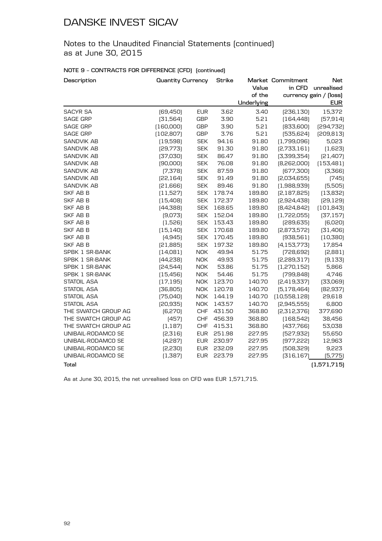Notes to the Unaudited Financial Statements (continued) as at June 30, 2015

### **NOTE 9 – CONTRACTS FOR DIFFERENCE (CFD) (continued)**

| Description         | <b>Quantity Currency</b> |            | <b>Strike</b> | Value      | Market Commitment<br>in CFD | Net<br>unrealised      |
|---------------------|--------------------------|------------|---------------|------------|-----------------------------|------------------------|
|                     |                          |            |               | of the     |                             | currency gain / (loss) |
|                     |                          |            |               | Underlying |                             | <b>EUR</b>             |
| <b>SACYR SA</b>     | [69, 450]                | <b>EUR</b> | 3.62          | 3.40       | [236, 130]                  | 15,372                 |
| <b>SAGE GRP</b>     | [31, 564]                | <b>GBP</b> | 3.90          | 5.21       | [164, 448]                  | [57, 914]              |
| <b>SAGE GRP</b>     | [160,000]                | <b>GBP</b> | 3.90          | 5.21       | [833,600]                   | [294, 732]             |
| <b>SAGE GRP</b>     | (102, 807)               | <b>GBP</b> | 3.76          | 5.21       | [535, 624]                  | [209, 813]             |
| <b>SANDVIK AB</b>   | (19, 598)                | <b>SEK</b> | 94.16         | 91.80      | (1,799,096)                 | 5,023                  |
| <b>SANDVIK AB</b>   | [29, 773]                | <b>SEK</b> | 91.30         | 91.80      | [2,733,161]                 | (1,623)                |
| <b>SANDVIK AB</b>   | [37,030]                 | <b>SEK</b> | 86.47         | 91.80      | [3,399,354]                 | [21, 407]              |
| <b>SANDVIK AB</b>   | [90,000]                 | <b>SEK</b> | 76.08         | 91.80      | [8,262,000]                 | (153, 481)             |
| <b>SANDVIK AB</b>   | [7, 378]                 | <b>SEK</b> | 87.59         | 91.80      | [677,300]                   | [3,366]                |
| <b>SANDVIK AB</b>   | [22, 164]                | <b>SEK</b> | 91.49         | 91.80      | [2,034,655]                 | [745]                  |
| <b>SANDVIK AB</b>   | [21,666]                 | <b>SEK</b> | 89.46         | 91.80      | (1,988,939)                 | (5,505)                |
| SKF AB B            | (11,527)                 | <b>SEK</b> | 178.74        | 189.80     | [2,187,825]                 | (13, 832)              |
| <b>SKF AB B</b>     | (15,408)                 | <b>SEK</b> | 172.37        | 189.80     | [2,924,438]                 | [29, 129]              |
| SKF AB B            | [44,388]                 | <b>SEK</b> | 168.65        | 189.80     | [8,424,842]                 | (101, 843)             |
| SKF AB B            | [9,073]                  | <b>SEK</b> | 152.04        | 189.80     | (1,722,055)                 | [37, 157]              |
| <b>SKF AB B</b>     | (1,526)                  | <b>SEK</b> | 153.43        | 189.80     | [289, 635]                  | [6,020]                |
| SKF AB B            | (15, 140)                | <b>SEK</b> | 170.68        | 189.80     | [2,873,572]                 | [31, 406]              |
| <b>SKF AB B</b>     | (4,945)                  | <b>SEK</b> | 170.45        | 189.80     | [938, 561]                  | (10, 380)              |
| <b>SKF AB B</b>     | [21,885]                 | <b>SEK</b> | 197.32        | 189.80     | [4, 153, 773]               | 17,854                 |
| SPBK 1 SR-BANK      | (14,081)                 | <b>NOK</b> | 49.94         | 51.75      | [728, 692]                  | [2,881]                |
| SPBK 1 SR-BANK      | [44, 238]                | <b>NOK</b> | 49.93         | 51.75      | [2,289,317]                 | (9, 133)               |
| SPBK 1 SR-BANK      | [24,544]                 | <b>NOK</b> | 53.86         | 51.75      | [1,270,152]                 | 5,866                  |
| SPBK 1 SR-BANK      | (15, 456)                | <b>NOK</b> | 54.46         | 51.75      | [799, 848]                  | 4,746                  |
| <b>STATOIL ASA</b>  | (17, 195)                | <b>NOK</b> | 123.70        | 140.70     | [2,419,337]                 | [33,069]               |
| STATOIL ASA         | [36, 805]                | <b>NOK</b> | 120.78        | 140.70     | [5, 178, 464]               | [82, 937]              |
| <b>STATOIL ASA</b>  | (75,040)                 | <b>NOK</b> | 144.19        | 140.70     | (10,558,128)                | 29,618                 |
| <b>STATOIL ASA</b>  | [20, 935]                | <b>NOK</b> | 143.57        | 140.70     | [2,945,555]                 | 6,800                  |
| THE SWATCH GROUP AG | [6, 270]                 | <b>CHF</b> | 431.50        | 368.80     | [2,312,376]                 | 377,690                |
| THE SWATCH GROUP AG | (457)                    | <b>CHF</b> | 456.39        | 368.80     | (168, 542)                  | 38,456                 |
| THE SWATCH GROUP AG | (1, 187)                 | <b>CHF</b> | 415.31        | 368.80     | [437,766]                   | 53,038                 |
| UNIBAIL-RODAMCO SE  | [2,316]                  | <b>EUR</b> | 251.98        | 227.95     | [527, 932]                  | 55,650                 |
| UNIBAIL-RODAMCO SE  | (4,287)                  | <b>EUR</b> | 230.97        | 227.95     | [977, 222]                  | 12,963                 |
| UNIBAIL-RODAMCO SE  | [2,230]                  | <b>EUR</b> | 232.09        | 227.95     | [508,329]                   | 9,223                  |
| UNIBAIL-RODAMCO SE  | (1,387)                  | <b>EUR</b> | 223.79        | 227.95     | [316, 167]                  | (5,775)                |
| <b>Total</b>        |                          |            |               |            |                             | (1,571,715)            |

As at June 30, 2015, the net unrealised loss on CFD was EUR 1,571,715.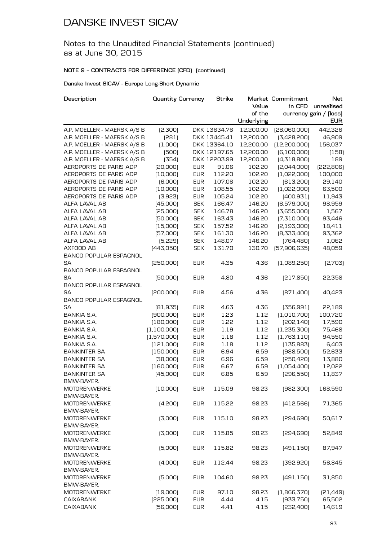### Notes to the Unaudited Financial Statements (continued) as at June 30, 2015

### **NOTE 9 – CONTRACTS FOR DIFFERENCE (CFD) (continued)**

### **Danske Invest SICAV - Europe Long-Short Dynamic**

| Description                   | <b>Quantity Currency</b> |            | <b>Strike</b> |            | Market Commitment | Net                    |
|-------------------------------|--------------------------|------------|---------------|------------|-------------------|------------------------|
|                               |                          |            |               | Value      | in CFD            | unrealised             |
|                               |                          |            |               | of the     |                   | currency gain / (loss) |
|                               |                          |            |               | Underlying |                   | <b>EUR</b>             |
| A.P. MOELLER - MAERSK A/S B   | [2,300]                  |            | DKK 13634.76  | 12,200.00  | [28,060,000]      | 442,326                |
| A.P. MOELLER - MAERSK A/S B   | [281]                    |            | DKK 13445.41  | 12,200.00  | [3,428,200]       | 46,909                 |
| A.P. MOELLER - MAERSK A/S B   | (1,000)                  |            | DKK 13364.10  | 12,200.00  | [12, 200, 000]    | 156,037                |
| A.P. MOELLER - MAERSK A/S B   | (500)                    |            | DKK 12197.65  | 12,200.00  | [6,100,000]       | (158)                  |
| A.P. MOELLER - MAERSK A/S B   | [354]                    |            | DKK 12203.99  | 12,200.00  | (4,318,800)       | 189                    |
| AEROPORTS DE PARIS ADP        | [20,000]                 | <b>EUR</b> | 91.06         | 102.20     | [2,044,000]       | [222, 806]             |
| AEROPORTS DE PARIS ADP        | (10,000)                 | <b>EUR</b> | 112.20        | 102.20     | (1,022,000)       | 100,000                |
| AEROPORTS DE PARIS ADP        | [6,000]                  | <b>EUR</b> | 107.06        | 102.20     | [613, 200]        | 29,140                 |
| AEROPORTS DE PARIS ADP        | (10,000)                 | <b>EUR</b> | 108.55        | 102.20     | (1,022,000)       | 63,500                 |
| AEROPORTS DE PARIS ADP        | [3,923]                  | <b>EUR</b> | 105.24        | 102.20     | [400, 931]        | 11,943                 |
| ALFA LAVAL AB                 | (45,000)                 | <b>SEK</b> | 166.47        | 146.20     | (6,579,000)       | 98,959                 |
| ALFA LAVAL AB                 | [25,000]                 | <b>SEK</b> | 146.78        | 146.20     | [3,655,000]       | 1,567                  |
| ALFA LAVAL AB                 | [50,000]                 | <b>SEK</b> | 163.43        | 146.20     | [7,310,000]       | 93,446                 |
| ALFA LAVAL AB                 | (15,000)                 | <b>SEK</b> | 157.52        | 146.20     | [2, 193, 000]     | 18,411                 |
| ALFA LAVAL AB                 | [57,000]                 | <b>SEK</b> | 161.30        | 146.20     | [8,333,400]       | 93,362                 |
| ALFA LAVAL AB                 | [5, 229]                 | <b>SEK</b> | 148.07        | 146.20     | [764,480]         | 1,062                  |
| AXFOOD AB                     | [443,050]                | <b>SEK</b> | 131.70        | 130.70     | [57,906,635]      | 48,059                 |
| <b>BANCO POPULAR ESPAGNOL</b> |                          |            |               |            |                   |                        |
| SA                            | [250,000]                | <b>EUR</b> | 4.35          | 4.36       | (1,089,250)       | [2,703]                |
| <b>BANCO POPULAR ESPAGNOL</b> |                          |            |               |            |                   |                        |
| SA                            | [50,000]                 | <b>EUR</b> | 4.80          | 4.36       | [217,850]         | 22,358                 |
| <b>BANCO POPULAR ESPAGNOL</b> |                          |            |               |            |                   |                        |
| SA                            | [200,000]                | <b>EUR</b> | 4.56          | 4.36       | [871,400]         | 40,423                 |
| <b>BANCO POPULAR ESPAGNOL</b> |                          |            |               |            |                   |                        |
| SA                            | [81,935]                 | <b>EUR</b> | 4.63          | 4.36       | [356, 991]        | 22,189                 |
| <b>BANKIA S.A.</b>            | [900,000]                | <b>EUR</b> | 1.23          | 1.12       | (1,010,700)       | 100,720                |
| <b>BANKIA S.A.</b>            | (180,000)                | <b>EUR</b> | 1.22          | 1.12       | [202, 140]        | 17,590                 |
| <b>BANKIA S.A.</b>            |                          |            |               |            |                   |                        |
|                               | (1,100,000)              | <b>EUR</b> | 1.19          | 1.12       | (1,235,300)       | 75,468                 |
| <b>BANKIA S.A.</b>            | (1,570,000)              | <b>EUR</b> | 1.18          | 1.12       | (1,763,110)       | 94,550                 |
| BANKIA S.A.                   | (121,000)                | <b>EUR</b> | 1.18          | 1.12       | (135, 883)        | 6,403                  |
| <b>BANKINTER SA</b>           | (150,000)                | <b>EUR</b> | 6.94          | 6.59       | [988,500]         | 52,633                 |
| <b>BANKINTER SA</b>           | [38,000]                 | <b>EUR</b> | 6.96          | 6.59       | [250, 420]        | 13,880                 |
| <b>BANKINTER SA</b>           | (160,000)                | <b>EUR</b> | 6.67          | 6.59       | (1,054,400)       | 12,022                 |
| <b>BANKINTER SA</b>           | (45,000)                 | <b>EUR</b> | 6.85          | 6.59       | [296,550]         | 11,837                 |
| BMW-BAYER.                    |                          |            |               |            |                   |                        |
| <b>MOTORENWERKE</b>           | (10,000)                 | <b>EUR</b> | 115.09        | 98.23      | [982, 300]        | 168,590                |
| BMW-BAYER.                    |                          |            |               |            |                   |                        |
| <b>MOTORENWERKE</b>           | (4,200)                  | <b>EUR</b> | 115.22        | 98.23      | [412,566]         | 71,365                 |
| BMW-BAYER.                    |                          |            |               |            |                   |                        |
| <b>MOTORENWERKE</b>           | [3,000]                  | <b>EUR</b> | 115.10        | 98.23      | [294,690]         | 50,617                 |
| BMW-BAYER.                    |                          |            |               |            |                   |                        |
| <b>MOTORENWERKE</b>           | [3,000]                  | <b>EUR</b> | 115.85        | 98.23      | [294, 690]        | 52,849                 |
| BMW-BAYER.                    |                          |            |               |            |                   |                        |
| <b>MOTORENWERKE</b>           | (5,000)                  | <b>EUR</b> | 115.82        | 98.23      | [491, 150]        | 87,947                 |
| BMW-BAYER.                    |                          |            |               |            |                   |                        |
| <b>MOTORENWERKE</b>           | (4,000)                  | <b>EUR</b> | 112.44        | 98.23      | [392, 920]        | 56,845                 |
| BMW-BAYER.                    |                          |            |               |            |                   |                        |
| <b>MOTORENWERKE</b>           | (5,000)                  | <b>EUR</b> | 104.60        | 98.23      | [491, 150]        | 31,850                 |
| BMW-BAYER.                    |                          |            |               |            |                   |                        |
| <b>MOTORENWERKE</b>           | (19,000)                 | <b>EUR</b> | 97.10         | 98.23      | [1,866,370]       | [21, 449]              |
| <b>CAIXABANK</b>              | [225,000]                | <b>EUR</b> | 4.44          | 4.15       | [933,750]         | 65,502                 |
| <b>CAIXABANK</b>              | [56,000]                 | <b>EUR</b> | 4.41          | 4.15       | [232,400]         | 14,619                 |
|                               |                          |            |               |            |                   |                        |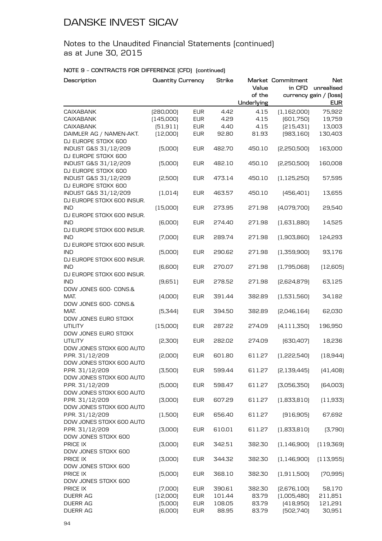Notes to the Unaudited Financial Statements (continued) as at June 30, 2015

| Description                                 | <b>Quantity Currency</b> |            | <b>Strike</b> | Value      | Market Commitment<br>in CFD | Net<br>unrealised      |
|---------------------------------------------|--------------------------|------------|---------------|------------|-----------------------------|------------------------|
|                                             |                          |            |               | of the     |                             | currency gain / (loss) |
|                                             |                          |            |               | Underlying |                             | <b>EUR</b>             |
| <b>CAIXABANK</b>                            | [280,000]                | <b>EUR</b> | 4.42          | 4.15       | (1, 162, 000)               | 75,922                 |
| <b>CAIXABANK</b>                            | (145,000)                | <b>EUR</b> | 4.29          | 4.15       | [601,750]                   | 19,759                 |
| <b>CAIXABANK</b>                            | (51, 911)                | <b>EUR</b> | 4.40          | 4.15       | [215, 431]                  | 13,003                 |
| DAIMLER AG / NAMEN-AKT.                     | (12,000)                 | <b>EUR</b> | 92.80         | 81.93      | [983, 160]                  | 130,403                |
| DJ EUROPE STOXX 600                         |                          |            |               |            |                             |                        |
| INDUST G&S 31/12/209                        | (5,000)                  | <b>EUR</b> | 482.70        | 450.10     | [2,250,500]                 | 163,000                |
| DJ EUROPE STOXX 600                         |                          |            |               |            |                             |                        |
| INDUST G&S 31/12/209                        | [5,000]                  | <b>EUR</b> | 482.10        | 450.10     | [2,250,500]                 | 160,008                |
| DJ EUROPE STOXX 600                         |                          |            |               |            |                             |                        |
| INDUST G&S 31/12/209                        | [2,500]                  | <b>EUR</b> | 473.14        | 450.10     | (1, 125, 250)               | 57,595                 |
| DJ EUROPE STOXX 600                         |                          |            |               |            |                             |                        |
| INDUST G&S 31/12/209                        | (1, 014)                 | <b>EUR</b> | 463.57        | 450.10     | [456, 401]                  | 13,655                 |
| DJ EUROPE STOXX 600 INSUR.                  |                          |            |               |            |                             |                        |
| <b>IND</b>                                  | (15,000)                 | <b>EUR</b> | 273.95        | 271.98     | [4,079,700]                 | 29,540                 |
| DJ EUROPE STOXX 600 INSUR.                  |                          |            |               |            |                             |                        |
| <b>IND</b>                                  | [6,000]                  | <b>EUR</b> | 274.40        | 271.98     | (1,631,880)                 | 14,525                 |
| DJ EUROPE STOXX 600 INSUR.                  |                          |            |               |            |                             |                        |
| <b>IND</b>                                  | (7,000)                  | <b>EUR</b> | 289.74        | 271.98     | [1,903,860]                 | 124,293                |
| DJ EUROPE STOXX 600 INSUR.                  |                          |            |               |            |                             |                        |
| <b>IND</b>                                  | (5,000)                  | <b>EUR</b> | 290.62        | 271.98     | (1,359,900)                 | 93,176                 |
| DJ EUROPE STOXX 600 INSUR.                  |                          |            |               |            |                             |                        |
| <b>IND</b>                                  | [6,600]                  | <b>EUR</b> | 270.07        | 271.98     | (1,795,068)                 | (12,605)               |
| DJ EUROPE STOXX 600 INSUR.                  |                          |            |               |            |                             |                        |
| <b>IND</b>                                  | (9,651)                  | <b>EUR</b> | 278.52        | 271.98     | [2,624,879]                 | 63,125                 |
| DOW JONES 600- CONS.&                       |                          |            |               |            |                             |                        |
| MAT.                                        | (4,000)                  | <b>EUR</b> | 391.44        | 382.89     | (1,531,560)                 | 34,182                 |
| DOW JONES 600- CONS.&                       |                          |            |               |            |                             |                        |
| MAT.                                        | [5, 344]                 | <b>EUR</b> | 394.50        | 382.89     | [2,046,164]                 | 62,030                 |
| DOW JONES EURO STOXX                        |                          |            |               |            |                             |                        |
| <b>UTILITY</b>                              | (15,000)                 | <b>EUR</b> | 287.22        | 274.09     | [4, 111, 350]               | 196,950                |
| DOW JONES EURO STOXX                        |                          |            |               |            |                             |                        |
| <b>UTILITY</b>                              | [2,300]                  | <b>EUR</b> | 282.02        | 274.09     | [630, 407]                  | 18,236                 |
| DOW JONES STOXX 600 AUTO                    |                          |            |               |            |                             |                        |
| P.PR. 31/12/209                             | [2,000]                  | <b>EUR</b> | 601.80        | 611.27     | (1,222,540)                 | [18, 944]              |
| DOW JONES STOXX 600 AUTO                    | (3,500)                  |            |               |            | [2, 139, 445]               | (41, 408)              |
| P.PR. 31/12/209<br>DOW JONES STOXX 600 AUTO |                          | <b>EUR</b> | 599.44        | 611.27     |                             |                        |
| P.PR. 31/12/209                             |                          |            |               |            |                             |                        |
| DOW JONES STOXX 600 AUTO                    | (5,000)                  | <b>EUR</b> | 598.47        | 611.27     | [3,056,350]                 | [64,003]               |
| P.PR. 31/12/209                             | [3,000]                  | <b>EUR</b> | 607.29        | 611.27     | (1,833,810)                 | (11, 933)              |
| DOW JONES STOXX 600 AUTO                    |                          |            |               |            |                             |                        |
| P.PR. 31/12/209                             | (1,500)                  | <b>EUR</b> | 656.40        | 611.27     | (916, 905)                  | 67,692                 |
| DOW JONES STOXX 600 AUTO                    |                          |            |               |            |                             |                        |
| P.PR. 31/12/209                             | [3,000]                  | <b>EUR</b> | 610.01        | 611.27     | [1,833,810]                 | (3,790)                |
| DOW JONES STOXX 600                         |                          |            |               |            |                             |                        |
| PRICE IX                                    | [3,000]                  | <b>EUR</b> | 342.51        | 382.30     | (1, 146, 900)               | (119, 369)             |
| DOW JONES STOXX 600                         |                          |            |               |            |                             |                        |
| PRICE IX                                    | [3,000]                  | <b>EUR</b> | 344.32        | 382.30     | (1, 146, 900)               | (113,955)              |
| DOW JONES STOXX 600                         |                          |            |               |            |                             |                        |
| PRICE IX                                    | [5,000]                  | <b>EUR</b> | 368.10        | 382.30     | (1,911,500)                 | (70, 995)              |
| DOW JONES STOXX 600                         |                          |            |               |            |                             |                        |
| PRICE IX                                    | (7,000)                  | <b>EUR</b> | 390.61        | 382.30     | [2,676,100]                 | 58,170                 |
| <b>DUERR AG</b>                             | (12,000)                 | <b>EUR</b> | 101.44        | 83.79      | (1,005,480)                 | 211,851                |
| <b>DUERR AG</b>                             | [5,000]                  | <b>EUR</b> | 108.05        | 83.79      | (418,950)                   | 121,291                |
| DUERR AG                                    | [6,000]                  | <b>EUR</b> | 88.95         | 83.79      | [502,740]                   | 30,951                 |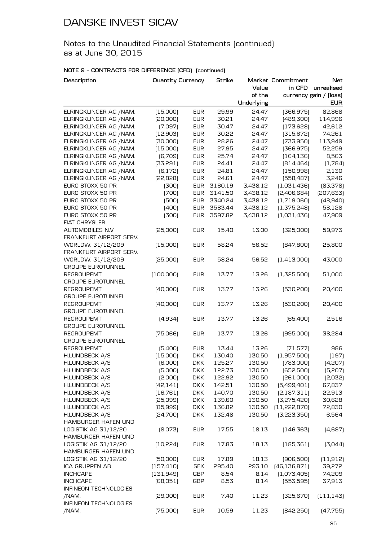Notes to the Unaudited Financial Statements (continued) as at June 30, 2015

| Description              | <b>Quantity Currency</b> |            | Strike           |            | Market Commitment | <b>Net</b>             |
|--------------------------|--------------------------|------------|------------------|------------|-------------------|------------------------|
|                          |                          |            |                  | Value      | in CFD            | unrealised             |
|                          |                          |            |                  | of the     |                   | currency gain / (loss) |
|                          |                          |            |                  | Underlying |                   | <b>EUR</b>             |
| ELRINGKLINGER AG / NAM.  | (15,000)                 | <b>EUR</b> | 29.99            | 24.47      | [366, 975]        | 82,868                 |
| ELRINGKLINGER AG / NAM.  | [20,000]                 | <b>EUR</b> | 30.21            | 24.47      | [489,300]         | 114,996                |
| ELRINGKLINGER AG / NAM.  | (7,097)                  | <b>EUR</b> | 30.47            | 24.47      | (173, 628)        | 42,612                 |
| ELRINGKLINGER AG / NAM.  | (12,903)                 | <b>EUR</b> | 30.22            | 24.47      | [315, 672]        | 74,261                 |
| ELRINGKLINGER AG / NAM.  | [30,000]                 | <b>EUR</b> | 28.26            | 24.47      | [733,950]         | 113,949                |
| ELRINGKLINGER AG / NAM.  | (15,000)                 | <b>EUR</b> | 27.95            | 24.47      | [366, 975]        | 52,259                 |
| ELRINGKLINGER AG /NAM.   | (6,709)                  | <b>EUR</b> | 25.74            | 24.47      | [164, 136]        | 8,563                  |
| ELRINGKLINGER AG / NAM.  | [33,291]                 | <b>EUR</b> | 24.41            | 24.47      | [814, 464]        | (1,784)                |
| ELRINGKLINGER AG /NAM.   | [6, 172]                 | <b>EUR</b> | 24.81            | 24.47      | (150, 998)        | 2,130                  |
| ELRINGKLINGER AG /NAM.   | [22, 828]                | <b>EUR</b> | 24.61            | 24.47      | [558, 487]        | 3,246                  |
| EURO STOXX 50 PR         | [300]                    | <b>EUR</b> | 3160.19          | 3,438.12   | (1,031,436)       | [83,378]               |
| EURO STOXX 50 PR         | (700)                    | <b>EUR</b> | 3141.50          | 3,438.12   | [2,406,684]       | [207, 633]             |
| EURO STOXX 50 PR         | (500)                    | <b>EUR</b> | 3340.24          | 3,438.12   | (1,719,060)       | (48, 940)              |
| EURO STOXX 50 PR         | (400)                    | <b>EUR</b> | 3583.44          | 3,438.12   | (1,375,248)       | 58,128                 |
| EURO STOXX 50 PR         | [300]                    | <b>EUR</b> | 3597.82          | 3,438.12   | (1,031,436)       | 47,909                 |
| <b>FIAT CHRYSLER</b>     |                          |            |                  |            |                   |                        |
| AUTOMOBILES N.V          | [25,000]                 | <b>EUR</b> | 15.40            | 13.00      | [325,000]         | 59,973                 |
| FRANKFURT AIRPORT SERV.  |                          |            |                  |            |                   |                        |
| WORLDW. 31/12/209        | (15,000)                 | <b>EUR</b> | 58.24            | 56.52      | [847,800]         | 25,800                 |
| FRANKFURT AIRPORT SERV.  |                          |            |                  |            |                   |                        |
| WORLDW. 31/12/209        | [25,000]                 | <b>EUR</b> | 58.24            | 56.52      | (1,413,000)       | 43,000                 |
| <b>GROUPE EUROTUNNEL</b> |                          |            |                  |            |                   |                        |
| <b>REGROUPEMT</b>        | [100,000]                | <b>EUR</b> | 13.77            | 13.26      | (1,325,500)       | 51,000                 |
| <b>GROUPE EUROTUNNEL</b> |                          |            |                  |            |                   |                        |
| <b>REGROUPEMT</b>        | [40,000]                 | <b>EUR</b> | 13.77            | 13.26      | [530, 200]        | 20,400                 |
| <b>GROUPE EUROTUNNEL</b> |                          |            |                  |            |                   |                        |
| <b>REGROUPEMT</b>        | (40,000)                 | <b>EUR</b> | 13.77            | 13.26      | [530, 200]        | 20,400                 |
| <b>GROUPE EUROTUNNEL</b> |                          |            |                  |            |                   |                        |
| <b>REGROUPEMT</b>        | [4,934]                  | <b>EUR</b> | 13.77            | 13.26      | [65,400]          | 2,516                  |
| <b>GROUPE EUROTUNNEL</b> |                          |            |                  |            |                   |                        |
| <b>REGROUPEMT</b>        | (75,066)                 | <b>EUR</b> | 13.77            | 13.26      | [995,000]         | 38,284                 |
| <b>GROUPE EUROTUNNEL</b> |                          |            |                  |            |                   |                        |
| <b>REGROUPEMT</b>        | (5,400)                  | <b>EUR</b> | 13.44            | 13.26      | [71, 577]         | 986                    |
| H.LUNDBECK A/S           | (15,000)                 | <b>DKK</b> | 130.40           | 130.50     | (1,957,500)       | (197)                  |
| H.LUNDBECK A/S           | (6,000)                  | <b>DKK</b> | 125.27           | 130.50     | [783,000]         | (4,207)                |
| H.LUNDBECK A/S           | [5,000]                  | <b>DKK</b> | 122.73           | 130.50     | (652,500)         | (5,207)                |
| H.LUNDBECK A/S           | [2,000]                  | <b>DKK</b> | 122.92           | 130.50     | [261,000]         | [2,032]                |
| H.LUNDBECK A/S           |                          |            |                  | 130.50     |                   |                        |
|                          | [42, 141]                | <b>DKK</b> | 142.51<br>140.70 | 130.50     | [5,499,401]       | 67,837                 |
| H.LUNDBECK A/S           | (16, 761)<br>[25,099]    | <b>DKK</b> |                  |            | [2,187,311]       | 22,913                 |
| H.LUNDBECK A/S           |                          | <b>DKK</b> | 139.60           | 130.50     | [3,275,420]       | 30,628                 |
| H.LUNDBECK A/S           | [85,999]                 | <b>DKK</b> | 136.82           | 130.50     | [11, 222, 870]    | 72,830                 |
| H.LUNDBECK A/S           | [24,700]                 | <b>DKK</b> | 132.48           | 130.50     | [3,223,350]       | 6,564                  |
| HAMBURGER HAFEN UND      |                          |            |                  |            |                   |                        |
| LOGISTIK AG 31/12/20     | [8,073]                  | <b>EUR</b> | 17.55            | 18.13      | [146, 363]        | (4,687)                |
| HAMBURGER HAFEN UND      |                          |            |                  |            |                   |                        |
| LOGISTIK AG 31/12/20     | [10,224]                 | <b>EUR</b> | 17.83            | 18.13      | (185, 361)        | [3,044]                |
| HAMBURGER HAFEN UND      |                          |            |                  |            |                   |                        |
| LOGISTIK AG 31/12/20     | [50,000]                 | <b>EUR</b> | 17.89            | 18.13      | [906, 500]        | (11, 912)              |
| ICA GRUPPEN AB           | (157, 410)               | <b>SEK</b> | 295.40           | 293.10     | [46, 136, 871]    | 39,272                 |
| <b>INCHCAPE</b>          | [131, 949]               | GBP        | 8.54             | 8.14       | (1,073,405)       | 74,209                 |
| <b>INCHCAPE</b>          | [68,051]                 | GBP        | 8.53             | 8.14       | [553,595]         | 37,913                 |
| INFINEON TECHNOLOGIES    |                          |            |                  |            |                   |                        |
| /NAM.                    | [29,000]                 | <b>EUR</b> | 7.40             | 11.23      | [325, 670]        | (111, 143)             |
| INFINEON TECHNOLOGIES    |                          |            |                  |            |                   |                        |
| /NAM.                    | (75,000)                 | <b>EUR</b> | 10.59            | 11.23      | [842,250]         | [47, 755]              |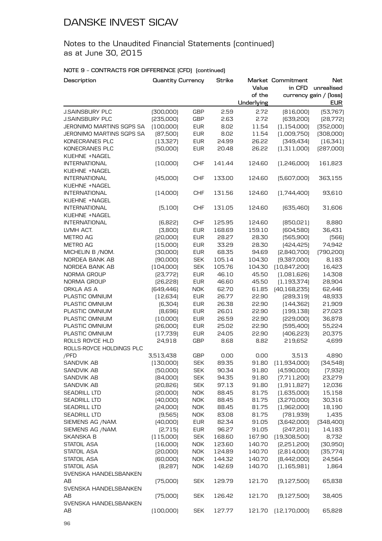Notes to the Unaudited Financial Statements (continued) as at June 30, 2015

| Description              | <b>Quantity Currency</b> |            | <b>Strike</b> |            | Market Commitment  | <b>Net</b>             |
|--------------------------|--------------------------|------------|---------------|------------|--------------------|------------------------|
|                          |                          |            |               | Value      | in CFD             | unrealised             |
|                          |                          |            |               | of the     |                    | currency gain / (loss) |
|                          |                          |            |               | Underlying |                    | <b>EUR</b>             |
| <b>J.SAINSBURY PLC</b>   | [300,000]                | <b>GBP</b> | 2.59          | 2.72       | [816,000]          | [53,767]               |
| <b>J.SAINSBURY PLC</b>   | [235,000]                | <b>GBP</b> | 2.63          | 2.72       | [639, 200]         | [28, 772]              |
| JERONIMO MARTINS SGPS SA | (100,000)                | <b>EUR</b> | 8.02          | 11.54      | (1, 154, 000)      | [352,000]              |
| JERONIMO MARTINS SGPS SA | [87,500]                 | <b>EUR</b> | 8.02          | 11.54      | (1,009,750)        | [308,000]              |
| KONECRANES PLC           | (13, 327)                | <b>EUR</b> | 24.99         | 26.22      | [349, 434]         | (16, 341)              |
| KONECRANES PLC           | [50,000]                 | <b>EUR</b> | 20.48         | 26.22      | (1,311,000)        | [287,000]              |
| KUEHNE +NAGEL            |                          |            |               |            |                    |                        |
| <b>INTERNATIONAL</b>     | (10,000)                 | <b>CHF</b> | 141.44        | 124.60     | [1,246,000]        | 161,823                |
| KUEHNE +NAGEL            |                          |            |               |            |                    |                        |
| <b>INTERNATIONAL</b>     | (45,000)                 | <b>CHF</b> | 133.00        | 124.60     | [5,607,000]        | 363,155                |
| KUEHNE +NAGEL            |                          |            |               |            |                    |                        |
| <b>INTERNATIONAL</b>     | (14,000)                 | <b>CHF</b> | 131.56        | 124.60     | [1,744,400]        | 93,610                 |
| KUEHNE +NAGEL            |                          |            |               |            |                    |                        |
|                          |                          |            |               |            |                    |                        |
| <b>INTERNATIONAL</b>     | (5,100)                  | <b>CHF</b> | 131.05        | 124.60     | [635,460]          | 31,606                 |
| KUEHNE +NAGEL            |                          |            |               |            |                    |                        |
| <b>INTERNATIONAL</b>     | [6,822]                  | <b>CHF</b> | 125.95        | 124.60     | [850,021]          | 8,880                  |
| LVMH ACT.                | [3,800]                  | <b>EUR</b> | 168.69        | 159.10     | [604, 580]         | 36,431                 |
| METRO AG                 | [20,000]                 | <b>EUR</b> | 28.27         | 28.30      | [565, 900]         | [566]                  |
| <b>METRO AG</b>          | (15,000)                 | <b>EUR</b> | 33.29         | 28.30      | [424, 425]         | 74,942                 |
| MICHELIN B / NOM.        | [30,000]                 | <b>EUR</b> | 68.35         | 94.69      | [2,840,700]        | [790, 200]             |
| NORDEA BANK AB           | [90,000]                 | <b>SEK</b> | 105.14        | 104.30     | [9,387,000]        | 8,183                  |
| NORDEA BANK AB           | [104,000]                | <b>SEK</b> | 105.76        | 104.30     | [10,847,200]       | 16,423                 |
| NORMA GROUP              | [23,772]                 | <b>EUR</b> | 46.10         | 45.50      | (1,081,626)        | 14,308                 |
| NORMA GROUP              | [26, 228]                | <b>EUR</b> | 46.60         | 45.50      | [1, 193, 374]      | 28,904                 |
| ORKLA AS A               | [649, 446]               | <b>NOK</b> | 62.70         | 61.85      | [40, 168, 235]     | 62,446                 |
| PLASTIC OMNIUM           | [12,634]                 | <b>EUR</b> | 26.77         | 22.90      | [289,319]          | 48,933                 |
| PLASTIC OMNIUM           | [6,304]                  | <b>EUR</b> | 26.38         | 22.90      | [144, 362]         | 21,909                 |
| PLASTIC OMNIUM           | [8,696]                  | <b>EUR</b> | 26.01         | 22.90      | [199, 138]         | 27,023                 |
| PLASTIC OMNIUM           | (10,000)                 | <b>EUR</b> | 26.59         | 22.90      | [229,000]          | 36,878                 |
| PLASTIC OMNIUM           | [26,000]                 | <b>EUR</b> | 25.02         | 22.90      | [595,400]          | 55,224                 |
| PLASTIC OMNIUM           | (17, 739)                | <b>EUR</b> | 24.05         | 22.90      | [406, 223]         | 20,375                 |
| ROLLS ROYCE HLD          | 24,918                   | <b>GBP</b> | 8.68          | 8.82       | 219,652            | 4,699                  |
| ROLLS-ROYCE HOLDINGS PLC |                          |            |               |            |                    |                        |
| /PFD                     | 3,513,438                | <b>GBP</b> | 0.00          | 0.00       | 3,513              | 4,890                  |
| <b>SANDVIK AB</b>        | (130,000)                | <b>SEK</b> | 89.35         |            | 91.80 (11,934,000) | [34,548]               |
| <b>SANDVIK AB</b>        | [50,000]                 | <b>SEK</b> | 90.34         | 91.80      | [4,590,000]        | (7,932)                |
| SANDVIK AB               | [84,000]                 | <b>SEK</b> | 94.35         | 91.80      | [7,711,200]        | 23,279                 |
| <b>SANDVIK AB</b>        | [20, 826]                | <b>SEK</b> | 97.13         | 91.80      | (1,911,827)        | 12,036                 |
| <b>SEADRILL LTD</b>      | [20,000]                 | <b>NOK</b> | 88.45         | 81.75      | (1,635,000)        | 15,158                 |
| <b>SEADRILL LTD</b>      | (40,000)                 | <b>NOK</b> | 88.45         | 81.75      | [3,270,000]        | 30,316                 |
| <b>SEADRILL LTD</b>      |                          | <b>NOK</b> | 88.45         |            |                    | 18,190                 |
|                          | [24,000]                 |            |               | 81.75      | [1,962,000]        |                        |
| <b>SEADRILL LTD</b>      | (9,565)                  | <b>NOK</b> | 83.08         | 81.75      | [781, 939]         | 1,435                  |
| SIEMENS AG /NAM.         | (40,000)                 | <b>EUR</b> | 82.34         | 91.05      | [3,642,000]        | [348, 400]             |
| SIEMENS AG /NAM.         | [2,715]                  | <b>EUR</b> | 96.27         | 91.05      | [247, 201]         | 14,183                 |
| SKANSKA B                | (115,000)                | <b>SEK</b> | 168.60        | 167.90     | [19,308,500]       | 8,732                  |
| STATOIL ASA              | (16,000)                 | <b>NOK</b> | 123.60        | 140.70     | [2,251,200]        | [30, 950]              |
| <b>STATOIL ASA</b>       | [20,000]                 | <b>NOK</b> | 124.89        | 140.70     | [2,814,000]        | [35, 774]              |
| STATOIL ASA              | [60,000]                 | <b>NOK</b> | 144.32        | 140.70     | [8,442,000]        | 24,564                 |
| STATOIL ASA              | [8, 287]                 | <b>NOK</b> | 142.69        | 140.70     | (1, 165, 981)      | 1,864                  |
| SVENSKA HANDELSBANKEN    |                          |            |               |            |                    |                        |
| AB                       | (75,000)                 | <b>SEK</b> | 129.79        | 121.70     | [9,127,500]        | 65,838                 |
| SVENSKA HANDELSBANKEN    |                          |            |               |            |                    |                        |
| AВ                       | (75,000)                 | <b>SEK</b> | 126.42        | 121.70     | [9,127,500]        | 38,405                 |
| SVENSKA HANDELSBANKEN    |                          |            |               |            |                    |                        |
| AВ                       | [100,000]                | <b>SEK</b> | 127.77        | 121.70     | [12, 170, 000]     | 65,828                 |
|                          |                          |            |               |            |                    |                        |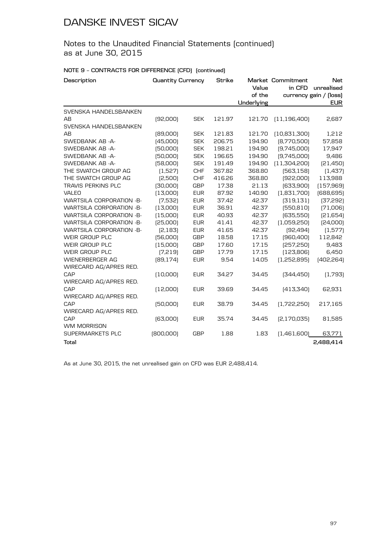Notes to the Unaudited Financial Statements (continued) as at June 30, 2015

### **NOTE 9 – CONTRACTS FOR DIFFERENCE (CFD) (continued)**

| Description                     | <b>Quantity Currency</b> |            | <b>Strike</b> |            | Market Commitment | <b>Net</b>             |
|---------------------------------|--------------------------|------------|---------------|------------|-------------------|------------------------|
|                                 |                          |            |               | Value      | in CFD            | unrealised             |
|                                 |                          |            |               | of the     |                   | currency gain / [loss] |
|                                 |                          |            |               | Underlying |                   | <b>EUR</b>             |
| SVENSKA HANDELSBANKEN           |                          |            |               |            |                   |                        |
| AB                              | [92,000]                 | <b>SEK</b> | 121.97        | 121.70     | (11, 196, 400)    | 2,687                  |
| SVENSKA HANDELSBANKEN           |                          |            |               |            |                   |                        |
| AB                              | [89,000]                 | <b>SEK</b> | 121.83        | 121.70     | (10, 831, 300)    | 1,212                  |
| SWEDBANK AB -A-                 | [45,000]                 | <b>SEK</b> | 206.75        | 194.90     | [8,770,500]       | 57,858                 |
| SWEDBANK AB -A-                 | [50,000]                 | <b>SEK</b> | 198.21        | 194.90     | [9,745,000]       | 17,947                 |
| SWEDBANK AB -A-                 | [50,000]                 | <b>SEK</b> | 196.65        | 194.90     | [9,745,000]       | 9,486                  |
| SWEDBANK AB -A-                 | [58,000]                 | <b>SEK</b> | 191.49        | 194.90     | (11,304,200)      | [21, 450]              |
| THE SWATCH GROUP AG             | (1,527)                  | <b>CHF</b> | 367.82        | 368.80     | [563, 158]        | (1,437)                |
| THE SWATCH GROUP AG             | [2,500]                  | <b>CHF</b> | 416.26        | 368.80     | [922,000]         | 113,988                |
| <b>TRAVIS PERKINS PLC</b>       | [30,000]                 | <b>GBP</b> | 17.38         | 21.13      | [633,900]         | (157, 969)             |
| VALEO                           | (13,000)                 | <b>EUR</b> | 87.92         | 140.90     | (1,831,700)       | [688, 695]             |
| <b>WARTSILA CORPORATION -B-</b> | (7,532)                  | <b>EUR</b> | 37.42         | 42.37      | [319, 131]        | (37, 292)              |
| <b>WARTSILA CORPORATION -B-</b> | (13,000)                 | <b>EUR</b> | 36.91         | 42.37      | (550, 810)        | (71,006)               |
| <b>WARTSILA CORPORATION -B-</b> | (15,000)                 | <b>EUR</b> | 40.93         | 42.37      | (635,550)         | [21,654]               |
| <b>WARTSILA CORPORATION -B-</b> | [25,000]                 | <b>EUR</b> | 41.41         | 42.37      | (1,059,250)       | [24,000]               |
| <b>WARTSILA CORPORATION -B-</b> | [2, 183]                 | <b>EUR</b> | 41.65         | 42.37      | [92, 494]         | (1,577)                |
| WEIR GROUP PLC                  | [56,000]                 | <b>GBP</b> | 18.58         | 17.15      | [960,400]         | 112,842                |
| WEIR GROUP PLC                  | (15,000)                 | <b>GBP</b> | 17.60         | 17.15      | [257, 250]        | 9,483                  |
| WEIR GROUP PLC                  | [7, 219]                 | <b>GBP</b> | 17.79         | 17.15      | (123, 806)        | 6,450                  |
| <b>WIENERBERGER AG</b>          | [89, 174]                | <b>EUR</b> | 9.54          | 14.05      | (1,252,895)       | [402, 264]             |
| WIRECARD AG/APRES RED.          |                          |            |               |            |                   |                        |
| CAP                             | [10,000]                 | <b>EUR</b> | 34.27         | 34.45      | [344, 450]        | (1,793)                |
| WIRECARD AG/APRES RED.          |                          |            |               |            |                   |                        |
| CAP                             | (12,000)                 | <b>EUR</b> | 39.69         | 34.45      | (413, 340)        | 62,931                 |
| WIRECARD AG/APRES RED.          |                          |            |               |            |                   |                        |
| CAP                             | [50,000]                 | <b>EUR</b> | 38.79         | 34.45      | (1,722,250)       | 217,165                |
| WIRECARD AG/APRES RED.          |                          |            |               |            |                   |                        |
| CAP                             | [63,000]                 | <b>EUR</b> | 35.74         | 34.45      | [2,170,035]       | 81,585                 |
| WM MORRISON                     |                          |            |               |            |                   |                        |
| <b>SUPERMARKETS PLC</b>         | (800,000)                | <b>GBP</b> | 1.88          | 1.83       | (1,461,600)       | 63,771                 |
| Total                           |                          |            |               |            |                   | 2,488,414              |

As at June 30, 2015, the net unrealised gain on CFD was EUR 2,488,414.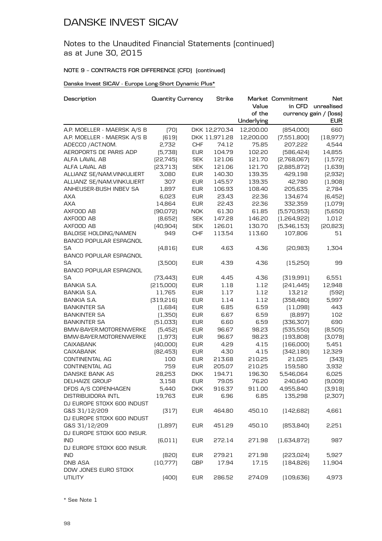### Notes to the Unaudited Financial Statements (continued) as at June 30, 2015

### **NOTE 9 – CONTRACTS FOR DIFFERENCE (CFD) (continued)**

### **Danske Invest SICAV - Europe Long-Short Dynamic Plus\***

| Description                   | <b>Quantity Currency</b> |            | Strike        |            | Market Commitment | <b>Net</b>             |
|-------------------------------|--------------------------|------------|---------------|------------|-------------------|------------------------|
|                               |                          |            |               | Value      | in CFD            | unrealised             |
|                               |                          |            |               | of the     |                   | currency gain / (loss) |
|                               |                          |            |               | Underlying |                   | <b>EUR</b>             |
| A.P. MOELLER - MAERSK A/S B   | (70)                     |            | DKK 12,270.34 | 12,200.00  | [854,000]         | 660                    |
| A.P. MOELLER - MAERSK A/S B   | [619]                    |            | DKK 11,971.28 | 12,200.00  | (7,551,800)       | (18, 977)              |
| ADECCO / ACT.NOM.             | 2,732                    | <b>CHF</b> | 74.12         | 75.85      | 207,222           | 4,544                  |
| AEROPORTS DE PARIS ADP        | [5,738]                  | <b>EUR</b> | 104.79        | 102.20     | [586, 424]        | 14,855                 |
| ALFA LAVAL AB                 | [22, 745]                | <b>SEK</b> | 121.06        | 121.70     | [2,768,067]       | (1,572)                |
| ALFA LAVAL AB                 | [23, 713]                | <b>SEK</b> | 121.06        | 121.70     | [2,885,872]       | (1,639)                |
| ALLIANZ SE/NAM.VINKULIERT     | 3,080                    | <b>EUR</b> | 140.30        | 139.35     | 429,198           | [2,932]                |
| ALLIANZ SE/NAM.VINKULIERT     | 307                      | <b>EUR</b> | 145.57        | 139.35     | 42,780            | (1,908)                |
| ANHEUSER-BUSH INBEV SA        | 1,897                    | <b>EUR</b> | 106.93        | 108.40     | 205,635           | 2,784                  |
| <b>AXA</b>                    | 6,023                    | <b>EUR</b> | 23.43         | 22.36      | 134,674           | (6,452)                |
| <b>AXA</b>                    | 14,864                   | <b>EUR</b> | 22.43         | 22.36      | 332,359           | (1,079)                |
| AXFOOD AB                     | [90,072]                 | <b>NOK</b> | 61.30         | 61.85      | [5,570,953]       | (5,650)                |
| AXFOOD AB                     | [8,652]                  | <b>SEK</b> | 147.28        | 146.20     | [1,264,922]       | 1,012                  |
| AXFOOD AB                     | [40, 904]                | <b>SEK</b> | 126.01        | 130.70     | [5,346,153]       | [20, 823]              |
| BALOISE HOLDING/NAMEN         | 949                      | <b>CHF</b> | 113.54        | 113.60     | 107,806           | 51                     |
| <b>BANCO POPULAR ESPAGNOL</b> |                          |            |               |            |                   |                        |
| SА                            | (4, 816)                 | <b>EUR</b> | 4.63          | 4.36       | [20,983]          | 1,304                  |
| <b>BANCO POPULAR ESPAGNOL</b> |                          |            |               |            |                   |                        |
| <b>SA</b>                     | (3,500)                  | <b>EUR</b> | 4.39          | 4.36       | (15,250)          | 99                     |
| <b>BANCO POPULAR ESPAGNOL</b> |                          |            |               |            |                   |                        |
| SA                            | [73, 443]                | <b>EUR</b> | 4.45          | 4.36       | [319,991]         | 6,551                  |
| <b>BANKIA S.A.</b>            | [215,000]                | <b>EUR</b> | 1.18          | 1.12       | [241, 445]        | 12,948                 |
| <b>BANKIA S.A.</b>            | 11,765                   | <b>EUR</b> | 1.17          | 1.12       | 13,212            | [592]                  |
| BANKIA S.A.                   | [319,216]                | <b>EUR</b> | 1.14          | 1.12       | [358,480]         | 5,997                  |
| <b>BANKINTER SA</b>           | (1,684)                  | <b>EUR</b> | 6.85          | 6.59       | (11,098)          | 443                    |
| <b>BANKINTER SA</b>           | (1,350)                  | <b>EUR</b> | 6.67          | 6.59       | [8,897]           | 102                    |
| <b>BANKINTER SA</b>           | [51,033]                 | <b>EUR</b> | 6.60          | 6.59       | [336, 307]        | 690                    |
| BMW-BAYER.MOTORENWERKE        | (5,452)                  | <b>EUR</b> | 96.67         | 98.23      | [535,550]         | (8,505)                |
| BMW-BAYER.MOTORENWERKE        | (1,973)                  | <b>EUR</b> | 96.67         | 98.23      | (193,808)         | [3,078]                |
| <b>CAIXABANK</b>              | [40,000]                 | <b>EUR</b> | 4.29          | 4.15       | [166,000]         | 5,451                  |
| <b>CAIXABANK</b>              |                          |            |               |            |                   | 12,329                 |
|                               | [82, 453]                | <b>EUR</b> | 4.30          | 4.15       | [342, 180]        |                        |
| CONTINENTAL AG                | 100<br>759               | <b>EUR</b> | 213.68        | 210.25     | 21,025            | [343]                  |
| CONTINENTAL AG                |                          | <b>EUR</b> | 205.07        | 210.25     | 159,580           | 3,932                  |
| DANSKE BANK AS                | 28,253                   | <b>DKK</b> | 194.71        | 196.30     | 5,546,064         | 6,025                  |
| <b>DELHAIZE GROUP</b>         | 3.158                    | <b>EUR</b> | 79.05         | 76.20      | 240,640           | (9,009)                |
| DFDS A/S COPENHAGEN           | 5,440                    | <b>DKK</b> | 916.37        | 911.00     | 4,955,840         | (3,918)                |
| <b>DISTRIBUIDORA INTL</b>     | 19,763                   | <b>EUR</b> | 6.96          | 6.85       | 135,298           | [2,307]                |
| DJ EUROPE STOXX 600 INDUST    |                          |            |               |            |                   |                        |
| G&S 31/12/209                 | (317)                    | <b>EUR</b> | 464.80        | 450.10     | [142,682]         | 4,661                  |
| DJ EUROPE STOXX 600 INDUST    |                          |            |               |            |                   |                        |
| G&S 31/12/209                 | (1,897)                  | <b>EUR</b> | 451.29        | 450.10     | [853, 840]        | 2,251                  |
| DJ EUROPE STOXX 600 INSUR.    |                          |            |               |            |                   |                        |
| <b>IND</b>                    | (6, 011)                 | <b>EUR</b> | 272.14        | 271.98     | [1,634,872]       | 987                    |
| DJ EUROPE STOXX 600 INSUR.    |                          |            |               |            |                   |                        |
| <b>IND</b>                    | [820]                    | <b>EUR</b> | 279.21        | 271.98     | [223,024]         | 5,927                  |
| <b>DNB ASA</b>                | [10,777]                 | GBP        | 17.94         | 17.15      | [184, 826]        | 11,904                 |
| DOW JONES EURO STOXX          |                          |            |               |            |                   |                        |
| <b>UTILITY</b>                | (400)                    | <b>EUR</b> | 286.52        | 274.09     | [109, 636]        | 4,973                  |

\* See Note 1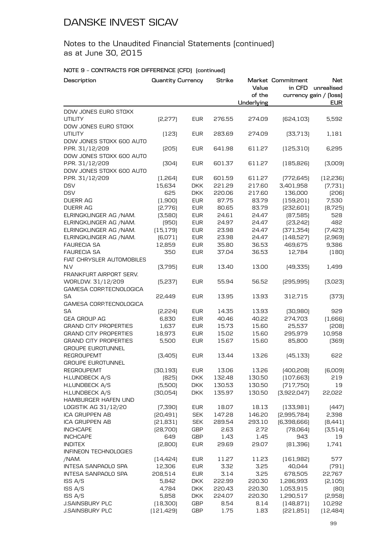### Notes to the Unaudited Financial Statements (continued) as at June 30, 2015

| Description                                  | <b>Quantity Currency</b> |            | <b>Strike</b> | Value<br>of the | Market Commitment | Net<br>in CFD unrealised<br>currency gain / (loss) |
|----------------------------------------------|--------------------------|------------|---------------|-----------------|-------------------|----------------------------------------------------|
|                                              |                          |            |               | Underlying      |                   | <b>EUR</b>                                         |
| DOW JONES EURO STOXX                         |                          |            |               |                 |                   |                                                    |
| <b>UTILITY</b>                               | [2,277]                  | <b>EUR</b> | 276.55        | 274.09          | [624, 103]        | 5,592                                              |
| DOW JONES EURO STOXX                         |                          |            |               |                 |                   |                                                    |
| <b>UTILITY</b><br>DOW JONES STOXX 600 AUTO   | (123)                    | <b>EUR</b> | 283.69        | 274.09          | [33,713]          | 1,181                                              |
| P.PR. 31/12/209                              | [205]                    | <b>EUR</b> | 641.98        | 611.27          | [125, 310]        | 6,295                                              |
| DOW JONES STOXX 600 AUTO                     |                          |            |               |                 |                   |                                                    |
| P.PR. 31/12/209                              | [304]                    | <b>EUR</b> | 601.37        | 611.27          | (185, 826)        | [3,009]                                            |
| DOW JONES STOXX 600 AUTO                     |                          |            |               |                 |                   |                                                    |
| P.PR. 31/12/209                              | (1,264)                  | <b>EUR</b> | 601.59        | 611.27          | [772, 645]        | [12, 236]                                          |
| <b>DSV</b>                                   | 15,634                   | <b>DKK</b> | 221.29        | 217.60          | 3,401,958         | (7,731)                                            |
| <b>DSV</b>                                   | 625                      | <b>DKK</b> | 220.06        | 217.60          | 136,000           | [206]                                              |
| <b>DUERR AG</b>                              | (1,900)                  | <b>EUR</b> | 87.75         | 83.79           | (159,201)         | 7,530                                              |
| <b>DUERR AG</b>                              | [2,776]                  | <b>EUR</b> | 80.65         | 83.79           | [232,601]         | [8, 725]                                           |
| ELRINGKLINGER AG / NAM.                      | (3,580)                  | <b>EUR</b> | 24.61         | 24.47           | [87,585]          | 528                                                |
| ELRINGKLINGER AG /NAM.                       | (950)                    | <b>EUR</b> | 24.97         | 24.47           | [23, 242]         | 482                                                |
| ELRINGKLINGER AG /NAM.                       | (15, 179)                | <b>EUR</b> | 23.98         | 24.47           | [371, 354]        | [7,423]                                            |
| ELRINGKLINGER AG /NAM.                       | (6,071)                  | <b>EUR</b> | 23.98         | 24.47           | (148, 527)        | [2,969]                                            |
| <b>FAURECIA SA</b>                           | 12,859                   | <b>EUR</b> | 35.80         | 36.53           | 469,675           | 9,386                                              |
| <b>FAURECIA SA</b>                           | 350                      | <b>EUR</b> | 37.04         | 36.53           | 12,784            | (180)                                              |
| FIAT CHRYSLER AUTOMOBILES                    |                          |            |               |                 |                   |                                                    |
| N.V                                          | [3,795]                  | <b>EUR</b> | 13.40         | 13.00           | [49,335]          | 1,499                                              |
| FRANKFURT AIRPORT SERV.                      |                          |            |               |                 |                   |                                                    |
| WORLDW. 31/12/209<br>GAMESA CORP.TECNOLOGICA | [5,237]                  | <b>EUR</b> | 55.94         | 56.52           | [295, 995]        | [3,023]                                            |
| SА                                           | 22,449                   | <b>EUR</b> | 13.95         | 13.93           | 312,715           | [373]                                              |
| GAMESA CORP.TECNOLOGICA                      |                          |            |               |                 |                   |                                                    |
| SA                                           | [2,224]                  | <b>EUR</b> | 14.35         | 13.93           | [30,980]          | 929                                                |
| <b>GEA GROUP AG</b>                          | 6,830                    | <b>EUR</b> | 40.46         | 40.22           | 274,703           | (1,666)                                            |
| <b>GRAND CITY PROPERTIES</b>                 | 1,637                    | <b>EUR</b> | 15.73         | 15.60           | 25,537            | [208]                                              |
| <b>GRAND CITY PROPERTIES</b>                 | 18,973                   | <b>EUR</b> | 15.02         | 15.60           | 295,979           | 10,958                                             |
| <b>GRAND CITY PROPERTIES</b>                 | 5,500                    | <b>EUR</b> | 15.67         | 15.60           | 85,800            | [369]                                              |
| <b>GROUPE EUROTUNNEL</b>                     |                          |            |               |                 |                   |                                                    |
| <b>REGROUPEMT</b>                            | [3,405]                  | <b>EUR</b> | 13.44         | 13.26           | [45, 133]         | 622                                                |
| <b>GROUPE EUROTUNNEL</b>                     |                          |            |               |                 |                   |                                                    |
| <b>REGROUPEMT</b>                            | [30, 193]                | <b>EUR</b> | 13.06         | 13.26           | [400, 208]        | (6,009)                                            |
| H.LUNDBECK A/S                               | [825]                    | <b>DKK</b> | 132.48        | 130.50          | [107, 663]        | 219                                                |
| H.LUNDBECK A/S                               | (5,500)                  | <b>DKK</b> | 130.53        | 130.50          | [717,750]         | 19                                                 |
| H.LUNDBECK A/S                               | [30,054]                 | <b>DKK</b> | 135.97        | 130.50          | [3,922,047]       | 22,022                                             |
| <b>HAMBURGER HAFEN UND</b>                   |                          |            |               |                 |                   |                                                    |
| LOGISTIK AG 31/12/20                         | (7,390)                  | <b>EUR</b> | 18.07         | 18.13           | (133,981)         | [447]                                              |
| ICA GRUPPEN AB                               | [20, 491]                | <b>SEK</b> | 147.28        | 146.20          | [2,995,784]       | 2,398                                              |
| <b>ICA GRUPPEN AB</b>                        | [21, 831]                | <b>SEK</b> | 289.54        | 293.10          | [6,398,666]       | [8,441]                                            |
| <b>INCHCAPE</b>                              | [28, 700]                | <b>GBP</b> | 2.63          | 2.72            | [78,064]          | (3,514)                                            |
| <b>INCHCAPE</b>                              | 649                      | GBP        | 1.43          | 1.45            | 943               | 19                                                 |
| <b>INDITEX</b>                               | [2,800]                  | <b>EUR</b> | 29.69         | 29.07           | [81,396]          | 1,741                                              |
| INFINEON TECHNOLOGIES                        |                          |            |               |                 |                   |                                                    |
| /NAM.                                        | [14, 424]                | <b>EUR</b> | 11.27         | 11.23           | (161, 982)        | 577                                                |
| INTESA SANPAOLO SPA                          | 12,306                   | <b>EUR</b> | 3.32          | 3.25            | 40,044            | (791)                                              |
| INTESA SANPAOLO SPA                          | 208,514                  | <b>EUR</b> | 3.14          | 3.25            | 678,505           | 22,767                                             |
| ISS A/S                                      | 5,842                    | <b>DKK</b> | 222.99        | 220.30          | 1,286,993         | [2, 105]                                           |
| ISS A/S                                      | 4,784                    | <b>DKK</b> | 220.43        | 220.30          | 1,053,915         | (80)                                               |
| ISS A/S                                      | 5,858                    | <b>DKK</b> | 224.07        | 220.30          | 1,290,517         | [2,958]                                            |
| <b>J.SAINSBURY PLC</b>                       | (18, 300)                | <b>GBP</b> | 8.54          | 8.14            | [148, 871]        | 10,292                                             |
| <b>J.SAINSBURY PLC</b>                       | [121, 429]               | <b>GBP</b> | 1.75          | 1.83            | [221, 851]        | [12, 484]                                          |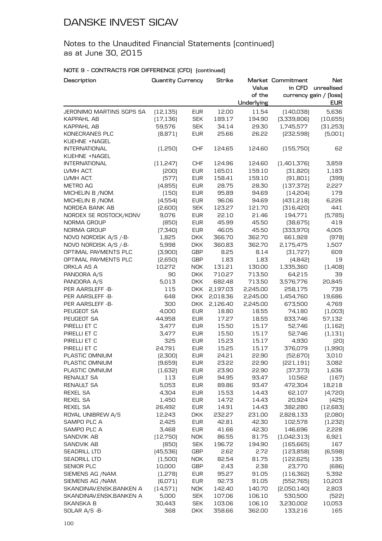Notes to the Unaudited Financial Statements (continued) as at June 30, 2015

| Description              | <b>Quantity Currency</b> |            | Strike   |                      | Market Commitment | <b>Net</b>                           |
|--------------------------|--------------------------|------------|----------|----------------------|-------------------|--------------------------------------|
|                          |                          |            |          | Value                | in CFD            | unrealised                           |
|                          |                          |            |          | of the<br>Underlying |                   | currency gain / (loss)<br><b>EUR</b> |
| JERONIMO MARTINS SGPS SA | (12, 135)                | <b>EUR</b> | 12.00    | 11.54                | [140,038]         | 5,636                                |
| KAPPAHL AB               | (17, 136)                | <b>SEK</b> | 189.17   | 194.90               | [3,339,806]       | (10, 655)                            |
| <b>KAPPAHL AB</b>        | 59,576                   | <b>SEK</b> | 34.14    | 29.30                | 1,745,577         | [31,253]                             |
| KONECRANES PLC           | [8,871]                  | <b>EUR</b> | 25.66    | 26.22                | [232,598]         | (5,001)                              |
| KUEHNE +NAGEL            |                          |            |          |                      |                   |                                      |
| <b>INTERNATIONAL</b>     | (1,250)                  | <b>CHF</b> | 124.65   | 124.60               | (155, 750)        | 62                                   |
| KUEHNE +NAGEL            |                          |            |          |                      |                   |                                      |
| <b>INTERNATIONAL</b>     | (11,247)                 | <b>CHF</b> | 124.96   | 124.60               | [1,401,376]       | 3,859                                |
| LVMH ACT.                | [200]                    | <b>EUR</b> | 165.01   | 159.10               | [31,820]          | 1,183                                |
| LVMH ACT.                | (577)                    | <b>EUR</b> | 158.41   | 159.10               | (91, 801)         | [399]                                |
| METRO AG                 | (4,855)                  | <b>EUR</b> | 28.75    | 28.30                | (137, 372)        | 2,227                                |
| MICHELIN B / NOM.        | (150)                    | <b>EUR</b> | 95.89    | 94.69                | [14,204]          | 179                                  |
| MICHELIN B / NOM.        | (4,554)                  | <b>EUR</b> | 96.06    | 94.69                | [431, 218]        | 6,226                                |
| NORDEA BANK AB           | [2,600]                  | <b>SEK</b> | 123.27   | 121.70               | [316, 420]        | 441                                  |
| NORDEX SE ROSTOCK/KONV   | 9,076                    | <b>EUR</b> | 22.10    | 21.46                | 194,771           | (5,785)                              |
| NORMA GROUP              | (850)                    | <b>EUR</b> | 45.99    | 45.50                | [38, 675]         | 419                                  |
| NORMA GROUP              | (7,340)                  | <b>EUR</b> | 46.05    | 45.50                | [333,970]         | 4,005                                |
| NOVO NORDISK A/S /-B-    | 1,825                    | <b>DKK</b> | 366.70   | 362.70               | 661,928           | (978)                                |
| NOVO NORDISK A/S /-B-    | 5,998                    | <b>DKK</b> | 360.83   | 362.70               | 2,175,475         | 1,507                                |
| OPTIMAL PAYMENTS PLC     | (3,900)                  | <b>GBP</b> | 8.25     | 8.14                 | [31, 727]         | 609                                  |
| OPTIMAL PAYMENTS PLC     | [2,650]                  | <b>GBP</b> | 1.83     | 1.83                 | (4,842)           | 19                                   |
| ORKLA AS A               | 10,272                   | <b>NOK</b> | 131.21   | 130.00               | 1,335,360         | (1,408)                              |
| PANDORA A/S              | 90                       | <b>DKK</b> | 710.27   | 713.50               | 64,215            | 39                                   |
| PANDORA A/S              | 5,013                    | <b>DKK</b> | 682.48   | 713.50               | 3,576,776         | 20,845                               |
| PER AARSLEFF -B-         | 115                      | <b>DKK</b> | 2,197.03 | 2,245.00             | 258,175           | 739                                  |
| PER AARSLEFF -B-         | 648                      | <b>DKK</b> | 2,018.36 | 2,245.00             | 1,454,760         | 19,686                               |
| PER AARSLEFF -B-         | 300                      | <b>DKK</b> | 2,126.40 | 2,245.00             | 673,500           | 4,769                                |
| PEUGEOT SA               | 4,000                    | <b>EUR</b> | 18.80    | 18.55                | 74,180            | (1,003)                              |
| PEUGEOT SA               | 44,958                   | <b>EUR</b> | 17.27    | 18.55                | 833,746           | 57,132                               |
| PIRELLI ET C             | 3,477                    | <b>EUR</b> | 15.50    | 15.17                | 52,746            | (1, 162)                             |
| PIRELLI ET C             | 3,477                    | <b>EUR</b> | 15.50    | 15.17                | 52,746            | (1, 131)                             |
| PIRELLI ET C             | 325                      | <b>EUR</b> | 15.23    | 15.17                | 4,930             | (20)                                 |
| PIRELLI ET C             | 24,791                   | <b>EUR</b> | 15.25    | 15.17                | 376,079           | (1,990)                              |
| PLASTIC OMNIUM           | [2,300]                  | <b>EUR</b> | 24.21    | 22.90                | [52, 670]         | 3,010                                |
| PLASTIC OMNIUM           | (9,659)                  | <b>EUR</b> | 23.22    | 22.90                | [221, 191]        | 3,082                                |
| PLASTIC OMNIUM           | (1,632)                  | <b>EUR</b> | 23.90    | 22.90                | [37, 373]         | 1,636                                |
| <b>RENAULT SA</b>        | 113                      | <b>EUR</b> | 94.95    | 93.47                | 10,562            | (167)                                |
| <b>RENAULT SA</b>        | 5,053                    | <b>EUR</b> | 89.86    | 93.47                | 472,304           | 18,218                               |
| <b>REXEL SA</b>          | 4,304                    | <b>EUR</b> | 15.53    | 14.43                | 62,107            | (4,720)                              |
| <b>REXEL SA</b>          | 1,450                    | <b>EUR</b> | 14.72    | 14.43                | 20,924            | (425)                                |
| <b>REXEL SA</b>          | 26,492                   | <b>EUR</b> | 14.91    | 14.43                | 382,280           | [12,683]                             |
| ROYAL UNIBREW A/S        | 12,243                   | <b>DKK</b> | 232.27   | 231.00               | 2,828,133         | [2,080]                              |
| SAMPO PLC A              | 2,425                    | <b>EUR</b> | 42.81    | 42.30                | 102,578           | (1,232)                              |
| SAMPO PLC A              | 3,468                    | <b>EUR</b> | 41.66    | 42.30                | 146,696           | 2,228                                |
| SANDVIK AB               | (12,750)                 | <b>NOK</b> | 86.55    | 81.75                | [1,042,313]       | 6,921                                |
| <b>SANDVIK AB</b>        | (850)                    | <b>SEK</b> | 196.72   | 194.90               | (165, 665)        | 167                                  |
| <b>SEADRILL LTD</b>      | (45,536)                 | GBP        | 2.62     | 2.72                 | [123,858]         | (6,598)                              |
| <b>SEADRILL LTD</b>      | (1,500)                  | <b>NOK</b> | 82.54    | 81.75                | [122, 625]        | 135                                  |
| SENIOR PLC               | 10,000                   | GBP        | 2.43     | 2.38                 | 23,770            | [686]                                |
| SIEMENS AG /NAM.         | (1,278)                  | <b>EUR</b> | 95.27    | 91.05                | (116, 362)        | 5,392                                |
| SIEMENS AG /NAM.         | (6,071)                  | <b>EUR</b> | 92.73    | 91.05                | [552,765]         | 10,203                               |
| SKANDINAV.ENSK.BANKEN A  | [14,571]                 | <b>NOK</b> | 142.40   | 140.70               | [2,050,140]       | 2,803                                |
| SKANDINAV.ENSK.BANKEN A  | 5,000                    | <b>SEK</b> | 107.06   | 106.10               | 530,500           | [522]                                |
| SKANSKA B                | 30,443                   | SEK        | 103.06   | 106.10               | 3,230,002         | 10,053                               |
| SOLAR A/S -B-            | 368                      | <b>DKK</b> | 358.66   | 362.00               | 133,216           | 165                                  |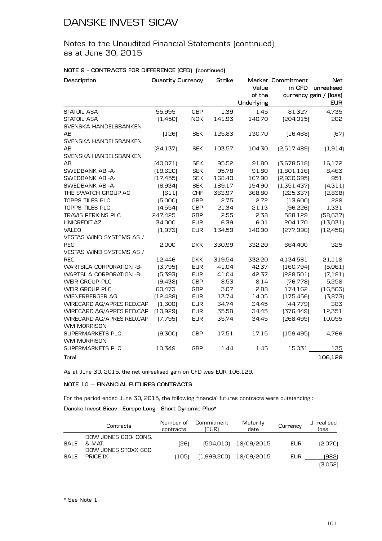Notes to the Unaudited Financial Statements (continued) as at June 30, 2015

### **NOTE 9 – CONTRACTS FOR DIFFERENCE (CFD) (continued)**

| Description                              | <b>Quantity Currency</b> |            | <b>Strike</b> | Value<br>of the<br>Underlying | Market Commitment<br>in CFD | <b>Net</b><br>unrealised<br>currency gain / [loss]<br><b>EUR</b> |
|------------------------------------------|--------------------------|------------|---------------|-------------------------------|-----------------------------|------------------------------------------------------------------|
| <b>STATOIL ASA</b>                       | 55,995                   | <b>GBP</b> | 1.39          | 1.45                          | 81,327                      | 4,735                                                            |
| <b>STATOIL ASA</b>                       | (1,450)                  | <b>NOK</b> | 141.93        | 140.70                        | [204, 015]                  | 202                                                              |
| SVENSKA HANDELSBANKEN                    |                          |            |               |                               |                             |                                                                  |
| AB                                       | (126)                    | <b>SEK</b> | 125.83        | 130.70                        | [16, 468]                   | (67)                                                             |
| SVENSKA HANDELSBANKEN                    |                          |            |               |                               |                             |                                                                  |
| AB                                       | [24, 137]                | <b>SEK</b> | 103.57        | 104.30                        | [2,517,489]                 | (1, 914)                                                         |
| SVENSKA HANDELSBANKEN                    |                          |            |               |                               |                             |                                                                  |
| AB                                       | [40,071]                 | <b>SEK</b> | 95.52         | 91.80                         | [3,678,518]                 | 16,172                                                           |
| SWEDBANK AB -A-                          | (19,620)                 | <b>SEK</b> | 95.78         | 91.80                         | (1,801,116)                 | 8,463                                                            |
| SWEDBANK AB -A-                          | (17, 455)                | <b>SEK</b> | 168.40        | 167.90                        | [2,930,695]                 | 951                                                              |
| SWEDBANK AB -A-                          | [6,934]                  | <b>SEK</b> | 189.17        | 194.90                        | (1,351,437)                 | (4, 311)                                                         |
| THE SWATCH GROUP AG                      | (611)                    | <b>CHF</b> | 363.97        | 368.80                        | [225, 337]                  | [2,838]                                                          |
| TOPPS TILES PLC                          | (5,000)                  | <b>GBP</b> | 2.75          | 2.72                          | (13,600)                    | 228                                                              |
| <b>TOPPS TILES PLC</b>                   | (4,554)                  | <b>GBP</b> | 21.34         | 21.13                         | [96, 226]                   | 1,331                                                            |
| TRAVIS PERKINS PLC                       | 247,425                  | <b>GBP</b> | 2.55          | 2.38                          | 588,129                     | [58, 637]                                                        |
| <b>UNICREDIT AZ</b>                      | 34,000                   | <b>EUR</b> | 6.39          | 6.01                          | 204,170                     | (13,031)                                                         |
| <b>VALEO</b>                             | (1,973)                  | <b>EUR</b> | 134.59        | 140.90                        | [277,996]                   | [12, 456]                                                        |
| VESTAS WIND SYSTEMS AS /                 |                          |            |               |                               |                             |                                                                  |
| <b>REG</b>                               | 2,000                    | <b>DKK</b> | 330.99        | 332.20                        | 664,400                     | 325                                                              |
| VESTAS WIND SYSTEMS AS /                 |                          |            |               |                               |                             |                                                                  |
| <b>REG</b>                               | 12,446                   | <b>DKK</b> | 319.54        | 332.20                        | 4,134,561                   | 21,118                                                           |
| <b>WARTSILA CORPORATION -B-</b>          | (3,795)                  | <b>EUR</b> | 41.04         | 42.37                         | [160, 794]                  | (5,061)                                                          |
| <b>WARTSILA CORPORATION -B-</b>          | (5,393)                  | <b>EUR</b> | 41.04         | 42.37                         | [228,501]                   | (7, 191)                                                         |
| WEIR GROUP PLC                           | [9,438]                  | <b>GBP</b> | 8.53          | 8.14                          | [76, 778]                   | 5,258                                                            |
| WEIR GROUP PLC                           | 60,473                   | <b>GBP</b> | 3.07          | 2.88                          | 174,162                     | (16,503)                                                         |
| <b>WIENERBERGER AG</b>                   | [12, 488]                | <b>EUR</b> | 13.74         | 14.05                         | (175, 456)                  | (3,873)                                                          |
| WIRECARD AG/APRES RED.CAP                | (1,300)                  | <b>EUR</b> | 34.74         | 34.45                         | [44,779]                    | 383                                                              |
| WIRECARD AG/APRES RED.CAP                | (10, 929)                | <b>EUR</b> | 35.58         | 34.45                         | [376, 449]                  | 12,351                                                           |
| WIRECARD AG/APRES RED.CAP<br>WM MORRISON | (7,795)                  | <b>EUR</b> | 35.74         | 34.45                         | [268,499]                   | 10,095                                                           |
| SUPERMARKETS PLC<br>WM MORRISON          | (9,300)                  | <b>GBP</b> | 17.51         | 17.15                         | (159, 495)                  | 4,766                                                            |
| <b>SUPERMARKETS PLC</b>                  | 10,349                   | <b>GBP</b> | 1.44          | 1.45                          | 15,031                      | 135                                                              |
| Total                                    |                          |            |               |                               |                             | 106,129                                                          |

As at June 30, 2015, the net unrealised gain on CFD was EUR 106,129.

### **NOTE 10 — FINANCIAL FUTURES CONTRACTS**

For the period ended June 30, 2015, the following financial futures contracts were outstanding :

### **Danske Invest Sicav - Europe Long - Short Dynamic Plus\***

|             | Contracts                                            | Number of<br>contracts | Commitment<br>[EUR] | Maturity<br>date | Currency   | Unrealised<br>loss |
|-------------|------------------------------------------------------|------------------------|---------------------|------------------|------------|--------------------|
| <b>SALE</b> | DOW JONES 600- CONS.<br>R MAT<br>DOW JONES STOXX 600 | (261                   | [504, 010]          | 18/09/2015       | <b>EUR</b> | [2,070]            |
| <b>SALE</b> | <b>PRICE IX</b>                                      | (105)                  | (1,999,200)         | 18/09/2015       | EUR        | (982)<br>(3,052)   |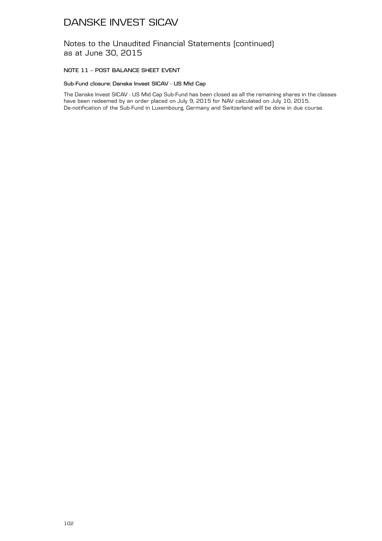Notes to the Unaudited Financial Statements (continued) as at June 30, 2015

### **NOTE 11 – POST BALANCE SHEET EVENT**

### **Sub-Fund closure: Danske Invest SICAV - US Mid Cap**

The Danske Invest SICAV - US Mid Cap Sub-Fund has been closed as all the remaining shares in the classes have been redeemed by an order placed on July 9, 2015 for NAV calculated on July 10, 2015. De-notification of the Sub-Fund in Luxembourg, Germany and Switzerland will be done in due course.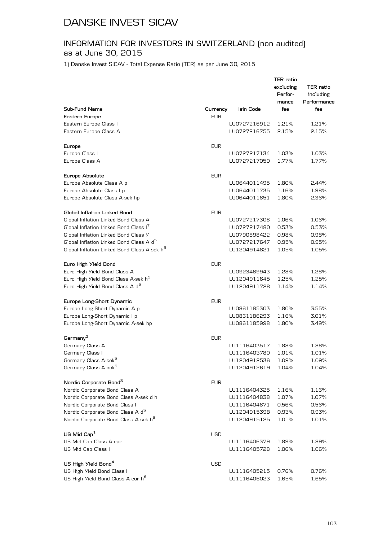### INFORMATION FOR INVESTORS IN SWITZERLAND (non audited) as at June 30, 2015

1) Danske Invest SICAV - Total Expense Ratio (TER) as per June 30, 2015

|                                                         |            |              | TER ratio<br>excluding<br>Perfor- | TER ratio<br>including |
|---------------------------------------------------------|------------|--------------|-----------------------------------|------------------------|
|                                                         |            |              | mance                             | Performance            |
| Sub-Fund Name                                           | Currency   | Isin Code    | fee                               | fee                    |
| Eastern Europe                                          | <b>EUR</b> |              |                                   |                        |
| Eastern Europe Class I                                  |            | LU0727216912 | 1.21%                             | 1.21%                  |
| Eastern Europe Class A                                  |            | LU0727216755 | 2.15%                             | 2.15%                  |
| Europe                                                  | <b>EUR</b> |              |                                   |                        |
| Europe Class I                                          |            | LU0727217134 | 1.03%                             | 1.03%                  |
| Europe Class A                                          |            | LU0727217050 | 1.77%                             | 1.77%                  |
| Europe Absolute                                         | <b>EUR</b> |              |                                   |                        |
| Europe Absolute Class A p                               |            | LU0644011495 | 1.80%                             | 2.44%                  |
| Europe Absolute Class I p                               |            | LU0644011735 | 1.16%                             | 1.98%                  |
| Europe Absolute Class A-sek hp                          |            | LU0644011651 | 1.80%                             | 2.36%                  |
| Global Inflation Linked Bond                            | <b>EUR</b> |              |                                   |                        |
| Global Inflation Linked Bond Class A                    |            | LU0727217308 | 1.06%                             | 1.06%                  |
| Global Inflation Linked Bond Class I <sup>7</sup>       |            | LU0727217480 | 0.53%                             | 0.53%                  |
| Global Inflation Linked Bond Class Y                    |            | LU0790898422 | 0.98%                             | 0.98%                  |
| Global Inflation Linked Bond Class A d <sup>5</sup>     |            | LU0727217647 | 0.95%                             | 0.95%                  |
| Global Inflation Linked Bond Class A-sek h <sup>5</sup> |            | LU1204914821 | 1.05%                             | 1.05%                  |
| Euro High Yield Bond                                    | <b>EUR</b> |              |                                   |                        |
| Euro High Yield Bond Class A                            |            | LU0923469943 | 1.28%                             | 1.28%                  |
| Euro High Yield Bond Class A-sek h <sup>5</sup>         |            | LU1204911645 | 1.25%                             | 1.25%                  |
| Euro High Yield Bond Class A d <sup>5</sup>             |            | LU1204911728 | 1.14%                             | 1.14%                  |
| Europe Long-Short Dynamic                               | <b>EUR</b> |              |                                   |                        |
| Europe Long-Short Dynamic A p                           |            | LU0861185303 | 1.80%                             | 3.55%                  |
| Europe Long-Short Dynamic I p                           |            | LU0861186293 | 1.16%                             | 3.01%                  |
| Europe Long-Short Dynamic A-sek hp                      |            | LU0861185998 | 1.80%                             | 3.49%                  |
| Germany <sup>3</sup>                                    | <b>EUR</b> |              |                                   |                        |
| Germany Class A                                         |            | LU1116403517 | 1.88%                             | 1.88%                  |
| Germany Class I                                         |            | LU1116403780 | 1.01%                             | 1.01%                  |
| Germany Class A-sek <sup>5</sup>                        |            | LU1204912536 | 1.09%                             | 1.09%                  |
| Germany Class A-nok <sup>5</sup>                        |            | LU1204912619 | 1.04%                             | 1.04%                  |
| Nordic Corporate Bond <sup>3</sup>                      | <b>EUR</b> |              |                                   |                        |
| Nordic Corporate Bond Class A                           |            | LU1116404325 | 1.16%                             | 1.16%                  |
| Nordic Corporate Bond Class A-sek d h                   |            | LU1116404838 | 1.07%                             | 1.07%                  |
| Nordic Corporate Bond Class I                           |            | LU1116404671 | 0.56%                             | 0.56%                  |
| Nordic Corporate Bond Class A d <sup>5</sup>            |            | LU1204915398 | 0.93%                             | 0.93%                  |
| Nordic Corporate Bond Class A-sek h <sup>8</sup>        |            | LU1204915125 | 1.01%                             | 1.01%                  |
| US Mid $Cap1$                                           | <b>USD</b> |              |                                   |                        |
| US Mid Cap Class A-eur                                  |            | LU1116406379 | 1.89%                             | 1.89%                  |
| US Mid Cap Class I                                      |            | LU1116405728 | 1.06%                             | 1.06%                  |
| US High Yield Bond <sup>4</sup>                         | <b>USD</b> |              |                                   |                        |
| US High Yield Bond Class I                              |            | LU1116405215 | 0.76%                             | 0.76%                  |
| US High Yield Bond Class A-eur h <sup>6</sup>           |            | LU1116406023 | 1.65%                             | 1.65%                  |
|                                                         |            |              |                                   |                        |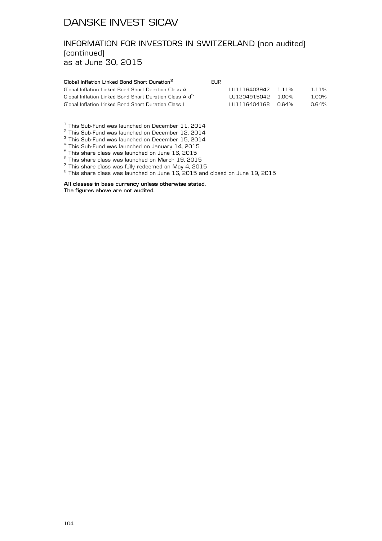# INFORMATION FOR INVESTORS IN SWITZERLAND (non audited) (continued)

as at June 30, 2015

| Global Inflation Linked Bond Short Duration <sup>2</sup>           | FUR. |                          |       |       |
|--------------------------------------------------------------------|------|--------------------------|-------|-------|
| Global Inflation Linked Bond Short Duration Class A                |      | $1111116403947$ $1.11\%$ |       | 1.11% |
| Global Inflation Linked Bond Short Duration Class A d <sup>5</sup> |      | $111204915042$ 1.00%     |       | 1 በበ% |
| Global Inflation Linked Bond Short Duration Class I                |      | 1111116404168            | 0 64% | 0.64% |

<sup>1</sup> This Sub-Fund was launched on December 11, 2014<br>
<sup>2</sup> This Sub-Fund was launched on December 12, 2014<br>
<sup>3</sup> This Sub-Fund was launched on December 15, 2014<br>
<sup>4</sup> This Sub-Fund was launched on January 14, 2015<br>
<sup>5</sup> This s

**All classes in base currency unless otherwise stated.**

**The figures above are not audited.**